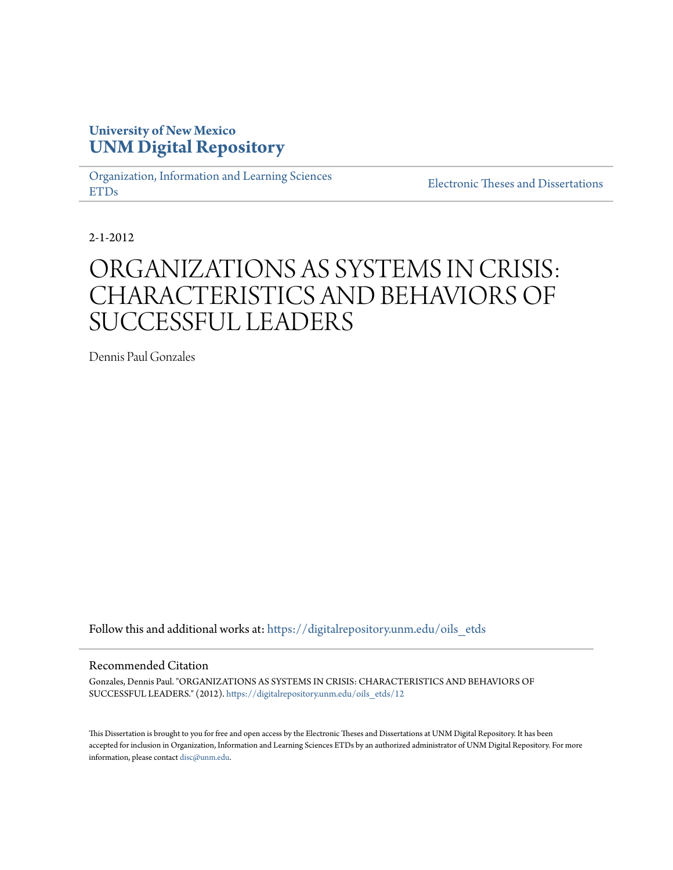## **University of New Mexico [UNM Digital Repository](https://digitalrepository.unm.edu?utm_source=digitalrepository.unm.edu%2Foils_etds%2F12&utm_medium=PDF&utm_campaign=PDFCoverPages)**

[Organization, Information and Learning Sciences](https://digitalrepository.unm.edu/oils_etds?utm_source=digitalrepository.unm.edu%2Foils_etds%2F12&utm_medium=PDF&utm_campaign=PDFCoverPages) [ETDs](https://digitalrepository.unm.edu/oils_etds?utm_source=digitalrepository.unm.edu%2Foils_etds%2F12&utm_medium=PDF&utm_campaign=PDFCoverPages)

[Electronic Theses and Dissertations](https://digitalrepository.unm.edu/etds?utm_source=digitalrepository.unm.edu%2Foils_etds%2F12&utm_medium=PDF&utm_campaign=PDFCoverPages)

2-1-2012

# ORGANIZATIONS AS SYSTEMS IN CRISIS: CHARACTERISTICS AND BEHAVIORS OF SUCCESSFUL LEADERS

Dennis Paul Gonzales

Follow this and additional works at: [https://digitalrepository.unm.edu/oils\\_etds](https://digitalrepository.unm.edu/oils_etds?utm_source=digitalrepository.unm.edu%2Foils_etds%2F12&utm_medium=PDF&utm_campaign=PDFCoverPages)

### Recommended Citation

Gonzales, Dennis Paul. "ORGANIZATIONS AS SYSTEMS IN CRISIS: CHARACTERISTICS AND BEHAVIORS OF SUCCESSFUL LEADERS." (2012). [https://digitalrepository.unm.edu/oils\\_etds/12](https://digitalrepository.unm.edu/oils_etds/12?utm_source=digitalrepository.unm.edu%2Foils_etds%2F12&utm_medium=PDF&utm_campaign=PDFCoverPages)

This Dissertation is brought to you for free and open access by the Electronic Theses and Dissertations at UNM Digital Repository. It has been accepted for inclusion in Organization, Information and Learning Sciences ETDs by an authorized administrator of UNM Digital Repository. For more information, please contact [disc@unm.edu.](mailto:disc@unm.edu)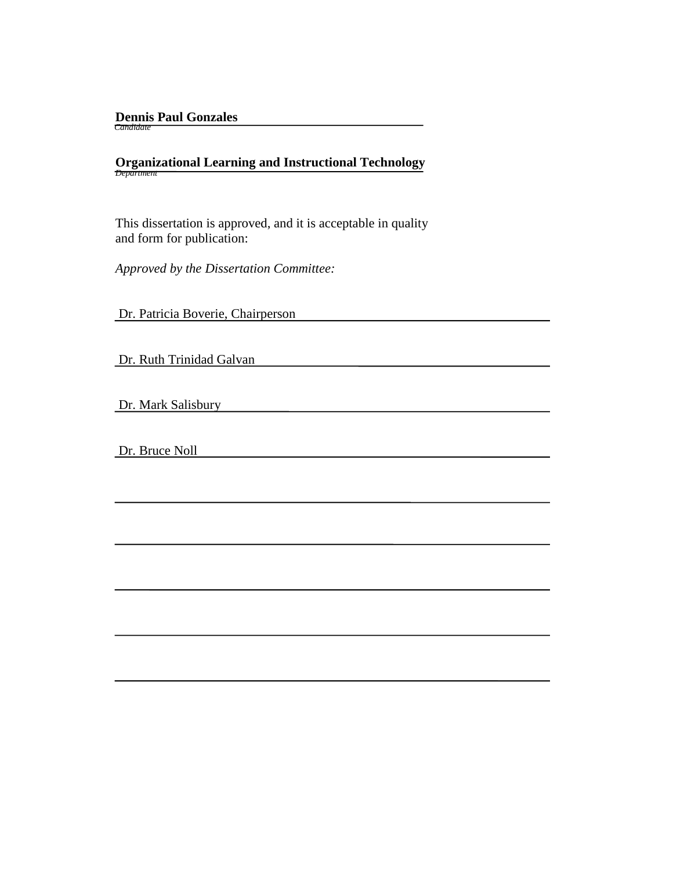# **Dennis Paul Gonzales**  *Candidate*

# **Organizational Learning and Instructional Technology** *Department*

 This dissertation is approved, and it is acceptable in quality and form for publication:

*Approved by the Dissertation Committee:*

Dr. Patricia Boverie, Chairperson

Dr. Ruth Trinidad Galvan

Dr. Mark Salisbury

Dr. Bruce Noll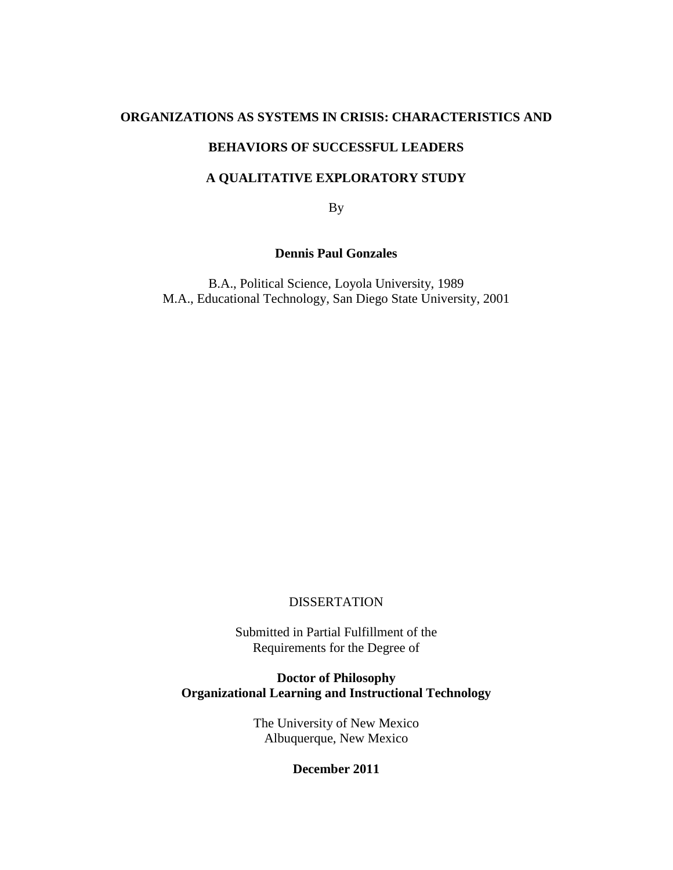### **ORGANIZATIONS AS SYSTEMS IN CRISIS: CHARACTERISTICS AND**

## **BEHAVIORS OF SUCCESSFUL LEADERS**

## **A QUALITATIVE EXPLORATORY STUDY**

By

### **Dennis Paul Gonzales**

B.A., Political Science, Loyola University, 1989 M.A., Educational Technology, San Diego State University, 2001

### DISSERTATION

Submitted in Partial Fulfillment of the Requirements for the Degree of

**Doctor of Philosophy Organizational Learning and Instructional Technology**

> The University of New Mexico Albuquerque, New Mexico

### **December 2011**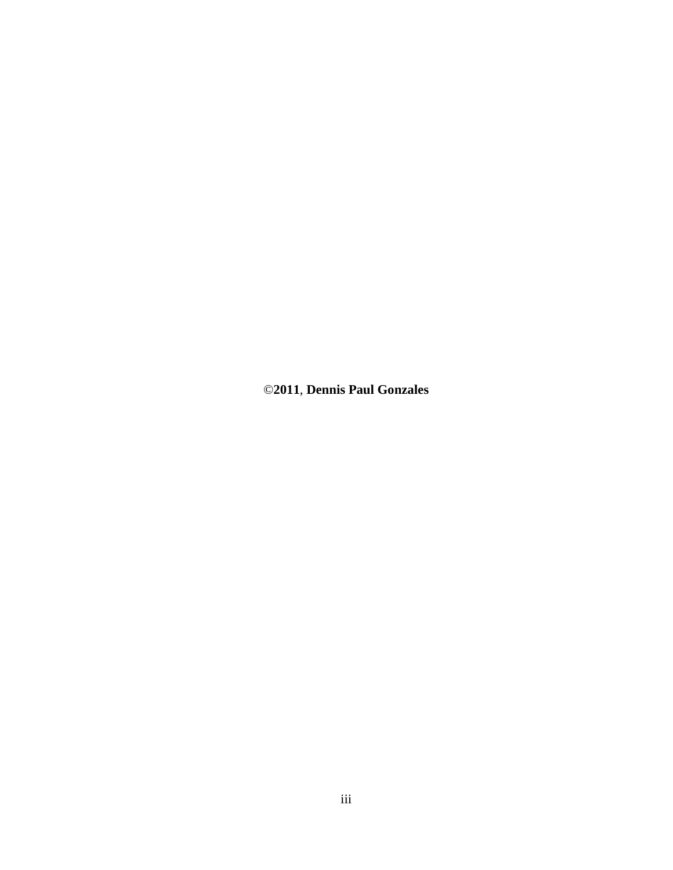©**2011**, **Dennis Paul Gonzales**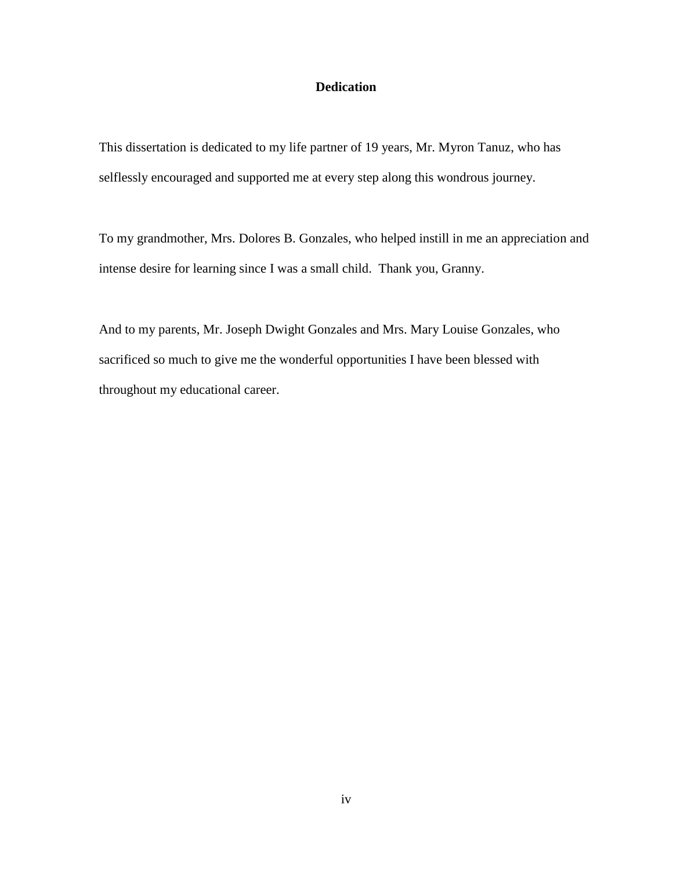### **Dedication**

This dissertation is dedicated to my life partner of 19 years, Mr. Myron Tanuz, who has selflessly encouraged and supported me at every step along this wondrous journey.

To my grandmother, Mrs. Dolores B. Gonzales, who helped instill in me an appreciation and intense desire for learning since I was a small child. Thank you, Granny.

And to my parents, Mr. Joseph Dwight Gonzales and Mrs. Mary Louise Gonzales, who sacrificed so much to give me the wonderful opportunities I have been blessed with throughout my educational career.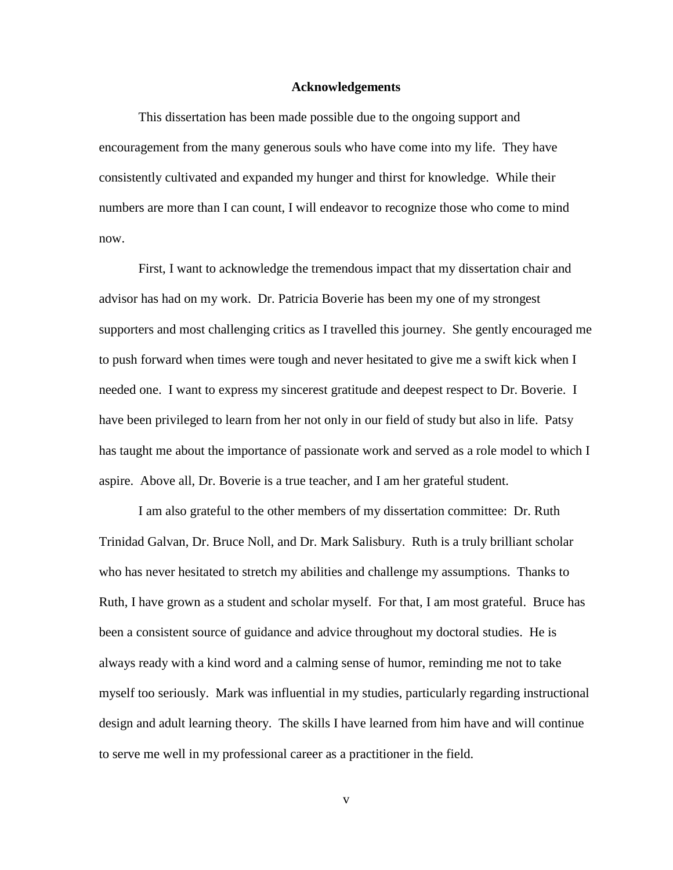#### **Acknowledgements**

This dissertation has been made possible due to the ongoing support and encouragement from the many generous souls who have come into my life. They have consistently cultivated and expanded my hunger and thirst for knowledge. While their numbers are more than I can count, I will endeavor to recognize those who come to mind now.

First, I want to acknowledge the tremendous impact that my dissertation chair and advisor has had on my work. Dr. Patricia Boverie has been my one of my strongest supporters and most challenging critics as I travelled this journey. She gently encouraged me to push forward when times were tough and never hesitated to give me a swift kick when I needed one. I want to express my sincerest gratitude and deepest respect to Dr. Boverie. I have been privileged to learn from her not only in our field of study but also in life. Patsy has taught me about the importance of passionate work and served as a role model to which I aspire. Above all, Dr. Boverie is a true teacher, and I am her grateful student.

I am also grateful to the other members of my dissertation committee: Dr. Ruth Trinidad Galvan, Dr. Bruce Noll, and Dr. Mark Salisbury. Ruth is a truly brilliant scholar who has never hesitated to stretch my abilities and challenge my assumptions. Thanks to Ruth, I have grown as a student and scholar myself. For that, I am most grateful. Bruce has been a consistent source of guidance and advice throughout my doctoral studies. He is always ready with a kind word and a calming sense of humor, reminding me not to take myself too seriously. Mark was influential in my studies, particularly regarding instructional design and adult learning theory. The skills I have learned from him have and will continue to serve me well in my professional career as a practitioner in the field.

v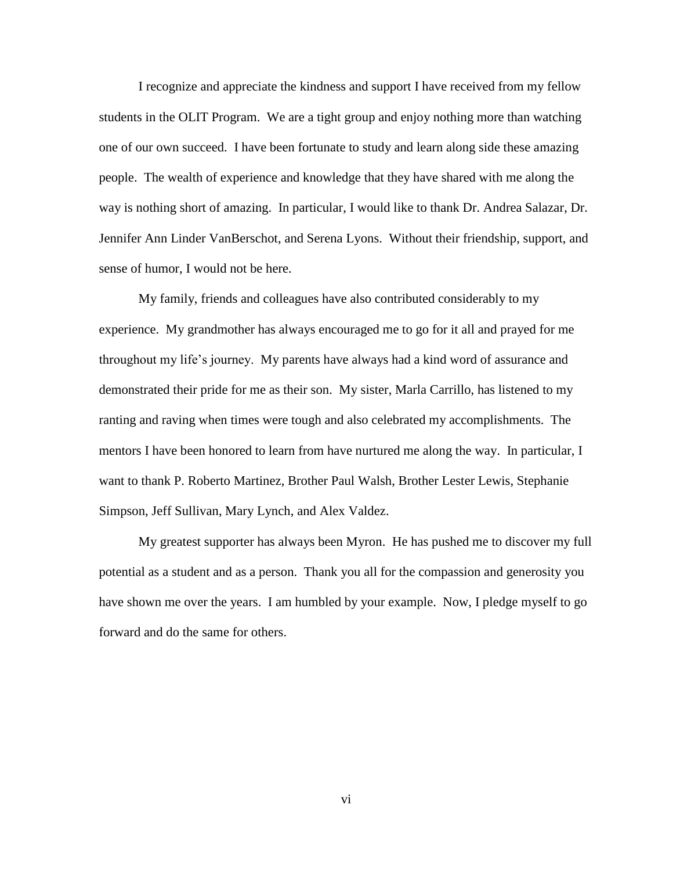I recognize and appreciate the kindness and support I have received from my fellow students in the OLIT Program. We are a tight group and enjoy nothing more than watching one of our own succeed. I have been fortunate to study and learn along side these amazing people. The wealth of experience and knowledge that they have shared with me along the way is nothing short of amazing. In particular, I would like to thank Dr. Andrea Salazar, Dr. Jennifer Ann Linder VanBerschot, and Serena Lyons. Without their friendship, support, and sense of humor, I would not be here.

My family, friends and colleagues have also contributed considerably to my experience. My grandmother has always encouraged me to go for it all and prayed for me throughout my life"s journey. My parents have always had a kind word of assurance and demonstrated their pride for me as their son. My sister, Marla Carrillo, has listened to my ranting and raving when times were tough and also celebrated my accomplishments. The mentors I have been honored to learn from have nurtured me along the way. In particular, I want to thank P. Roberto Martinez, Brother Paul Walsh, Brother Lester Lewis, Stephanie Simpson, Jeff Sullivan, Mary Lynch, and Alex Valdez.

My greatest supporter has always been Myron. He has pushed me to discover my full potential as a student and as a person. Thank you all for the compassion and generosity you have shown me over the years. I am humbled by your example. Now, I pledge myself to go forward and do the same for others.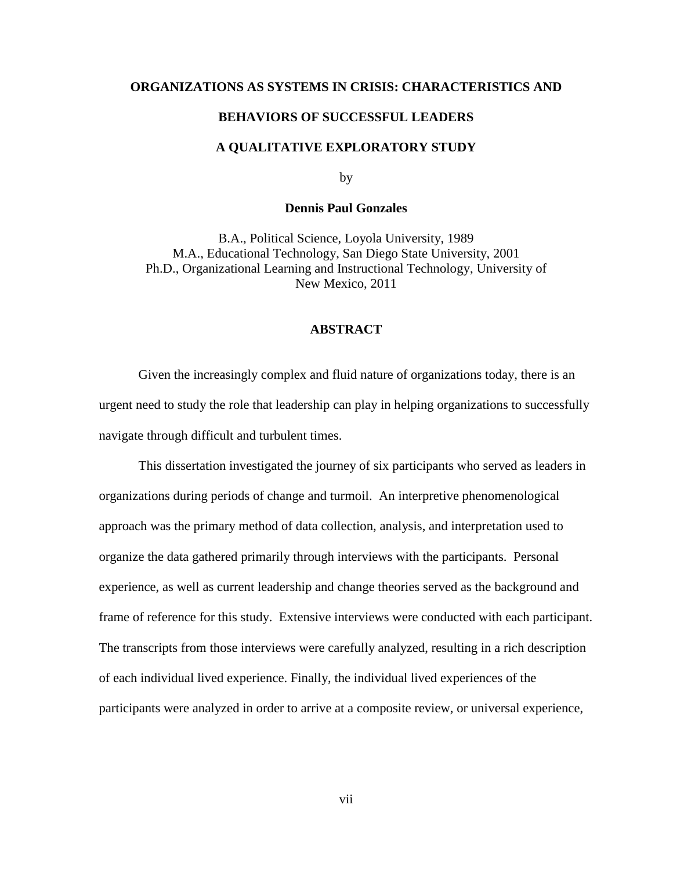### **ORGANIZATIONS AS SYSTEMS IN CRISIS: CHARACTERISTICS AND**

### **BEHAVIORS OF SUCCESSFUL LEADERS**

### **A QUALITATIVE EXPLORATORY STUDY**

by

### **Dennis Paul Gonzales**

B.A., Political Science, Loyola University, 1989 M.A., Educational Technology, San Diego State University, 2001 Ph.D., Organizational Learning and Instructional Technology, University of New Mexico, 2011

### **ABSTRACT**

Given the increasingly complex and fluid nature of organizations today, there is an urgent need to study the role that leadership can play in helping organizations to successfully navigate through difficult and turbulent times.

This dissertation investigated the journey of six participants who served as leaders in organizations during periods of change and turmoil. An interpretive phenomenological approach was the primary method of data collection, analysis, and interpretation used to organize the data gathered primarily through interviews with the participants. Personal experience, as well as current leadership and change theories served as the background and frame of reference for this study. Extensive interviews were conducted with each participant. The transcripts from those interviews were carefully analyzed, resulting in a rich description of each individual lived experience. Finally, the individual lived experiences of the participants were analyzed in order to arrive at a composite review, or universal experience,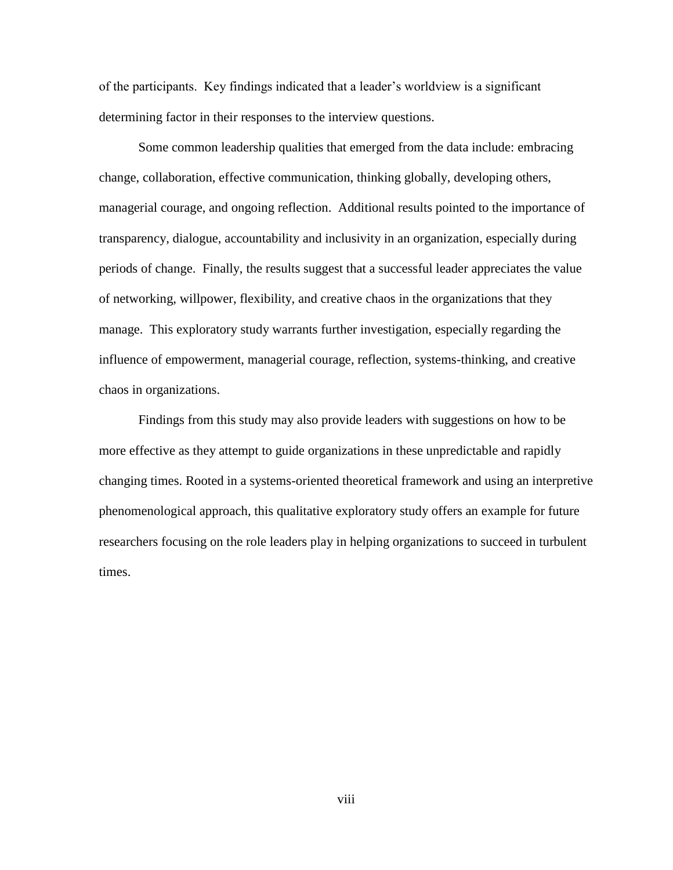of the participants. Key findings indicated that a leader"s worldview is a significant determining factor in their responses to the interview questions.

Some common leadership qualities that emerged from the data include: embracing change, collaboration, effective communication, thinking globally, developing others, managerial courage, and ongoing reflection. Additional results pointed to the importance of transparency, dialogue, accountability and inclusivity in an organization, especially during periods of change. Finally, the results suggest that a successful leader appreciates the value of networking, willpower, flexibility, and creative chaos in the organizations that they manage. This exploratory study warrants further investigation, especially regarding the influence of empowerment, managerial courage, reflection, systems-thinking, and creative chaos in organizations.

Findings from this study may also provide leaders with suggestions on how to be more effective as they attempt to guide organizations in these unpredictable and rapidly changing times. Rooted in a systems-oriented theoretical framework and using an interpretive phenomenological approach, this qualitative exploratory study offers an example for future researchers focusing on the role leaders play in helping organizations to succeed in turbulent times.

viii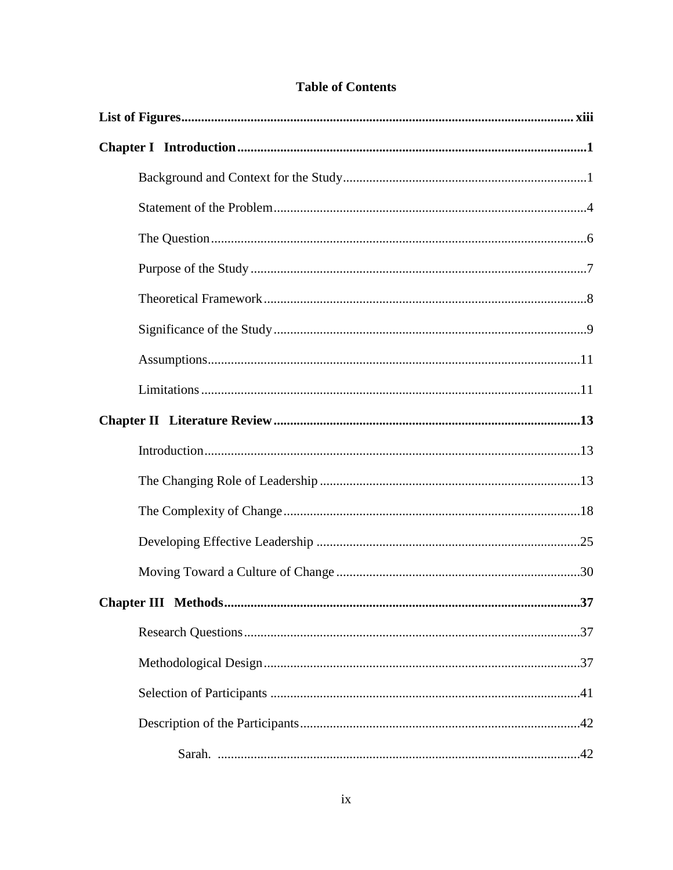| <b>Table of Contents</b> |  |
|--------------------------|--|
|--------------------------|--|

| Chapter III Methods<br>37 |
|---------------------------|
|                           |
|                           |
|                           |
|                           |
|                           |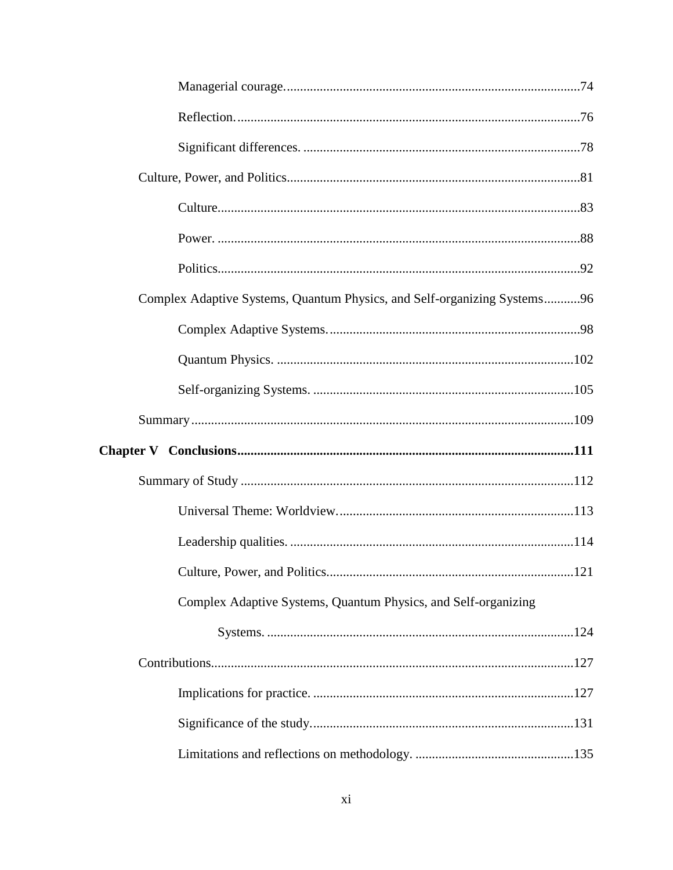| Complex Adaptive Systems, Quantum Physics, and Self-organizing Systems96 |  |
|--------------------------------------------------------------------------|--|
|                                                                          |  |
|                                                                          |  |
|                                                                          |  |
|                                                                          |  |
|                                                                          |  |
|                                                                          |  |
|                                                                          |  |
|                                                                          |  |
|                                                                          |  |
|                                                                          |  |
| Complex Adaptive Systems, Quantum Physics, and Self-organizing           |  |
|                                                                          |  |
|                                                                          |  |
|                                                                          |  |
|                                                                          |  |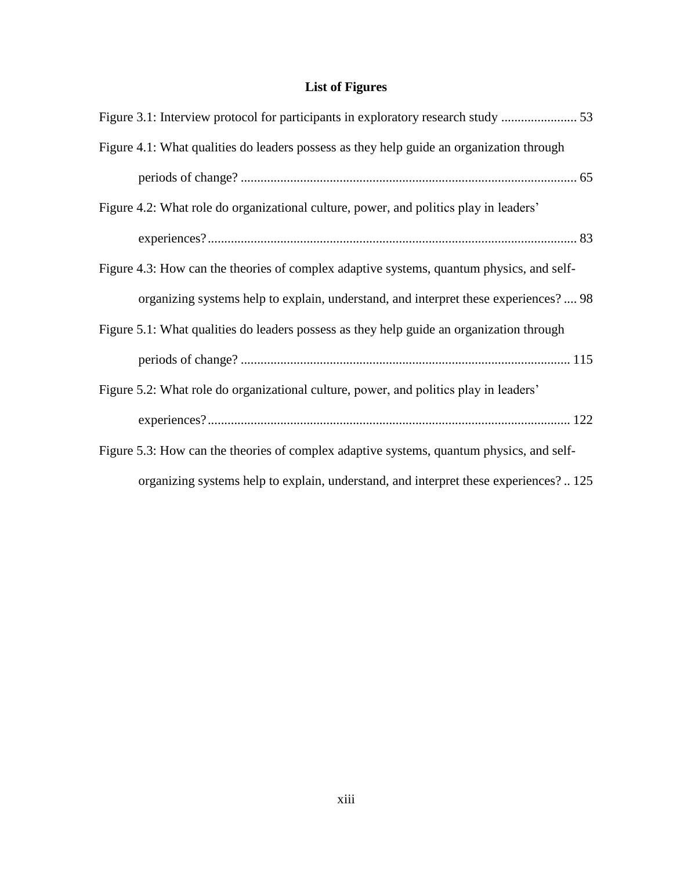# **List of Figures**

<span id="page-13-0"></span>

| Figure 4.1: What qualities do leaders possess as they help guide an organization through |
|------------------------------------------------------------------------------------------|
|                                                                                          |
| Figure 4.2: What role do organizational culture, power, and politics play in leaders'    |
|                                                                                          |
| Figure 4.3: How can the theories of complex adaptive systems, quantum physics, and self- |
| organizing systems help to explain, understand, and interpret these experiences?  98     |
| Figure 5.1: What qualities do leaders possess as they help guide an organization through |
|                                                                                          |
| Figure 5.2: What role do organizational culture, power, and politics play in leaders'    |
|                                                                                          |
| Figure 5.3: How can the theories of complex adaptive systems, quantum physics, and self- |
| organizing systems help to explain, understand, and interpret these experiences?  125    |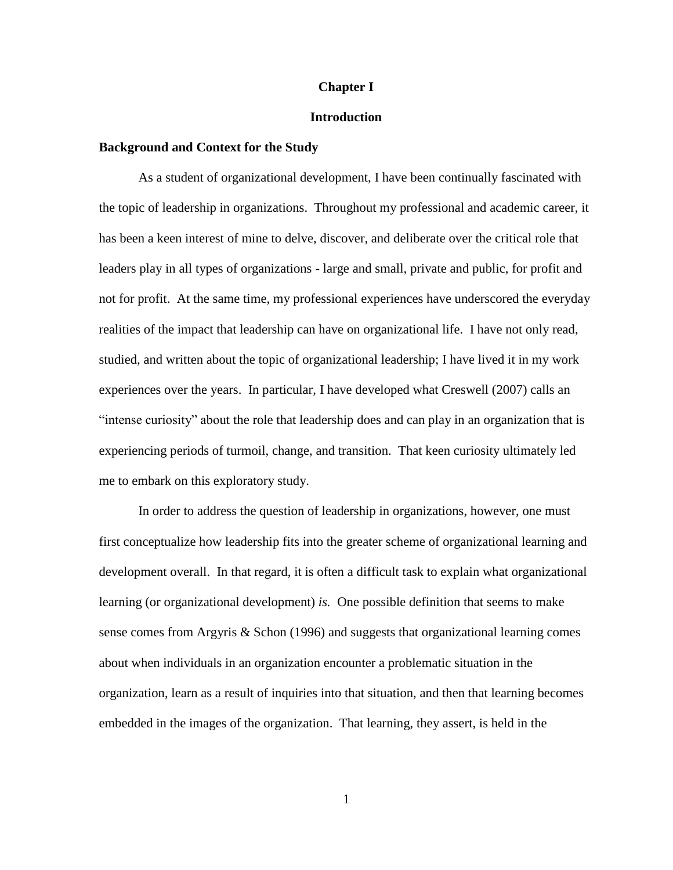### **Chapter I**

### **Introduction**

### <span id="page-14-1"></span><span id="page-14-0"></span>**Background and Context for the Study**

As a student of organizational development, I have been continually fascinated with the topic of leadership in organizations. Throughout my professional and academic career, it has been a keen interest of mine to delve, discover, and deliberate over the critical role that leaders play in all types of organizations - large and small, private and public, for profit and not for profit. At the same time, my professional experiences have underscored the everyday realities of the impact that leadership can have on organizational life. I have not only read, studied, and written about the topic of organizational leadership; I have lived it in my work experiences over the years. In particular, I have developed what Creswell (2007) calls an "intense curiosity" about the role that leadership does and can play in an organization that is experiencing periods of turmoil, change, and transition. That keen curiosity ultimately led me to embark on this exploratory study.

In order to address the question of leadership in organizations, however, one must first conceptualize how leadership fits into the greater scheme of organizational learning and development overall. In that regard, it is often a difficult task to explain what organizational learning (or organizational development) *is.* One possible definition that seems to make sense comes from Argyris & Schon (1996) and suggests that organizational learning comes about when individuals in an organization encounter a problematic situation in the organization, learn as a result of inquiries into that situation, and then that learning becomes embedded in the images of the organization. That learning, they assert, is held in the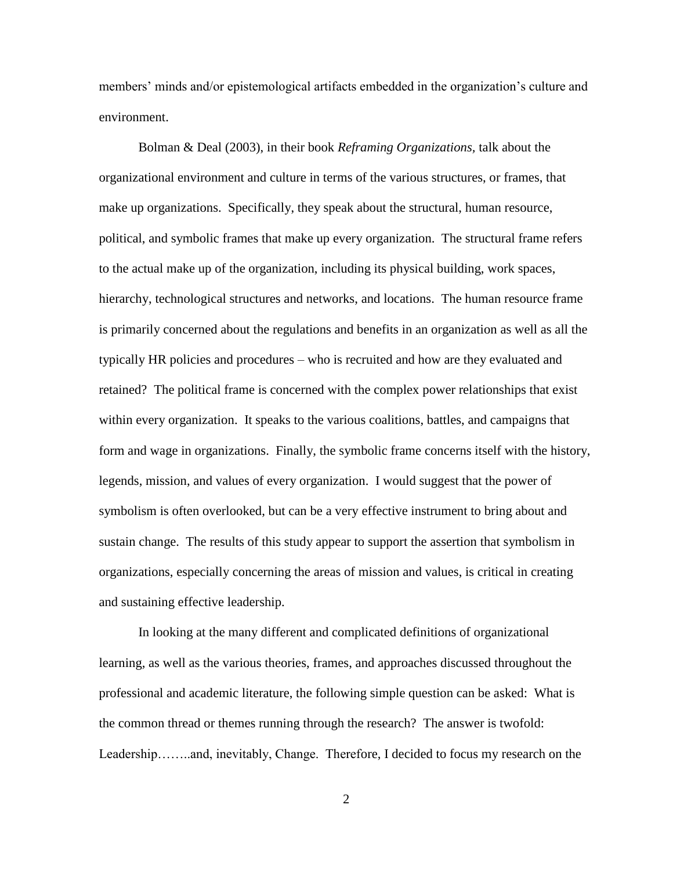members' minds and/or epistemological artifacts embedded in the organization's culture and environment.

Bolman & Deal (2003), in their book *Reframing Organizations,* talk about the organizational environment and culture in terms of the various structures, or frames, that make up organizations. Specifically, they speak about the structural, human resource, political, and symbolic frames that make up every organization. The structural frame refers to the actual make up of the organization, including its physical building, work spaces, hierarchy, technological structures and networks, and locations. The human resource frame is primarily concerned about the regulations and benefits in an organization as well as all the typically HR policies and procedures – who is recruited and how are they evaluated and retained? The political frame is concerned with the complex power relationships that exist within every organization. It speaks to the various coalitions, battles, and campaigns that form and wage in organizations. Finally, the symbolic frame concerns itself with the history, legends, mission, and values of every organization. I would suggest that the power of symbolism is often overlooked, but can be a very effective instrument to bring about and sustain change. The results of this study appear to support the assertion that symbolism in organizations, especially concerning the areas of mission and values, is critical in creating and sustaining effective leadership.

In looking at the many different and complicated definitions of organizational learning, as well as the various theories, frames, and approaches discussed throughout the professional and academic literature, the following simple question can be asked: What is the common thread or themes running through the research? The answer is twofold: Leadership……..and, inevitably, Change. Therefore, I decided to focus my research on the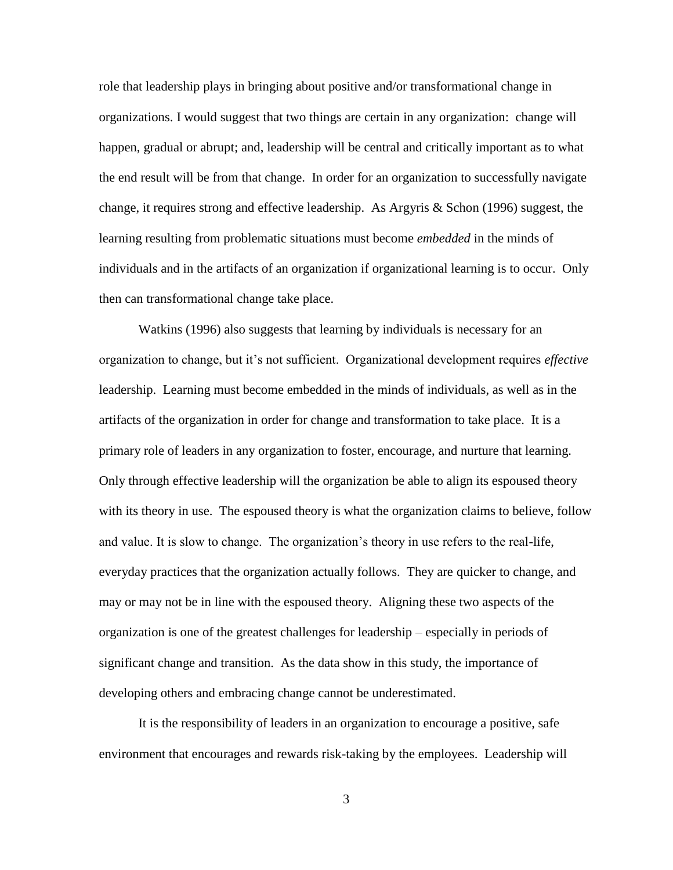role that leadership plays in bringing about positive and/or transformational change in organizations. I would suggest that two things are certain in any organization: change will happen, gradual or abrupt; and, leadership will be central and critically important as to what the end result will be from that change. In order for an organization to successfully navigate change, it requires strong and effective leadership. As Argyris & Schon (1996) suggest, the learning resulting from problematic situations must become *embedded* in the minds of individuals and in the artifacts of an organization if organizational learning is to occur. Only then can transformational change take place.

Watkins (1996) also suggests that learning by individuals is necessary for an organization to change, but it"s not sufficient. Organizational development requires *effective* leadership. Learning must become embedded in the minds of individuals, as well as in the artifacts of the organization in order for change and transformation to take place. It is a primary role of leaders in any organization to foster, encourage, and nurture that learning. Only through effective leadership will the organization be able to align its espoused theory with its theory in use. The espoused theory is what the organization claims to believe, follow and value. It is slow to change. The organization's theory in use refers to the real-life, everyday practices that the organization actually follows. They are quicker to change, and may or may not be in line with the espoused theory. Aligning these two aspects of the organization is one of the greatest challenges for leadership – especially in periods of significant change and transition. As the data show in this study, the importance of developing others and embracing change cannot be underestimated.

It is the responsibility of leaders in an organization to encourage a positive, safe environment that encourages and rewards risk-taking by the employees. Leadership will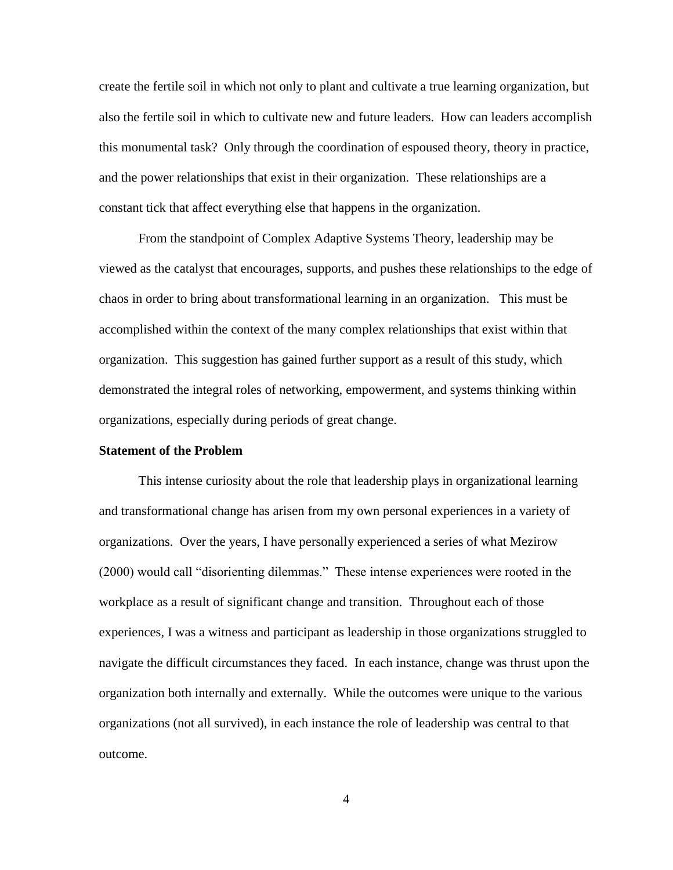create the fertile soil in which not only to plant and cultivate a true learning organization, but also the fertile soil in which to cultivate new and future leaders. How can leaders accomplish this monumental task? Only through the coordination of espoused theory, theory in practice, and the power relationships that exist in their organization. These relationships are a constant tick that affect everything else that happens in the organization.

From the standpoint of Complex Adaptive Systems Theory, leadership may be viewed as the catalyst that encourages, supports, and pushes these relationships to the edge of chaos in order to bring about transformational learning in an organization. This must be accomplished within the context of the many complex relationships that exist within that organization. This suggestion has gained further support as a result of this study, which demonstrated the integral roles of networking, empowerment, and systems thinking within organizations, especially during periods of great change.

### <span id="page-17-0"></span>**Statement of the Problem**

This intense curiosity about the role that leadership plays in organizational learning and transformational change has arisen from my own personal experiences in a variety of organizations. Over the years, I have personally experienced a series of what Mezirow (2000) would call "disorienting dilemmas." These intense experiences were rooted in the workplace as a result of significant change and transition. Throughout each of those experiences, I was a witness and participant as leadership in those organizations struggled to navigate the difficult circumstances they faced. In each instance, change was thrust upon the organization both internally and externally. While the outcomes were unique to the various organizations (not all survived), in each instance the role of leadership was central to that outcome.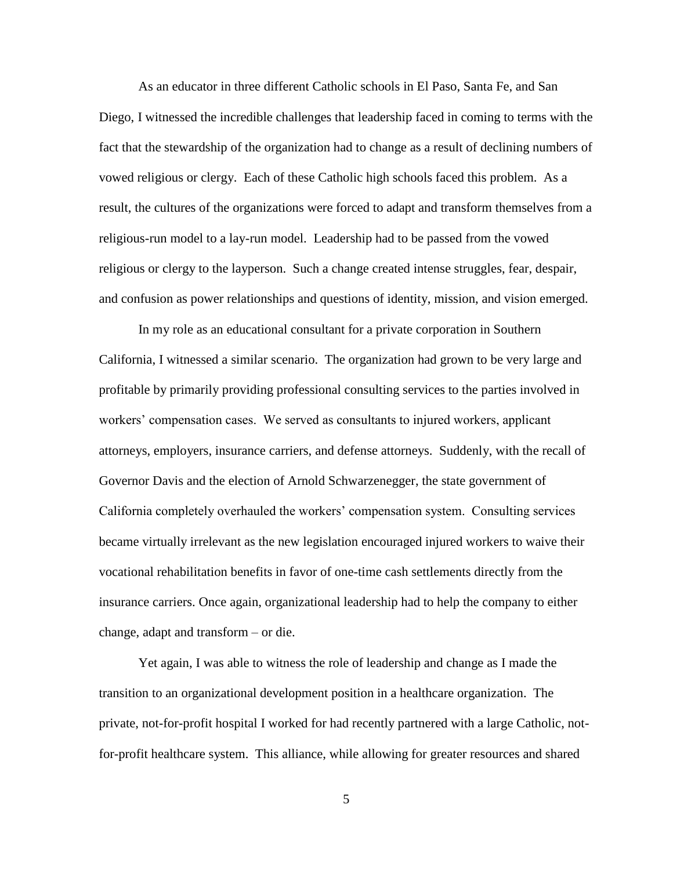As an educator in three different Catholic schools in El Paso, Santa Fe, and San Diego, I witnessed the incredible challenges that leadership faced in coming to terms with the fact that the stewardship of the organization had to change as a result of declining numbers of vowed religious or clergy. Each of these Catholic high schools faced this problem. As a result, the cultures of the organizations were forced to adapt and transform themselves from a religious-run model to a lay-run model. Leadership had to be passed from the vowed religious or clergy to the layperson. Such a change created intense struggles, fear, despair, and confusion as power relationships and questions of identity, mission, and vision emerged.

In my role as an educational consultant for a private corporation in Southern California, I witnessed a similar scenario. The organization had grown to be very large and profitable by primarily providing professional consulting services to the parties involved in workers" compensation cases. We served as consultants to injured workers, applicant attorneys, employers, insurance carriers, and defense attorneys. Suddenly, with the recall of Governor Davis and the election of Arnold Schwarzenegger, the state government of California completely overhauled the workers" compensation system. Consulting services became virtually irrelevant as the new legislation encouraged injured workers to waive their vocational rehabilitation benefits in favor of one-time cash settlements directly from the insurance carriers. Once again, organizational leadership had to help the company to either change, adapt and transform – or die.

Yet again, I was able to witness the role of leadership and change as I made the transition to an organizational development position in a healthcare organization. The private, not-for-profit hospital I worked for had recently partnered with a large Catholic, notfor-profit healthcare system. This alliance, while allowing for greater resources and shared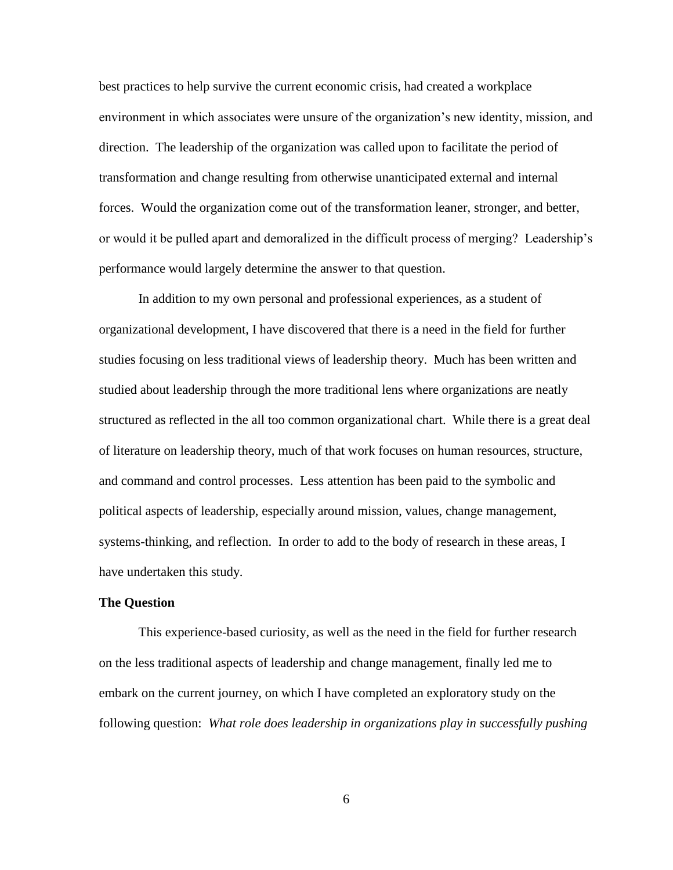best practices to help survive the current economic crisis, had created a workplace environment in which associates were unsure of the organization's new identity, mission, and direction. The leadership of the organization was called upon to facilitate the period of transformation and change resulting from otherwise unanticipated external and internal forces. Would the organization come out of the transformation leaner, stronger, and better, or would it be pulled apart and demoralized in the difficult process of merging? Leadership"s performance would largely determine the answer to that question.

In addition to my own personal and professional experiences, as a student of organizational development, I have discovered that there is a need in the field for further studies focusing on less traditional views of leadership theory. Much has been written and studied about leadership through the more traditional lens where organizations are neatly structured as reflected in the all too common organizational chart. While there is a great deal of literature on leadership theory, much of that work focuses on human resources, structure, and command and control processes. Less attention has been paid to the symbolic and political aspects of leadership, especially around mission, values, change management, systems-thinking, and reflection. In order to add to the body of research in these areas, I have undertaken this study.

### <span id="page-19-0"></span>**The Question**

This experience-based curiosity, as well as the need in the field for further research on the less traditional aspects of leadership and change management, finally led me to embark on the current journey, on which I have completed an exploratory study on the following question: *What role does leadership in organizations play in successfully pushing*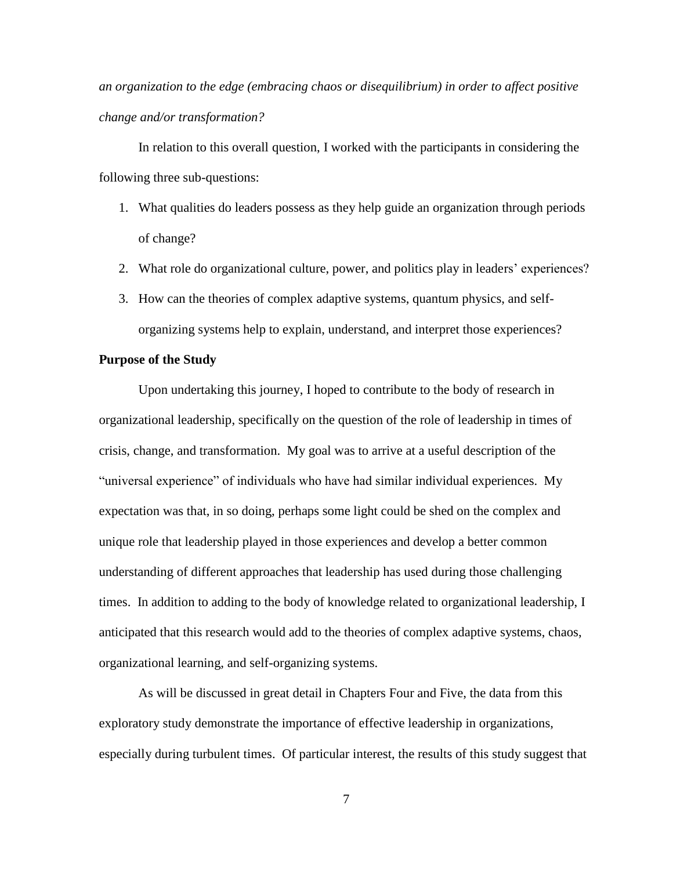*an organization to the edge (embracing chaos or disequilibrium) in order to affect positive change and/or transformation?*

In relation to this overall question, I worked with the participants in considering the following three sub-questions:

- 1. What qualities do leaders possess as they help guide an organization through periods of change?
- 2. What role do organizational culture, power, and politics play in leaders" experiences?
- 3. How can the theories of complex adaptive systems, quantum physics, and selforganizing systems help to explain, understand, and interpret those experiences?

### <span id="page-20-0"></span>**Purpose of the Study**

Upon undertaking this journey, I hoped to contribute to the body of research in organizational leadership, specifically on the question of the role of leadership in times of crisis, change, and transformation. My goal was to arrive at a useful description of the "universal experience" of individuals who have had similar individual experiences. My expectation was that, in so doing, perhaps some light could be shed on the complex and unique role that leadership played in those experiences and develop a better common understanding of different approaches that leadership has used during those challenging times. In addition to adding to the body of knowledge related to organizational leadership, I anticipated that this research would add to the theories of complex adaptive systems, chaos, organizational learning, and self-organizing systems.

As will be discussed in great detail in Chapters Four and Five, the data from this exploratory study demonstrate the importance of effective leadership in organizations, especially during turbulent times. Of particular interest, the results of this study suggest that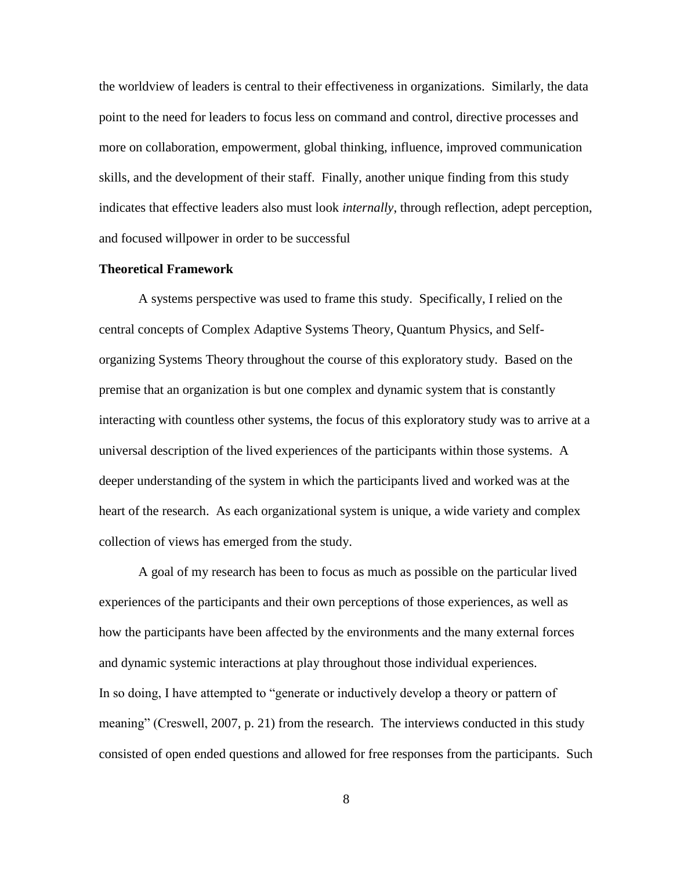the worldview of leaders is central to their effectiveness in organizations. Similarly, the data point to the need for leaders to focus less on command and control, directive processes and more on collaboration, empowerment, global thinking, influence, improved communication skills, and the development of their staff. Finally, another unique finding from this study indicates that effective leaders also must look *internally*, through reflection, adept perception, and focused willpower in order to be successful

### <span id="page-21-0"></span>**Theoretical Framework**

A systems perspective was used to frame this study. Specifically, I relied on the central concepts of Complex Adaptive Systems Theory, Quantum Physics, and Selforganizing Systems Theory throughout the course of this exploratory study. Based on the premise that an organization is but one complex and dynamic system that is constantly interacting with countless other systems, the focus of this exploratory study was to arrive at a universal description of the lived experiences of the participants within those systems. A deeper understanding of the system in which the participants lived and worked was at the heart of the research. As each organizational system is unique, a wide variety and complex collection of views has emerged from the study.

A goal of my research has been to focus as much as possible on the particular lived experiences of the participants and their own perceptions of those experiences, as well as how the participants have been affected by the environments and the many external forces and dynamic systemic interactions at play throughout those individual experiences. In so doing, I have attempted to "generate or inductively develop a theory or pattern of meaning" (Creswell, 2007, p. 21) from the research. The interviews conducted in this study consisted of open ended questions and allowed for free responses from the participants. Such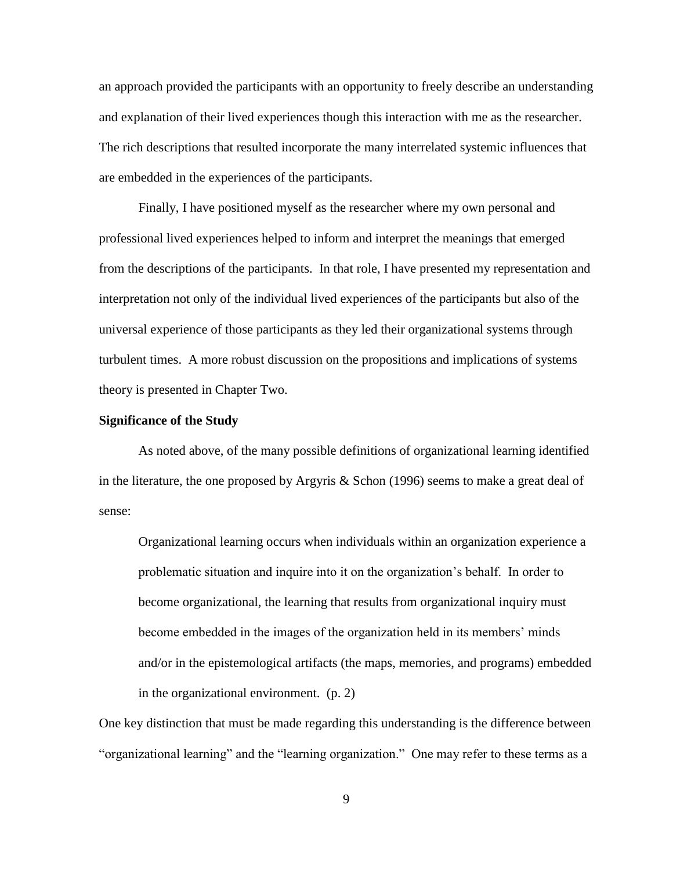an approach provided the participants with an opportunity to freely describe an understanding and explanation of their lived experiences though this interaction with me as the researcher. The rich descriptions that resulted incorporate the many interrelated systemic influences that are embedded in the experiences of the participants.

Finally, I have positioned myself as the researcher where my own personal and professional lived experiences helped to inform and interpret the meanings that emerged from the descriptions of the participants. In that role, I have presented my representation and interpretation not only of the individual lived experiences of the participants but also of the universal experience of those participants as they led their organizational systems through turbulent times. A more robust discussion on the propositions and implications of systems theory is presented in Chapter Two.

### <span id="page-22-0"></span>**Significance of the Study**

As noted above, of the many possible definitions of organizational learning identified in the literature, the one proposed by Argyris & Schon (1996) seems to make a great deal of sense:

Organizational learning occurs when individuals within an organization experience a problematic situation and inquire into it on the organization"s behalf. In order to become organizational, the learning that results from organizational inquiry must become embedded in the images of the organization held in its members" minds and/or in the epistemological artifacts (the maps, memories, and programs) embedded in the organizational environment. (p. 2)

One key distinction that must be made regarding this understanding is the difference between "organizational learning" and the "learning organization." One may refer to these terms as a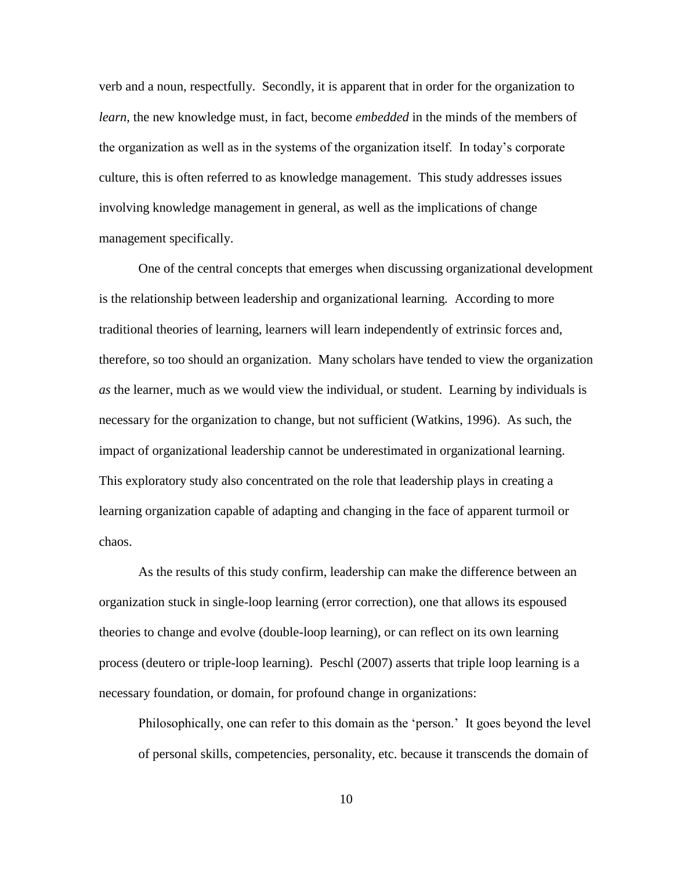verb and a noun, respectfully. Secondly, it is apparent that in order for the organization to *learn*, the new knowledge must, in fact, become *embedded* in the minds of the members of the organization as well as in the systems of the organization itself. In today"s corporate culture, this is often referred to as knowledge management. This study addresses issues involving knowledge management in general, as well as the implications of change management specifically.

One of the central concepts that emerges when discussing organizational development is the relationship between leadership and organizational learning*.* According to more traditional theories of learning, learners will learn independently of extrinsic forces and, therefore, so too should an organization. Many scholars have tended to view the organization *as* the learner, much as we would view the individual, or student. Learning by individuals is necessary for the organization to change, but not sufficient (Watkins, 1996). As such, the impact of organizational leadership cannot be underestimated in organizational learning. This exploratory study also concentrated on the role that leadership plays in creating a learning organization capable of adapting and changing in the face of apparent turmoil or chaos.

As the results of this study confirm, leadership can make the difference between an organization stuck in single-loop learning (error correction), one that allows its espoused theories to change and evolve (double-loop learning), or can reflect on its own learning process (deutero or triple-loop learning). Peschl (2007) asserts that triple loop learning is a necessary foundation, or domain, for profound change in organizations:

Philosophically, one can refer to this domain as the "person." It goes beyond the level of personal skills, competencies, personality, etc. because it transcends the domain of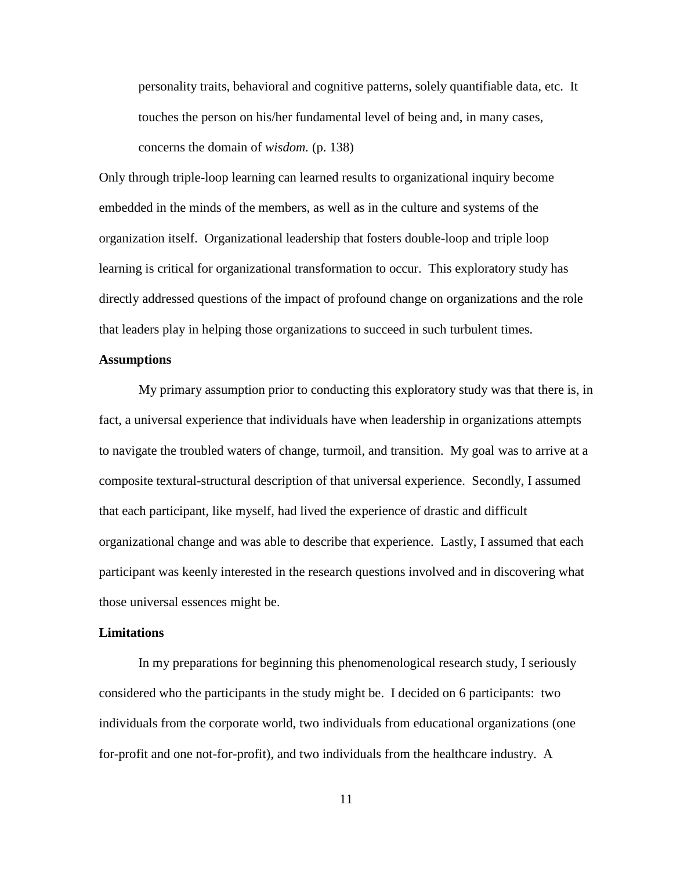personality traits, behavioral and cognitive patterns, solely quantifiable data, etc. It touches the person on his/her fundamental level of being and, in many cases, concerns the domain of *wisdom.* (p. 138)

Only through triple-loop learning can learned results to organizational inquiry become embedded in the minds of the members, as well as in the culture and systems of the organization itself. Organizational leadership that fosters double-loop and triple loop learning is critical for organizational transformation to occur. This exploratory study has directly addressed questions of the impact of profound change on organizations and the role that leaders play in helping those organizations to succeed in such turbulent times.

### <span id="page-24-0"></span>**Assumptions**

My primary assumption prior to conducting this exploratory study was that there is, in fact, a universal experience that individuals have when leadership in organizations attempts to navigate the troubled waters of change, turmoil, and transition. My goal was to arrive at a composite textural-structural description of that universal experience. Secondly, I assumed that each participant, like myself, had lived the experience of drastic and difficult organizational change and was able to describe that experience. Lastly, I assumed that each participant was keenly interested in the research questions involved and in discovering what those universal essences might be.

### <span id="page-24-1"></span>**Limitations**

In my preparations for beginning this phenomenological research study, I seriously considered who the participants in the study might be. I decided on 6 participants: two individuals from the corporate world, two individuals from educational organizations (one for-profit and one not-for-profit), and two individuals from the healthcare industry. A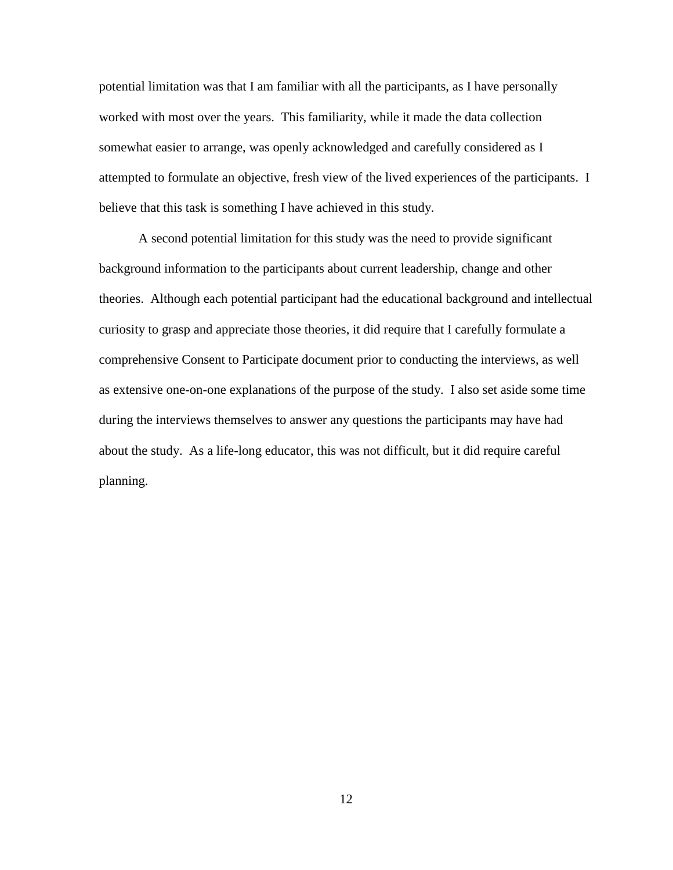potential limitation was that I am familiar with all the participants, as I have personally worked with most over the years. This familiarity, while it made the data collection somewhat easier to arrange, was openly acknowledged and carefully considered as I attempted to formulate an objective, fresh view of the lived experiences of the participants. I believe that this task is something I have achieved in this study.

A second potential limitation for this study was the need to provide significant background information to the participants about current leadership, change and other theories. Although each potential participant had the educational background and intellectual curiosity to grasp and appreciate those theories, it did require that I carefully formulate a comprehensive Consent to Participate document prior to conducting the interviews, as well as extensive one-on-one explanations of the purpose of the study. I also set aside some time during the interviews themselves to answer any questions the participants may have had about the study. As a life-long educator, this was not difficult, but it did require careful planning.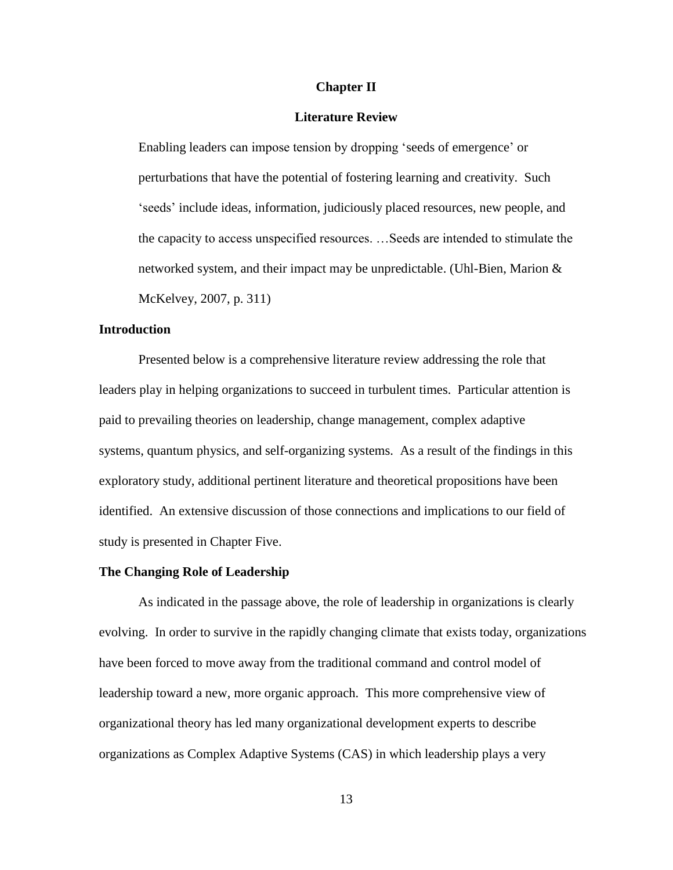### **Chapter II**

### **Literature Review**

<span id="page-26-0"></span>Enabling leaders can impose tension by dropping "seeds of emergence" or perturbations that have the potential of fostering learning and creativity. Such "seeds" include ideas, information, judiciously placed resources, new people, and the capacity to access unspecified resources. …Seeds are intended to stimulate the networked system, and their impact may be unpredictable. (Uhl-Bien, Marion  $\&$ McKelvey, 2007, p. 311)

### <span id="page-26-1"></span>**Introduction**

Presented below is a comprehensive literature review addressing the role that leaders play in helping organizations to succeed in turbulent times. Particular attention is paid to prevailing theories on leadership, change management, complex adaptive systems, quantum physics, and self-organizing systems. As a result of the findings in this exploratory study, additional pertinent literature and theoretical propositions have been identified. An extensive discussion of those connections and implications to our field of study is presented in Chapter Five.

### <span id="page-26-2"></span>**The Changing Role of Leadership**

As indicated in the passage above, the role of leadership in organizations is clearly evolving. In order to survive in the rapidly changing climate that exists today, organizations have been forced to move away from the traditional command and control model of leadership toward a new, more organic approach. This more comprehensive view of organizational theory has led many organizational development experts to describe organizations as Complex Adaptive Systems (CAS) in which leadership plays a very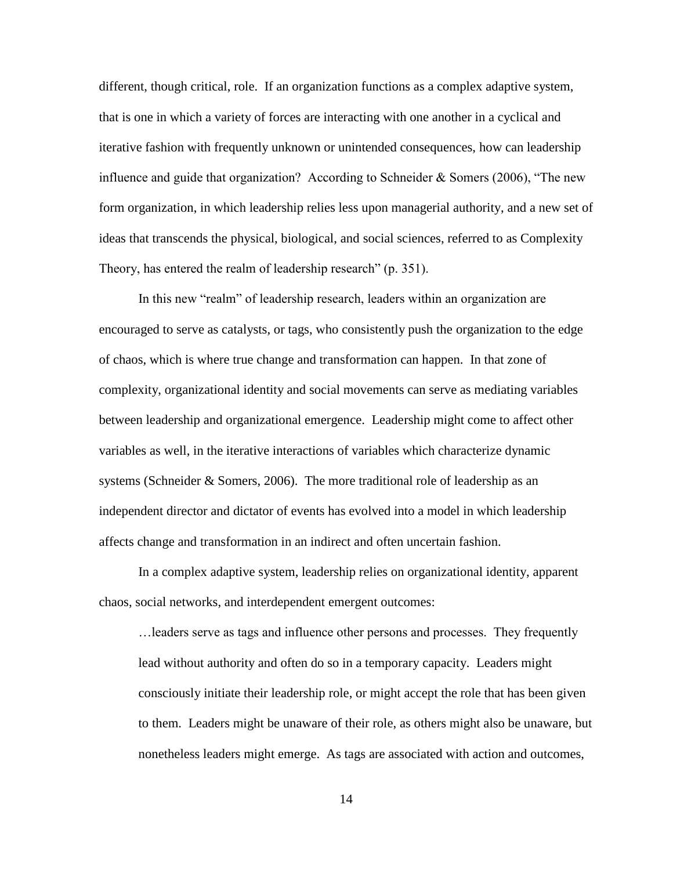different, though critical, role. If an organization functions as a complex adaptive system, that is one in which a variety of forces are interacting with one another in a cyclical and iterative fashion with frequently unknown or unintended consequences, how can leadership influence and guide that organization? According to Schneider  $\&$  Somers (2006), "The new form organization, in which leadership relies less upon managerial authority, and a new set of ideas that transcends the physical, biological, and social sciences, referred to as Complexity Theory, has entered the realm of leadership research" (p. 351).

In this new "realm" of leadership research, leaders within an organization are encouraged to serve as catalysts, or tags, who consistently push the organization to the edge of chaos, which is where true change and transformation can happen. In that zone of complexity, organizational identity and social movements can serve as mediating variables between leadership and organizational emergence. Leadership might come to affect other variables as well, in the iterative interactions of variables which characterize dynamic systems (Schneider  $&$  Somers, 2006). The more traditional role of leadership as an independent director and dictator of events has evolved into a model in which leadership affects change and transformation in an indirect and often uncertain fashion.

In a complex adaptive system, leadership relies on organizational identity, apparent chaos, social networks, and interdependent emergent outcomes:

…leaders serve as tags and influence other persons and processes. They frequently lead without authority and often do so in a temporary capacity. Leaders might consciously initiate their leadership role, or might accept the role that has been given to them. Leaders might be unaware of their role, as others might also be unaware, but nonetheless leaders might emerge. As tags are associated with action and outcomes,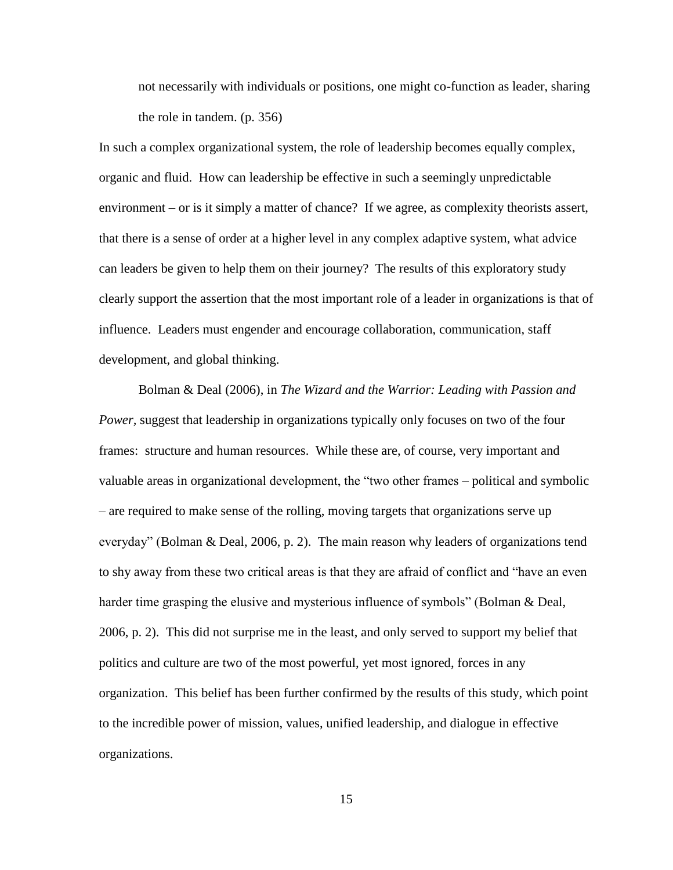not necessarily with individuals or positions, one might co-function as leader, sharing the role in tandem. (p. 356)

In such a complex organizational system, the role of leadership becomes equally complex, organic and fluid. How can leadership be effective in such a seemingly unpredictable environment – or is it simply a matter of chance? If we agree, as complexity theorists assert, that there is a sense of order at a higher level in any complex adaptive system, what advice can leaders be given to help them on their journey? The results of this exploratory study clearly support the assertion that the most important role of a leader in organizations is that of influence. Leaders must engender and encourage collaboration, communication, staff development, and global thinking.

Bolman & Deal (2006), in *The Wizard and the Warrior: Leading with Passion and Power,* suggest that leadership in organizations typically only focuses on two of the four frames: structure and human resources. While these are, of course, very important and valuable areas in organizational development, the "two other frames – political and symbolic – are required to make sense of the rolling, moving targets that organizations serve up everyday" (Bolman & Deal, 2006, p. 2). The main reason why leaders of organizations tend to shy away from these two critical areas is that they are afraid of conflict and "have an even harder time grasping the elusive and mysterious influence of symbols" (Bolman & Deal, 2006, p. 2). This did not surprise me in the least, and only served to support my belief that politics and culture are two of the most powerful, yet most ignored, forces in any organization. This belief has been further confirmed by the results of this study, which point to the incredible power of mission, values, unified leadership, and dialogue in effective organizations.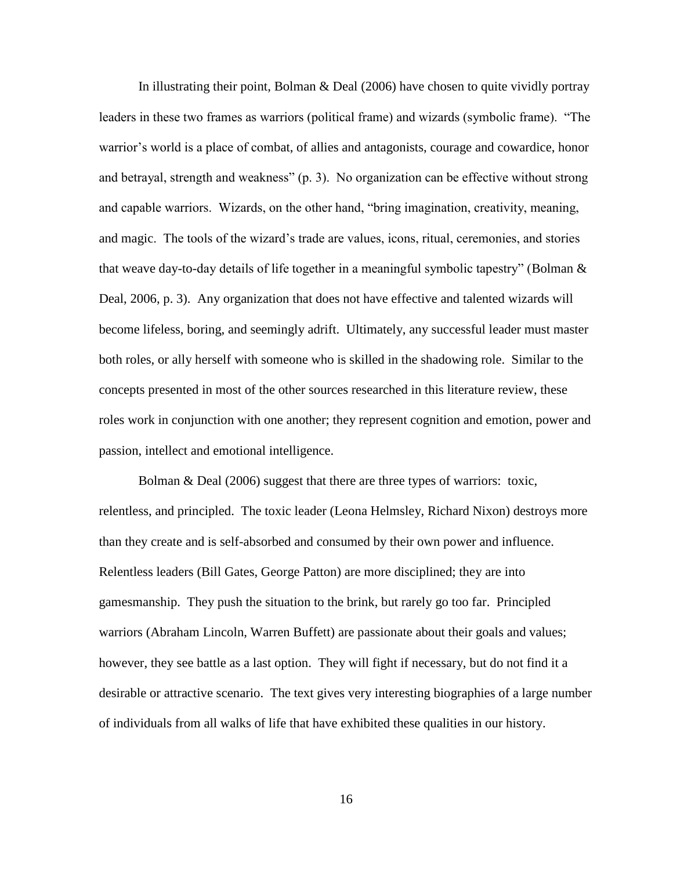In illustrating their point, Bolman & Deal (2006) have chosen to quite vividly portray leaders in these two frames as warriors (political frame) and wizards (symbolic frame). "The warrior's world is a place of combat, of allies and antagonists, courage and cowardice, honor and betrayal, strength and weakness" (p. 3). No organization can be effective without strong and capable warriors. Wizards, on the other hand, "bring imagination, creativity, meaning, and magic. The tools of the wizard"s trade are values, icons, ritual, ceremonies, and stories that weave day-to-day details of life together in a meaningful symbolic tapestry" (Bolman & Deal, 2006, p. 3). Any organization that does not have effective and talented wizards will become lifeless, boring, and seemingly adrift. Ultimately, any successful leader must master both roles, or ally herself with someone who is skilled in the shadowing role. Similar to the concepts presented in most of the other sources researched in this literature review, these roles work in conjunction with one another; they represent cognition and emotion, power and passion, intellect and emotional intelligence.

Bolman & Deal (2006) suggest that there are three types of warriors: toxic, relentless, and principled. The toxic leader (Leona Helmsley, Richard Nixon) destroys more than they create and is self-absorbed and consumed by their own power and influence. Relentless leaders (Bill Gates, George Patton) are more disciplined; they are into gamesmanship. They push the situation to the brink, but rarely go too far. Principled warriors (Abraham Lincoln, Warren Buffett) are passionate about their goals and values; however, they see battle as a last option. They will fight if necessary, but do not find it a desirable or attractive scenario. The text gives very interesting biographies of a large number of individuals from all walks of life that have exhibited these qualities in our history.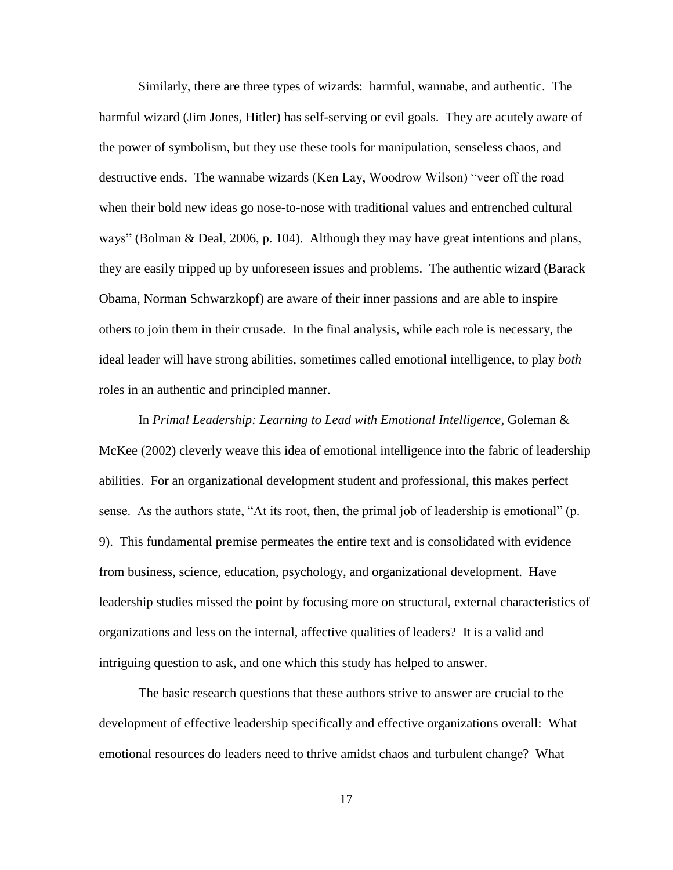Similarly, there are three types of wizards: harmful, wannabe, and authentic. The harmful wizard (Jim Jones, Hitler) has self-serving or evil goals. They are acutely aware of the power of symbolism, but they use these tools for manipulation, senseless chaos, and destructive ends. The wannabe wizards (Ken Lay, Woodrow Wilson) "veer off the road when their bold new ideas go nose-to-nose with traditional values and entrenched cultural ways" (Bolman & Deal, 2006, p. 104). Although they may have great intentions and plans, they are easily tripped up by unforeseen issues and problems. The authentic wizard (Barack Obama, Norman Schwarzkopf) are aware of their inner passions and are able to inspire others to join them in their crusade. In the final analysis, while each role is necessary, the ideal leader will have strong abilities, sometimes called emotional intelligence, to play *both* roles in an authentic and principled manner.

In *Primal Leadership: Learning to Lead with Emotional Intelligence*, Goleman & McKee (2002) cleverly weave this idea of emotional intelligence into the fabric of leadership abilities. For an organizational development student and professional, this makes perfect sense. As the authors state, "At its root, then, the primal job of leadership is emotional" (p. 9). This fundamental premise permeates the entire text and is consolidated with evidence from business, science, education, psychology, and organizational development. Have leadership studies missed the point by focusing more on structural, external characteristics of organizations and less on the internal, affective qualities of leaders? It is a valid and intriguing question to ask, and one which this study has helped to answer.

The basic research questions that these authors strive to answer are crucial to the development of effective leadership specifically and effective organizations overall: What emotional resources do leaders need to thrive amidst chaos and turbulent change? What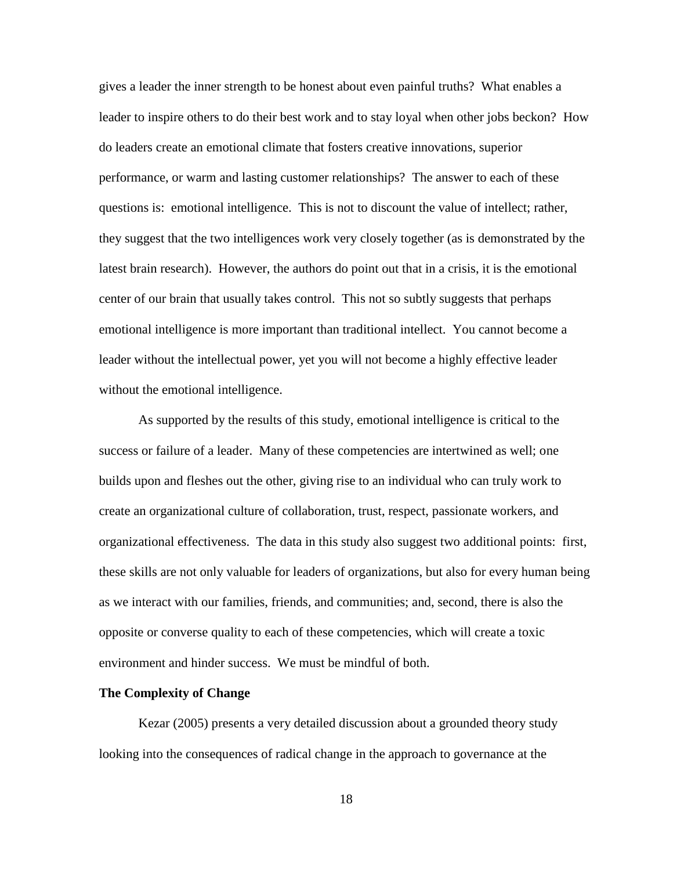gives a leader the inner strength to be honest about even painful truths? What enables a leader to inspire others to do their best work and to stay loyal when other jobs beckon? How do leaders create an emotional climate that fosters creative innovations, superior performance, or warm and lasting customer relationships? The answer to each of these questions is: emotional intelligence. This is not to discount the value of intellect; rather, they suggest that the two intelligences work very closely together (as is demonstrated by the latest brain research). However, the authors do point out that in a crisis, it is the emotional center of our brain that usually takes control. This not so subtly suggests that perhaps emotional intelligence is more important than traditional intellect. You cannot become a leader without the intellectual power, yet you will not become a highly effective leader without the emotional intelligence.

As supported by the results of this study, emotional intelligence is critical to the success or failure of a leader. Many of these competencies are intertwined as well; one builds upon and fleshes out the other, giving rise to an individual who can truly work to create an organizational culture of collaboration, trust, respect, passionate workers, and organizational effectiveness. The data in this study also suggest two additional points: first, these skills are not only valuable for leaders of organizations, but also for every human being as we interact with our families, friends, and communities; and, second, there is also the opposite or converse quality to each of these competencies, which will create a toxic environment and hinder success. We must be mindful of both.

### <span id="page-31-0"></span>**The Complexity of Change**

Kezar (2005) presents a very detailed discussion about a grounded theory study looking into the consequences of radical change in the approach to governance at the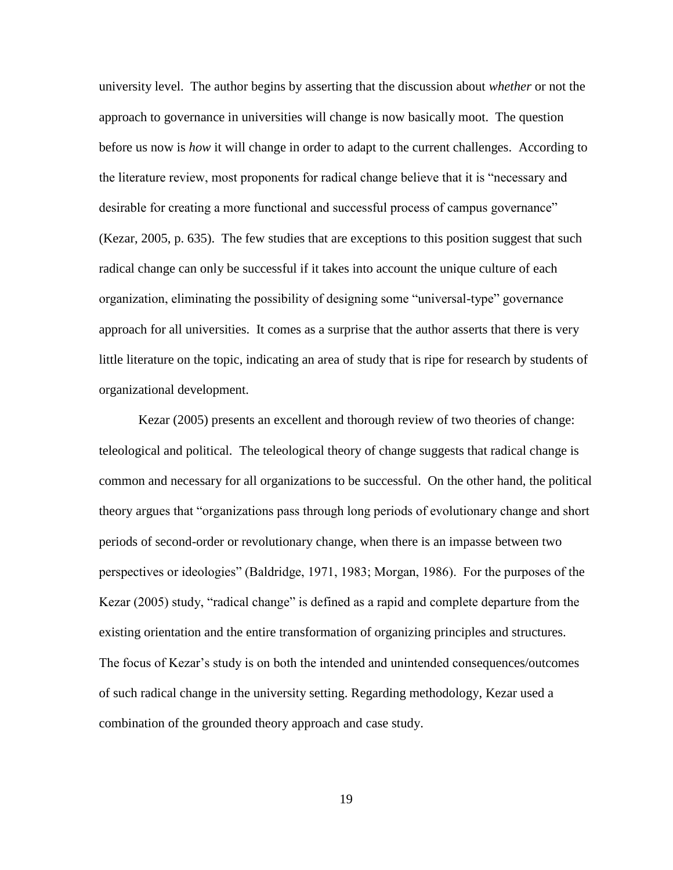university level. The author begins by asserting that the discussion about *whether* or not the approach to governance in universities will change is now basically moot. The question before us now is *how* it will change in order to adapt to the current challenges. According to the literature review, most proponents for radical change believe that it is "necessary and desirable for creating a more functional and successful process of campus governance" (Kezar, 2005, p. 635). The few studies that are exceptions to this position suggest that such radical change can only be successful if it takes into account the unique culture of each organization, eliminating the possibility of designing some "universal-type" governance approach for all universities. It comes as a surprise that the author asserts that there is very little literature on the topic, indicating an area of study that is ripe for research by students of organizational development.

Kezar (2005) presents an excellent and thorough review of two theories of change: teleological and political. The teleological theory of change suggests that radical change is common and necessary for all organizations to be successful. On the other hand, the political theory argues that "organizations pass through long periods of evolutionary change and short periods of second-order or revolutionary change, when there is an impasse between two perspectives or ideologies" (Baldridge, 1971, 1983; Morgan, 1986). For the purposes of the Kezar (2005) study, "radical change" is defined as a rapid and complete departure from the existing orientation and the entire transformation of organizing principles and structures. The focus of Kezar"s study is on both the intended and unintended consequences/outcomes of such radical change in the university setting. Regarding methodology, Kezar used a combination of the grounded theory approach and case study.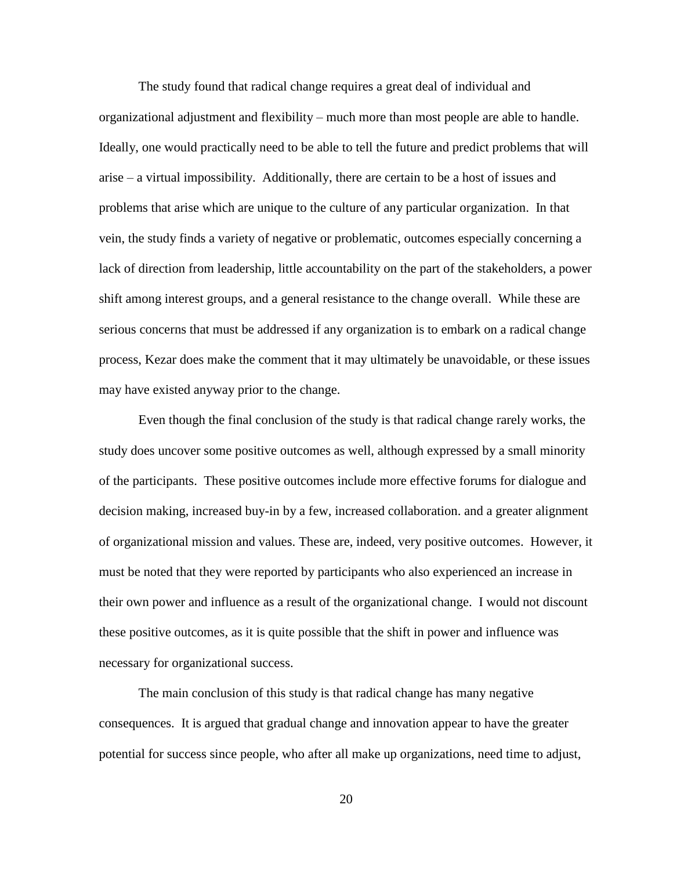The study found that radical change requires a great deal of individual and organizational adjustment and flexibility – much more than most people are able to handle. Ideally, one would practically need to be able to tell the future and predict problems that will arise – a virtual impossibility. Additionally, there are certain to be a host of issues and problems that arise which are unique to the culture of any particular organization. In that vein, the study finds a variety of negative or problematic, outcomes especially concerning a lack of direction from leadership, little accountability on the part of the stakeholders, a power shift among interest groups, and a general resistance to the change overall. While these are serious concerns that must be addressed if any organization is to embark on a radical change process, Kezar does make the comment that it may ultimately be unavoidable, or these issues may have existed anyway prior to the change.

Even though the final conclusion of the study is that radical change rarely works, the study does uncover some positive outcomes as well, although expressed by a small minority of the participants. These positive outcomes include more effective forums for dialogue and decision making, increased buy-in by a few, increased collaboration. and a greater alignment of organizational mission and values. These are, indeed, very positive outcomes. However, it must be noted that they were reported by participants who also experienced an increase in their own power and influence as a result of the organizational change. I would not discount these positive outcomes, as it is quite possible that the shift in power and influence was necessary for organizational success.

The main conclusion of this study is that radical change has many negative consequences. It is argued that gradual change and innovation appear to have the greater potential for success since people, who after all make up organizations, need time to adjust,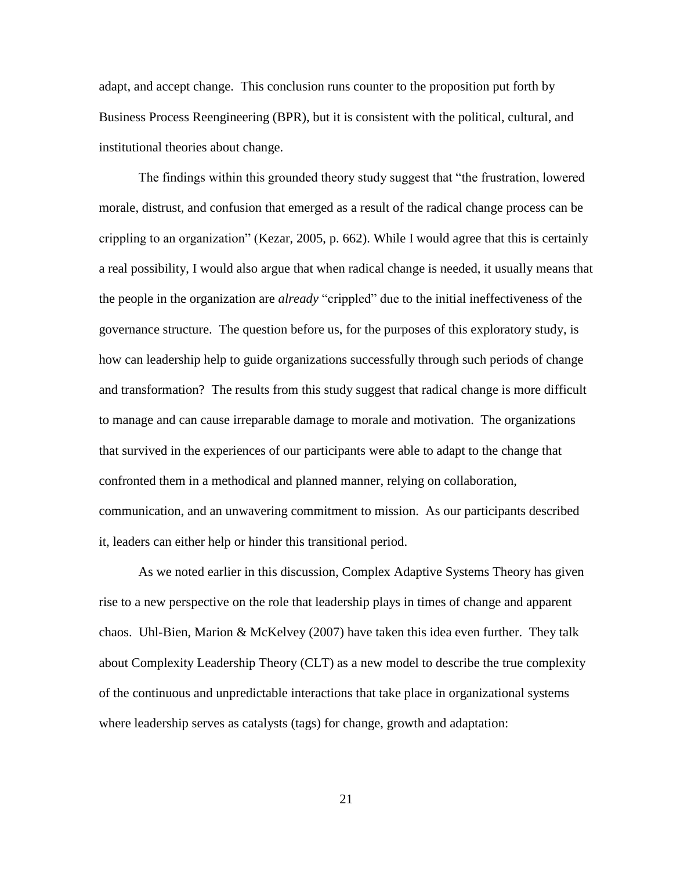adapt, and accept change. This conclusion runs counter to the proposition put forth by Business Process Reengineering (BPR), but it is consistent with the political, cultural, and institutional theories about change.

The findings within this grounded theory study suggest that "the frustration, lowered morale, distrust, and confusion that emerged as a result of the radical change process can be crippling to an organization" (Kezar, 2005, p. 662). While I would agree that this is certainly a real possibility, I would also argue that when radical change is needed, it usually means that the people in the organization are *already* "crippled" due to the initial ineffectiveness of the governance structure. The question before us, for the purposes of this exploratory study, is how can leadership help to guide organizations successfully through such periods of change and transformation? The results from this study suggest that radical change is more difficult to manage and can cause irreparable damage to morale and motivation. The organizations that survived in the experiences of our participants were able to adapt to the change that confronted them in a methodical and planned manner, relying on collaboration, communication, and an unwavering commitment to mission. As our participants described it, leaders can either help or hinder this transitional period.

As we noted earlier in this discussion, Complex Adaptive Systems Theory has given rise to a new perspective on the role that leadership plays in times of change and apparent chaos. Uhl-Bien, Marion & McKelvey (2007) have taken this idea even further. They talk about Complexity Leadership Theory (CLT) as a new model to describe the true complexity of the continuous and unpredictable interactions that take place in organizational systems where leadership serves as catalysts (tags) for change, growth and adaptation: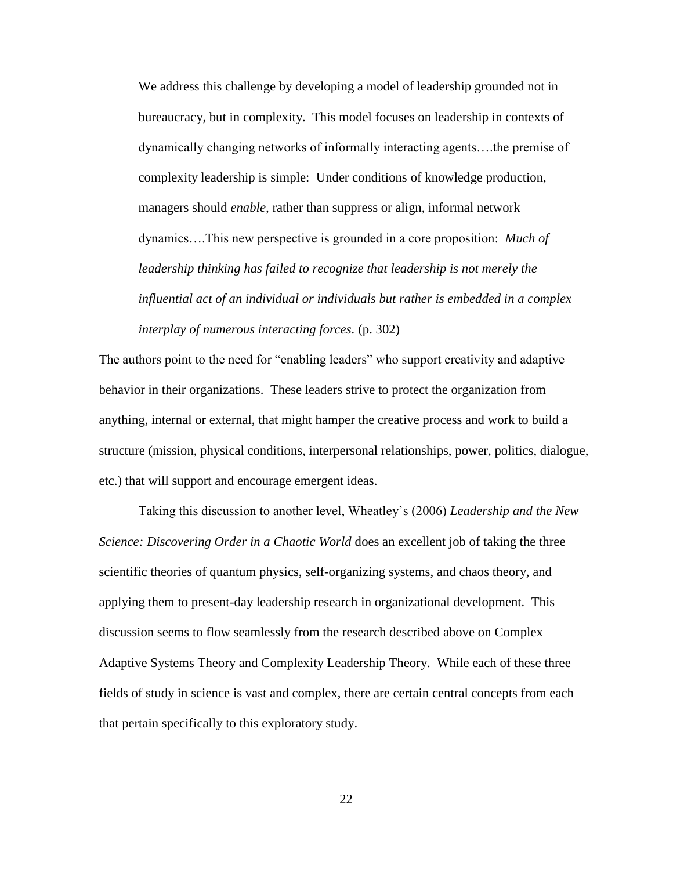We address this challenge by developing a model of leadership grounded not in bureaucracy, but in complexity. This model focuses on leadership in contexts of dynamically changing networks of informally interacting agents….the premise of complexity leadership is simple: Under conditions of knowledge production, managers should *enable,* rather than suppress or align, informal network dynamics….This new perspective is grounded in a core proposition: *Much of leadership thinking has failed to recognize that leadership is not merely the influential act of an individual or individuals but rather is embedded in a complex interplay of numerous interacting forces.* (p. 302)

The authors point to the need for "enabling leaders" who support creativity and adaptive behavior in their organizations. These leaders strive to protect the organization from anything, internal or external, that might hamper the creative process and work to build a structure (mission, physical conditions, interpersonal relationships, power, politics, dialogue, etc.) that will support and encourage emergent ideas.

Taking this discussion to another level, Wheatley"s (2006) *Leadership and the New Science: Discovering Order in a Chaotic World* does an excellent job of taking the three scientific theories of quantum physics, self-organizing systems, and chaos theory, and applying them to present-day leadership research in organizational development. This discussion seems to flow seamlessly from the research described above on Complex Adaptive Systems Theory and Complexity Leadership Theory. While each of these three fields of study in science is vast and complex, there are certain central concepts from each that pertain specifically to this exploratory study.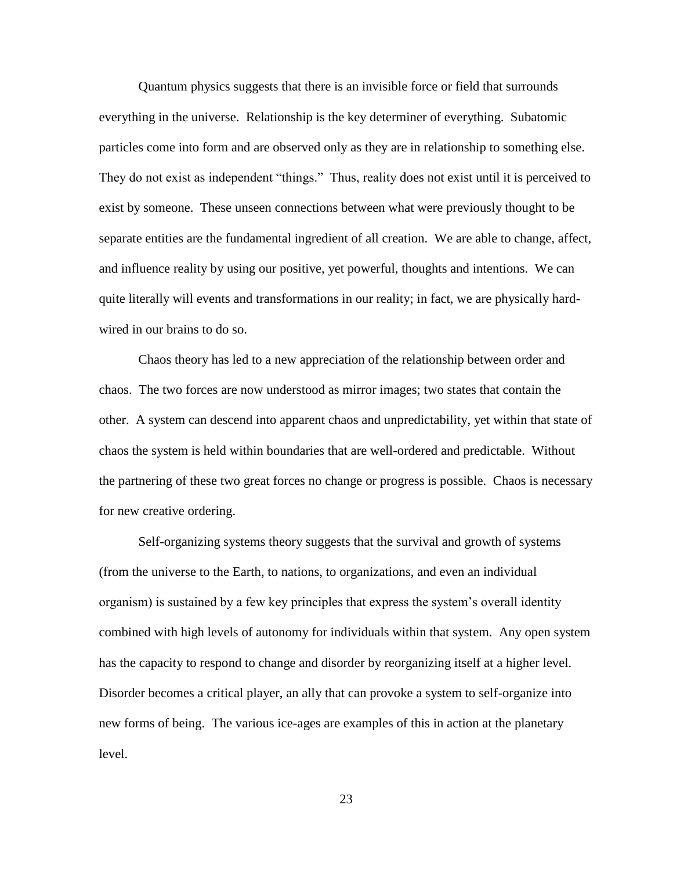Quantum physics suggests that there is an invisible force or field that surrounds everything in the universe. Relationship is the key determiner of everything. Subatomic particles come into form and are observed only as they are in relationship to something else. They do not exist as independent "things." Thus, reality does not exist until it is perceived to exist by someone. These unseen connections between what were previously thought to be separate entities are the fundamental ingredient of all creation. We are able to change, affect, and influence reality by using our positive, yet powerful, thoughts and intentions. We can quite literally will events and transformations in our reality; in fact, we are physically hardwired in our brains to do so.

Chaos theory has led to a new appreciation of the relationship between order and chaos. The two forces are now understood as mirror images; two states that contain the other. A system can descend into apparent chaos and unpredictability, yet within that state of chaos the system is held within boundaries that are well-ordered and predictable. Without the partnering of these two great forces no change or progress is possible. Chaos is necessary for new creative ordering.

Self-organizing systems theory suggests that the survival and growth of systems (from the universe to the Earth, to nations, to organizations, and even an individual organism) is sustained by a few key principles that express the system"s overall identity combined with high levels of autonomy for individuals within that system. Any open system has the capacity to respond to change and disorder by reorganizing itself at a higher level. Disorder becomes a critical player, an ally that can provoke a system to self-organize into new forms of being. The various ice-ages are examples of this in action at the planetary level.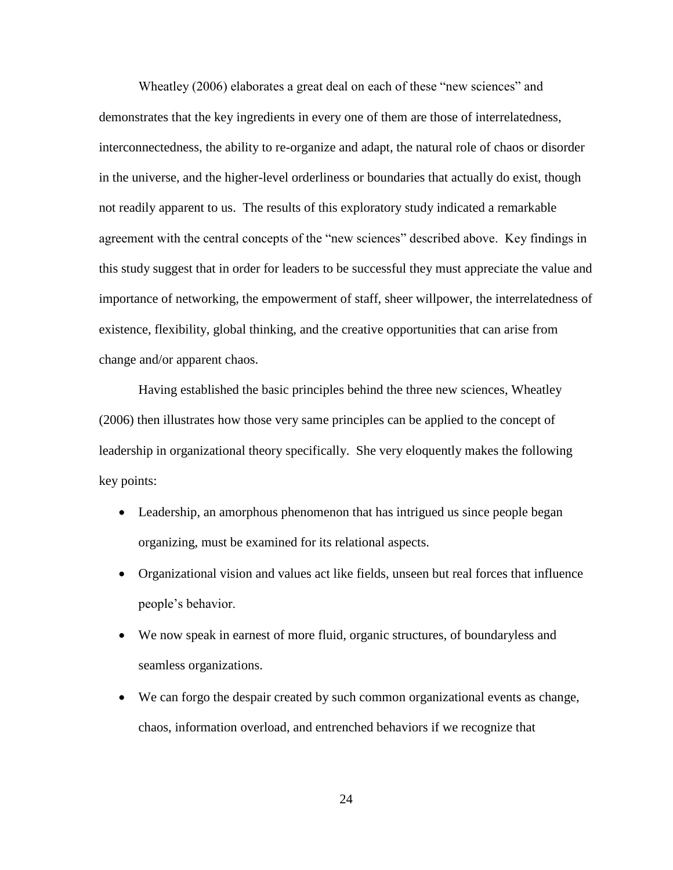Wheatley (2006) elaborates a great deal on each of these "new sciences" and demonstrates that the key ingredients in every one of them are those of interrelatedness, interconnectedness, the ability to re-organize and adapt, the natural role of chaos or disorder in the universe, and the higher-level orderliness or boundaries that actually do exist, though not readily apparent to us. The results of this exploratory study indicated a remarkable agreement with the central concepts of the "new sciences" described above. Key findings in this study suggest that in order for leaders to be successful they must appreciate the value and importance of networking, the empowerment of staff, sheer willpower, the interrelatedness of existence, flexibility, global thinking, and the creative opportunities that can arise from change and/or apparent chaos.

Having established the basic principles behind the three new sciences, Wheatley (2006) then illustrates how those very same principles can be applied to the concept of leadership in organizational theory specifically. She very eloquently makes the following key points:

- Leadership, an amorphous phenomenon that has intrigued us since people began organizing, must be examined for its relational aspects.
- Organizational vision and values act like fields, unseen but real forces that influence people"s behavior.
- We now speak in earnest of more fluid, organic structures, of boundaryless and seamless organizations.
- We can forgo the despair created by such common organizational events as change, chaos, information overload, and entrenched behaviors if we recognize that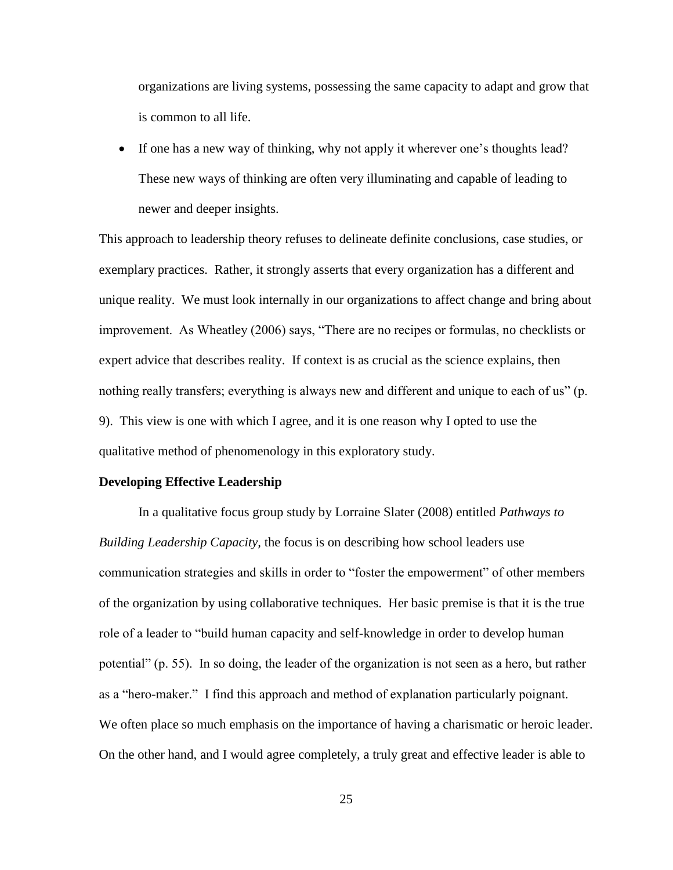organizations are living systems, possessing the same capacity to adapt and grow that is common to all life.

• If one has a new way of thinking, why not apply it wherever one's thoughts lead? These new ways of thinking are often very illuminating and capable of leading to newer and deeper insights.

This approach to leadership theory refuses to delineate definite conclusions, case studies, or exemplary practices. Rather, it strongly asserts that every organization has a different and unique reality. We must look internally in our organizations to affect change and bring about improvement. As Wheatley (2006) says, "There are no recipes or formulas, no checklists or expert advice that describes reality. If context is as crucial as the science explains, then nothing really transfers; everything is always new and different and unique to each of us" (p. 9). This view is one with which I agree, and it is one reason why I opted to use the qualitative method of phenomenology in this exploratory study.

#### **Developing Effective Leadership**

In a qualitative focus group study by Lorraine Slater (2008) entitled *Pathways to Building Leadership Capacity,* the focus is on describing how school leaders use communication strategies and skills in order to "foster the empowerment" of other members of the organization by using collaborative techniques. Her basic premise is that it is the true role of a leader to "build human capacity and self-knowledge in order to develop human potential" (p. 55). In so doing, the leader of the organization is not seen as a hero, but rather as a "hero-maker." I find this approach and method of explanation particularly poignant. We often place so much emphasis on the importance of having a charismatic or heroic leader. On the other hand, and I would agree completely, a truly great and effective leader is able to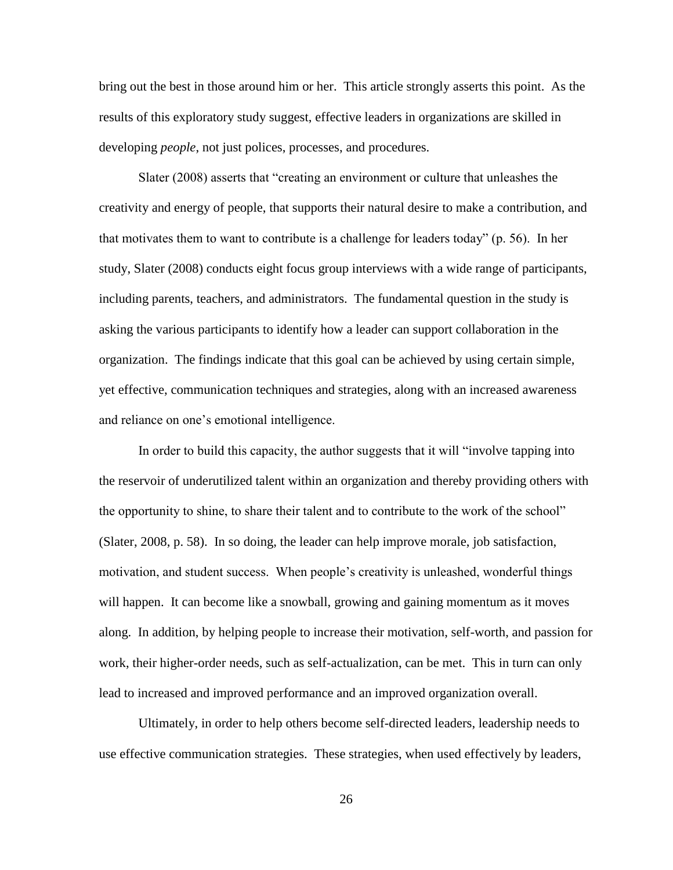bring out the best in those around him or her. This article strongly asserts this point. As the results of this exploratory study suggest, effective leaders in organizations are skilled in developing *people*, not just polices, processes, and procedures.

Slater (2008) asserts that "creating an environment or culture that unleashes the creativity and energy of people, that supports their natural desire to make a contribution, and that motivates them to want to contribute is a challenge for leaders today" (p. 56). In her study, Slater (2008) conducts eight focus group interviews with a wide range of participants, including parents, teachers, and administrators. The fundamental question in the study is asking the various participants to identify how a leader can support collaboration in the organization. The findings indicate that this goal can be achieved by using certain simple, yet effective, communication techniques and strategies, along with an increased awareness and reliance on one"s emotional intelligence.

In order to build this capacity, the author suggests that it will "involve tapping into the reservoir of underutilized talent within an organization and thereby providing others with the opportunity to shine, to share their talent and to contribute to the work of the school" (Slater, 2008, p. 58). In so doing, the leader can help improve morale, job satisfaction, motivation, and student success. When people"s creativity is unleashed, wonderful things will happen. It can become like a snowball, growing and gaining momentum as it moves along. In addition, by helping people to increase their motivation, self-worth, and passion for work, their higher-order needs, such as self-actualization, can be met. This in turn can only lead to increased and improved performance and an improved organization overall.

Ultimately, in order to help others become self-directed leaders, leadership needs to use effective communication strategies. These strategies, when used effectively by leaders,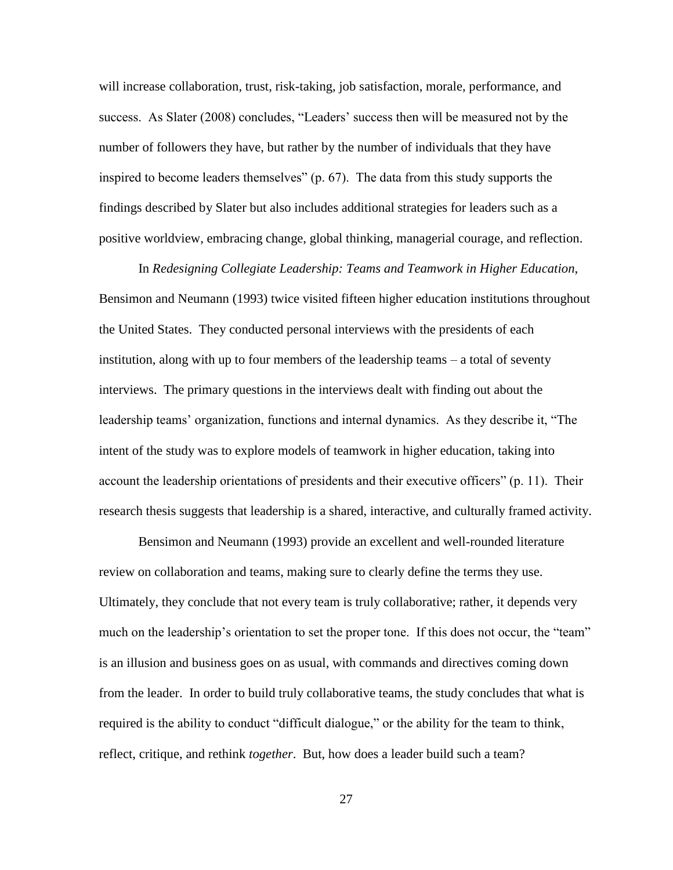will increase collaboration, trust, risk-taking, job satisfaction, morale, performance, and success. As Slater (2008) concludes, "Leaders' success then will be measured not by the number of followers they have, but rather by the number of individuals that they have inspired to become leaders themselves" (p. 67). The data from this study supports the findings described by Slater but also includes additional strategies for leaders such as a positive worldview, embracing change, global thinking, managerial courage, and reflection.

In *Redesigning Collegiate Leadership: Teams and Teamwork in Higher Education*, Bensimon and Neumann (1993) twice visited fifteen higher education institutions throughout the United States. They conducted personal interviews with the presidents of each institution, along with up to four members of the leadership teams – a total of seventy interviews. The primary questions in the interviews dealt with finding out about the leadership teams" organization, functions and internal dynamics. As they describe it, "The intent of the study was to explore models of teamwork in higher education, taking into account the leadership orientations of presidents and their executive officers" (p. 11). Their research thesis suggests that leadership is a shared, interactive, and culturally framed activity.

Bensimon and Neumann (1993) provide an excellent and well-rounded literature review on collaboration and teams, making sure to clearly define the terms they use. Ultimately, they conclude that not every team is truly collaborative; rather, it depends very much on the leadership's orientation to set the proper tone. If this does not occur, the "team" is an illusion and business goes on as usual, with commands and directives coming down from the leader. In order to build truly collaborative teams, the study concludes that what is required is the ability to conduct "difficult dialogue," or the ability for the team to think, reflect, critique, and rethink *together*. But, how does a leader build such a team?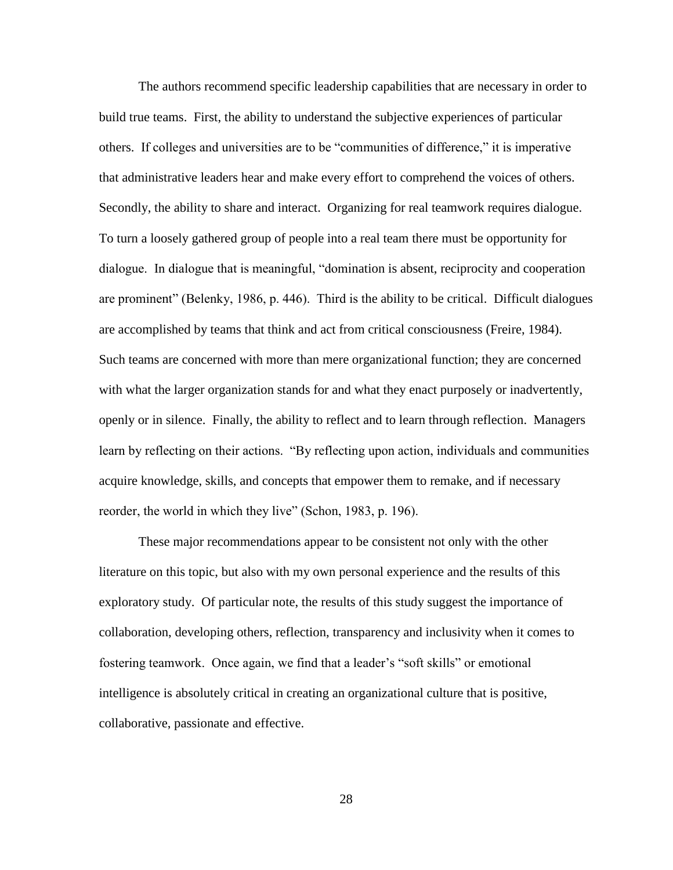The authors recommend specific leadership capabilities that are necessary in order to build true teams. First, the ability to understand the subjective experiences of particular others.If colleges and universities are to be "communities of difference," it is imperative that administrative leaders hear and make every effort to comprehend the voices of others. Secondly, the ability to share and interact. Organizing for real teamwork requires dialogue. To turn a loosely gathered group of people into a real team there must be opportunity for dialogue. In dialogue that is meaningful, "domination is absent, reciprocity and cooperation are prominent" (Belenky, 1986, p. 446). Third is the ability to be critical. Difficult dialogues are accomplished by teams that think and act from critical consciousness (Freire, 1984). Such teams are concerned with more than mere organizational function; they are concerned with what the larger organization stands for and what they enact purposely or inadvertently, openly or in silence. Finally, the ability to reflect and to learn through reflection. Managers learn by reflecting on their actions. "By reflecting upon action, individuals and communities acquire knowledge, skills, and concepts that empower them to remake, and if necessary reorder, the world in which they live" (Schon, 1983, p. 196).

These major recommendations appear to be consistent not only with the other literature on this topic, but also with my own personal experience and the results of this exploratory study. Of particular note, the results of this study suggest the importance of collaboration, developing others, reflection, transparency and inclusivity when it comes to fostering teamwork. Once again, we find that a leader's "soft skills" or emotional intelligence is absolutely critical in creating an organizational culture that is positive, collaborative, passionate and effective.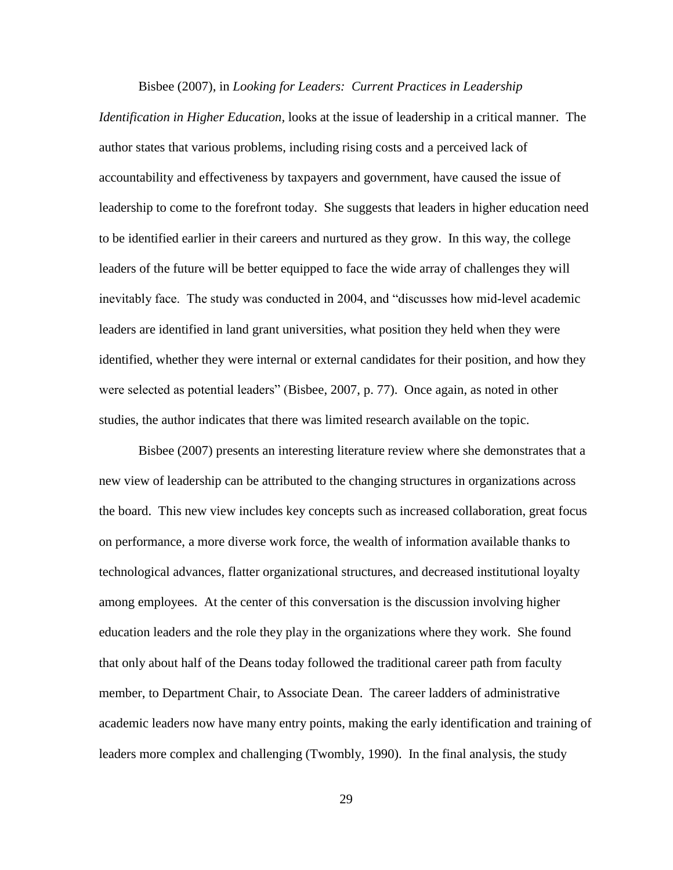#### Bisbee (2007), in *Looking for Leaders: Current Practices in Leadership*

*Identification in Higher Education,* looks at the issue of leadership in a critical manner. The author states that various problems, including rising costs and a perceived lack of accountability and effectiveness by taxpayers and government, have caused the issue of leadership to come to the forefront today. She suggests that leaders in higher education need to be identified earlier in their careers and nurtured as they grow. In this way, the college leaders of the future will be better equipped to face the wide array of challenges they will inevitably face. The study was conducted in 2004, and "discusses how mid-level academic leaders are identified in land grant universities, what position they held when they were identified, whether they were internal or external candidates for their position, and how they were selected as potential leaders" (Bisbee, 2007, p. 77). Once again, as noted in other studies, the author indicates that there was limited research available on the topic.

Bisbee (2007) presents an interesting literature review where she demonstrates that a new view of leadership can be attributed to the changing structures in organizations across the board. This new view includes key concepts such as increased collaboration, great focus on performance, a more diverse work force, the wealth of information available thanks to technological advances, flatter organizational structures, and decreased institutional loyalty among employees. At the center of this conversation is the discussion involving higher education leaders and the role they play in the organizations where they work. She found that only about half of the Deans today followed the traditional career path from faculty member, to Department Chair, to Associate Dean. The career ladders of administrative academic leaders now have many entry points, making the early identification and training of leaders more complex and challenging (Twombly, 1990). In the final analysis, the study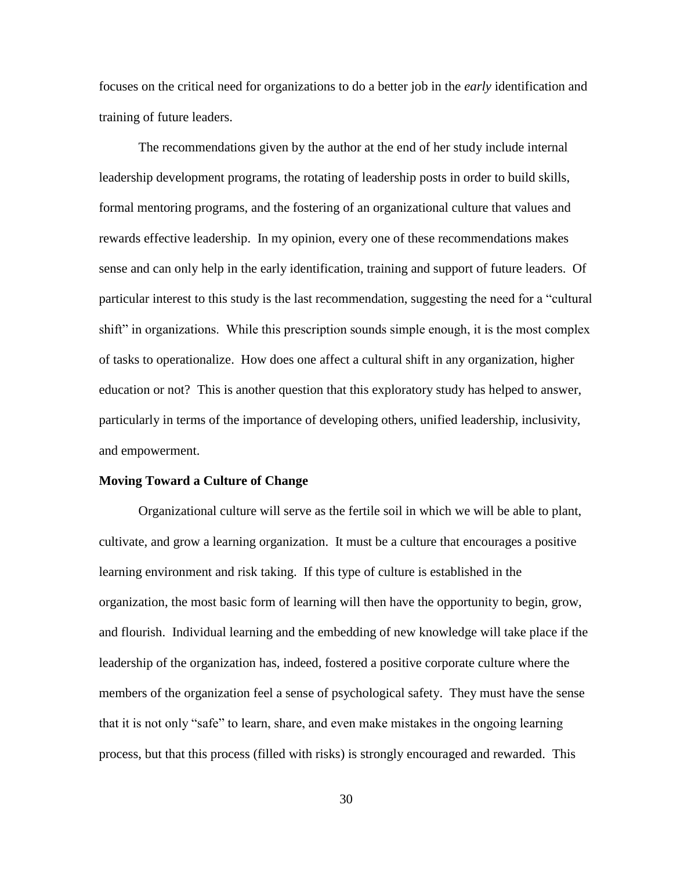focuses on the critical need for organizations to do a better job in the *early* identification and training of future leaders.

The recommendations given by the author at the end of her study include internal leadership development programs, the rotating of leadership posts in order to build skills, formal mentoring programs, and the fostering of an organizational culture that values and rewards effective leadership. In my opinion, every one of these recommendations makes sense and can only help in the early identification, training and support of future leaders. Of particular interest to this study is the last recommendation, suggesting the need for a "cultural shift" in organizations. While this prescription sounds simple enough, it is the most complex of tasks to operationalize. How does one affect a cultural shift in any organization, higher education or not? This is another question that this exploratory study has helped to answer, particularly in terms of the importance of developing others, unified leadership, inclusivity, and empowerment.

#### **Moving Toward a Culture of Change**

Organizational culture will serve as the fertile soil in which we will be able to plant, cultivate, and grow a learning organization. It must be a culture that encourages a positive learning environment and risk taking. If this type of culture is established in the organization, the most basic form of learning will then have the opportunity to begin, grow, and flourish. Individual learning and the embedding of new knowledge will take place if the leadership of the organization has, indeed, fostered a positive corporate culture where the members of the organization feel a sense of psychological safety. They must have the sense that it is not only "safe" to learn, share, and even make mistakes in the ongoing learning process, but that this process (filled with risks) is strongly encouraged and rewarded. This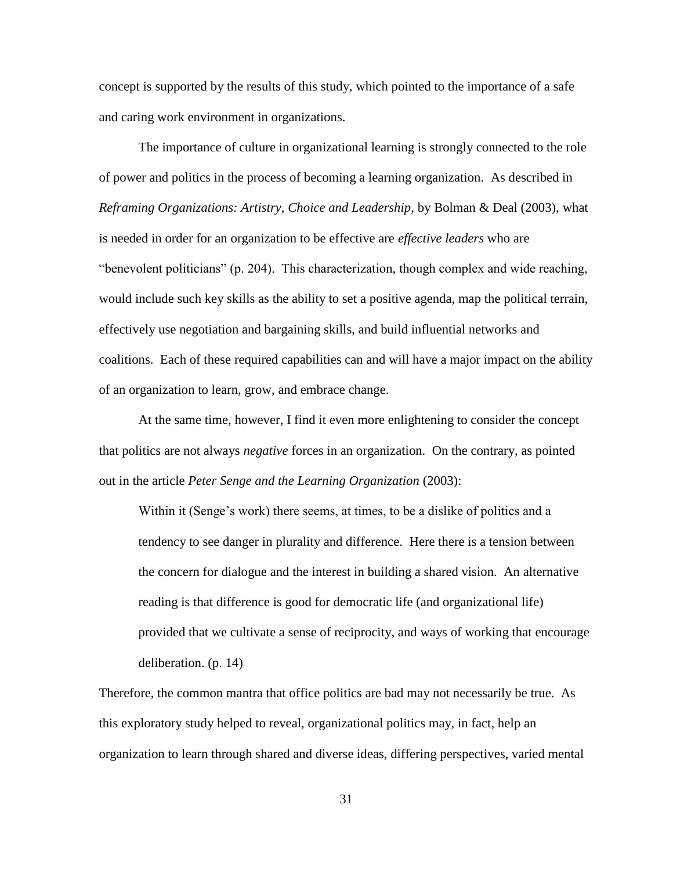concept is supported by the results of this study, which pointed to the importance of a safe and caring work environment in organizations.

The importance of culture in organizational learning is strongly connected to the role of power and politics in the process of becoming a learning organization. As described in *Reframing Organizations: Artistry, Choice and Leadership,* by Bolman & Deal (2003), what is needed in order for an organization to be effective are *effective leaders* who are "benevolent politicians" (p. 204). This characterization, though complex and wide reaching, would include such key skills as the ability to set a positive agenda, map the political terrain, effectively use negotiation and bargaining skills, and build influential networks and coalitions. Each of these required capabilities can and will have a major impact on the ability of an organization to learn, grow, and embrace change.

At the same time, however, I find it even more enlightening to consider the concept that politics are not always *negative* forces in an organization. On the contrary, as pointed out in the article *Peter Senge and the Learning Organization* (2003):

Within it (Senge's work) there seems, at times, to be a dislike of politics and a tendency to see danger in plurality and difference. Here there is a tension between the concern for dialogue and the interest in building a shared vision. An alternative reading is that difference is good for democratic life (and organizational life) provided that we cultivate a sense of reciprocity, and ways of working that encourage deliberation. (p. 14)

Therefore, the common mantra that office politics are bad may not necessarily be true. As this exploratory study helped to reveal, organizational politics may, in fact, help an organization to learn through shared and diverse ideas, differing perspectives, varied mental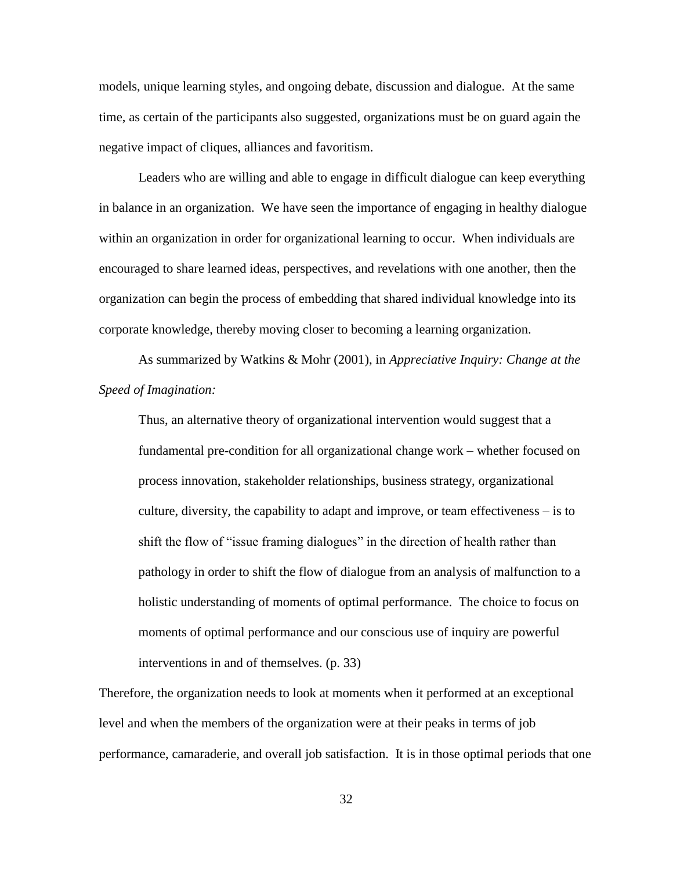models, unique learning styles, and ongoing debate, discussion and dialogue. At the same time, as certain of the participants also suggested, organizations must be on guard again the negative impact of cliques, alliances and favoritism.

Leaders who are willing and able to engage in difficult dialogue can keep everything in balance in an organization. We have seen the importance of engaging in healthy dialogue within an organization in order for organizational learning to occur. When individuals are encouraged to share learned ideas, perspectives, and revelations with one another, then the organization can begin the process of embedding that shared individual knowledge into its corporate knowledge, thereby moving closer to becoming a learning organization.

As summarized by Watkins & Mohr (2001), in *Appreciative Inquiry: Change at the Speed of Imagination:*

Thus, an alternative theory of organizational intervention would suggest that a fundamental pre-condition for all organizational change work – whether focused on process innovation, stakeholder relationships, business strategy, organizational culture, diversity, the capability to adapt and improve, or team effectiveness – is to shift the flow of "issue framing dialogues" in the direction of health rather than pathology in order to shift the flow of dialogue from an analysis of malfunction to a holistic understanding of moments of optimal performance. The choice to focus on moments of optimal performance and our conscious use of inquiry are powerful interventions in and of themselves. (p. 33)

Therefore, the organization needs to look at moments when it performed at an exceptional level and when the members of the organization were at their peaks in terms of job performance, camaraderie, and overall job satisfaction. It is in those optimal periods that one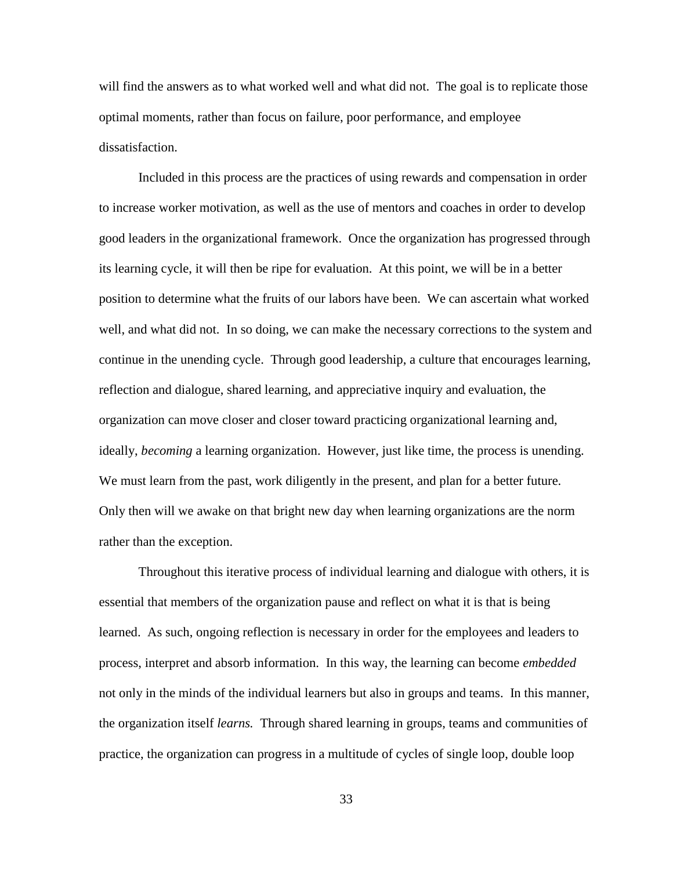will find the answers as to what worked well and what did not. The goal is to replicate those optimal moments, rather than focus on failure, poor performance, and employee dissatisfaction.

Included in this process are the practices of using rewards and compensation in order to increase worker motivation, as well as the use of mentors and coaches in order to develop good leaders in the organizational framework. Once the organization has progressed through its learning cycle, it will then be ripe for evaluation. At this point, we will be in a better position to determine what the fruits of our labors have been. We can ascertain what worked well, and what did not. In so doing, we can make the necessary corrections to the system and continue in the unending cycle. Through good leadership, a culture that encourages learning, reflection and dialogue, shared learning, and appreciative inquiry and evaluation, the organization can move closer and closer toward practicing organizational learning and, ideally, *becoming* a learning organization. However, just like time, the process is unending. We must learn from the past, work diligently in the present, and plan for a better future. Only then will we awake on that bright new day when learning organizations are the norm rather than the exception.

Throughout this iterative process of individual learning and dialogue with others, it is essential that members of the organization pause and reflect on what it is that is being learned. As such, ongoing reflection is necessary in order for the employees and leaders to process, interpret and absorb information. In this way, the learning can become *embedded*  not only in the minds of the individual learners but also in groups and teams. In this manner, the organization itself *learns.* Through shared learning in groups, teams and communities of practice, the organization can progress in a multitude of cycles of single loop, double loop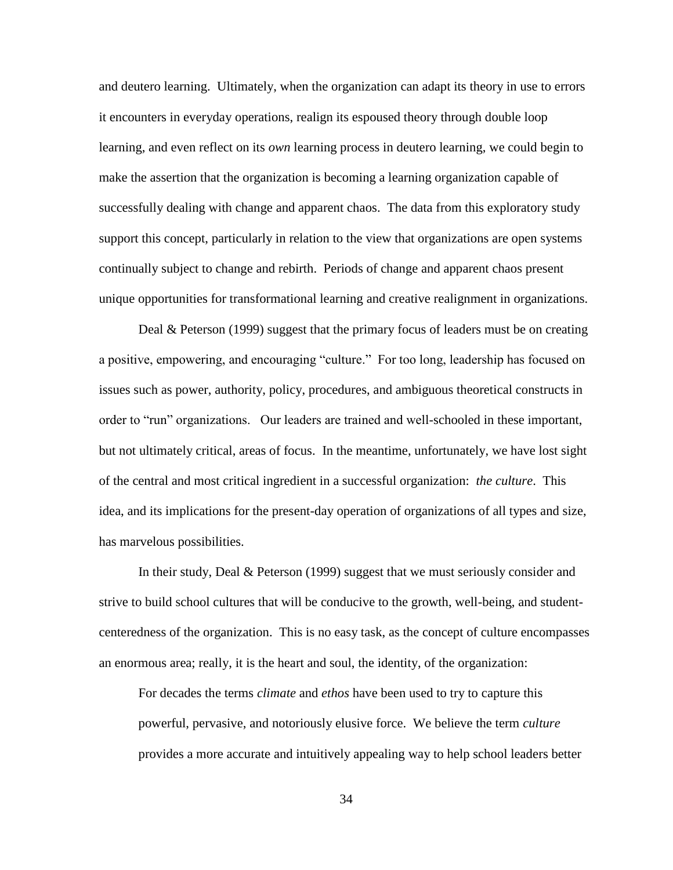and deutero learning. Ultimately, when the organization can adapt its theory in use to errors it encounters in everyday operations, realign its espoused theory through double loop learning, and even reflect on its *own* learning process in deutero learning, we could begin to make the assertion that the organization is becoming a learning organization capable of successfully dealing with change and apparent chaos. The data from this exploratory study support this concept, particularly in relation to the view that organizations are open systems continually subject to change and rebirth. Periods of change and apparent chaos present unique opportunities for transformational learning and creative realignment in organizations.

Deal & Peterson (1999) suggest that the primary focus of leaders must be on creating a positive, empowering, and encouraging "culture." For too long, leadership has focused on issues such as power, authority, policy, procedures, and ambiguous theoretical constructs in order to "run" organizations. Our leaders are trained and well-schooled in these important, but not ultimately critical, areas of focus. In the meantime, unfortunately, we have lost sight of the central and most critical ingredient in a successful organization: *the culture*. This idea, and its implications for the present-day operation of organizations of all types and size, has marvelous possibilities.

In their study, Deal & Peterson (1999) suggest that we must seriously consider and strive to build school cultures that will be conducive to the growth, well-being, and studentcenteredness of the organization. This is no easy task, as the concept of culture encompasses an enormous area; really, it is the heart and soul, the identity, of the organization:

For decades the terms *climate* and *ethos* have been used to try to capture this powerful, pervasive, and notoriously elusive force. We believe the term *culture*  provides a more accurate and intuitively appealing way to help school leaders better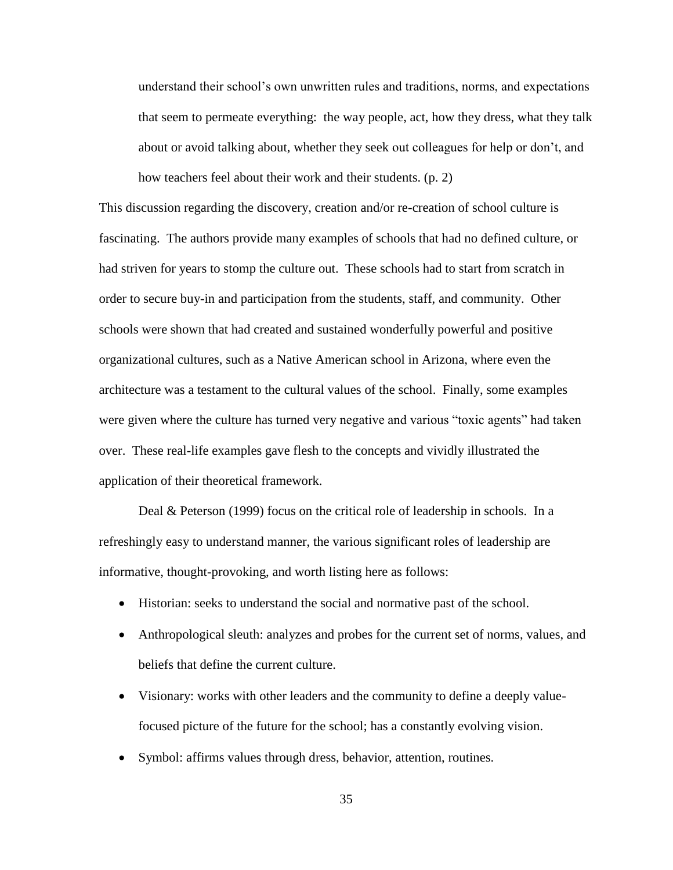understand their school"s own unwritten rules and traditions, norms, and expectations that seem to permeate everything: the way people, act, how they dress, what they talk about or avoid talking about, whether they seek out colleagues for help or don"t, and how teachers feel about their work and their students. (p. 2)

This discussion regarding the discovery, creation and/or re-creation of school culture is fascinating. The authors provide many examples of schools that had no defined culture, or had striven for years to stomp the culture out. These schools had to start from scratch in order to secure buy-in and participation from the students, staff, and community. Other schools were shown that had created and sustained wonderfully powerful and positive organizational cultures, such as a Native American school in Arizona, where even the architecture was a testament to the cultural values of the school. Finally, some examples were given where the culture has turned very negative and various "toxic agents" had taken over. These real-life examples gave flesh to the concepts and vividly illustrated the application of their theoretical framework.

Deal & Peterson (1999) focus on the critical role of leadership in schools. In a refreshingly easy to understand manner, the various significant roles of leadership are informative, thought-provoking, and worth listing here as follows:

- Historian: seeks to understand the social and normative past of the school.
- Anthropological sleuth: analyzes and probes for the current set of norms, values, and beliefs that define the current culture.
- Visionary: works with other leaders and the community to define a deeply valuefocused picture of the future for the school; has a constantly evolving vision.
- Symbol: affirms values through dress, behavior, attention, routines.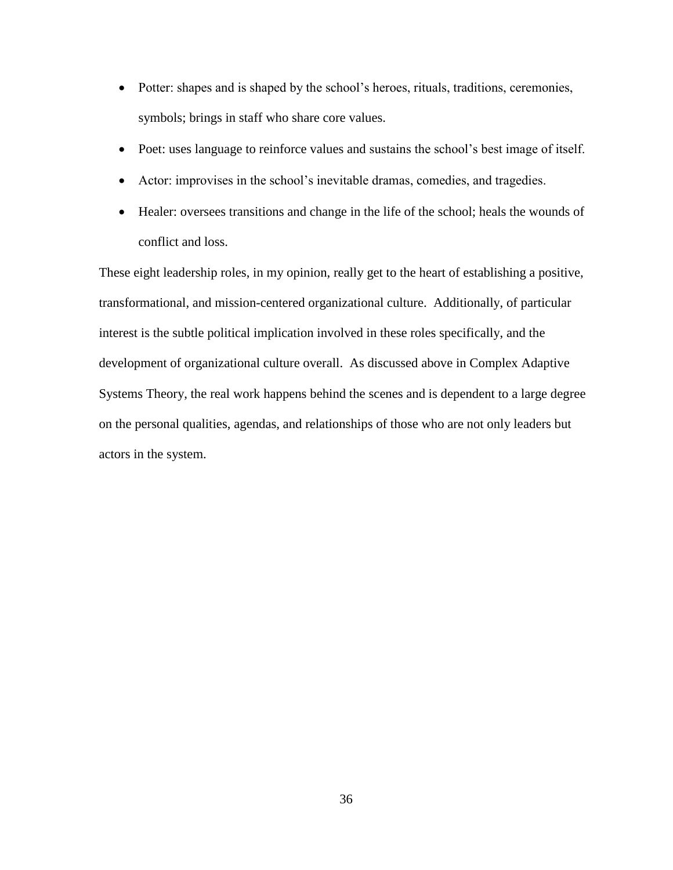- Potter: shapes and is shaped by the school's heroes, rituals, traditions, ceremonies, symbols; brings in staff who share core values.
- Poet: uses language to reinforce values and sustains the school's best image of itself.
- Actor: improvises in the school"s inevitable dramas, comedies, and tragedies.
- Healer: oversees transitions and change in the life of the school; heals the wounds of conflict and loss.

These eight leadership roles, in my opinion, really get to the heart of establishing a positive, transformational, and mission-centered organizational culture. Additionally, of particular interest is the subtle political implication involved in these roles specifically, and the development of organizational culture overall. As discussed above in Complex Adaptive Systems Theory, the real work happens behind the scenes and is dependent to a large degree on the personal qualities, agendas, and relationships of those who are not only leaders but actors in the system.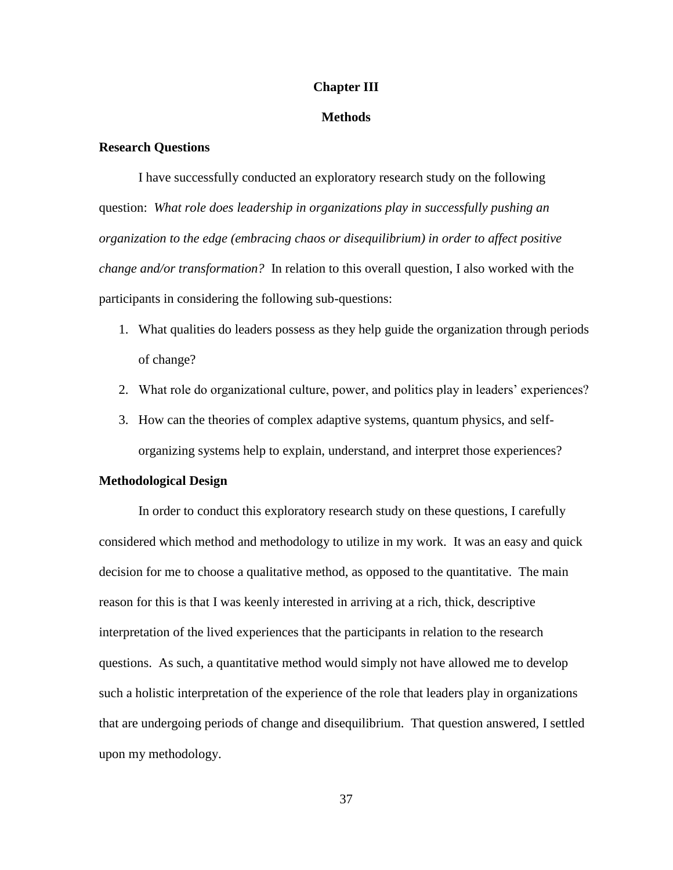### **Chapter III**

#### **Methods**

#### **Research Questions**

I have successfully conducted an exploratory research study on the following question: *What role does leadership in organizations play in successfully pushing an organization to the edge (embracing chaos or disequilibrium) in order to affect positive change and/or transformation?* In relation to this overall question, I also worked with the participants in considering the following sub-questions:

- 1. What qualities do leaders possess as they help guide the organization through periods of change?
- 2. What role do organizational culture, power, and politics play in leaders' experiences?
- 3. How can the theories of complex adaptive systems, quantum physics, and selforganizing systems help to explain, understand, and interpret those experiences?

# **Methodological Design**

In order to conduct this exploratory research study on these questions, I carefully considered which method and methodology to utilize in my work. It was an easy and quick decision for me to choose a qualitative method, as opposed to the quantitative. The main reason for this is that I was keenly interested in arriving at a rich, thick, descriptive interpretation of the lived experiences that the participants in relation to the research questions. As such, a quantitative method would simply not have allowed me to develop such a holistic interpretation of the experience of the role that leaders play in organizations that are undergoing periods of change and disequilibrium. That question answered, I settled upon my methodology.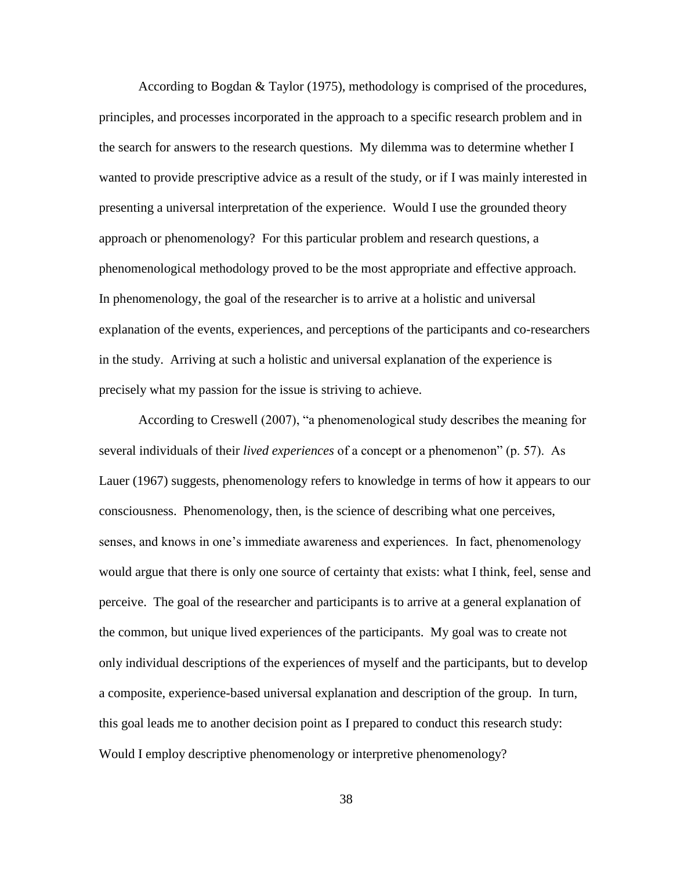According to Bogdan & Taylor (1975), methodology is comprised of the procedures, principles, and processes incorporated in the approach to a specific research problem and in the search for answers to the research questions. My dilemma was to determine whether I wanted to provide prescriptive advice as a result of the study, or if I was mainly interested in presenting a universal interpretation of the experience. Would I use the grounded theory approach or phenomenology? For this particular problem and research questions, a phenomenological methodology proved to be the most appropriate and effective approach. In phenomenology, the goal of the researcher is to arrive at a holistic and universal explanation of the events, experiences, and perceptions of the participants and co-researchers in the study. Arriving at such a holistic and universal explanation of the experience is precisely what my passion for the issue is striving to achieve.

According to Creswell (2007), "a phenomenological study describes the meaning for several individuals of their *lived experiences* of a concept or a phenomenon" (p. 57). As Lauer (1967) suggests, phenomenology refers to knowledge in terms of how it appears to our consciousness. Phenomenology, then, is the science of describing what one perceives, senses, and knows in one's immediate awareness and experiences. In fact, phenomenology would argue that there is only one source of certainty that exists: what I think, feel, sense and perceive. The goal of the researcher and participants is to arrive at a general explanation of the common, but unique lived experiences of the participants. My goal was to create not only individual descriptions of the experiences of myself and the participants, but to develop a composite, experience-based universal explanation and description of the group. In turn, this goal leads me to another decision point as I prepared to conduct this research study: Would I employ descriptive phenomenology or interpretive phenomenology?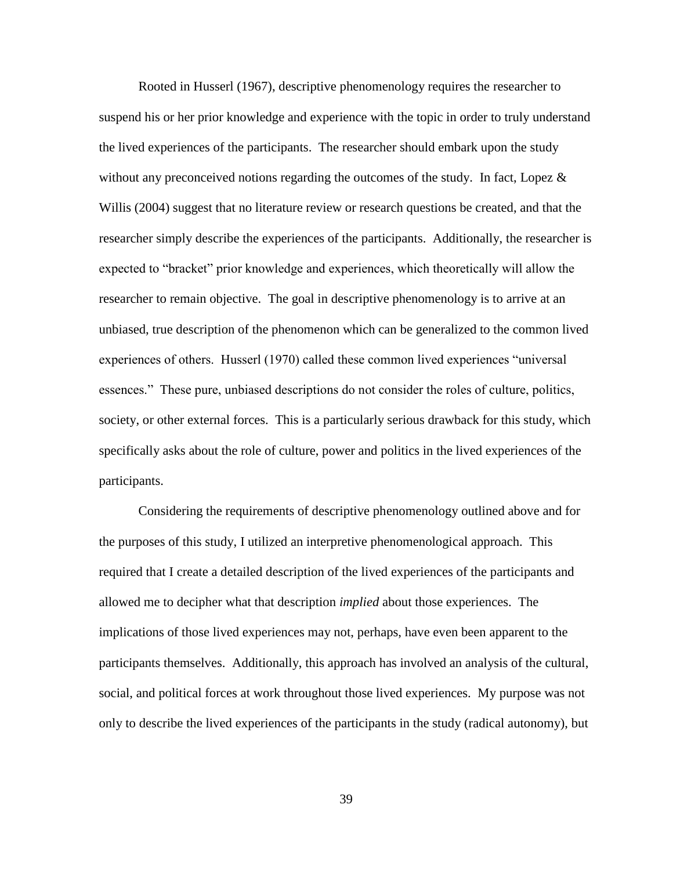Rooted in Husserl (1967), descriptive phenomenology requires the researcher to suspend his or her prior knowledge and experience with the topic in order to truly understand the lived experiences of the participants. The researcher should embark upon the study without any preconceived notions regarding the outcomes of the study. In fact, Lopez  $\&$ Willis (2004) suggest that no literature review or research questions be created, and that the researcher simply describe the experiences of the participants. Additionally, the researcher is expected to "bracket" prior knowledge and experiences, which theoretically will allow the researcher to remain objective. The goal in descriptive phenomenology is to arrive at an unbiased, true description of the phenomenon which can be generalized to the common lived experiences of others. Husserl (1970) called these common lived experiences "universal essences." These pure, unbiased descriptions do not consider the roles of culture, politics, society, or other external forces. This is a particularly serious drawback for this study, which specifically asks about the role of culture, power and politics in the lived experiences of the participants.

Considering the requirements of descriptive phenomenology outlined above and for the purposes of this study, I utilized an interpretive phenomenological approach. This required that I create a detailed description of the lived experiences of the participants and allowed me to decipher what that description *implied* about those experiences. The implications of those lived experiences may not, perhaps, have even been apparent to the participants themselves. Additionally, this approach has involved an analysis of the cultural, social, and political forces at work throughout those lived experiences. My purpose was not only to describe the lived experiences of the participants in the study (radical autonomy), but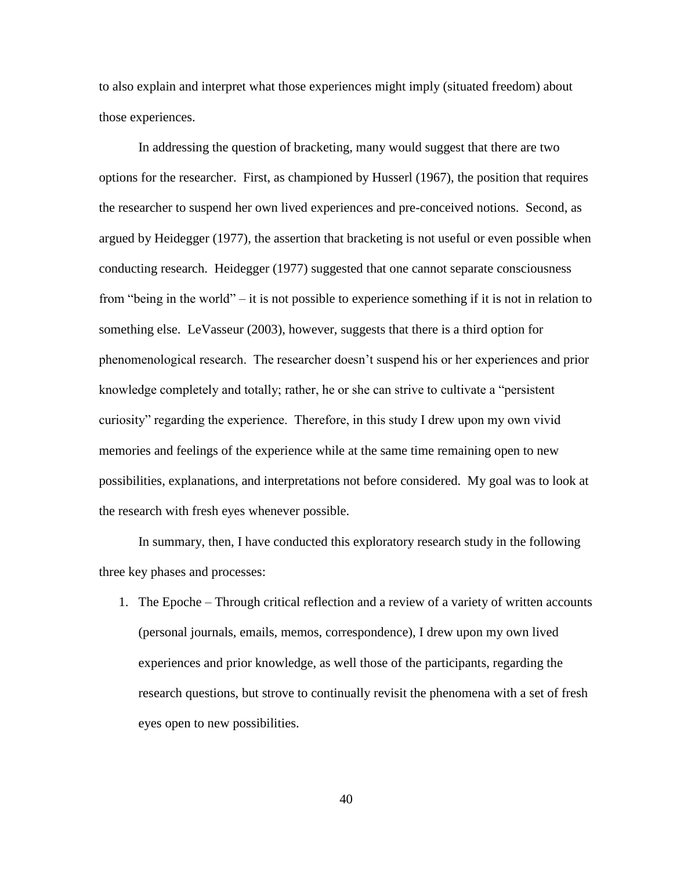to also explain and interpret what those experiences might imply (situated freedom) about those experiences.

In addressing the question of bracketing, many would suggest that there are two options for the researcher. First, as championed by Husserl (1967), the position that requires the researcher to suspend her own lived experiences and pre-conceived notions. Second, as argued by Heidegger (1977), the assertion that bracketing is not useful or even possible when conducting research. Heidegger (1977) suggested that one cannot separate consciousness from "being in the world" – it is not possible to experience something if it is not in relation to something else. LeVasseur (2003), however, suggests that there is a third option for phenomenological research. The researcher doesn"t suspend his or her experiences and prior knowledge completely and totally; rather, he or she can strive to cultivate a "persistent curiosity" regarding the experience. Therefore, in this study I drew upon my own vivid memories and feelings of the experience while at the same time remaining open to new possibilities, explanations, and interpretations not before considered. My goal was to look at the research with fresh eyes whenever possible.

In summary, then, I have conducted this exploratory research study in the following three key phases and processes:

1. The Epoche – Through critical reflection and a review of a variety of written accounts (personal journals, emails, memos, correspondence), I drew upon my own lived experiences and prior knowledge, as well those of the participants, regarding the research questions, but strove to continually revisit the phenomena with a set of fresh eyes open to new possibilities.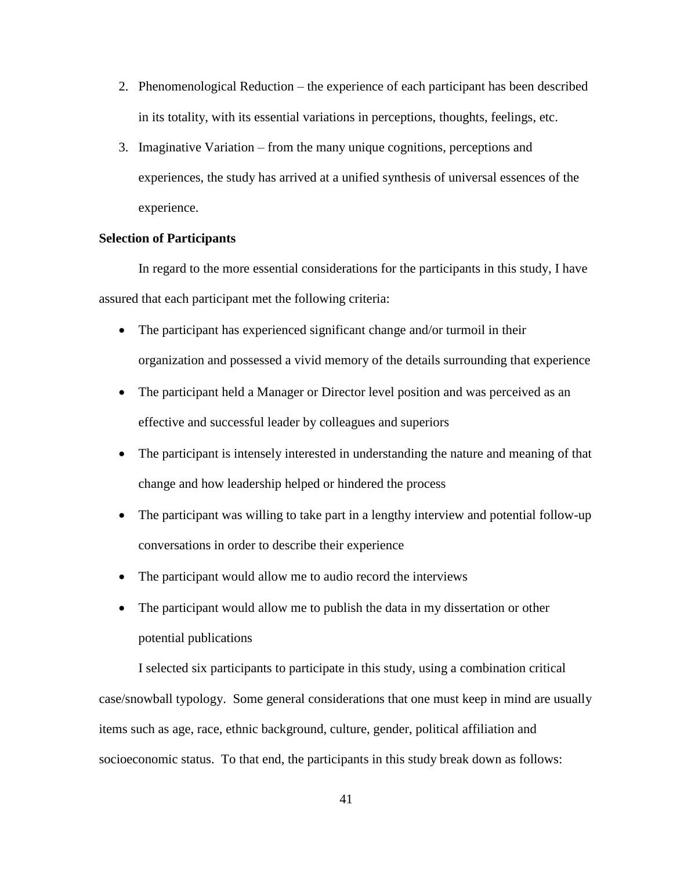- 2. Phenomenological Reduction the experience of each participant has been described in its totality, with its essential variations in perceptions, thoughts, feelings, etc.
- 3. Imaginative Variation from the many unique cognitions, perceptions and experiences, the study has arrived at a unified synthesis of universal essences of the experience.

# **Selection of Participants**

In regard to the more essential considerations for the participants in this study, I have assured that each participant met the following criteria:

- The participant has experienced significant change and/or turmoil in their organization and possessed a vivid memory of the details surrounding that experience
- The participant held a Manager or Director level position and was perceived as an effective and successful leader by colleagues and superiors
- The participant is intensely interested in understanding the nature and meaning of that change and how leadership helped or hindered the process
- The participant was willing to take part in a lengthy interview and potential follow-up conversations in order to describe their experience
- The participant would allow me to audio record the interviews
- The participant would allow me to publish the data in my dissertation or other potential publications

I selected six participants to participate in this study, using a combination critical case/snowball typology. Some general considerations that one must keep in mind are usually items such as age, race, ethnic background, culture, gender, political affiliation and socioeconomic status. To that end, the participants in this study break down as follows: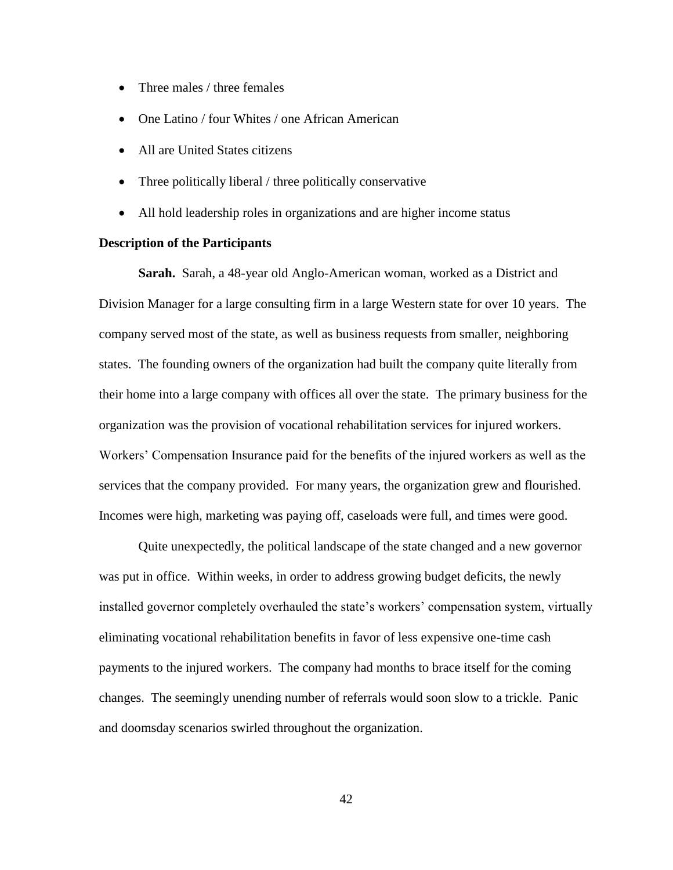- Three males / three females
- One Latino / four Whites / one African American
- All are United States citizens
- Three politically liberal / three politically conservative
- All hold leadership roles in organizations and are higher income status

# **Description of the Participants**

**Sarah.** Sarah, a 48-year old Anglo-American woman, worked as a District and Division Manager for a large consulting firm in a large Western state for over 10 years. The company served most of the state, as well as business requests from smaller, neighboring states. The founding owners of the organization had built the company quite literally from their home into a large company with offices all over the state. The primary business for the organization was the provision of vocational rehabilitation services for injured workers. Workers" Compensation Insurance paid for the benefits of the injured workers as well as the services that the company provided. For many years, the organization grew and flourished. Incomes were high, marketing was paying off, caseloads were full, and times were good.

Quite unexpectedly, the political landscape of the state changed and a new governor was put in office. Within weeks, in order to address growing budget deficits, the newly installed governor completely overhauled the state"s workers" compensation system, virtually eliminating vocational rehabilitation benefits in favor of less expensive one-time cash payments to the injured workers. The company had months to brace itself for the coming changes. The seemingly unending number of referrals would soon slow to a trickle. Panic and doomsday scenarios swirled throughout the organization.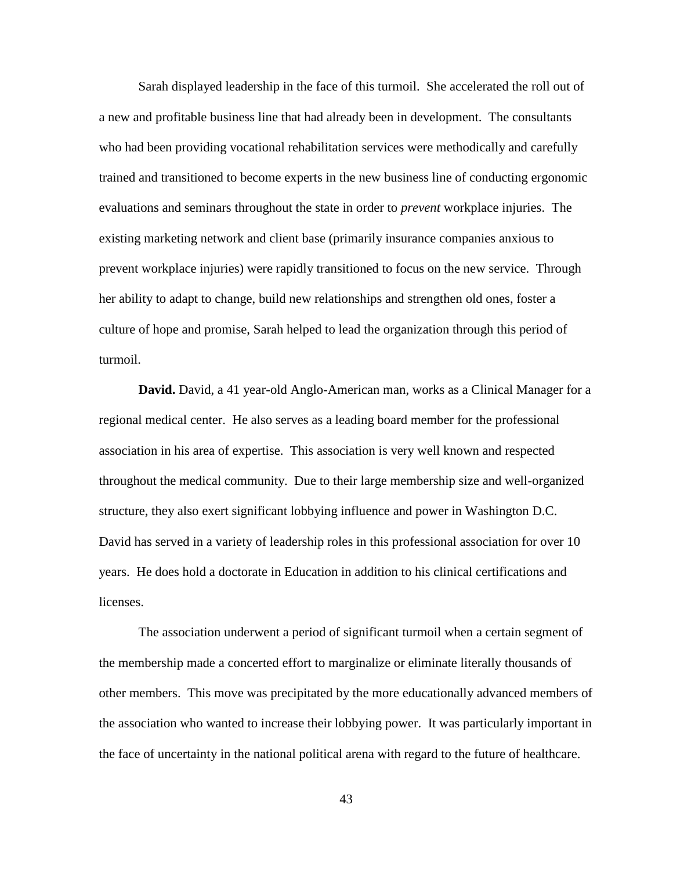Sarah displayed leadership in the face of this turmoil. She accelerated the roll out of a new and profitable business line that had already been in development. The consultants who had been providing vocational rehabilitation services were methodically and carefully trained and transitioned to become experts in the new business line of conducting ergonomic evaluations and seminars throughout the state in order to *prevent* workplace injuries. The existing marketing network and client base (primarily insurance companies anxious to prevent workplace injuries) were rapidly transitioned to focus on the new service. Through her ability to adapt to change, build new relationships and strengthen old ones, foster a culture of hope and promise, Sarah helped to lead the organization through this period of turmoil.

**David.** David, a 41 year-old Anglo-American man, works as a Clinical Manager for a regional medical center. He also serves as a leading board member for the professional association in his area of expertise. This association is very well known and respected throughout the medical community. Due to their large membership size and well-organized structure, they also exert significant lobbying influence and power in Washington D.C. David has served in a variety of leadership roles in this professional association for over 10 years. He does hold a doctorate in Education in addition to his clinical certifications and licenses.

The association underwent a period of significant turmoil when a certain segment of the membership made a concerted effort to marginalize or eliminate literally thousands of other members. This move was precipitated by the more educationally advanced members of the association who wanted to increase their lobbying power. It was particularly important in the face of uncertainty in the national political arena with regard to the future of healthcare.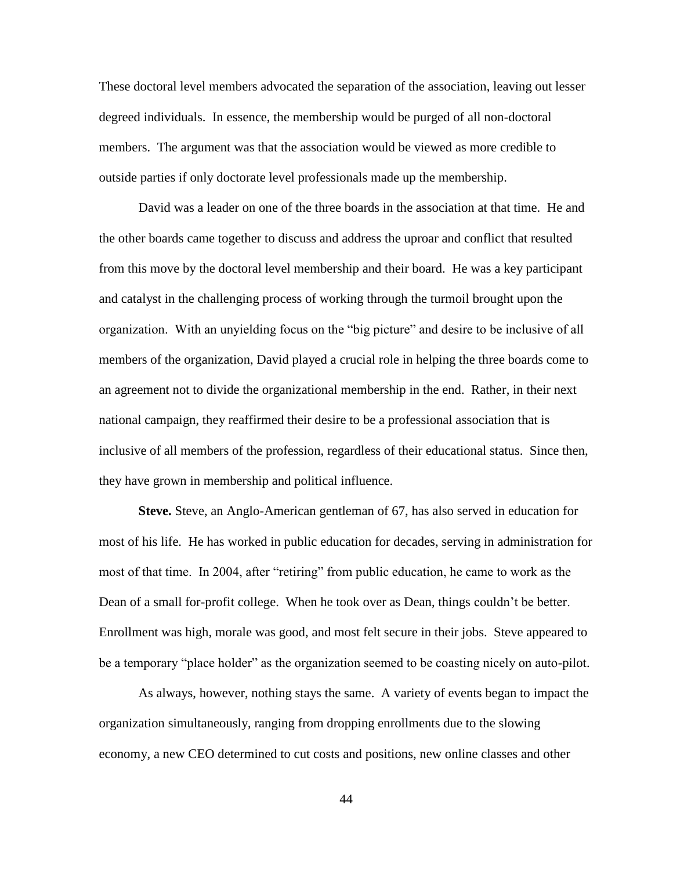These doctoral level members advocated the separation of the association, leaving out lesser degreed individuals. In essence, the membership would be purged of all non-doctoral members. The argument was that the association would be viewed as more credible to outside parties if only doctorate level professionals made up the membership.

David was a leader on one of the three boards in the association at that time. He and the other boards came together to discuss and address the uproar and conflict that resulted from this move by the doctoral level membership and their board. He was a key participant and catalyst in the challenging process of working through the turmoil brought upon the organization. With an unyielding focus on the "big picture" and desire to be inclusive of all members of the organization, David played a crucial role in helping the three boards come to an agreement not to divide the organizational membership in the end. Rather, in their next national campaign, they reaffirmed their desire to be a professional association that is inclusive of all members of the profession, regardless of their educational status. Since then, they have grown in membership and political influence.

**Steve.** Steve, an Anglo-American gentleman of 67, has also served in education for most of his life. He has worked in public education for decades, serving in administration for most of that time. In 2004, after "retiring" from public education, he came to work as the Dean of a small for-profit college. When he took over as Dean, things couldn"t be better. Enrollment was high, morale was good, and most felt secure in their jobs. Steve appeared to be a temporary "place holder" as the organization seemed to be coasting nicely on auto-pilot.

As always, however, nothing stays the same. A variety of events began to impact the organization simultaneously, ranging from dropping enrollments due to the slowing economy, a new CEO determined to cut costs and positions, new online classes and other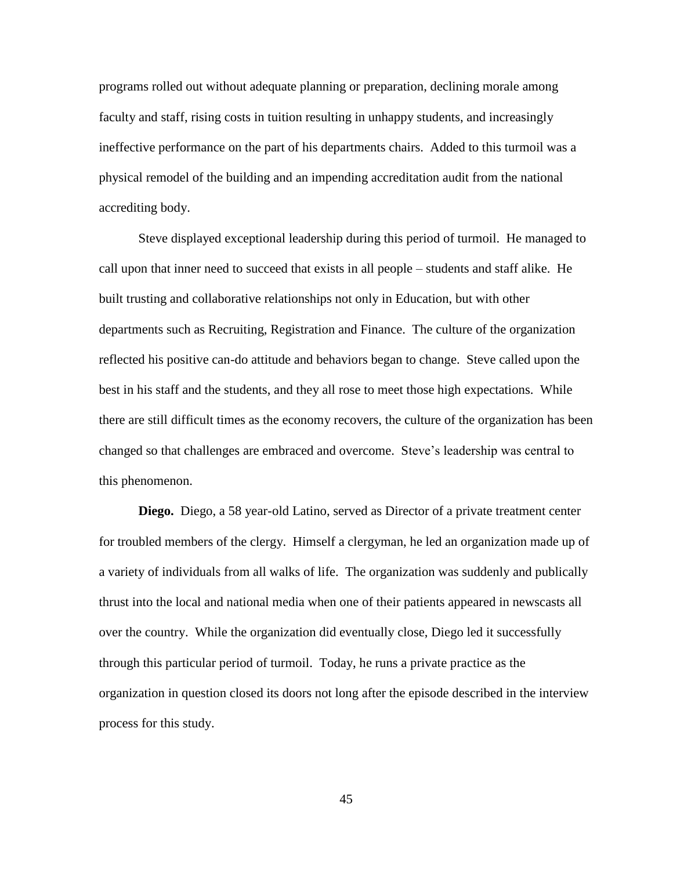programs rolled out without adequate planning or preparation, declining morale among faculty and staff, rising costs in tuition resulting in unhappy students, and increasingly ineffective performance on the part of his departments chairs. Added to this turmoil was a physical remodel of the building and an impending accreditation audit from the national accrediting body.

Steve displayed exceptional leadership during this period of turmoil. He managed to call upon that inner need to succeed that exists in all people – students and staff alike. He built trusting and collaborative relationships not only in Education, but with other departments such as Recruiting, Registration and Finance. The culture of the organization reflected his positive can-do attitude and behaviors began to change. Steve called upon the best in his staff and the students, and they all rose to meet those high expectations. While there are still difficult times as the economy recovers, the culture of the organization has been changed so that challenges are embraced and overcome. Steve"s leadership was central to this phenomenon.

**Diego.** Diego, a 58 year-old Latino, served as Director of a private treatment center for troubled members of the clergy. Himself a clergyman, he led an organization made up of a variety of individuals from all walks of life. The organization was suddenly and publically thrust into the local and national media when one of their patients appeared in newscasts all over the country. While the organization did eventually close, Diego led it successfully through this particular period of turmoil. Today, he runs a private practice as the organization in question closed its doors not long after the episode described in the interview process for this study.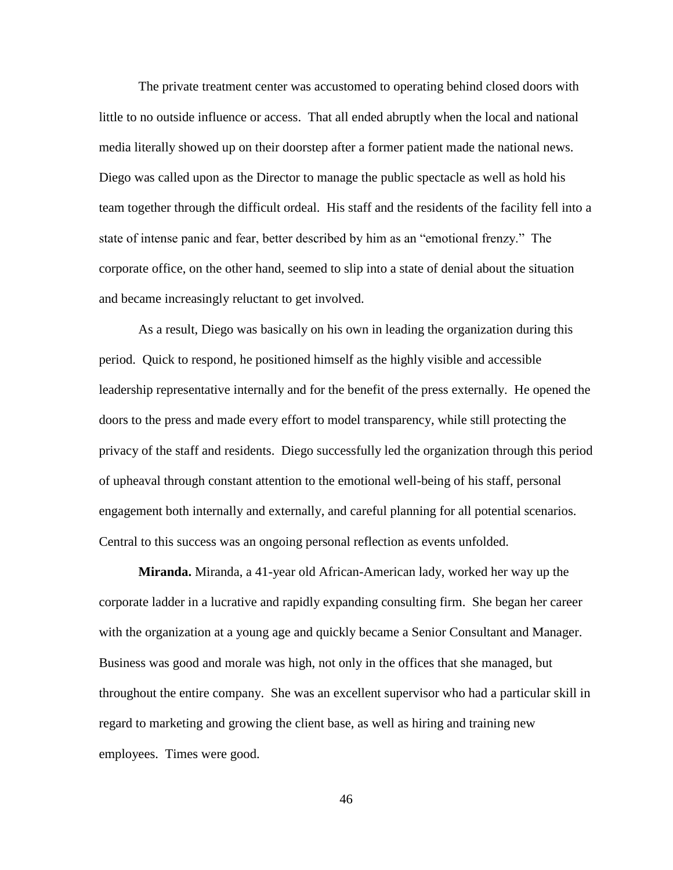The private treatment center was accustomed to operating behind closed doors with little to no outside influence or access. That all ended abruptly when the local and national media literally showed up on their doorstep after a former patient made the national news. Diego was called upon as the Director to manage the public spectacle as well as hold his team together through the difficult ordeal. His staff and the residents of the facility fell into a state of intense panic and fear, better described by him as an "emotional frenzy." The corporate office, on the other hand, seemed to slip into a state of denial about the situation and became increasingly reluctant to get involved.

As a result, Diego was basically on his own in leading the organization during this period. Quick to respond, he positioned himself as the highly visible and accessible leadership representative internally and for the benefit of the press externally. He opened the doors to the press and made every effort to model transparency, while still protecting the privacy of the staff and residents. Diego successfully led the organization through this period of upheaval through constant attention to the emotional well-being of his staff, personal engagement both internally and externally, and careful planning for all potential scenarios. Central to this success was an ongoing personal reflection as events unfolded.

**Miranda.** Miranda, a 41-year old African-American lady, worked her way up the corporate ladder in a lucrative and rapidly expanding consulting firm. She began her career with the organization at a young age and quickly became a Senior Consultant and Manager. Business was good and morale was high, not only in the offices that she managed, but throughout the entire company. She was an excellent supervisor who had a particular skill in regard to marketing and growing the client base, as well as hiring and training new employees. Times were good.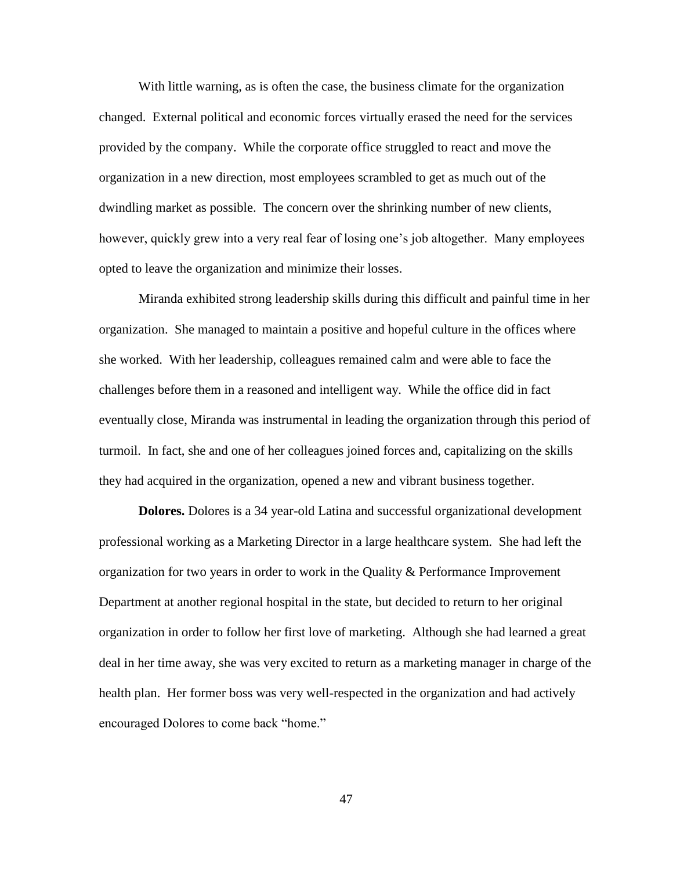With little warning, as is often the case, the business climate for the organization changed. External political and economic forces virtually erased the need for the services provided by the company. While the corporate office struggled to react and move the organization in a new direction, most employees scrambled to get as much out of the dwindling market as possible. The concern over the shrinking number of new clients, however, quickly grew into a very real fear of losing one"s job altogether. Many employees opted to leave the organization and minimize their losses.

Miranda exhibited strong leadership skills during this difficult and painful time in her organization. She managed to maintain a positive and hopeful culture in the offices where she worked. With her leadership, colleagues remained calm and were able to face the challenges before them in a reasoned and intelligent way. While the office did in fact eventually close, Miranda was instrumental in leading the organization through this period of turmoil. In fact, she and one of her colleagues joined forces and, capitalizing on the skills they had acquired in the organization, opened a new and vibrant business together.

**Dolores.** Dolores is a 34 year-old Latina and successful organizational development professional working as a Marketing Director in a large healthcare system. She had left the organization for two years in order to work in the Quality & Performance Improvement Department at another regional hospital in the state, but decided to return to her original organization in order to follow her first love of marketing. Although she had learned a great deal in her time away, she was very excited to return as a marketing manager in charge of the health plan. Her former boss was very well-respected in the organization and had actively encouraged Dolores to come back "home."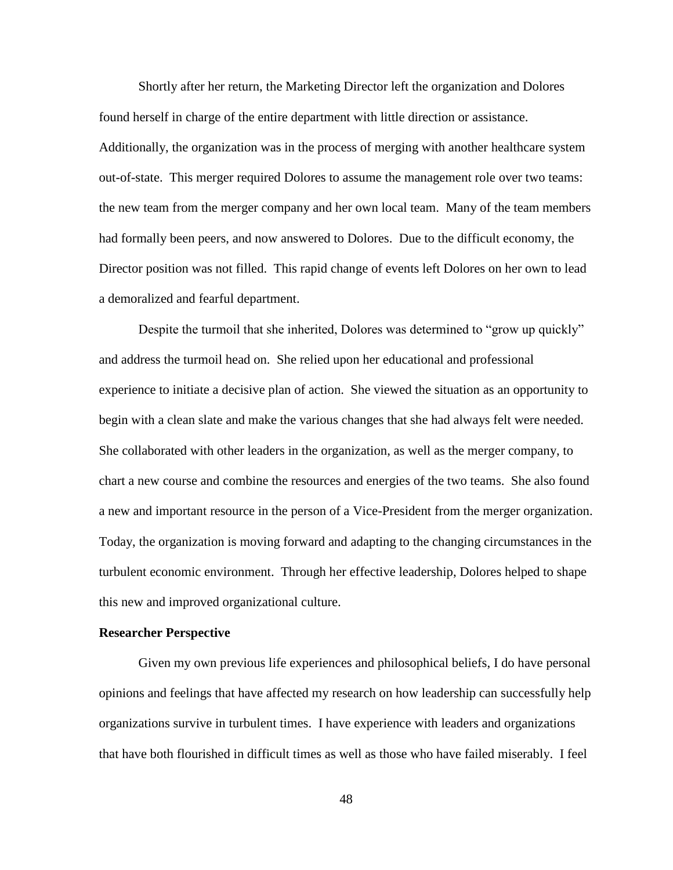Shortly after her return, the Marketing Director left the organization and Dolores found herself in charge of the entire department with little direction or assistance. Additionally, the organization was in the process of merging with another healthcare system out-of-state. This merger required Dolores to assume the management role over two teams: the new team from the merger company and her own local team. Many of the team members had formally been peers, and now answered to Dolores. Due to the difficult economy, the Director position was not filled. This rapid change of events left Dolores on her own to lead a demoralized and fearful department.

Despite the turmoil that she inherited, Dolores was determined to "grow up quickly" and address the turmoil head on. She relied upon her educational and professional experience to initiate a decisive plan of action. She viewed the situation as an opportunity to begin with a clean slate and make the various changes that she had always felt were needed. She collaborated with other leaders in the organization, as well as the merger company, to chart a new course and combine the resources and energies of the two teams. She also found a new and important resource in the person of a Vice-President from the merger organization. Today, the organization is moving forward and adapting to the changing circumstances in the turbulent economic environment. Through her effective leadership, Dolores helped to shape this new and improved organizational culture.

# **Researcher Perspective**

Given my own previous life experiences and philosophical beliefs, I do have personal opinions and feelings that have affected my research on how leadership can successfully help organizations survive in turbulent times. I have experience with leaders and organizations that have both flourished in difficult times as well as those who have failed miserably. I feel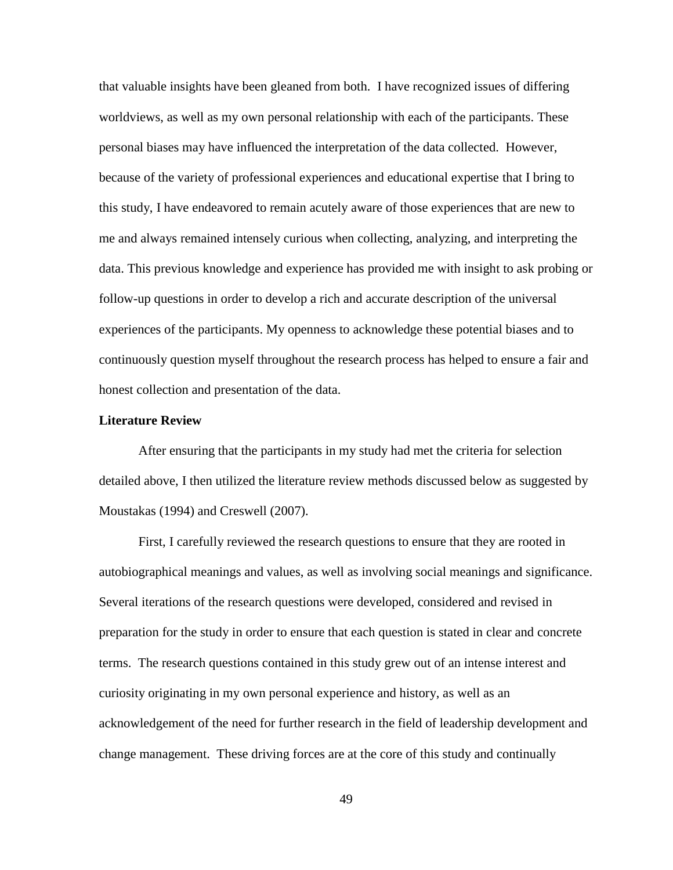that valuable insights have been gleaned from both. I have recognized issues of differing worldviews, as well as my own personal relationship with each of the participants. These personal biases may have influenced the interpretation of the data collected. However, because of the variety of professional experiences and educational expertise that I bring to this study, I have endeavored to remain acutely aware of those experiences that are new to me and always remained intensely curious when collecting, analyzing, and interpreting the data. This previous knowledge and experience has provided me with insight to ask probing or follow-up questions in order to develop a rich and accurate description of the universal experiences of the participants. My openness to acknowledge these potential biases and to continuously question myself throughout the research process has helped to ensure a fair and honest collection and presentation of the data.

# **Literature Review**

After ensuring that the participants in my study had met the criteria for selection detailed above, I then utilized the literature review methods discussed below as suggested by Moustakas (1994) and Creswell (2007).

First, I carefully reviewed the research questions to ensure that they are rooted in autobiographical meanings and values, as well as involving social meanings and significance. Several iterations of the research questions were developed, considered and revised in preparation for the study in order to ensure that each question is stated in clear and concrete terms. The research questions contained in this study grew out of an intense interest and curiosity originating in my own personal experience and history, as well as an acknowledgement of the need for further research in the field of leadership development and change management. These driving forces are at the core of this study and continually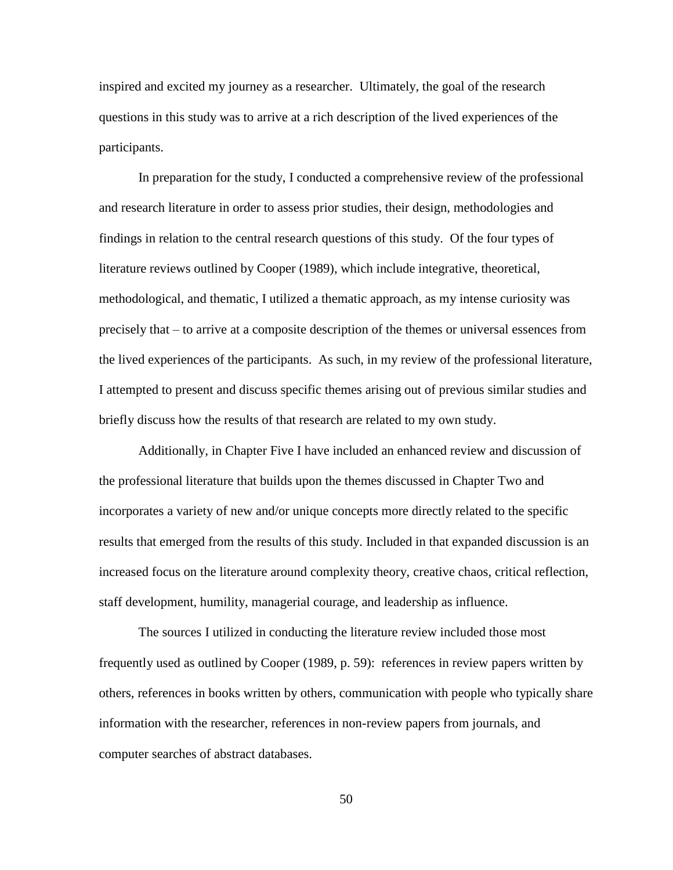inspired and excited my journey as a researcher. Ultimately, the goal of the research questions in this study was to arrive at a rich description of the lived experiences of the participants.

In preparation for the study, I conducted a comprehensive review of the professional and research literature in order to assess prior studies, their design, methodologies and findings in relation to the central research questions of this study. Of the four types of literature reviews outlined by Cooper (1989), which include integrative, theoretical, methodological, and thematic, I utilized a thematic approach, as my intense curiosity was precisely that – to arrive at a composite description of the themes or universal essences from the lived experiences of the participants. As such, in my review of the professional literature, I attempted to present and discuss specific themes arising out of previous similar studies and briefly discuss how the results of that research are related to my own study.

Additionally, in Chapter Five I have included an enhanced review and discussion of the professional literature that builds upon the themes discussed in Chapter Two and incorporates a variety of new and/or unique concepts more directly related to the specific results that emerged from the results of this study. Included in that expanded discussion is an increased focus on the literature around complexity theory, creative chaos, critical reflection, staff development, humility, managerial courage, and leadership as influence.

The sources I utilized in conducting the literature review included those most frequently used as outlined by Cooper (1989, p. 59): references in review papers written by others, references in books written by others, communication with people who typically share information with the researcher, references in non-review papers from journals, and computer searches of abstract databases.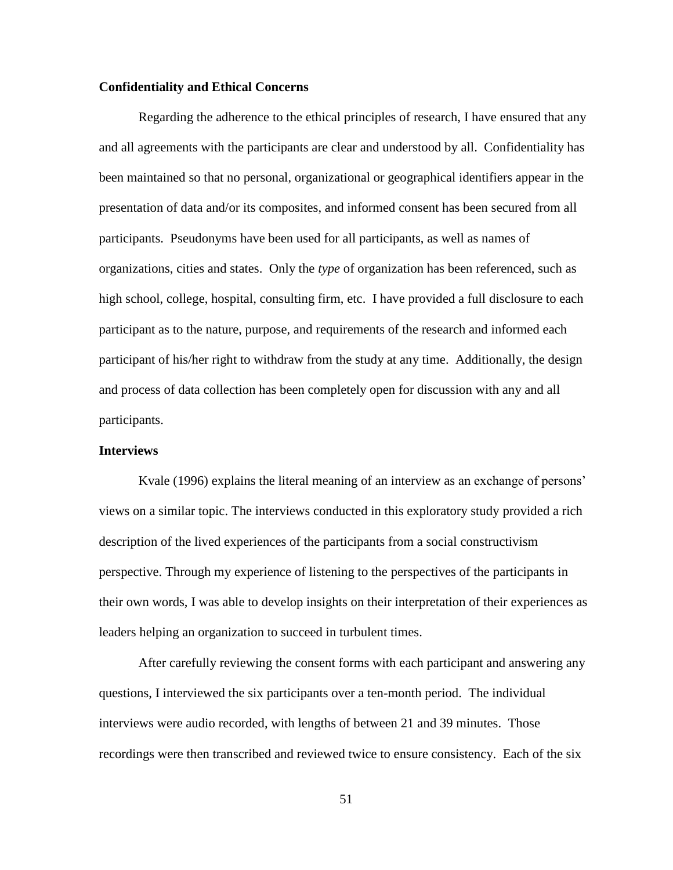# **Confidentiality and Ethical Concerns**

Regarding the adherence to the ethical principles of research, I have ensured that any and all agreements with the participants are clear and understood by all. Confidentiality has been maintained so that no personal, organizational or geographical identifiers appear in the presentation of data and/or its composites, and informed consent has been secured from all participants. Pseudonyms have been used for all participants, as well as names of organizations, cities and states. Only the *type* of organization has been referenced, such as high school, college, hospital, consulting firm, etc. I have provided a full disclosure to each participant as to the nature, purpose, and requirements of the research and informed each participant of his/her right to withdraw from the study at any time. Additionally, the design and process of data collection has been completely open for discussion with any and all participants.

# **Interviews**

Kvale (1996) explains the literal meaning of an interview as an exchange of persons' views on a similar topic. The interviews conducted in this exploratory study provided a rich description of the lived experiences of the participants from a social constructivism perspective. Through my experience of listening to the perspectives of the participants in their own words, I was able to develop insights on their interpretation of their experiences as leaders helping an organization to succeed in turbulent times.

After carefully reviewing the consent forms with each participant and answering any questions, I interviewed the six participants over a ten-month period. The individual interviews were audio recorded, with lengths of between 21 and 39 minutes. Those recordings were then transcribed and reviewed twice to ensure consistency. Each of the six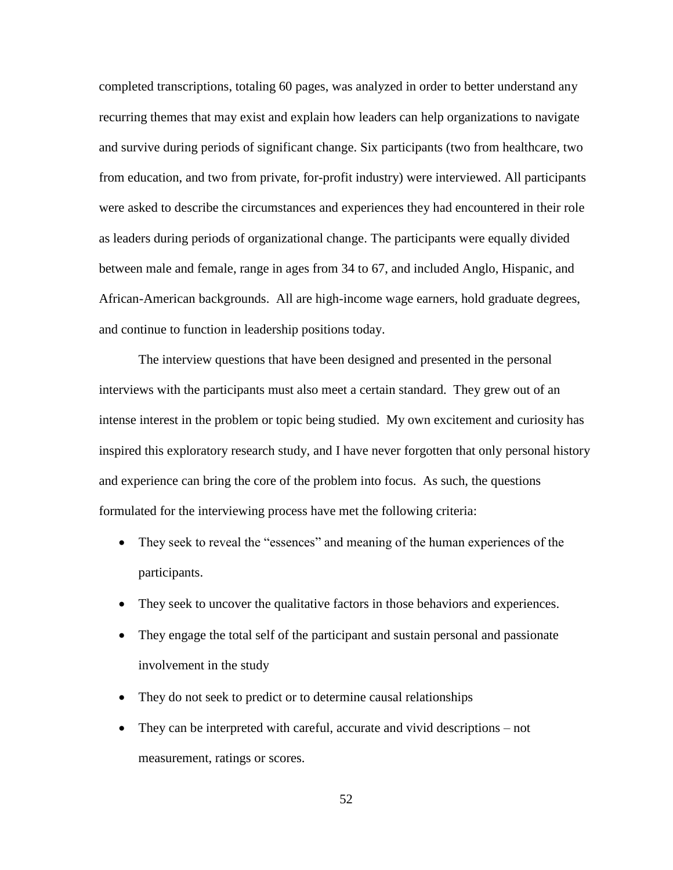completed transcriptions, totaling 60 pages, was analyzed in order to better understand any recurring themes that may exist and explain how leaders can help organizations to navigate and survive during periods of significant change. Six participants (two from healthcare, two from education, and two from private, for-profit industry) were interviewed. All participants were asked to describe the circumstances and experiences they had encountered in their role as leaders during periods of organizational change. The participants were equally divided between male and female, range in ages from 34 to 67, and included Anglo, Hispanic, and African-American backgrounds. All are high-income wage earners, hold graduate degrees, and continue to function in leadership positions today.

The interview questions that have been designed and presented in the personal interviews with the participants must also meet a certain standard. They grew out of an intense interest in the problem or topic being studied. My own excitement and curiosity has inspired this exploratory research study, and I have never forgotten that only personal history and experience can bring the core of the problem into focus. As such, the questions formulated for the interviewing process have met the following criteria:

- They seek to reveal the "essences" and meaning of the human experiences of the participants.
- They seek to uncover the qualitative factors in those behaviors and experiences.
- They engage the total self of the participant and sustain personal and passionate involvement in the study
- They do not seek to predict or to determine causal relationships
- They can be interpreted with careful, accurate and vivid descriptions not measurement, ratings or scores.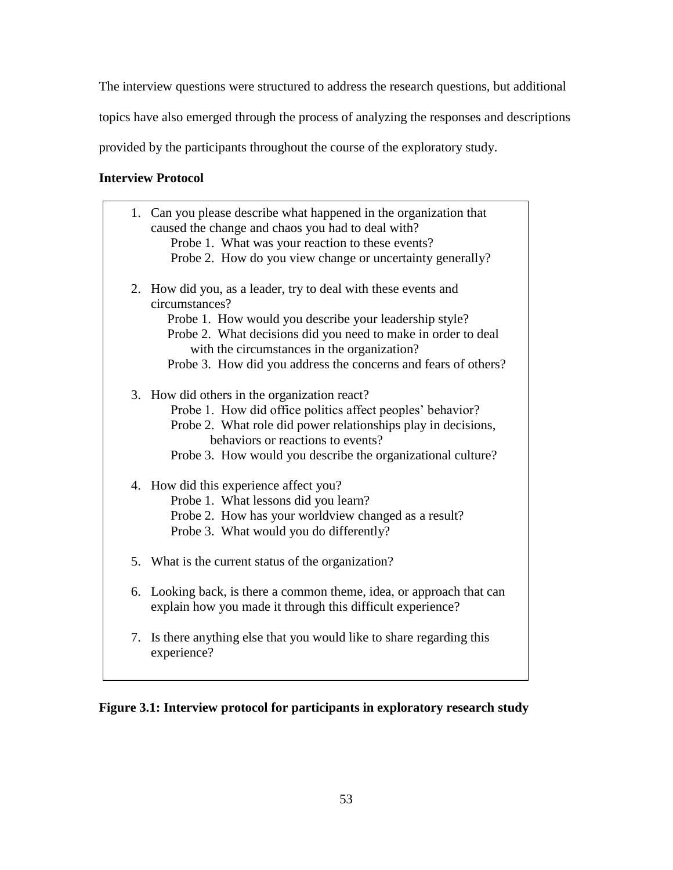The interview questions were structured to address the research questions, but additional

topics have also emerged through the process of analyzing the responses and descriptions

provided by the participants throughout the course of the exploratory study.

# **Interview Protocol**

|    | 1. Can you please describe what happened in the organization that<br>caused the change and chaos you had to deal with?<br>Probe 1. What was your reaction to these events?<br>Probe 2. How do you view change or uncertainty generally?                                                                                      |
|----|------------------------------------------------------------------------------------------------------------------------------------------------------------------------------------------------------------------------------------------------------------------------------------------------------------------------------|
|    | 2. How did you, as a leader, try to deal with these events and<br>circumstances?<br>Probe 1. How would you describe your leadership style?<br>Probe 2. What decisions did you need to make in order to deal<br>with the circumstances in the organization?<br>Probe 3. How did you address the concerns and fears of others? |
|    | 3. How did others in the organization react?<br>Probe 1. How did office politics affect peoples' behavior?<br>Probe 2. What role did power relationships play in decisions,<br>behaviors or reactions to events?<br>Probe 3. How would you describe the organizational culture?                                              |
|    | 4. How did this experience affect you?<br>Probe 1. What lessons did you learn?<br>Probe 2. How has your worldview changed as a result?<br>Probe 3. What would you do differently?                                                                                                                                            |
|    | 5. What is the current status of the organization?                                                                                                                                                                                                                                                                           |
|    | 6. Looking back, is there a common theme, idea, or approach that can<br>explain how you made it through this difficult experience?                                                                                                                                                                                           |
| 7. | Is there anything else that you would like to share regarding this<br>experience?                                                                                                                                                                                                                                            |

**Figure 3.1: Interview protocol for participants in exploratory research study**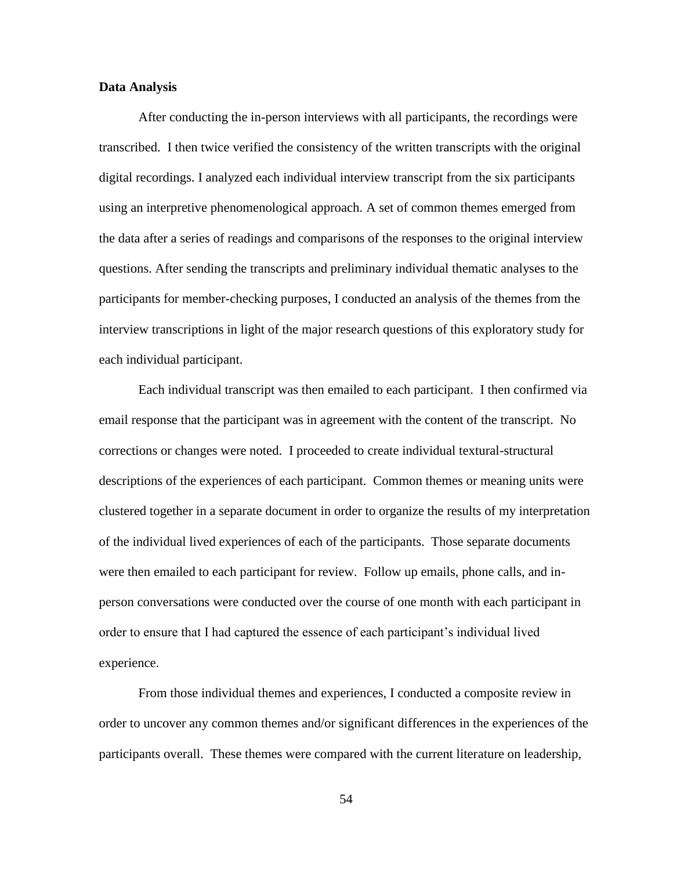# **Data Analysis**

After conducting the in-person interviews with all participants, the recordings were transcribed. I then twice verified the consistency of the written transcripts with the original digital recordings. I analyzed each individual interview transcript from the six participants using an interpretive phenomenological approach. A set of common themes emerged from the data after a series of readings and comparisons of the responses to the original interview questions. After sending the transcripts and preliminary individual thematic analyses to the participants for member-checking purposes, I conducted an analysis of the themes from the interview transcriptions in light of the major research questions of this exploratory study for each individual participant.

Each individual transcript was then emailed to each participant. I then confirmed via email response that the participant was in agreement with the content of the transcript. No corrections or changes were noted. I proceeded to create individual textural-structural descriptions of the experiences of each participant. Common themes or meaning units were clustered together in a separate document in order to organize the results of my interpretation of the individual lived experiences of each of the participants. Those separate documents were then emailed to each participant for review. Follow up emails, phone calls, and inperson conversations were conducted over the course of one month with each participant in order to ensure that I had captured the essence of each participant"s individual lived experience.

From those individual themes and experiences, I conducted a composite review in order to uncover any common themes and/or significant differences in the experiences of the participants overall. These themes were compared with the current literature on leadership,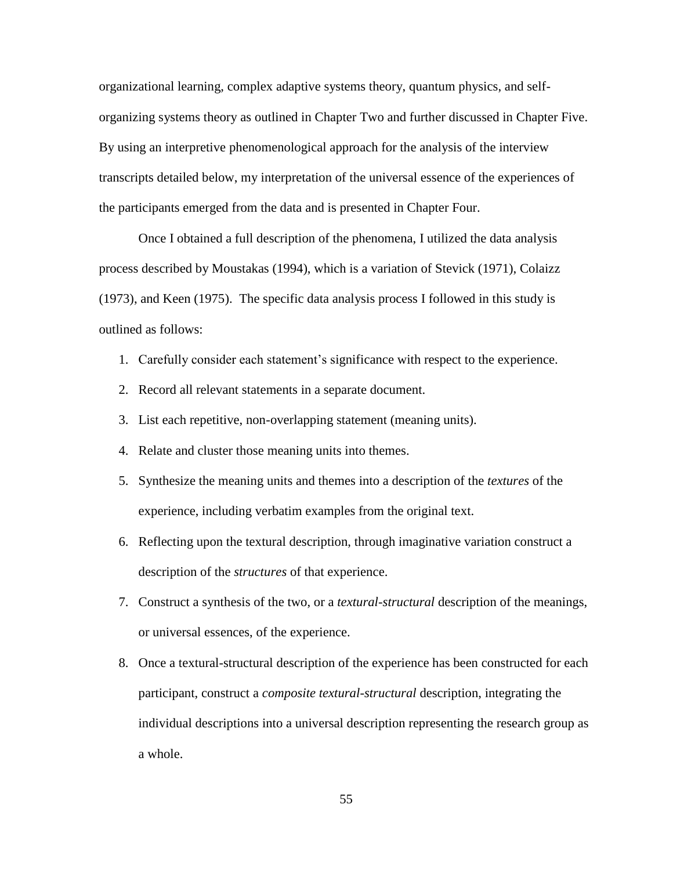organizational learning, complex adaptive systems theory, quantum physics, and selforganizing systems theory as outlined in Chapter Two and further discussed in Chapter Five. By using an interpretive phenomenological approach for the analysis of the interview transcripts detailed below, my interpretation of the universal essence of the experiences of the participants emerged from the data and is presented in Chapter Four.

Once I obtained a full description of the phenomena, I utilized the data analysis process described by Moustakas (1994), which is a variation of Stevick (1971), Colaizz (1973), and Keen (1975). The specific data analysis process I followed in this study is outlined as follows:

- 1. Carefully consider each statement"s significance with respect to the experience.
- 2. Record all relevant statements in a separate document.
- 3. List each repetitive, non-overlapping statement (meaning units).
- 4. Relate and cluster those meaning units into themes.
- 5. Synthesize the meaning units and themes into a description of the *textures* of the experience, including verbatim examples from the original text.
- 6. Reflecting upon the textural description, through imaginative variation construct a description of the *structures* of that experience.
- 7. Construct a synthesis of the two, or a *textural-structural* description of the meanings, or universal essences, of the experience.
- 8. Once a textural-structural description of the experience has been constructed for each participant, construct a *composite textural-structural* description, integrating the individual descriptions into a universal description representing the research group as a whole.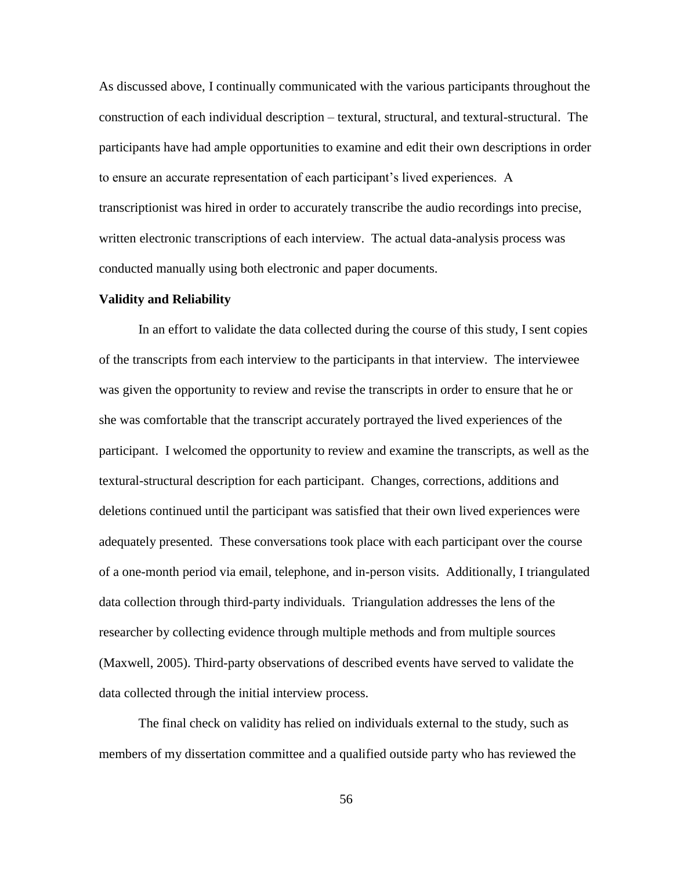As discussed above, I continually communicated with the various participants throughout the construction of each individual description – textural, structural, and textural-structural. The participants have had ample opportunities to examine and edit their own descriptions in order to ensure an accurate representation of each participant"s lived experiences. A transcriptionist was hired in order to accurately transcribe the audio recordings into precise, written electronic transcriptions of each interview. The actual data-analysis process was conducted manually using both electronic and paper documents.

#### **Validity and Reliability**

In an effort to validate the data collected during the course of this study, I sent copies of the transcripts from each interview to the participants in that interview. The interviewee was given the opportunity to review and revise the transcripts in order to ensure that he or she was comfortable that the transcript accurately portrayed the lived experiences of the participant. I welcomed the opportunity to review and examine the transcripts, as well as the textural-structural description for each participant. Changes, corrections, additions and deletions continued until the participant was satisfied that their own lived experiences were adequately presented. These conversations took place with each participant over the course of a one-month period via email, telephone, and in-person visits. Additionally, I triangulated data collection through third-party individuals. Triangulation addresses the lens of the researcher by collecting evidence through multiple methods and from multiple sources (Maxwell, 2005). Third-party observations of described events have served to validate the data collected through the initial interview process.

The final check on validity has relied on individuals external to the study, such as members of my dissertation committee and a qualified outside party who has reviewed the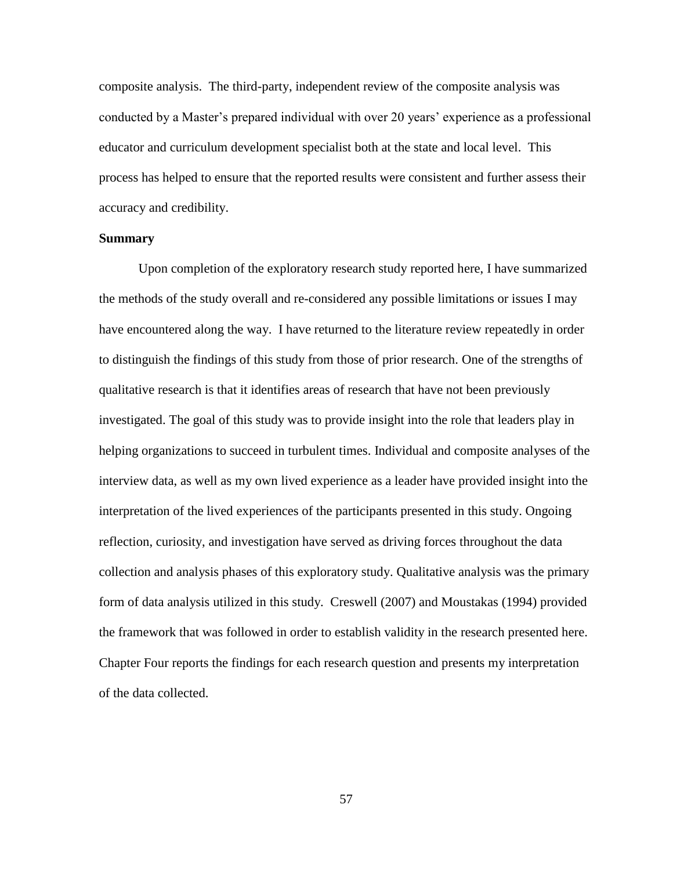composite analysis. The third-party, independent review of the composite analysis was conducted by a Master's prepared individual with over 20 years' experience as a professional educator and curriculum development specialist both at the state and local level. This process has helped to ensure that the reported results were consistent and further assess their accuracy and credibility.

#### **Summary**

Upon completion of the exploratory research study reported here, I have summarized the methods of the study overall and re-considered any possible limitations or issues I may have encountered along the way. I have returned to the literature review repeatedly in order to distinguish the findings of this study from those of prior research. One of the strengths of qualitative research is that it identifies areas of research that have not been previously investigated. The goal of this study was to provide insight into the role that leaders play in helping organizations to succeed in turbulent times. Individual and composite analyses of the interview data, as well as my own lived experience as a leader have provided insight into the interpretation of the lived experiences of the participants presented in this study. Ongoing reflection, curiosity, and investigation have served as driving forces throughout the data collection and analysis phases of this exploratory study. Qualitative analysis was the primary form of data analysis utilized in this study. Creswell (2007) and Moustakas (1994) provided the framework that was followed in order to establish validity in the research presented here. Chapter Four reports the findings for each research question and presents my interpretation of the data collected.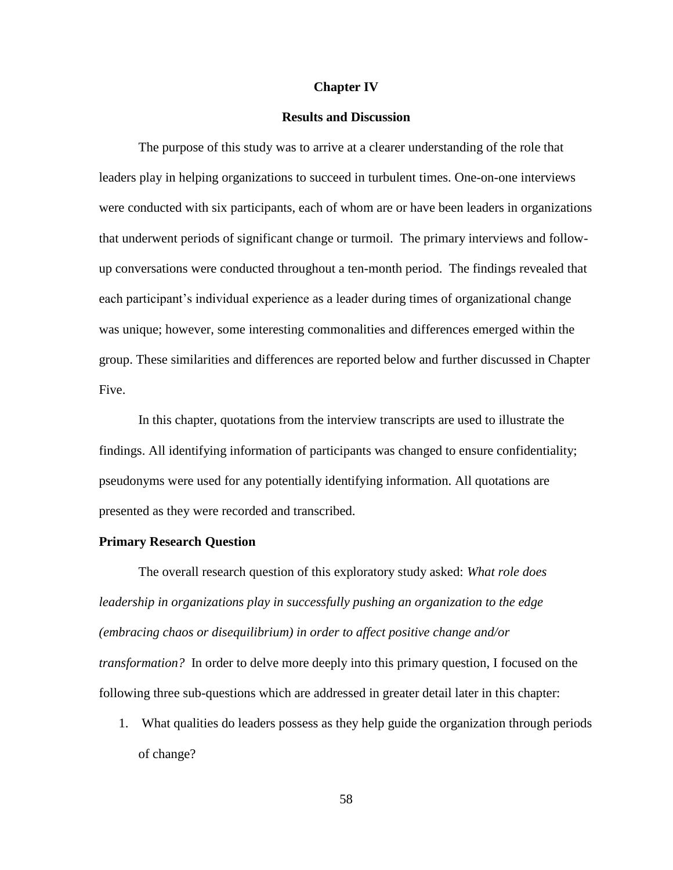### **Chapter IV**

### **Results and Discussion**

The purpose of this study was to arrive at a clearer understanding of the role that leaders play in helping organizations to succeed in turbulent times. One-on-one interviews were conducted with six participants, each of whom are or have been leaders in organizations that underwent periods of significant change or turmoil. The primary interviews and followup conversations were conducted throughout a ten-month period. The findings revealed that each participant"s individual experience as a leader during times of organizational change was unique; however, some interesting commonalities and differences emerged within the group. These similarities and differences are reported below and further discussed in Chapter Five.

In this chapter, quotations from the interview transcripts are used to illustrate the findings. All identifying information of participants was changed to ensure confidentiality; pseudonyms were used for any potentially identifying information. All quotations are presented as they were recorded and transcribed.

# **Primary Research Question**

The overall research question of this exploratory study asked: *What role does leadership in organizations play in successfully pushing an organization to the edge (embracing chaos or disequilibrium) in order to affect positive change and/or transformation?* In order to delve more deeply into this primary question, I focused on the following three sub-questions which are addressed in greater detail later in this chapter:

1. What qualities do leaders possess as they help guide the organization through periods of change?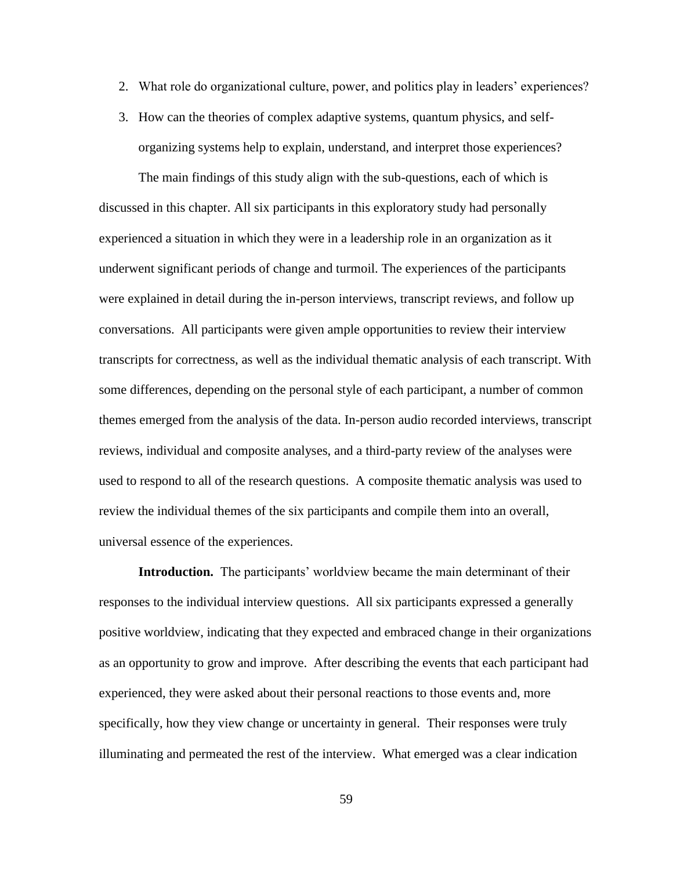- 2. What role do organizational culture, power, and politics play in leaders' experiences?
- 3. How can the theories of complex adaptive systems, quantum physics, and selforganizing systems help to explain, understand, and interpret those experiences?

The main findings of this study align with the sub-questions, each of which is discussed in this chapter. All six participants in this exploratory study had personally experienced a situation in which they were in a leadership role in an organization as it underwent significant periods of change and turmoil. The experiences of the participants were explained in detail during the in-person interviews, transcript reviews, and follow up conversations. All participants were given ample opportunities to review their interview transcripts for correctness, as well as the individual thematic analysis of each transcript. With some differences, depending on the personal style of each participant, a number of common themes emerged from the analysis of the data. In-person audio recorded interviews, transcript reviews, individual and composite analyses, and a third-party review of the analyses were used to respond to all of the research questions. A composite thematic analysis was used to review the individual themes of the six participants and compile them into an overall, universal essence of the experiences.

**Introduction.** The participants' worldview became the main determinant of their responses to the individual interview questions. All six participants expressed a generally positive worldview, indicating that they expected and embraced change in their organizations as an opportunity to grow and improve. After describing the events that each participant had experienced, they were asked about their personal reactions to those events and, more specifically, how they view change or uncertainty in general. Their responses were truly illuminating and permeated the rest of the interview. What emerged was a clear indication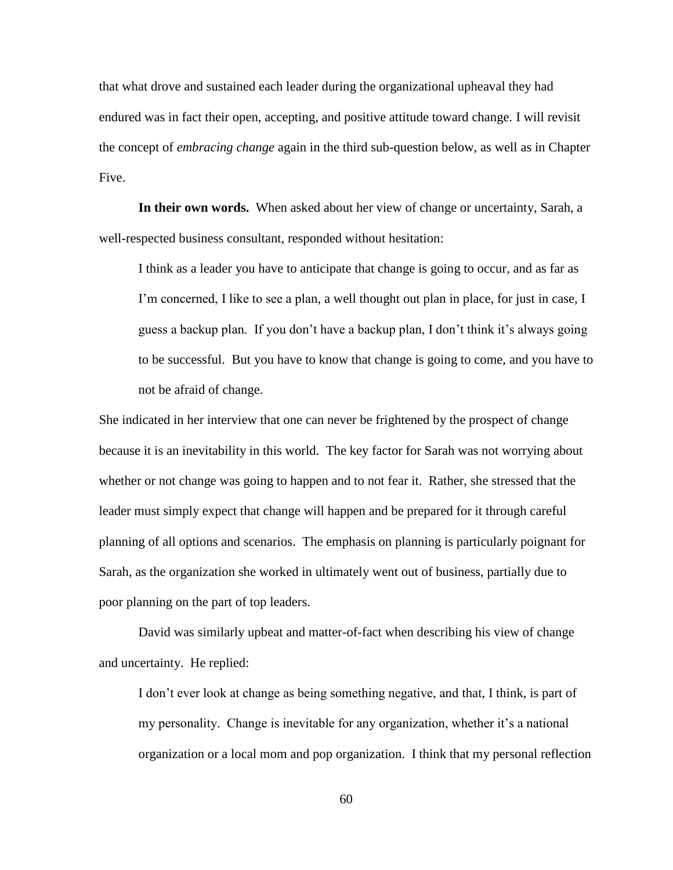that what drove and sustained each leader during the organizational upheaval they had endured was in fact their open, accepting, and positive attitude toward change. I will revisit the concept of *embracing change* again in the third sub-question below, as well as in Chapter Five.

**In their own words.** When asked about her view of change or uncertainty, Sarah, a well-respected business consultant, responded without hesitation:

I think as a leader you have to anticipate that change is going to occur, and as far as I'm concerned, I like to see a plan, a well thought out plan in place, for just in case, I guess a backup plan. If you don't have a backup plan, I don't think it's always going to be successful. But you have to know that change is going to come, and you have to not be afraid of change.

She indicated in her interview that one can never be frightened by the prospect of change because it is an inevitability in this world. The key factor for Sarah was not worrying about whether or not change was going to happen and to not fear it. Rather, she stressed that the leader must simply expect that change will happen and be prepared for it through careful planning of all options and scenarios. The emphasis on planning is particularly poignant for Sarah, as the organization she worked in ultimately went out of business, partially due to poor planning on the part of top leaders.

David was similarly upbeat and matter-of-fact when describing his view of change and uncertainty. He replied:

I don"t ever look at change as being something negative, and that, I think, is part of my personality. Change is inevitable for any organization, whether it's a national organization or a local mom and pop organization. I think that my personal reflection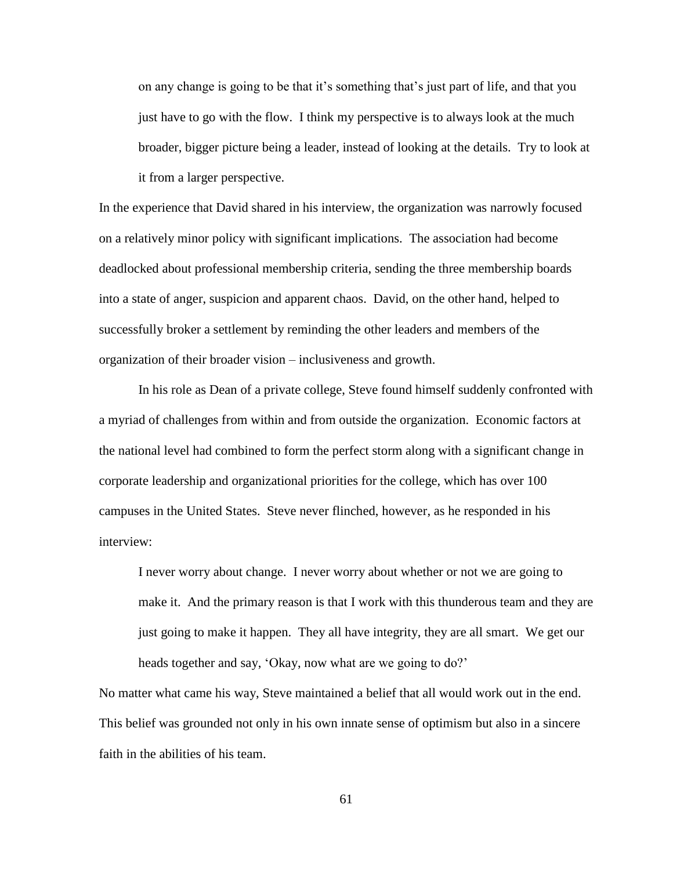on any change is going to be that it"s something that"s just part of life, and that you just have to go with the flow. I think my perspective is to always look at the much broader, bigger picture being a leader, instead of looking at the details. Try to look at it from a larger perspective.

In the experience that David shared in his interview, the organization was narrowly focused on a relatively minor policy with significant implications. The association had become deadlocked about professional membership criteria, sending the three membership boards into a state of anger, suspicion and apparent chaos. David, on the other hand, helped to successfully broker a settlement by reminding the other leaders and members of the organization of their broader vision – inclusiveness and growth.

In his role as Dean of a private college, Steve found himself suddenly confronted with a myriad of challenges from within and from outside the organization. Economic factors at the national level had combined to form the perfect storm along with a significant change in corporate leadership and organizational priorities for the college, which has over 100 campuses in the United States. Steve never flinched, however, as he responded in his interview:

I never worry about change. I never worry about whether or not we are going to make it. And the primary reason is that I work with this thunderous team and they are just going to make it happen. They all have integrity, they are all smart. We get our heads together and say, 'Okay, now what are we going to do?'

No matter what came his way, Steve maintained a belief that all would work out in the end. This belief was grounded not only in his own innate sense of optimism but also in a sincere faith in the abilities of his team.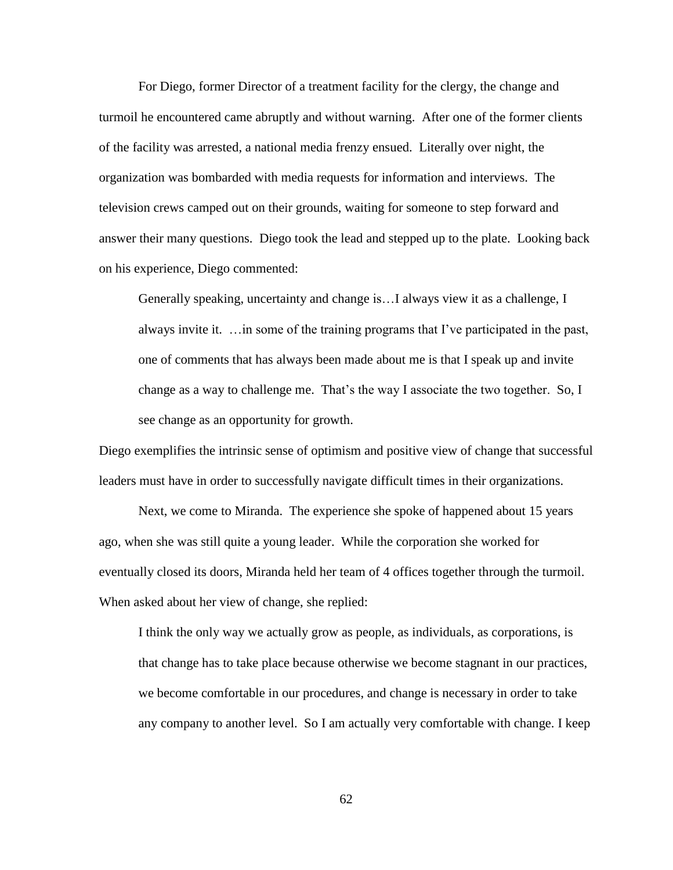For Diego, former Director of a treatment facility for the clergy, the change and turmoil he encountered came abruptly and without warning. After one of the former clients of the facility was arrested, a national media frenzy ensued. Literally over night, the organization was bombarded with media requests for information and interviews. The television crews camped out on their grounds, waiting for someone to step forward and answer their many questions. Diego took the lead and stepped up to the plate. Looking back on his experience, Diego commented:

Generally speaking, uncertainty and change is…I always view it as a challenge, I always invite it. …in some of the training programs that I"ve participated in the past, one of comments that has always been made about me is that I speak up and invite change as a way to challenge me. That"s the way I associate the two together. So, I see change as an opportunity for growth.

Diego exemplifies the intrinsic sense of optimism and positive view of change that successful leaders must have in order to successfully navigate difficult times in their organizations.

Next, we come to Miranda. The experience she spoke of happened about 15 years ago, when she was still quite a young leader. While the corporation she worked for eventually closed its doors, Miranda held her team of 4 offices together through the turmoil. When asked about her view of change, she replied:

I think the only way we actually grow as people, as individuals, as corporations, is that change has to take place because otherwise we become stagnant in our practices, we become comfortable in our procedures, and change is necessary in order to take any company to another level. So I am actually very comfortable with change. I keep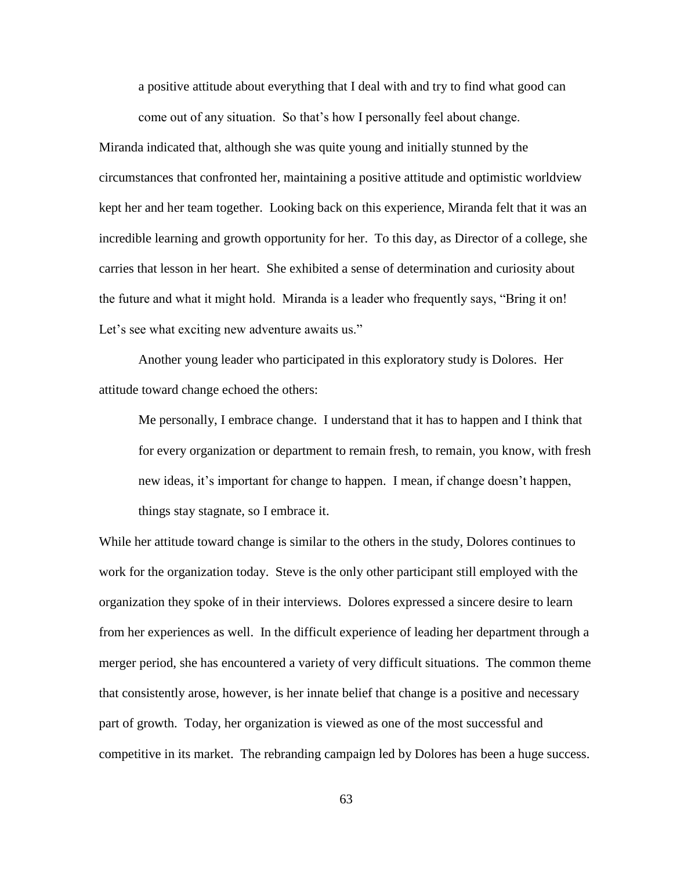a positive attitude about everything that I deal with and try to find what good can come out of any situation. So that"s how I personally feel about change.

Miranda indicated that, although she was quite young and initially stunned by the circumstances that confronted her, maintaining a positive attitude and optimistic worldview kept her and her team together. Looking back on this experience, Miranda felt that it was an incredible learning and growth opportunity for her. To this day, as Director of a college, she carries that lesson in her heart. She exhibited a sense of determination and curiosity about the future and what it might hold. Miranda is a leader who frequently says, "Bring it on! Let's see what exciting new adventure awaits us."

Another young leader who participated in this exploratory study is Dolores. Her attitude toward change echoed the others:

Me personally, I embrace change. I understand that it has to happen and I think that for every organization or department to remain fresh, to remain, you know, with fresh new ideas, it's important for change to happen. I mean, if change doesn't happen, things stay stagnate, so I embrace it.

While her attitude toward change is similar to the others in the study, Dolores continues to work for the organization today. Steve is the only other participant still employed with the organization they spoke of in their interviews. Dolores expressed a sincere desire to learn from her experiences as well. In the difficult experience of leading her department through a merger period, she has encountered a variety of very difficult situations. The common theme that consistently arose, however, is her innate belief that change is a positive and necessary part of growth. Today, her organization is viewed as one of the most successful and competitive in its market. The rebranding campaign led by Dolores has been a huge success.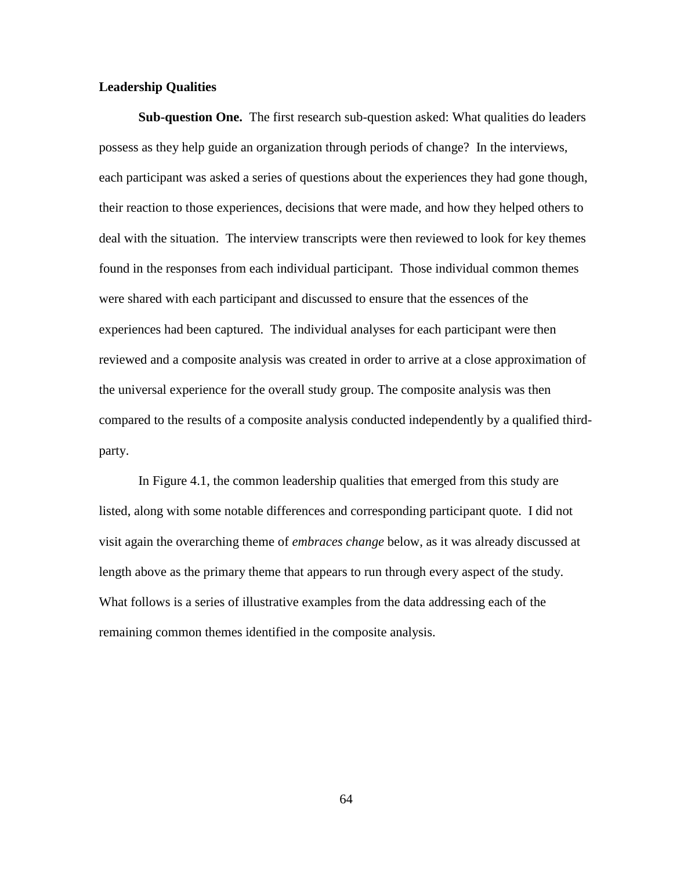## **Leadership Qualities**

**Sub-question One.** The first research sub-question asked: What qualities do leaders possess as they help guide an organization through periods of change? In the interviews, each participant was asked a series of questions about the experiences they had gone though, their reaction to those experiences, decisions that were made, and how they helped others to deal with the situation. The interview transcripts were then reviewed to look for key themes found in the responses from each individual participant. Those individual common themes were shared with each participant and discussed to ensure that the essences of the experiences had been captured. The individual analyses for each participant were then reviewed and a composite analysis was created in order to arrive at a close approximation of the universal experience for the overall study group. The composite analysis was then compared to the results of a composite analysis conducted independently by a qualified thirdparty.

In Figure 4.1, the common leadership qualities that emerged from this study are listed, along with some notable differences and corresponding participant quote. I did not visit again the overarching theme of *embraces change* below, as it was already discussed at length above as the primary theme that appears to run through every aspect of the study. What follows is a series of illustrative examples from the data addressing each of the remaining common themes identified in the composite analysis.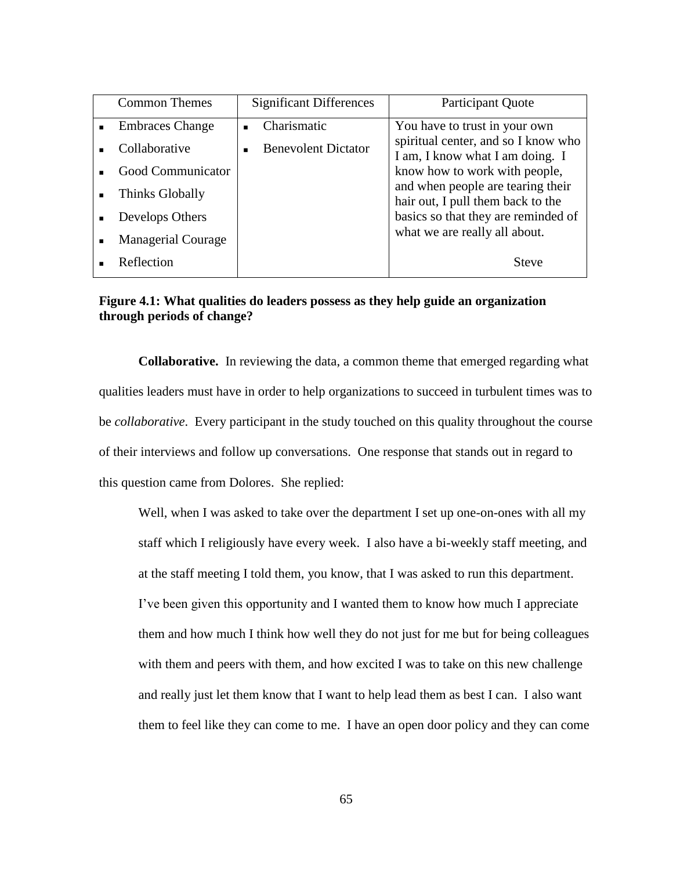|                | <b>Common Themes</b>      | <b>Significant Differences</b> | Participant Quote                                                      |
|----------------|---------------------------|--------------------------------|------------------------------------------------------------------------|
| $\blacksquare$ | <b>Embraces Change</b>    | Charismatic<br>$\blacksquare$  | You have to trust in your own                                          |
|                | Collaborative             | <b>Benevolent Dictator</b>     | spiritual center, and so I know who<br>I am, I know what I am doing. I |
|                | Good Communicator         |                                | know how to work with people,                                          |
| $\blacksquare$ | Thinks Globally           |                                | and when people are tearing their<br>hair out, I pull them back to the |
|                | Develops Others           |                                | basics so that they are reminded of                                    |
| ٠              | <b>Managerial Courage</b> |                                | what we are really all about.                                          |
|                | Reflection                |                                | <b>Steve</b>                                                           |

## **Figure 4.1: What qualities do leaders possess as they help guide an organization through periods of change?**

**Collaborative.** In reviewing the data, a common theme that emerged regarding what qualities leaders must have in order to help organizations to succeed in turbulent times was to be *collaborative*. Every participant in the study touched on this quality throughout the course of their interviews and follow up conversations. One response that stands out in regard to this question came from Dolores. She replied:

Well, when I was asked to take over the department I set up one-on-ones with all my staff which I religiously have every week. I also have a bi-weekly staff meeting, and at the staff meeting I told them, you know, that I was asked to run this department. I"ve been given this opportunity and I wanted them to know how much I appreciate them and how much I think how well they do not just for me but for being colleagues with them and peers with them, and how excited I was to take on this new challenge and really just let them know that I want to help lead them as best I can. I also want them to feel like they can come to me. I have an open door policy and they can come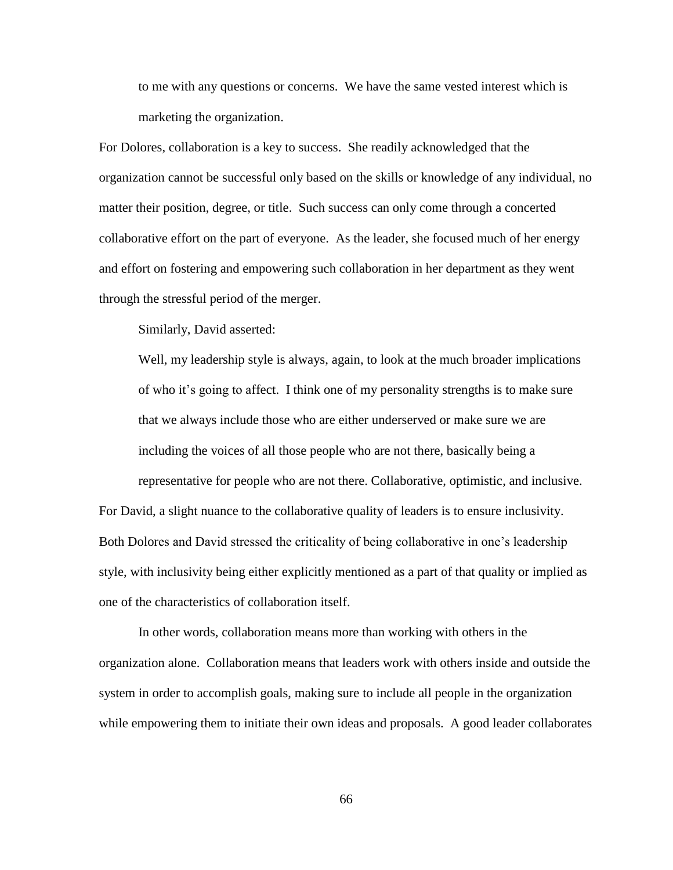to me with any questions or concerns. We have the same vested interest which is marketing the organization.

For Dolores, collaboration is a key to success. She readily acknowledged that the organization cannot be successful only based on the skills or knowledge of any individual, no matter their position, degree, or title. Such success can only come through a concerted collaborative effort on the part of everyone. As the leader, she focused much of her energy and effort on fostering and empowering such collaboration in her department as they went through the stressful period of the merger.

Similarly, David asserted:

Well, my leadership style is always, again, to look at the much broader implications of who it"s going to affect. I think one of my personality strengths is to make sure that we always include those who are either underserved or make sure we are including the voices of all those people who are not there, basically being a representative for people who are not there. Collaborative, optimistic, and inclusive.

For David, a slight nuance to the collaborative quality of leaders is to ensure inclusivity. Both Dolores and David stressed the criticality of being collaborative in one"s leadership style, with inclusivity being either explicitly mentioned as a part of that quality or implied as one of the characteristics of collaboration itself.

In other words, collaboration means more than working with others in the organization alone. Collaboration means that leaders work with others inside and outside the system in order to accomplish goals, making sure to include all people in the organization while empowering them to initiate their own ideas and proposals. A good leader collaborates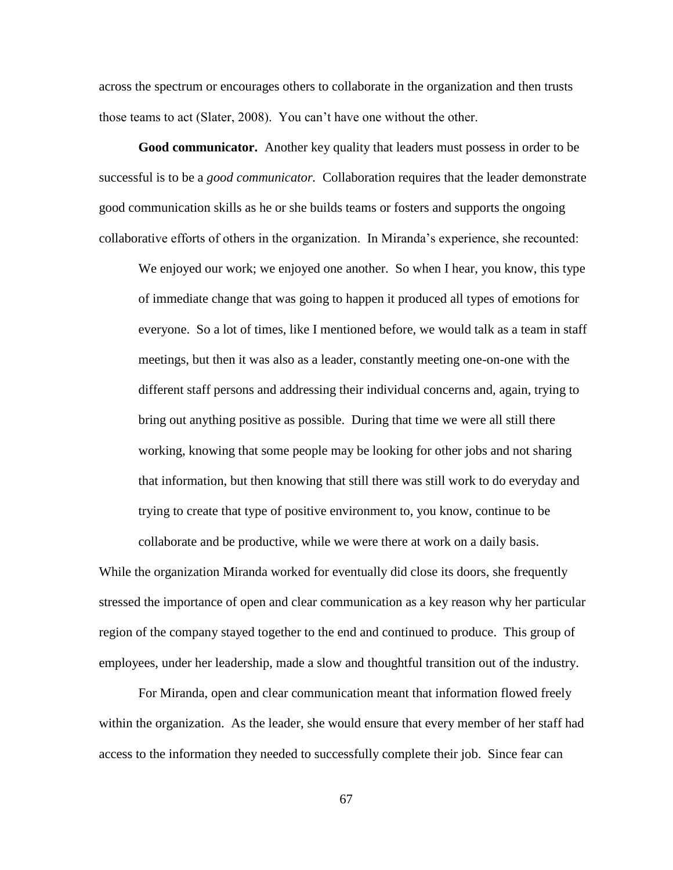across the spectrum or encourages others to collaborate in the organization and then trusts those teams to act (Slater, 2008). You can"t have one without the other.

**Good communicator.** Another key quality that leaders must possess in order to be successful is to be a *good communicator.* Collaboration requires that the leader demonstrate good communication skills as he or she builds teams or fosters and supports the ongoing collaborative efforts of others in the organization. In Miranda"s experience, she recounted:

We enjoyed our work; we enjoyed one another. So when I hear, you know, this type of immediate change that was going to happen it produced all types of emotions for everyone. So a lot of times, like I mentioned before, we would talk as a team in staff meetings, but then it was also as a leader, constantly meeting one-on-one with the different staff persons and addressing their individual concerns and, again, trying to bring out anything positive as possible. During that time we were all still there working, knowing that some people may be looking for other jobs and not sharing that information, but then knowing that still there was still work to do everyday and trying to create that type of positive environment to, you know, continue to be collaborate and be productive, while we were there at work on a daily basis.

While the organization Miranda worked for eventually did close its doors, she frequently stressed the importance of open and clear communication as a key reason why her particular region of the company stayed together to the end and continued to produce. This group of employees, under her leadership, made a slow and thoughtful transition out of the industry.

For Miranda, open and clear communication meant that information flowed freely within the organization. As the leader, she would ensure that every member of her staff had access to the information they needed to successfully complete their job. Since fear can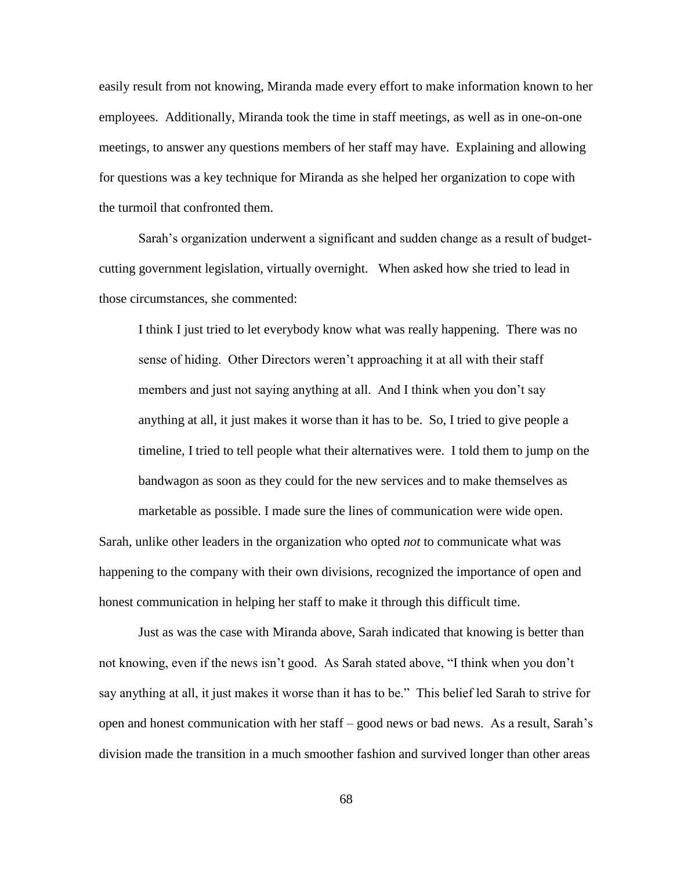easily result from not knowing, Miranda made every effort to make information known to her employees. Additionally, Miranda took the time in staff meetings, as well as in one-on-one meetings, to answer any questions members of her staff may have. Explaining and allowing for questions was a key technique for Miranda as she helped her organization to cope with the turmoil that confronted them.

Sarah"s organization underwent a significant and sudden change as a result of budgetcutting government legislation, virtually overnight. When asked how she tried to lead in those circumstances, she commented:

I think I just tried to let everybody know what was really happening. There was no sense of hiding. Other Directors weren't approaching it at all with their staff members and just not saying anything at all. And I think when you don't say anything at all, it just makes it worse than it has to be. So, I tried to give people a timeline, I tried to tell people what their alternatives were. I told them to jump on the bandwagon as soon as they could for the new services and to make themselves as

marketable as possible. I made sure the lines of communication were wide open. Sarah, unlike other leaders in the organization who opted *not* to communicate what was happening to the company with their own divisions, recognized the importance of open and honest communication in helping her staff to make it through this difficult time.

Just as was the case with Miranda above, Sarah indicated that knowing is better than not knowing, even if the news isn't good. As Sarah stated above, "I think when you don't say anything at all, it just makes it worse than it has to be." This belief led Sarah to strive for open and honest communication with her staff – good news or bad news. As a result, Sarah"s division made the transition in a much smoother fashion and survived longer than other areas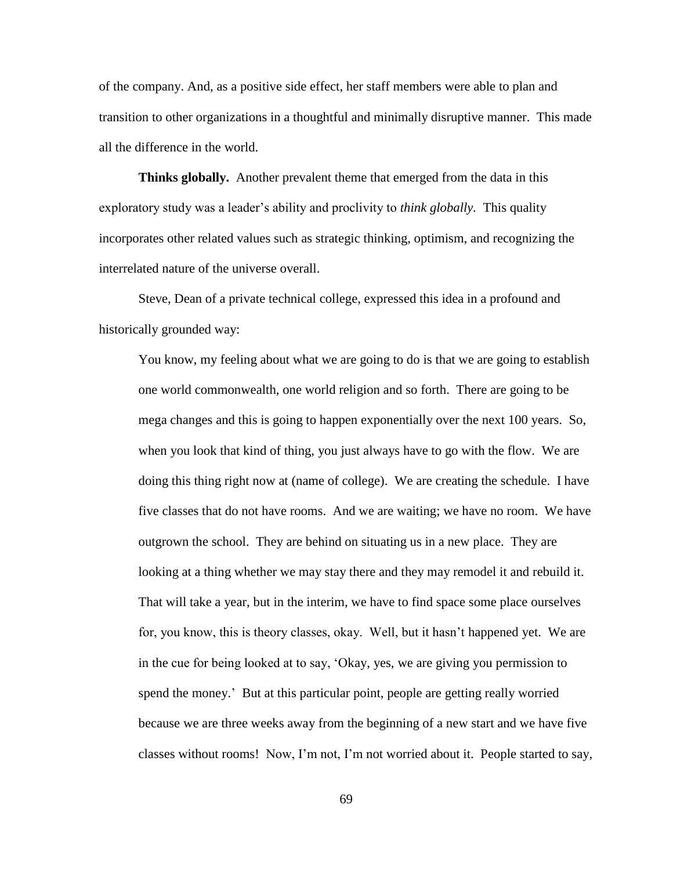of the company. And, as a positive side effect, her staff members were able to plan and transition to other organizations in a thoughtful and minimally disruptive manner. This made all the difference in the world.

**Thinks globally.** Another prevalent theme that emerged from the data in this exploratory study was a leader"s ability and proclivity to *think globally.* This quality incorporates other related values such as strategic thinking, optimism, and recognizing the interrelated nature of the universe overall.

Steve, Dean of a private technical college, expressed this idea in a profound and historically grounded way:

You know, my feeling about what we are going to do is that we are going to establish one world commonwealth, one world religion and so forth. There are going to be mega changes and this is going to happen exponentially over the next 100 years. So, when you look that kind of thing, you just always have to go with the flow. We are doing this thing right now at (name of college). We are creating the schedule. I have five classes that do not have rooms. And we are waiting; we have no room. We have outgrown the school. They are behind on situating us in a new place. They are looking at a thing whether we may stay there and they may remodel it and rebuild it. That will take a year, but in the interim, we have to find space some place ourselves for, you know, this is theory classes, okay. Well, but it hasn"t happened yet. We are in the cue for being looked at to say, "Okay, yes, we are giving you permission to spend the money." But at this particular point, people are getting really worried because we are three weeks away from the beginning of a new start and we have five classes without rooms! Now, I"m not, I"m not worried about it. People started to say,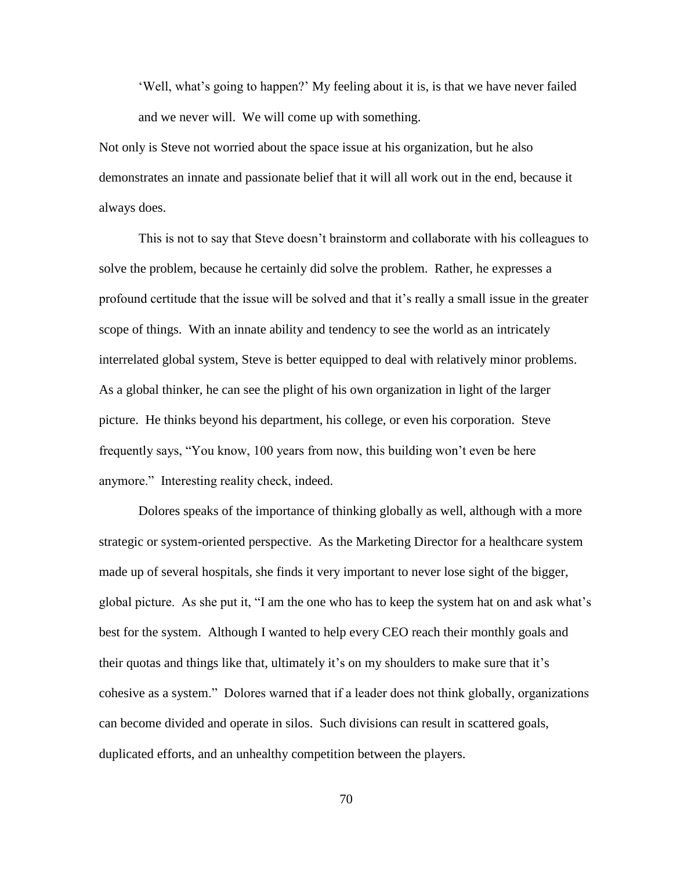"Well, what"s going to happen?" My feeling about it is, is that we have never failed and we never will. We will come up with something.

Not only is Steve not worried about the space issue at his organization, but he also demonstrates an innate and passionate belief that it will all work out in the end, because it always does.

This is not to say that Steve doesn"t brainstorm and collaborate with his colleagues to solve the problem, because he certainly did solve the problem. Rather, he expresses a profound certitude that the issue will be solved and that it"s really a small issue in the greater scope of things. With an innate ability and tendency to see the world as an intricately interrelated global system, Steve is better equipped to deal with relatively minor problems. As a global thinker, he can see the plight of his own organization in light of the larger picture. He thinks beyond his department, his college, or even his corporation. Steve frequently says, "You know, 100 years from now, this building won"t even be here anymore." Interesting reality check, indeed.

Dolores speaks of the importance of thinking globally as well, although with a more strategic or system-oriented perspective. As the Marketing Director for a healthcare system made up of several hospitals, she finds it very important to never lose sight of the bigger, global picture. As she put it, "I am the one who has to keep the system hat on and ask what"s best for the system. Although I wanted to help every CEO reach their monthly goals and their quotas and things like that, ultimately it's on my shoulders to make sure that it's cohesive as a system." Dolores warned that if a leader does not think globally, organizations can become divided and operate in silos. Such divisions can result in scattered goals, duplicated efforts, and an unhealthy competition between the players.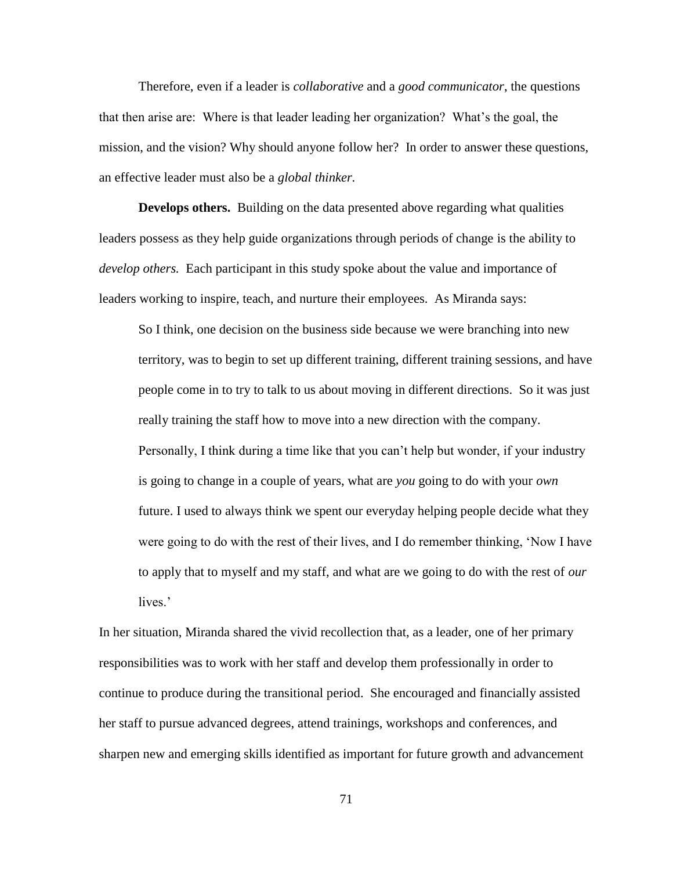Therefore, even if a leader is *collaborative* and a *good communicator*, the questions that then arise are: Where is that leader leading her organization? What"s the goal, the mission, and the vision? Why should anyone follow her? In order to answer these questions, an effective leader must also be a *global thinker.* 

**Develops others.** Building on the data presented above regarding what qualities leaders possess as they help guide organizations through periods of change is the ability to *develop others.* Each participant in this study spoke about the value and importance of leaders working to inspire, teach, and nurture their employees. As Miranda says:

So I think, one decision on the business side because we were branching into new territory, was to begin to set up different training, different training sessions, and have people come in to try to talk to us about moving in different directions. So it was just really training the staff how to move into a new direction with the company. Personally, I think during a time like that you can"t help but wonder, if your industry is going to change in a couple of years, what are *you* going to do with your *own* future. I used to always think we spent our everyday helping people decide what they were going to do with the rest of their lives, and I do remember thinking, "Now I have to apply that to myself and my staff, and what are we going to do with the rest of *our* lives.'

In her situation, Miranda shared the vivid recollection that, as a leader, one of her primary responsibilities was to work with her staff and develop them professionally in order to continue to produce during the transitional period. She encouraged and financially assisted her staff to pursue advanced degrees, attend trainings, workshops and conferences, and sharpen new and emerging skills identified as important for future growth and advancement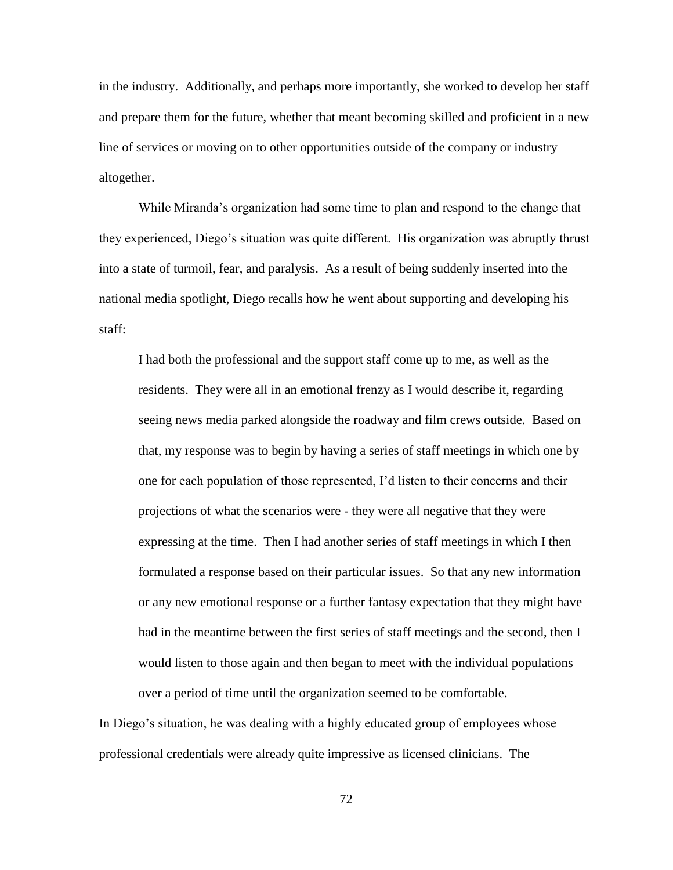in the industry. Additionally, and perhaps more importantly, she worked to develop her staff and prepare them for the future, whether that meant becoming skilled and proficient in a new line of services or moving on to other opportunities outside of the company or industry altogether.

While Miranda"s organization had some time to plan and respond to the change that they experienced, Diego"s situation was quite different. His organization was abruptly thrust into a state of turmoil, fear, and paralysis. As a result of being suddenly inserted into the national media spotlight, Diego recalls how he went about supporting and developing his staff:

I had both the professional and the support staff come up to me, as well as the residents. They were all in an emotional frenzy as I would describe it, regarding seeing news media parked alongside the roadway and film crews outside. Based on that, my response was to begin by having a series of staff meetings in which one by one for each population of those represented, I"d listen to their concerns and their projections of what the scenarios were - they were all negative that they were expressing at the time. Then I had another series of staff meetings in which I then formulated a response based on their particular issues. So that any new information or any new emotional response or a further fantasy expectation that they might have had in the meantime between the first series of staff meetings and the second, then I would listen to those again and then began to meet with the individual populations over a period of time until the organization seemed to be comfortable.

In Diego"s situation, he was dealing with a highly educated group of employees whose professional credentials were already quite impressive as licensed clinicians. The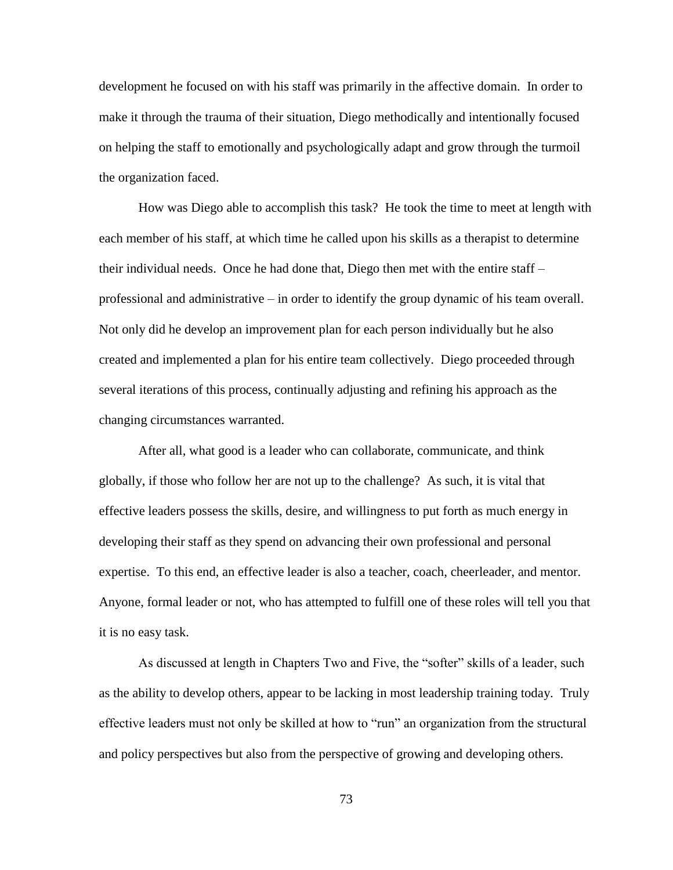development he focused on with his staff was primarily in the affective domain. In order to make it through the trauma of their situation, Diego methodically and intentionally focused on helping the staff to emotionally and psychologically adapt and grow through the turmoil the organization faced.

How was Diego able to accomplish this task? He took the time to meet at length with each member of his staff, at which time he called upon his skills as a therapist to determine their individual needs. Once he had done that, Diego then met with the entire staff – professional and administrative – in order to identify the group dynamic of his team overall. Not only did he develop an improvement plan for each person individually but he also created and implemented a plan for his entire team collectively. Diego proceeded through several iterations of this process, continually adjusting and refining his approach as the changing circumstances warranted.

After all, what good is a leader who can collaborate, communicate, and think globally, if those who follow her are not up to the challenge? As such, it is vital that effective leaders possess the skills, desire, and willingness to put forth as much energy in developing their staff as they spend on advancing their own professional and personal expertise. To this end, an effective leader is also a teacher, coach, cheerleader, and mentor. Anyone, formal leader or not, who has attempted to fulfill one of these roles will tell you that it is no easy task.

As discussed at length in Chapters Two and Five, the "softer" skills of a leader, such as the ability to develop others, appear to be lacking in most leadership training today. Truly effective leaders must not only be skilled at how to "run" an organization from the structural and policy perspectives but also from the perspective of growing and developing others.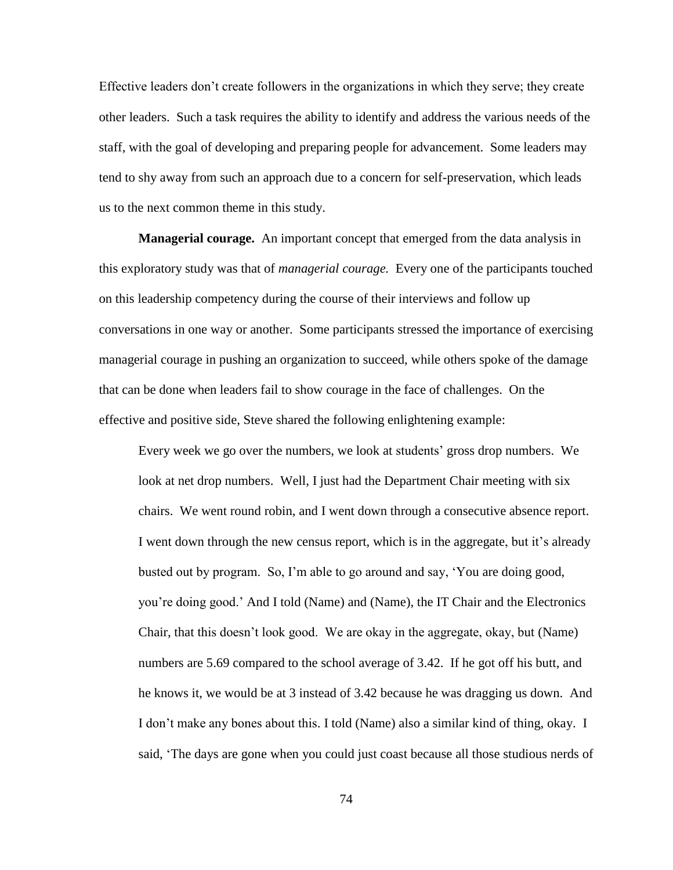Effective leaders don"t create followers in the organizations in which they serve; they create other leaders. Such a task requires the ability to identify and address the various needs of the staff, with the goal of developing and preparing people for advancement. Some leaders may tend to shy away from such an approach due to a concern for self-preservation, which leads us to the next common theme in this study.

**Managerial courage.** An important concept that emerged from the data analysis in this exploratory study was that of *managerial courage.* Every one of the participants touched on this leadership competency during the course of their interviews and follow up conversations in one way or another. Some participants stressed the importance of exercising managerial courage in pushing an organization to succeed, while others spoke of the damage that can be done when leaders fail to show courage in the face of challenges. On the effective and positive side, Steve shared the following enlightening example:

Every week we go over the numbers, we look at students" gross drop numbers. We look at net drop numbers. Well, I just had the Department Chair meeting with six chairs. We went round robin, and I went down through a consecutive absence report. I went down through the new census report, which is in the aggregate, but it's already busted out by program. So, I"m able to go around and say, "You are doing good, you"re doing good." And I told (Name) and (Name), the IT Chair and the Electronics Chair, that this doesn"t look good. We are okay in the aggregate, okay, but (Name) numbers are 5.69 compared to the school average of 3.42. If he got off his butt, and he knows it, we would be at 3 instead of 3.42 because he was dragging us down. And I don"t make any bones about this. I told (Name) also a similar kind of thing, okay. I said, "The days are gone when you could just coast because all those studious nerds of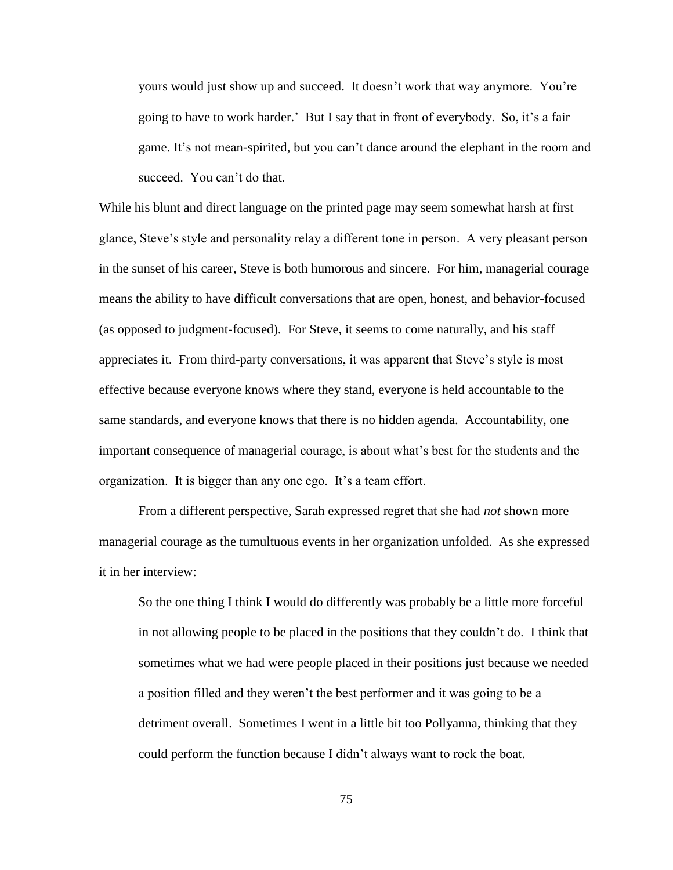yours would just show up and succeed. It doesn"t work that way anymore. You"re going to have to work harder." But I say that in front of everybody. So, it"s a fair game. It"s not mean-spirited, but you can"t dance around the elephant in the room and succeed. You can't do that.

While his blunt and direct language on the printed page may seem somewhat harsh at first glance, Steve"s style and personality relay a different tone in person. A very pleasant person in the sunset of his career, Steve is both humorous and sincere. For him, managerial courage means the ability to have difficult conversations that are open, honest, and behavior-focused (as opposed to judgment-focused). For Steve, it seems to come naturally, and his staff appreciates it. From third-party conversations, it was apparent that Steve"s style is most effective because everyone knows where they stand, everyone is held accountable to the same standards, and everyone knows that there is no hidden agenda. Accountability, one important consequence of managerial courage, is about what"s best for the students and the organization. It is bigger than any one ego. It"s a team effort.

From a different perspective, Sarah expressed regret that she had *not* shown more managerial courage as the tumultuous events in her organization unfolded. As she expressed it in her interview:

So the one thing I think I would do differently was probably be a little more forceful in not allowing people to be placed in the positions that they couldn"t do. I think that sometimes what we had were people placed in their positions just because we needed a position filled and they weren"t the best performer and it was going to be a detriment overall. Sometimes I went in a little bit too Pollyanna, thinking that they could perform the function because I didn"t always want to rock the boat.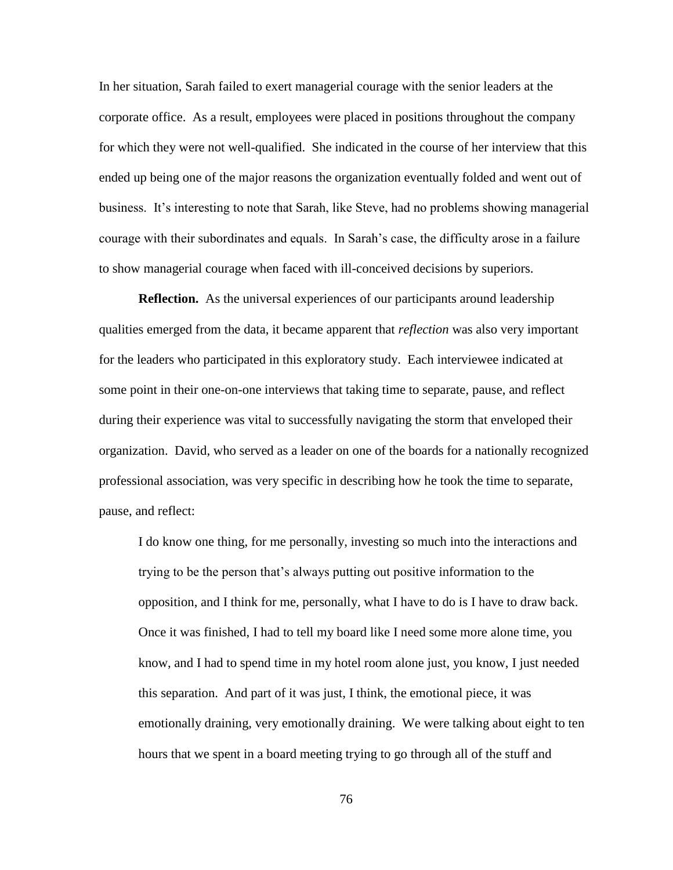In her situation, Sarah failed to exert managerial courage with the senior leaders at the corporate office. As a result, employees were placed in positions throughout the company for which they were not well-qualified. She indicated in the course of her interview that this ended up being one of the major reasons the organization eventually folded and went out of business. It's interesting to note that Sarah, like Steve, had no problems showing managerial courage with their subordinates and equals. In Sarah"s case, the difficulty arose in a failure to show managerial courage when faced with ill-conceived decisions by superiors.

**Reflection.** As the universal experiences of our participants around leadership qualities emerged from the data, it became apparent that *reflection* was also very important for the leaders who participated in this exploratory study. Each interviewee indicated at some point in their one-on-one interviews that taking time to separate, pause, and reflect during their experience was vital to successfully navigating the storm that enveloped their organization. David, who served as a leader on one of the boards for a nationally recognized professional association, was very specific in describing how he took the time to separate, pause, and reflect:

I do know one thing, for me personally, investing so much into the interactions and trying to be the person that"s always putting out positive information to the opposition, and I think for me, personally, what I have to do is I have to draw back. Once it was finished, I had to tell my board like I need some more alone time, you know, and I had to spend time in my hotel room alone just, you know, I just needed this separation. And part of it was just, I think, the emotional piece, it was emotionally draining, very emotionally draining. We were talking about eight to ten hours that we spent in a board meeting trying to go through all of the stuff and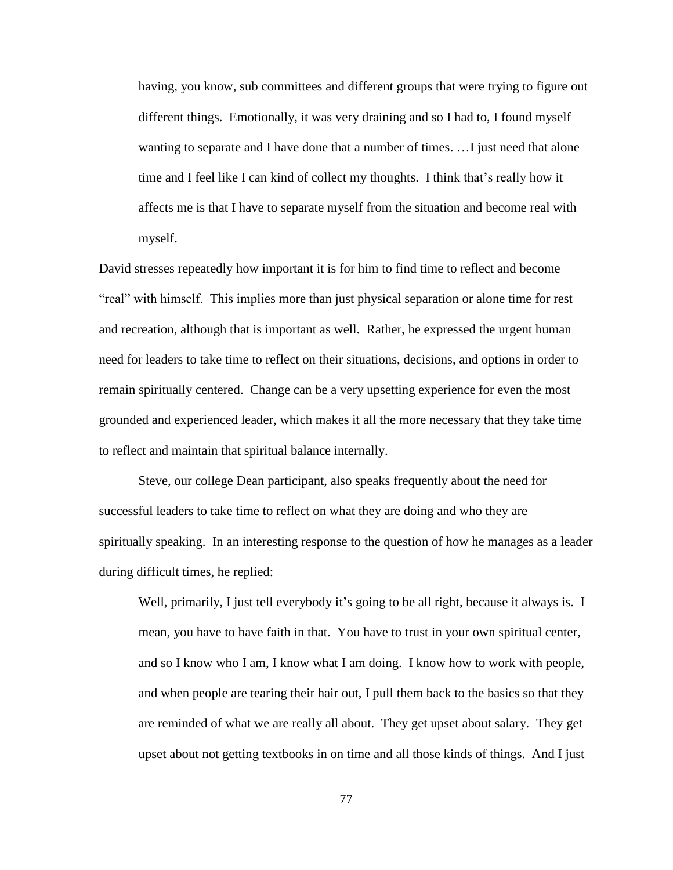having, you know, sub committees and different groups that were trying to figure out different things. Emotionally, it was very draining and so I had to, I found myself wanting to separate and I have done that a number of times. ... I just need that alone time and I feel like I can kind of collect my thoughts. I think that"s really how it affects me is that I have to separate myself from the situation and become real with myself.

David stresses repeatedly how important it is for him to find time to reflect and become "real" with himself. This implies more than just physical separation or alone time for rest and recreation, although that is important as well. Rather, he expressed the urgent human need for leaders to take time to reflect on their situations, decisions, and options in order to remain spiritually centered. Change can be a very upsetting experience for even the most grounded and experienced leader, which makes it all the more necessary that they take time to reflect and maintain that spiritual balance internally.

Steve, our college Dean participant, also speaks frequently about the need for successful leaders to take time to reflect on what they are doing and who they are – spiritually speaking. In an interesting response to the question of how he manages as a leader during difficult times, he replied:

Well, primarily, I just tell everybody it's going to be all right, because it always is. I mean, you have to have faith in that. You have to trust in your own spiritual center, and so I know who I am, I know what I am doing. I know how to work with people, and when people are tearing their hair out, I pull them back to the basics so that they are reminded of what we are really all about. They get upset about salary. They get upset about not getting textbooks in on time and all those kinds of things. And I just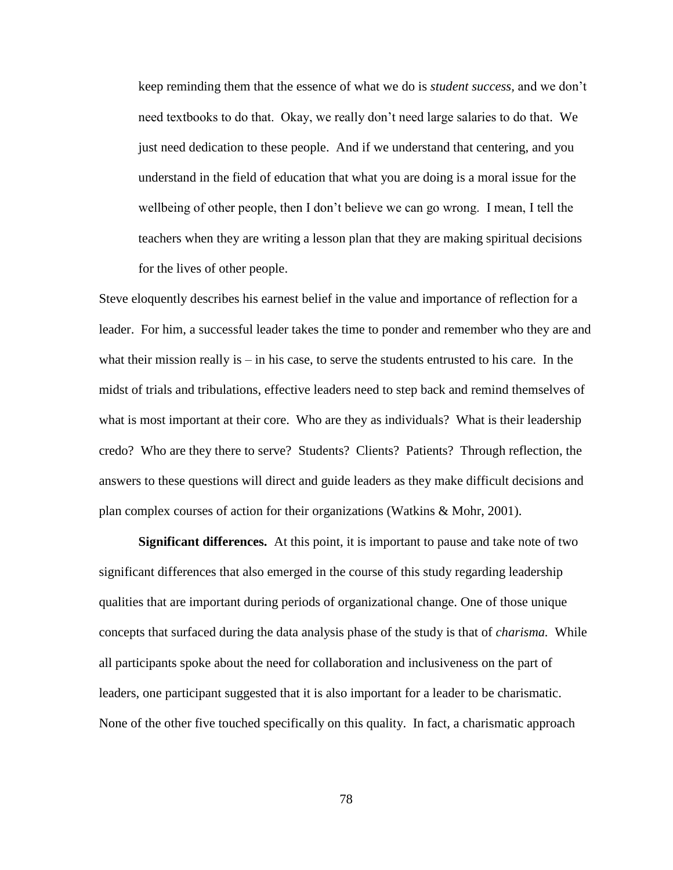keep reminding them that the essence of what we do is *student success,* and we don"t need textbooks to do that. Okay, we really don"t need large salaries to do that. We just need dedication to these people. And if we understand that centering, and you understand in the field of education that what you are doing is a moral issue for the wellbeing of other people, then I don"t believe we can go wrong. I mean, I tell the teachers when they are writing a lesson plan that they are making spiritual decisions for the lives of other people.

Steve eloquently describes his earnest belief in the value and importance of reflection for a leader. For him, a successful leader takes the time to ponder and remember who they are and what their mission really is  $-$  in his case, to serve the students entrusted to his care. In the midst of trials and tribulations, effective leaders need to step back and remind themselves of what is most important at their core. Who are they as individuals? What is their leadership credo? Who are they there to serve? Students? Clients? Patients? Through reflection, the answers to these questions will direct and guide leaders as they make difficult decisions and plan complex courses of action for their organizations (Watkins & Mohr, 2001).

**Significant differences.** At this point, it is important to pause and take note of two significant differences that also emerged in the course of this study regarding leadership qualities that are important during periods of organizational change. One of those unique concepts that surfaced during the data analysis phase of the study is that of *charisma.* While all participants spoke about the need for collaboration and inclusiveness on the part of leaders, one participant suggested that it is also important for a leader to be charismatic. None of the other five touched specifically on this quality. In fact, a charismatic approach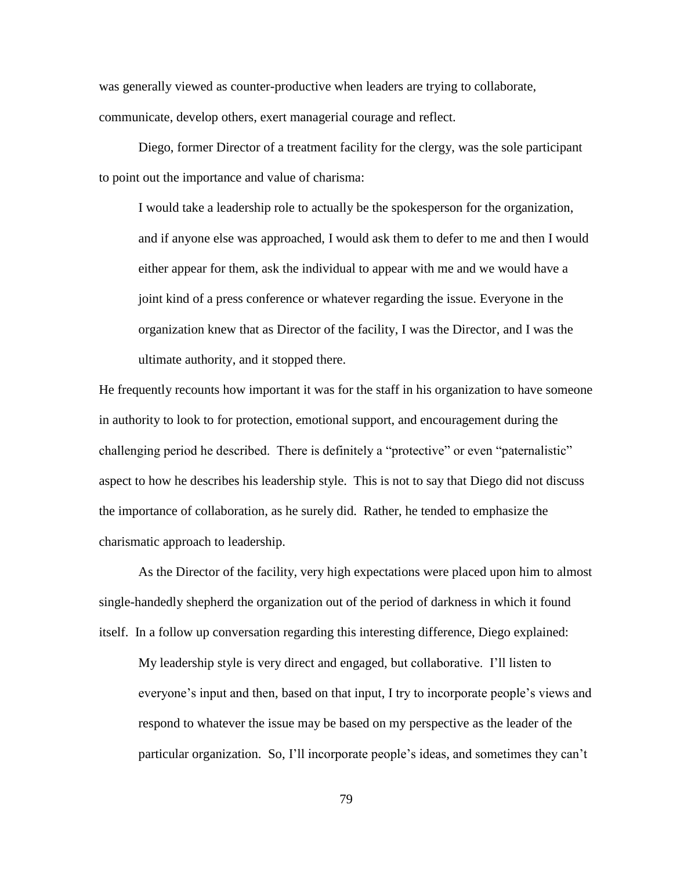was generally viewed as counter-productive when leaders are trying to collaborate, communicate, develop others, exert managerial courage and reflect.

Diego, former Director of a treatment facility for the clergy, was the sole participant to point out the importance and value of charisma:

I would take a leadership role to actually be the spokesperson for the organization, and if anyone else was approached, I would ask them to defer to me and then I would either appear for them, ask the individual to appear with me and we would have a joint kind of a press conference or whatever regarding the issue. Everyone in the organization knew that as Director of the facility, I was the Director, and I was the ultimate authority, and it stopped there.

He frequently recounts how important it was for the staff in his organization to have someone in authority to look to for protection, emotional support, and encouragement during the challenging period he described. There is definitely a "protective" or even "paternalistic" aspect to how he describes his leadership style. This is not to say that Diego did not discuss the importance of collaboration, as he surely did. Rather, he tended to emphasize the charismatic approach to leadership.

As the Director of the facility, very high expectations were placed upon him to almost single-handedly shepherd the organization out of the period of darkness in which it found itself. In a follow up conversation regarding this interesting difference, Diego explained:

My leadership style is very direct and engaged, but collaborative. I"ll listen to everyone's input and then, based on that input, I try to incorporate people's views and respond to whatever the issue may be based on my perspective as the leader of the particular organization. So, I"ll incorporate people"s ideas, and sometimes they can"t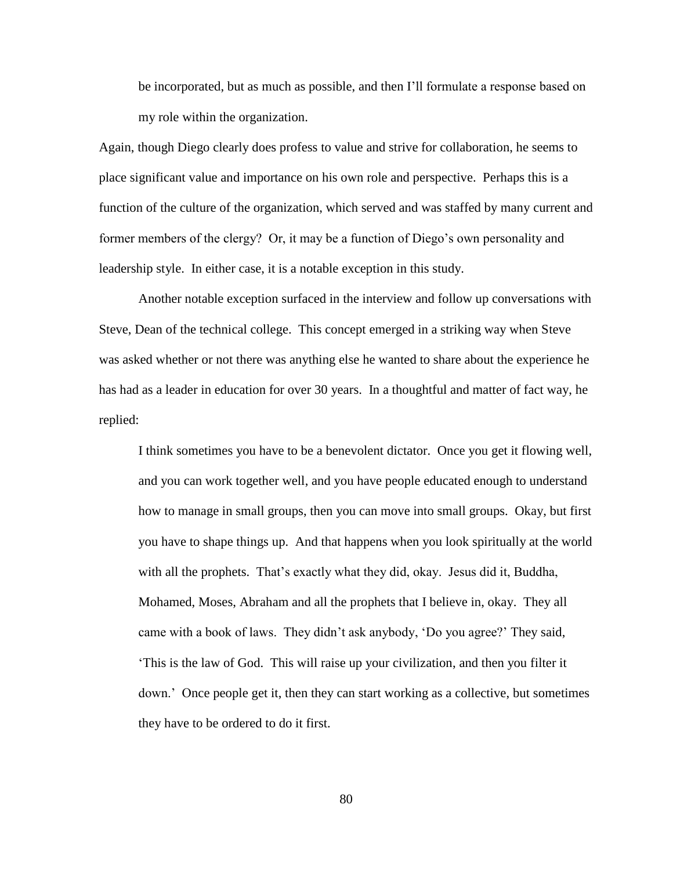be incorporated, but as much as possible, and then I"ll formulate a response based on my role within the organization.

Again, though Diego clearly does profess to value and strive for collaboration, he seems to place significant value and importance on his own role and perspective. Perhaps this is a function of the culture of the organization, which served and was staffed by many current and former members of the clergy? Or, it may be a function of Diego's own personality and leadership style. In either case, it is a notable exception in this study.

Another notable exception surfaced in the interview and follow up conversations with Steve, Dean of the technical college. This concept emerged in a striking way when Steve was asked whether or not there was anything else he wanted to share about the experience he has had as a leader in education for over 30 years. In a thoughtful and matter of fact way, he replied:

I think sometimes you have to be a benevolent dictator. Once you get it flowing well, and you can work together well, and you have people educated enough to understand how to manage in small groups, then you can move into small groups. Okay, but first you have to shape things up. And that happens when you look spiritually at the world with all the prophets. That's exactly what they did, okay. Jesus did it, Buddha, Mohamed, Moses, Abraham and all the prophets that I believe in, okay. They all came with a book of laws. They didn"t ask anybody, "Do you agree?" They said, "This is the law of God. This will raise up your civilization, and then you filter it down." Once people get it, then they can start working as a collective, but sometimes they have to be ordered to do it first.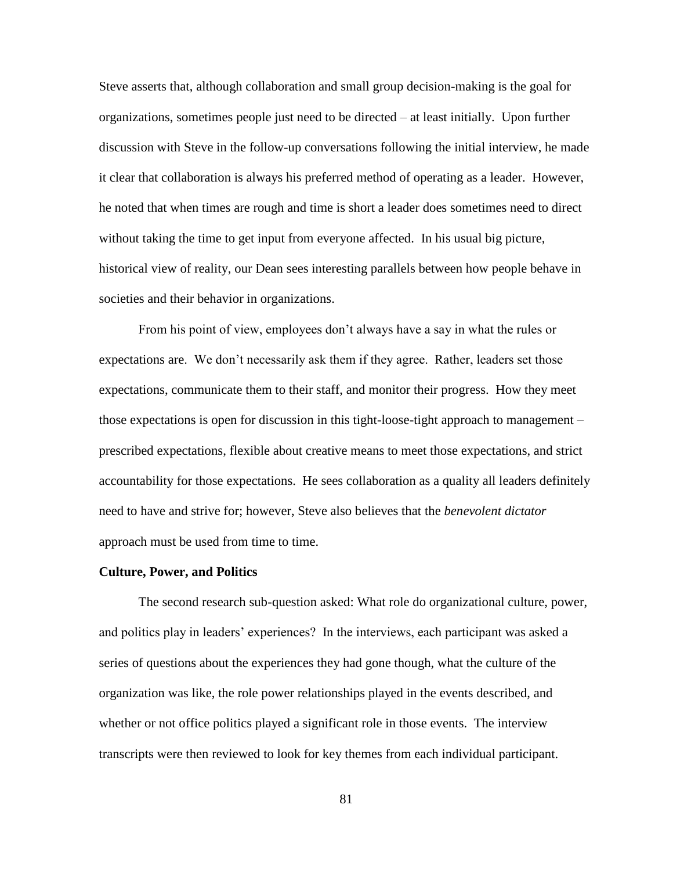Steve asserts that, although collaboration and small group decision-making is the goal for organizations, sometimes people just need to be directed – at least initially. Upon further discussion with Steve in the follow-up conversations following the initial interview, he made it clear that collaboration is always his preferred method of operating as a leader. However, he noted that when times are rough and time is short a leader does sometimes need to direct without taking the time to get input from everyone affected. In his usual big picture, historical view of reality, our Dean sees interesting parallels between how people behave in societies and their behavior in organizations.

From his point of view, employees don"t always have a say in what the rules or expectations are. We don"t necessarily ask them if they agree. Rather, leaders set those expectations, communicate them to their staff, and monitor their progress. How they meet those expectations is open for discussion in this tight-loose-tight approach to management – prescribed expectations, flexible about creative means to meet those expectations, and strict accountability for those expectations. He sees collaboration as a quality all leaders definitely need to have and strive for; however, Steve also believes that the *benevolent dictator* approach must be used from time to time.

## **Culture, Power, and Politics**

The second research sub-question asked: What role do organizational culture, power, and politics play in leaders" experiences? In the interviews, each participant was asked a series of questions about the experiences they had gone though, what the culture of the organization was like, the role power relationships played in the events described, and whether or not office politics played a significant role in those events. The interview transcripts were then reviewed to look for key themes from each individual participant.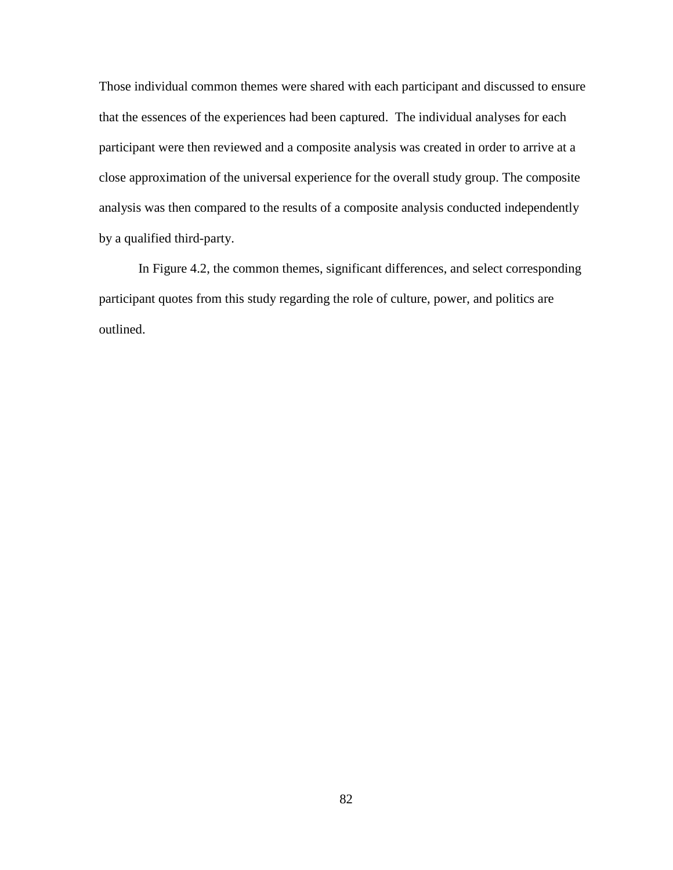Those individual common themes were shared with each participant and discussed to ensure that the essences of the experiences had been captured. The individual analyses for each participant were then reviewed and a composite analysis was created in order to arrive at a close approximation of the universal experience for the overall study group. The composite analysis was then compared to the results of a composite analysis conducted independently by a qualified third-party.

In Figure 4.2, the common themes, significant differences, and select corresponding participant quotes from this study regarding the role of culture, power, and politics are outlined.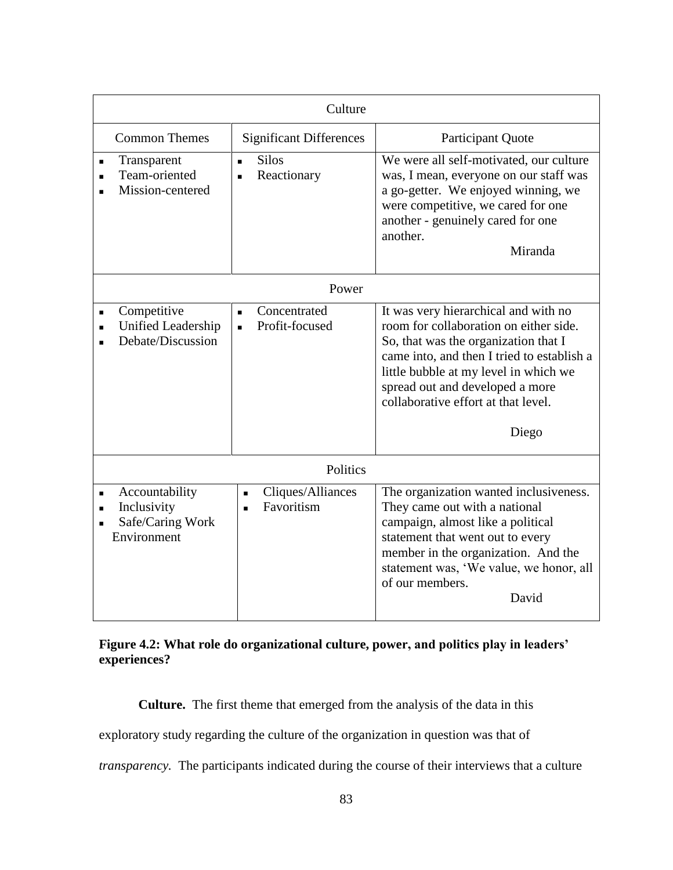| Culture                                                          |                                                                     |                                                                                                                                                                                                                                                                                                  |  |  |
|------------------------------------------------------------------|---------------------------------------------------------------------|--------------------------------------------------------------------------------------------------------------------------------------------------------------------------------------------------------------------------------------------------------------------------------------------------|--|--|
| <b>Common Themes</b>                                             | <b>Significant Differences</b>                                      | Participant Quote                                                                                                                                                                                                                                                                                |  |  |
| Transparent<br>Team-oriented<br>Mission-centered                 | <b>Silos</b><br>Reactionary                                         | We were all self-motivated, our culture<br>was, I mean, everyone on our staff was<br>a go-getter. We enjoyed winning, we<br>were competitive, we cared for one<br>another - genuinely cared for one<br>another.<br>Miranda                                                                       |  |  |
| Power                                                            |                                                                     |                                                                                                                                                                                                                                                                                                  |  |  |
| Competitive<br>Unified Leadership<br>Debate/Discussion           | Concentrated<br>$\blacksquare$<br>Profit-focused<br>$\blacksquare$  | It was very hierarchical and with no<br>room for collaboration on either side.<br>So, that was the organization that I<br>came into, and then I tried to establish a<br>little bubble at my level in which we<br>spread out and developed a more<br>collaborative effort at that level.<br>Diego |  |  |
| Politics                                                         |                                                                     |                                                                                                                                                                                                                                                                                                  |  |  |
| Accountability<br>Inclusivity<br>Safe/Caring Work<br>Environment | Cliques/Alliances<br>$\blacksquare$<br>Favoritism<br>$\blacksquare$ | The organization wanted inclusiveness.<br>They came out with a national<br>campaign, almost like a political<br>statement that went out to every<br>member in the organization. And the<br>statement was, 'We value, we honor, all<br>of our members.<br>David                                   |  |  |

## **Figure 4.2: What role do organizational culture, power, and politics play in leaders' experiences?**

**Culture.** The first theme that emerged from the analysis of the data in this

exploratory study regarding the culture of the organization in question was that of

*transparency.* The participants indicated during the course of their interviews that a culture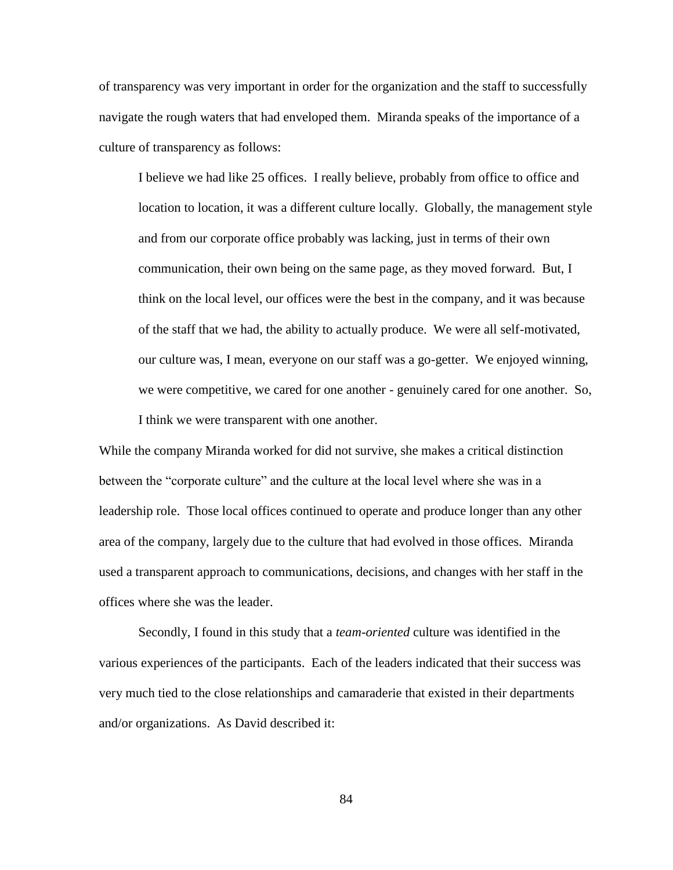of transparency was very important in order for the organization and the staff to successfully navigate the rough waters that had enveloped them. Miranda speaks of the importance of a culture of transparency as follows:

I believe we had like 25 offices. I really believe, probably from office to office and location to location, it was a different culture locally. Globally, the management style and from our corporate office probably was lacking, just in terms of their own communication, their own being on the same page, as they moved forward. But, I think on the local level, our offices were the best in the company, and it was because of the staff that we had, the ability to actually produce. We were all self-motivated, our culture was, I mean, everyone on our staff was a go-getter. We enjoyed winning, we were competitive, we cared for one another - genuinely cared for one another. So, I think we were transparent with one another.

While the company Miranda worked for did not survive, she makes a critical distinction between the "corporate culture" and the culture at the local level where she was in a leadership role. Those local offices continued to operate and produce longer than any other area of the company, largely due to the culture that had evolved in those offices. Miranda used a transparent approach to communications, decisions, and changes with her staff in the offices where she was the leader.

Secondly, I found in this study that a *team-oriented* culture was identified in the various experiences of the participants. Each of the leaders indicated that their success was very much tied to the close relationships and camaraderie that existed in their departments and/or organizations. As David described it: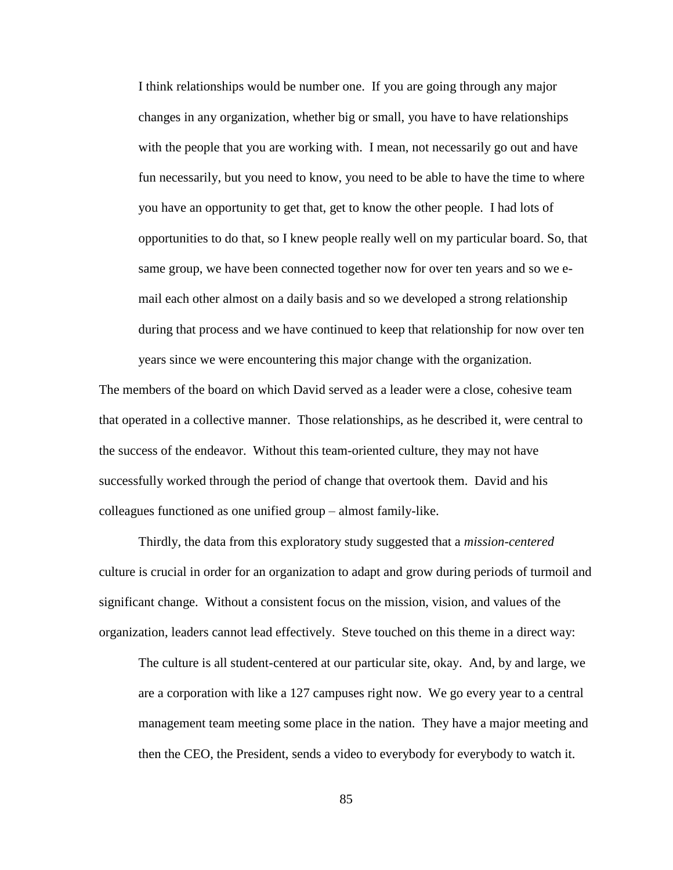I think relationships would be number one. If you are going through any major changes in any organization, whether big or small, you have to have relationships with the people that you are working with. I mean, not necessarily go out and have fun necessarily, but you need to know, you need to be able to have the time to where you have an opportunity to get that, get to know the other people. I had lots of opportunities to do that, so I knew people really well on my particular board. So, that same group, we have been connected together now for over ten years and so we email each other almost on a daily basis and so we developed a strong relationship during that process and we have continued to keep that relationship for now over ten years since we were encountering this major change with the organization.

The members of the board on which David served as a leader were a close, cohesive team that operated in a collective manner. Those relationships, as he described it, were central to the success of the endeavor. Without this team-oriented culture, they may not have successfully worked through the period of change that overtook them. David and his colleagues functioned as one unified group – almost family-like.

Thirdly, the data from this exploratory study suggested that a *mission-centered*  culture is crucial in order for an organization to adapt and grow during periods of turmoil and significant change. Without a consistent focus on the mission, vision, and values of the organization, leaders cannot lead effectively. Steve touched on this theme in a direct way:

The culture is all student-centered at our particular site, okay. And, by and large, we are a corporation with like a 127 campuses right now. We go every year to a central management team meeting some place in the nation. They have a major meeting and then the CEO, the President, sends a video to everybody for everybody to watch it.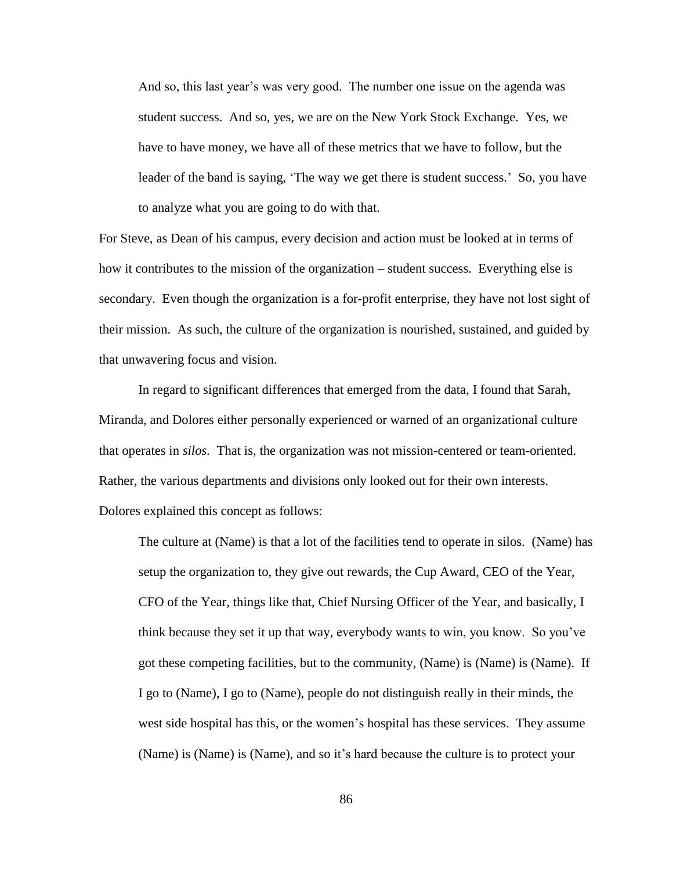And so, this last year"s was very good. The number one issue on the agenda was student success. And so, yes, we are on the New York Stock Exchange. Yes, we have to have money, we have all of these metrics that we have to follow, but the leader of the band is saying, "The way we get there is student success." So, you have to analyze what you are going to do with that.

For Steve, as Dean of his campus, every decision and action must be looked at in terms of how it contributes to the mission of the organization – student success. Everything else is secondary. Even though the organization is a for-profit enterprise, they have not lost sight of their mission. As such, the culture of the organization is nourished, sustained, and guided by that unwavering focus and vision.

In regard to significant differences that emerged from the data, I found that Sarah, Miranda, and Dolores either personally experienced or warned of an organizational culture that operates in *silos.* That is, the organization was not mission-centered or team-oriented. Rather, the various departments and divisions only looked out for their own interests. Dolores explained this concept as follows:

The culture at (Name) is that a lot of the facilities tend to operate in silos. (Name) has setup the organization to, they give out rewards, the Cup Award, CEO of the Year, CFO of the Year, things like that, Chief Nursing Officer of the Year, and basically, I think because they set it up that way, everybody wants to win, you know. So you"ve got these competing facilities, but to the community, (Name) is (Name) is (Name). If I go to (Name), I go to (Name), people do not distinguish really in their minds, the west side hospital has this, or the women"s hospital has these services. They assume (Name) is (Name) is (Name), and so it"s hard because the culture is to protect your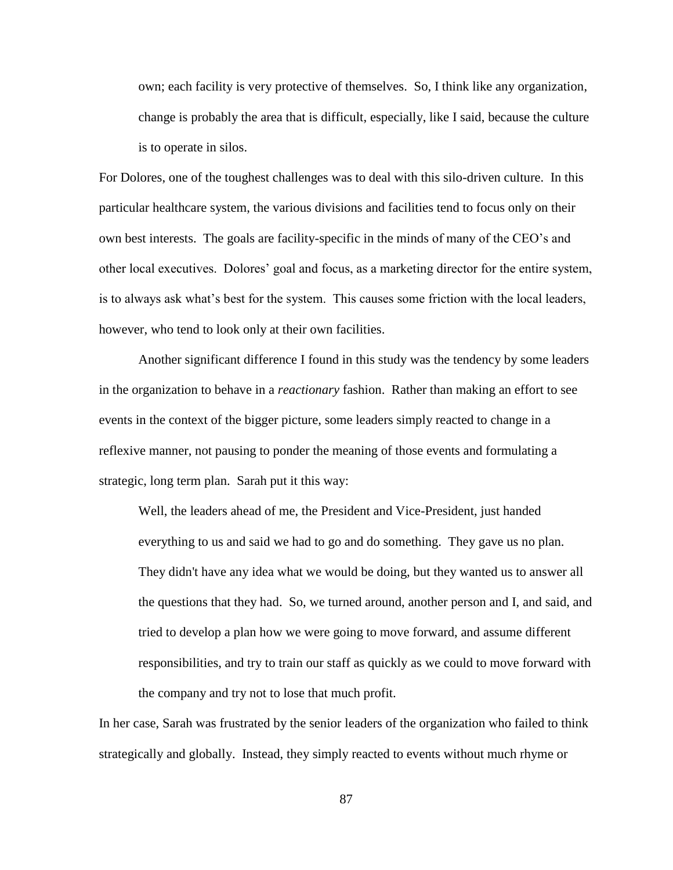own; each facility is very protective of themselves. So, I think like any organization, change is probably the area that is difficult, especially, like I said, because the culture is to operate in silos.

For Dolores, one of the toughest challenges was to deal with this silo-driven culture. In this particular healthcare system, the various divisions and facilities tend to focus only on their own best interests. The goals are facility-specific in the minds of many of the CEO"s and other local executives. Dolores" goal and focus, as a marketing director for the entire system, is to always ask what"s best for the system. This causes some friction with the local leaders, however, who tend to look only at their own facilities.

Another significant difference I found in this study was the tendency by some leaders in the organization to behave in a *reactionary* fashion. Rather than making an effort to see events in the context of the bigger picture, some leaders simply reacted to change in a reflexive manner, not pausing to ponder the meaning of those events and formulating a strategic, long term plan. Sarah put it this way:

Well, the leaders ahead of me, the President and Vice-President, just handed everything to us and said we had to go and do something. They gave us no plan. They didn't have any idea what we would be doing, but they wanted us to answer all the questions that they had. So, we turned around, another person and I, and said, and tried to develop a plan how we were going to move forward, and assume different responsibilities, and try to train our staff as quickly as we could to move forward with the company and try not to lose that much profit.

In her case, Sarah was frustrated by the senior leaders of the organization who failed to think strategically and globally. Instead, they simply reacted to events without much rhyme or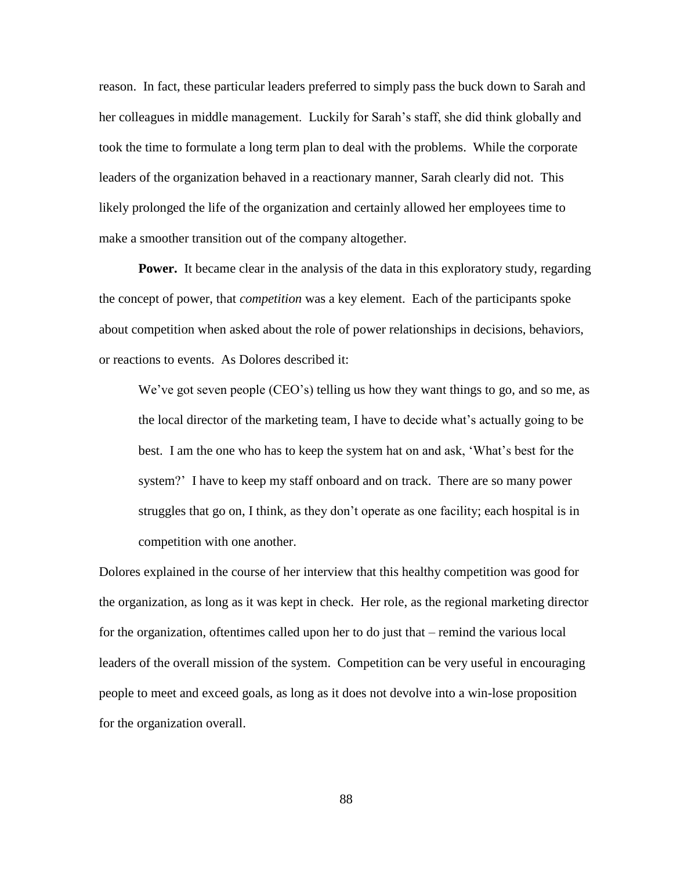reason. In fact, these particular leaders preferred to simply pass the buck down to Sarah and her colleagues in middle management. Luckily for Sarah's staff, she did think globally and took the time to formulate a long term plan to deal with the problems. While the corporate leaders of the organization behaved in a reactionary manner, Sarah clearly did not. This likely prolonged the life of the organization and certainly allowed her employees time to make a smoother transition out of the company altogether.

**Power.** It became clear in the analysis of the data in this exploratory study, regarding the concept of power, that *competition* was a key element. Each of the participants spoke about competition when asked about the role of power relationships in decisions, behaviors, or reactions to events. As Dolores described it:

We've got seven people (CEO's) telling us how they want things to go, and so me, as the local director of the marketing team, I have to decide what"s actually going to be best. I am the one who has to keep the system hat on and ask, "What"s best for the system?" I have to keep my staff onboard and on track. There are so many power struggles that go on, I think, as they don"t operate as one facility; each hospital is in competition with one another.

Dolores explained in the course of her interview that this healthy competition was good for the organization, as long as it was kept in check. Her role, as the regional marketing director for the organization, oftentimes called upon her to do just that – remind the various local leaders of the overall mission of the system. Competition can be very useful in encouraging people to meet and exceed goals, as long as it does not devolve into a win-lose proposition for the organization overall.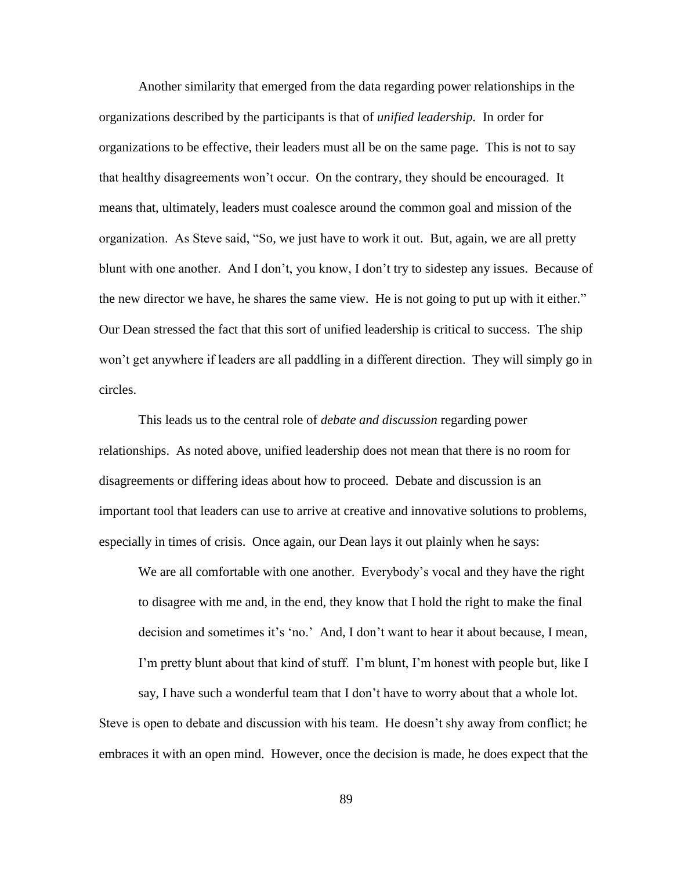Another similarity that emerged from the data regarding power relationships in the organizations described by the participants is that of *unified leadership.* In order for organizations to be effective, their leaders must all be on the same page. This is not to say that healthy disagreements won"t occur. On the contrary, they should be encouraged. It means that, ultimately, leaders must coalesce around the common goal and mission of the organization. As Steve said, "So, we just have to work it out. But, again, we are all pretty blunt with one another. And I don"t, you know, I don"t try to sidestep any issues. Because of the new director we have, he shares the same view. He is not going to put up with it either." Our Dean stressed the fact that this sort of unified leadership is critical to success. The ship won"t get anywhere if leaders are all paddling in a different direction. They will simply go in circles.

This leads us to the central role of *debate and discussion* regarding power relationships. As noted above, unified leadership does not mean that there is no room for disagreements or differing ideas about how to proceed. Debate and discussion is an important tool that leaders can use to arrive at creative and innovative solutions to problems, especially in times of crisis. Once again, our Dean lays it out plainly when he says:

We are all comfortable with one another. Everybody"s vocal and they have the right to disagree with me and, in the end, they know that I hold the right to make the final decision and sometimes it's 'no.' And, I don't want to hear it about because, I mean, I'm pretty blunt about that kind of stuff. I'm blunt, I'm honest with people but, like I

say, I have such a wonderful team that I don"t have to worry about that a whole lot. Steve is open to debate and discussion with his team. He doesn"t shy away from conflict; he embraces it with an open mind. However, once the decision is made, he does expect that the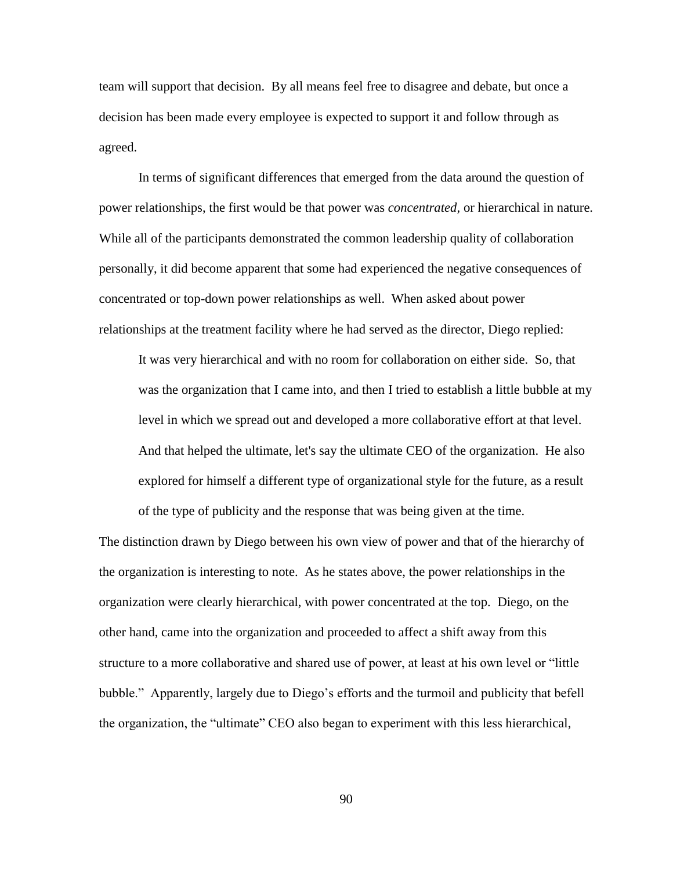team will support that decision. By all means feel free to disagree and debate, but once a decision has been made every employee is expected to support it and follow through as agreed.

In terms of significant differences that emerged from the data around the question of power relationships, the first would be that power was *concentrated,* or hierarchical in nature. While all of the participants demonstrated the common leadership quality of collaboration personally, it did become apparent that some had experienced the negative consequences of concentrated or top-down power relationships as well. When asked about power relationships at the treatment facility where he had served as the director, Diego replied:

It was very hierarchical and with no room for collaboration on either side. So, that was the organization that I came into, and then I tried to establish a little bubble at my level in which we spread out and developed a more collaborative effort at that level. And that helped the ultimate, let's say the ultimate CEO of the organization. He also explored for himself a different type of organizational style for the future, as a result

The distinction drawn by Diego between his own view of power and that of the hierarchy of the organization is interesting to note. As he states above, the power relationships in the organization were clearly hierarchical, with power concentrated at the top. Diego, on the other hand, came into the organization and proceeded to affect a shift away from this structure to a more collaborative and shared use of power, at least at his own level or "little bubble." Apparently, largely due to Diego's efforts and the turmoil and publicity that befell the organization, the "ultimate" CEO also began to experiment with this less hierarchical,

of the type of publicity and the response that was being given at the time.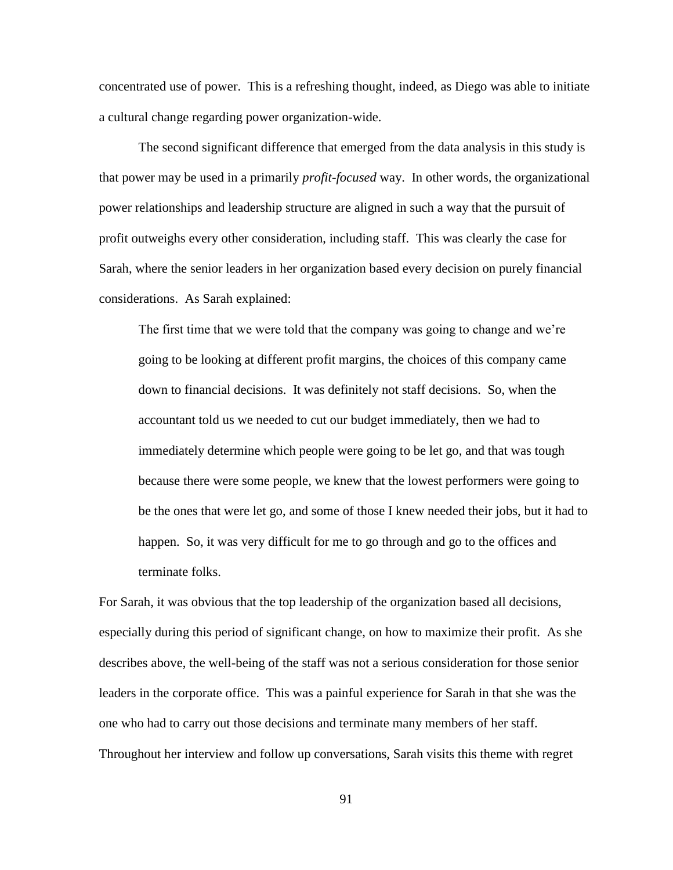concentrated use of power. This is a refreshing thought, indeed, as Diego was able to initiate a cultural change regarding power organization-wide.

The second significant difference that emerged from the data analysis in this study is that power may be used in a primarily *profit-focused* way. In other words, the organizational power relationships and leadership structure are aligned in such a way that the pursuit of profit outweighs every other consideration, including staff. This was clearly the case for Sarah, where the senior leaders in her organization based every decision on purely financial considerations. As Sarah explained:

The first time that we were told that the company was going to change and we"re going to be looking at different profit margins, the choices of this company came down to financial decisions. It was definitely not staff decisions. So, when the accountant told us we needed to cut our budget immediately, then we had to immediately determine which people were going to be let go, and that was tough because there were some people, we knew that the lowest performers were going to be the ones that were let go, and some of those I knew needed their jobs, but it had to happen. So, it was very difficult for me to go through and go to the offices and terminate folks.

For Sarah, it was obvious that the top leadership of the organization based all decisions, especially during this period of significant change, on how to maximize their profit. As she describes above, the well-being of the staff was not a serious consideration for those senior leaders in the corporate office. This was a painful experience for Sarah in that she was the one who had to carry out those decisions and terminate many members of her staff. Throughout her interview and follow up conversations, Sarah visits this theme with regret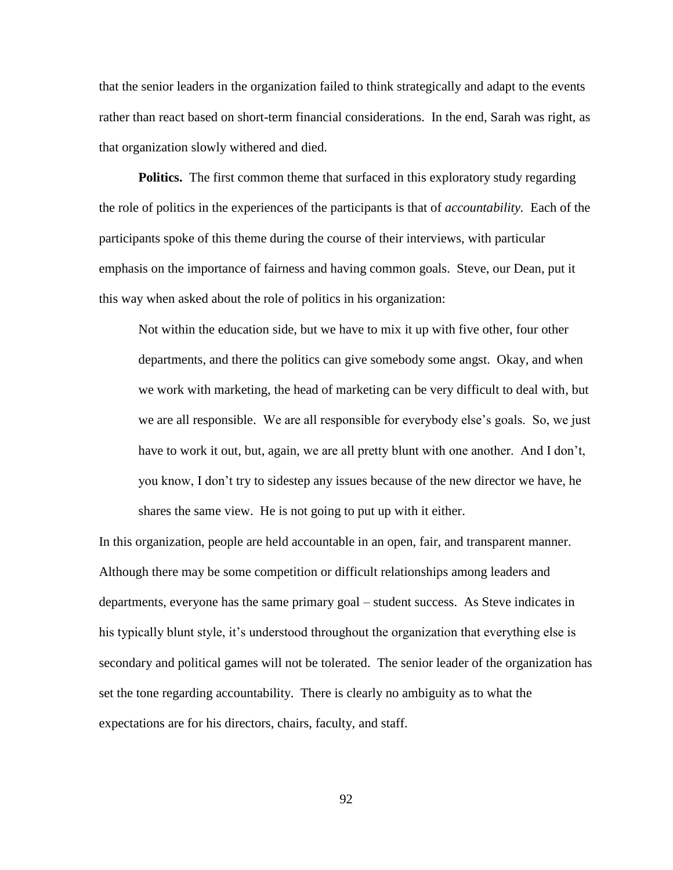that the senior leaders in the organization failed to think strategically and adapt to the events rather than react based on short-term financial considerations. In the end, Sarah was right, as that organization slowly withered and died.

**Politics.** The first common theme that surfaced in this exploratory study regarding the role of politics in the experiences of the participants is that of *accountability.* Each of the participants spoke of this theme during the course of their interviews, with particular emphasis on the importance of fairness and having common goals. Steve, our Dean, put it this way when asked about the role of politics in his organization:

Not within the education side, but we have to mix it up with five other, four other departments, and there the politics can give somebody some angst. Okay, and when we work with marketing, the head of marketing can be very difficult to deal with, but we are all responsible. We are all responsible for everybody else"s goals. So, we just have to work it out, but, again, we are all pretty blunt with one another. And I don't, you know, I don"t try to sidestep any issues because of the new director we have, he shares the same view. He is not going to put up with it either.

In this organization, people are held accountable in an open, fair, and transparent manner. Although there may be some competition or difficult relationships among leaders and departments, everyone has the same primary goal – student success. As Steve indicates in his typically blunt style, it's understood throughout the organization that everything else is secondary and political games will not be tolerated. The senior leader of the organization has set the tone regarding accountability. There is clearly no ambiguity as to what the expectations are for his directors, chairs, faculty, and staff.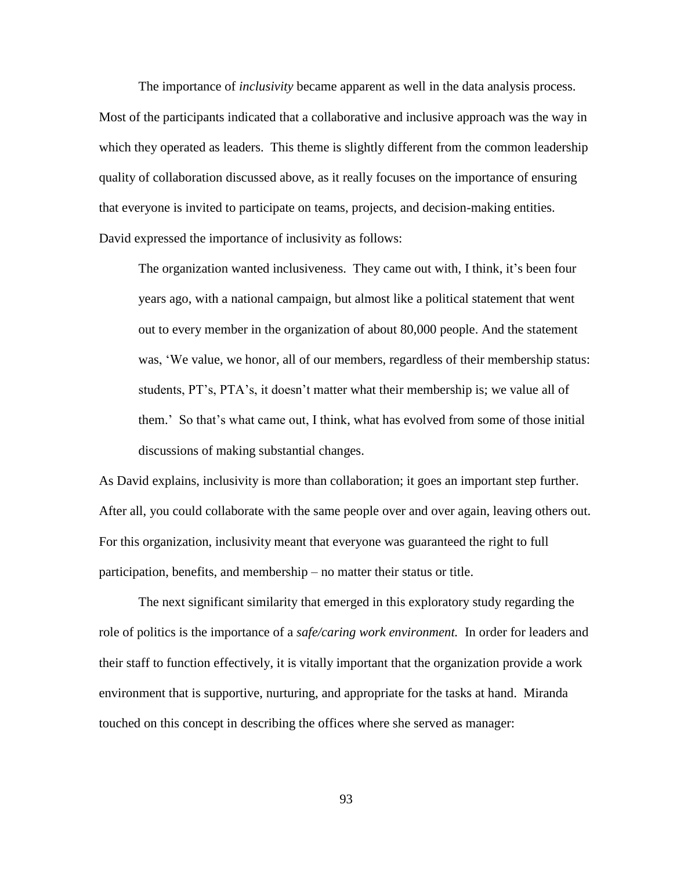The importance of *inclusivity* became apparent as well in the data analysis process. Most of the participants indicated that a collaborative and inclusive approach was the way in which they operated as leaders. This theme is slightly different from the common leadership quality of collaboration discussed above, as it really focuses on the importance of ensuring that everyone is invited to participate on teams, projects, and decision-making entities. David expressed the importance of inclusivity as follows:

The organization wanted inclusiveness. They came out with, I think, it's been four years ago, with a national campaign, but almost like a political statement that went out to every member in the organization of about 80,000 people. And the statement was, 'We value, we honor, all of our members, regardless of their membership status: students, PT's, PTA's, it doesn't matter what their membership is; we value all of them." So that"s what came out, I think, what has evolved from some of those initial discussions of making substantial changes.

As David explains, inclusivity is more than collaboration; it goes an important step further. After all, you could collaborate with the same people over and over again, leaving others out. For this organization, inclusivity meant that everyone was guaranteed the right to full participation, benefits, and membership – no matter their status or title.

The next significant similarity that emerged in this exploratory study regarding the role of politics is the importance of a *safe/caring work environment.* In order for leaders and their staff to function effectively, it is vitally important that the organization provide a work environment that is supportive, nurturing, and appropriate for the tasks at hand. Miranda touched on this concept in describing the offices where she served as manager: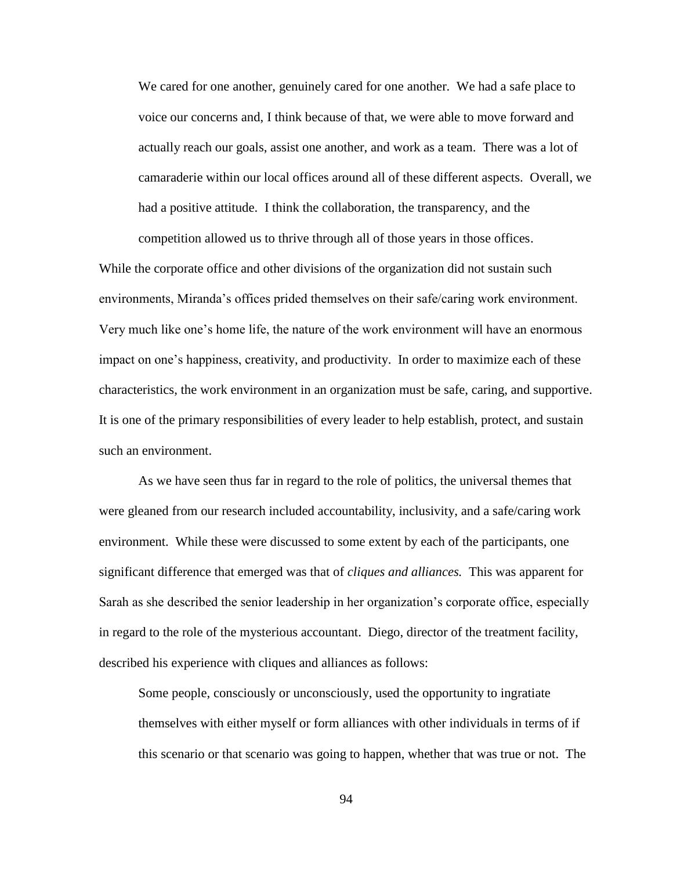We cared for one another, genuinely cared for one another. We had a safe place to voice our concerns and, I think because of that, we were able to move forward and actually reach our goals, assist one another, and work as a team. There was a lot of camaraderie within our local offices around all of these different aspects. Overall, we had a positive attitude. I think the collaboration, the transparency, and the competition allowed us to thrive through all of those years in those offices.

While the corporate office and other divisions of the organization did not sustain such environments, Miranda"s offices prided themselves on their safe/caring work environment. Very much like one"s home life, the nature of the work environment will have an enormous impact on one"s happiness, creativity, and productivity. In order to maximize each of these characteristics, the work environment in an organization must be safe, caring, and supportive. It is one of the primary responsibilities of every leader to help establish, protect, and sustain such an environment.

As we have seen thus far in regard to the role of politics, the universal themes that were gleaned from our research included accountability, inclusivity, and a safe/caring work environment. While these were discussed to some extent by each of the participants, one significant difference that emerged was that of *cliques and alliances.* This was apparent for Sarah as she described the senior leadership in her organization"s corporate office, especially in regard to the role of the mysterious accountant. Diego, director of the treatment facility, described his experience with cliques and alliances as follows:

Some people, consciously or unconsciously, used the opportunity to ingratiate themselves with either myself or form alliances with other individuals in terms of if this scenario or that scenario was going to happen, whether that was true or not. The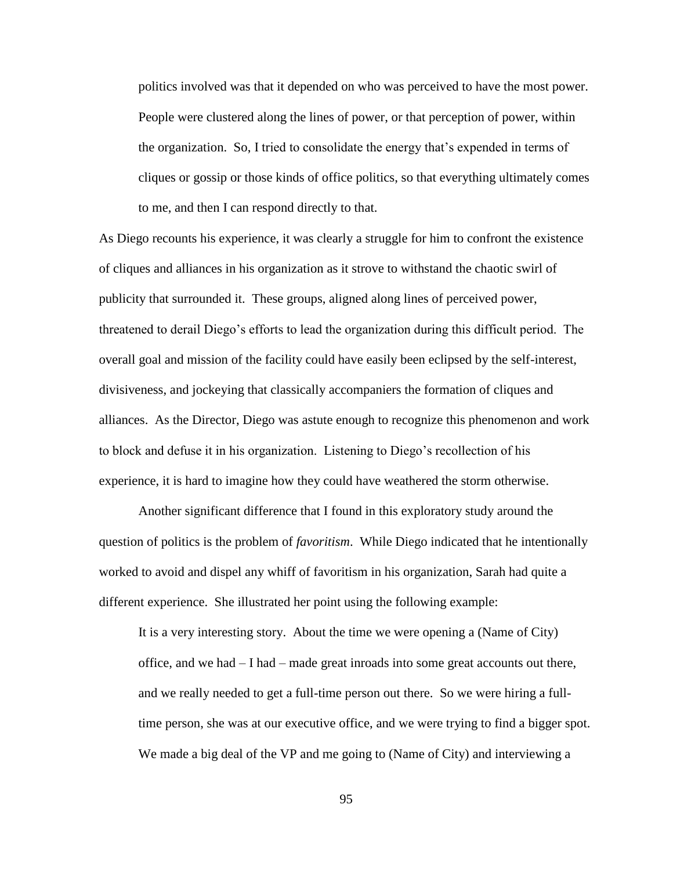politics involved was that it depended on who was perceived to have the most power. People were clustered along the lines of power, or that perception of power, within the organization. So, I tried to consolidate the energy that"s expended in terms of cliques or gossip or those kinds of office politics, so that everything ultimately comes to me, and then I can respond directly to that.

As Diego recounts his experience, it was clearly a struggle for him to confront the existence of cliques and alliances in his organization as it strove to withstand the chaotic swirl of publicity that surrounded it. These groups, aligned along lines of perceived power, threatened to derail Diego"s efforts to lead the organization during this difficult period. The overall goal and mission of the facility could have easily been eclipsed by the self-interest, divisiveness, and jockeying that classically accompaniers the formation of cliques and alliances. As the Director, Diego was astute enough to recognize this phenomenon and work to block and defuse it in his organization. Listening to Diego"s recollection of his experience, it is hard to imagine how they could have weathered the storm otherwise.

Another significant difference that I found in this exploratory study around the question of politics is the problem of *favoritism*. While Diego indicated that he intentionally worked to avoid and dispel any whiff of favoritism in his organization, Sarah had quite a different experience. She illustrated her point using the following example:

It is a very interesting story. About the time we were opening a (Name of City) office, and we had – I had – made great inroads into some great accounts out there, and we really needed to get a full-time person out there. So we were hiring a fulltime person, she was at our executive office, and we were trying to find a bigger spot. We made a big deal of the VP and me going to (Name of City) and interviewing a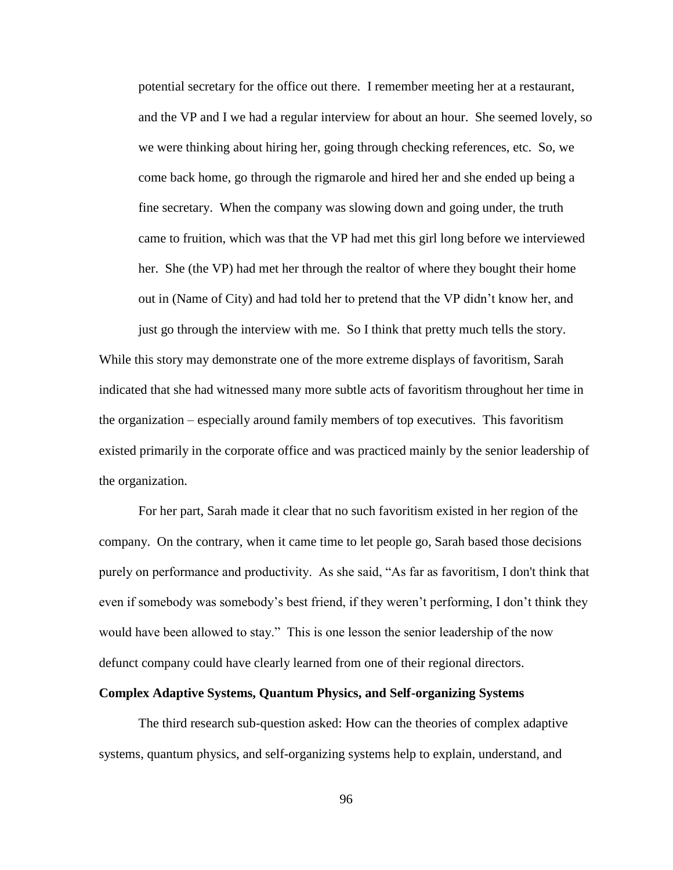potential secretary for the office out there. I remember meeting her at a restaurant, and the VP and I we had a regular interview for about an hour. She seemed lovely, so we were thinking about hiring her, going through checking references, etc. So, we come back home, go through the rigmarole and hired her and she ended up being a fine secretary. When the company was slowing down and going under, the truth came to fruition, which was that the VP had met this girl long before we interviewed her. She (the VP) had met her through the realtor of where they bought their home out in (Name of City) and had told her to pretend that the VP didn"t know her, and

just go through the interview with me. So I think that pretty much tells the story. While this story may demonstrate one of the more extreme displays of favoritism, Sarah indicated that she had witnessed many more subtle acts of favoritism throughout her time in the organization – especially around family members of top executives. This favoritism existed primarily in the corporate office and was practiced mainly by the senior leadership of the organization.

For her part, Sarah made it clear that no such favoritism existed in her region of the company. On the contrary, when it came time to let people go, Sarah based those decisions purely on performance and productivity. As she said, "As far as favoritism, I don't think that even if somebody was somebody"s best friend, if they weren"t performing, I don"t think they would have been allowed to stay." This is one lesson the senior leadership of the now defunct company could have clearly learned from one of their regional directors.

## **Complex Adaptive Systems, Quantum Physics, and Self-organizing Systems**

The third research sub-question asked: How can the theories of complex adaptive systems, quantum physics, and self-organizing systems help to explain, understand, and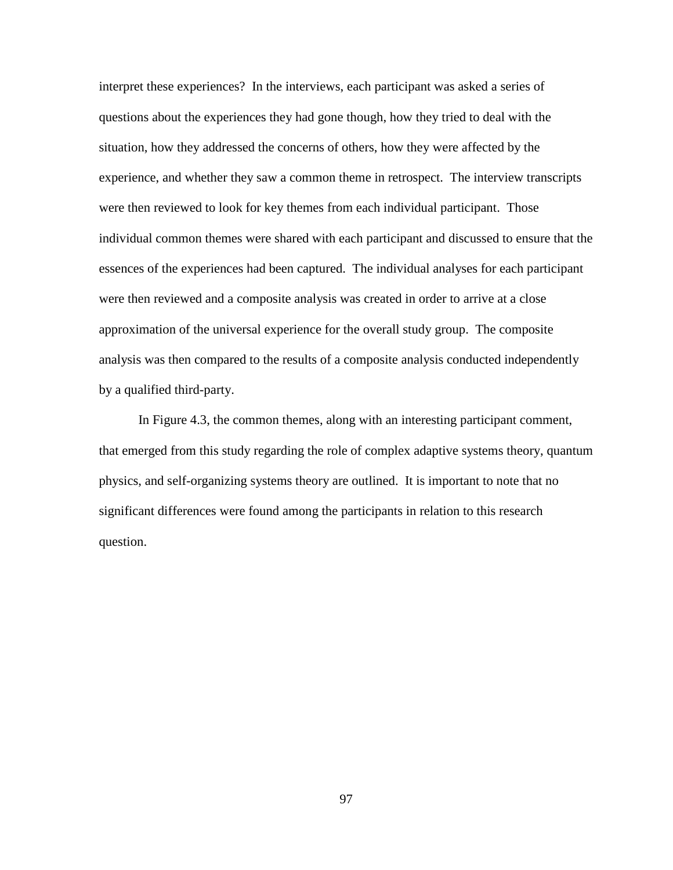interpret these experiences? In the interviews, each participant was asked a series of questions about the experiences they had gone though, how they tried to deal with the situation, how they addressed the concerns of others, how they were affected by the experience, and whether they saw a common theme in retrospect. The interview transcripts were then reviewed to look for key themes from each individual participant. Those individual common themes were shared with each participant and discussed to ensure that the essences of the experiences had been captured. The individual analyses for each participant were then reviewed and a composite analysis was created in order to arrive at a close approximation of the universal experience for the overall study group. The composite analysis was then compared to the results of a composite analysis conducted independently by a qualified third-party.

In Figure 4.3, the common themes, along with an interesting participant comment, that emerged from this study regarding the role of complex adaptive systems theory, quantum physics, and self-organizing systems theory are outlined. It is important to note that no significant differences were found among the participants in relation to this research question.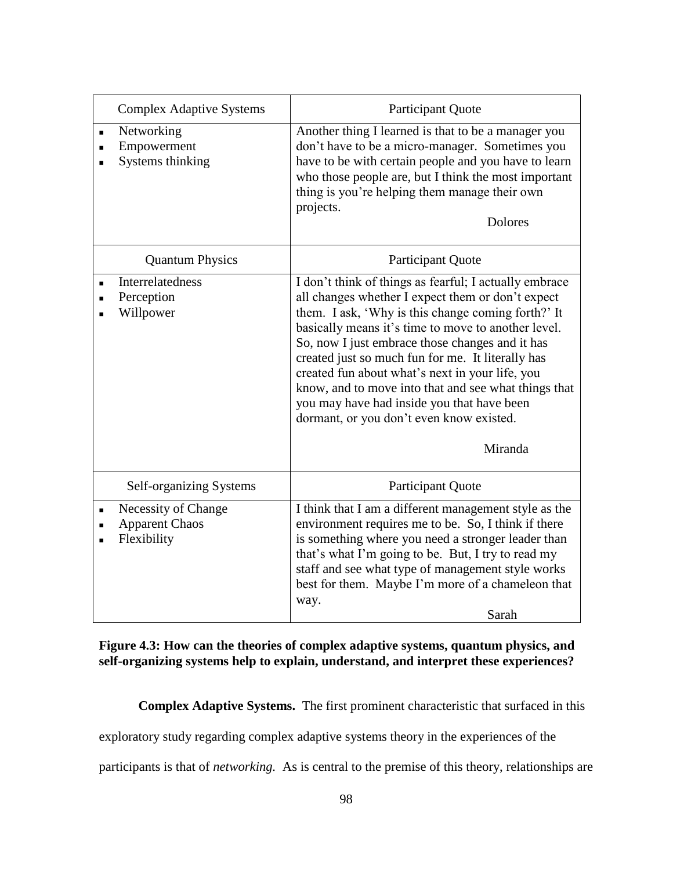|                                  | <b>Complex Adaptive Systems</b>                             | <b>Participant Quote</b>                                                                                                                                                                                                                                                                                                                                                                                                                                                                                                                         |
|----------------------------------|-------------------------------------------------------------|--------------------------------------------------------------------------------------------------------------------------------------------------------------------------------------------------------------------------------------------------------------------------------------------------------------------------------------------------------------------------------------------------------------------------------------------------------------------------------------------------------------------------------------------------|
| $\blacksquare$<br>$\blacksquare$ | Networking<br>Empowerment<br>Systems thinking               | Another thing I learned is that to be a manager you<br>don't have to be a micro-manager. Sometimes you<br>have to be with certain people and you have to learn<br>who those people are, but I think the most important<br>thing is you're helping them manage their own<br>projects.<br><b>Dolores</b>                                                                                                                                                                                                                                           |
|                                  | <b>Quantum Physics</b>                                      | <b>Participant Quote</b>                                                                                                                                                                                                                                                                                                                                                                                                                                                                                                                         |
|                                  | Interrelatedness<br>Perception<br>Willpower                 | I don't think of things as fearful; I actually embrace<br>all changes whether I expect them or don't expect<br>them. I ask, 'Why is this change coming forth?' It<br>basically means it's time to move to another level.<br>So, now I just embrace those changes and it has<br>created just so much fun for me. It literally has<br>created fun about what's next in your life, you<br>know, and to move into that and see what things that<br>you may have had inside you that have been<br>dormant, or you don't even know existed.<br>Miranda |
|                                  | Self-organizing Systems                                     | <b>Participant Quote</b>                                                                                                                                                                                                                                                                                                                                                                                                                                                                                                                         |
|                                  | Necessity of Change<br><b>Apparent Chaos</b><br>Flexibility | I think that I am a different management style as the<br>environment requires me to be. So, I think if there<br>is something where you need a stronger leader than<br>that's what I'm going to be. But, I try to read my<br>staff and see what type of management style works<br>best for them. Maybe I'm more of a chameleon that<br>way.<br>Sarah                                                                                                                                                                                              |

# **Figure 4.3: How can the theories of complex adaptive systems, quantum physics, and self-organizing systems help to explain, understand, and interpret these experiences?**

**Complex Adaptive Systems.** The first prominent characteristic that surfaced in this

exploratory study regarding complex adaptive systems theory in the experiences of the

participants is that of *networking.* As is central to the premise of this theory, relationships are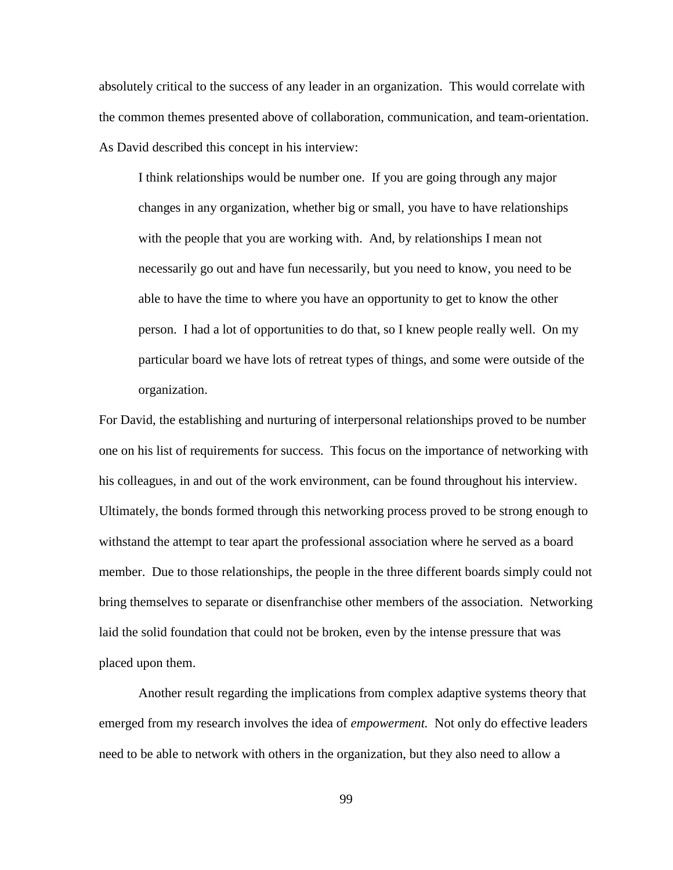absolutely critical to the success of any leader in an organization. This would correlate with the common themes presented above of collaboration, communication, and team-orientation. As David described this concept in his interview:

I think relationships would be number one. If you are going through any major changes in any organization, whether big or small, you have to have relationships with the people that you are working with. And, by relationships I mean not necessarily go out and have fun necessarily, but you need to know, you need to be able to have the time to where you have an opportunity to get to know the other person. I had a lot of opportunities to do that, so I knew people really well. On my particular board we have lots of retreat types of things, and some were outside of the organization.

For David, the establishing and nurturing of interpersonal relationships proved to be number one on his list of requirements for success. This focus on the importance of networking with his colleagues, in and out of the work environment, can be found throughout his interview. Ultimately, the bonds formed through this networking process proved to be strong enough to withstand the attempt to tear apart the professional association where he served as a board member. Due to those relationships, the people in the three different boards simply could not bring themselves to separate or disenfranchise other members of the association. Networking laid the solid foundation that could not be broken, even by the intense pressure that was placed upon them.

Another result regarding the implications from complex adaptive systems theory that emerged from my research involves the idea of *empowerment.* Not only do effective leaders need to be able to network with others in the organization, but they also need to allow a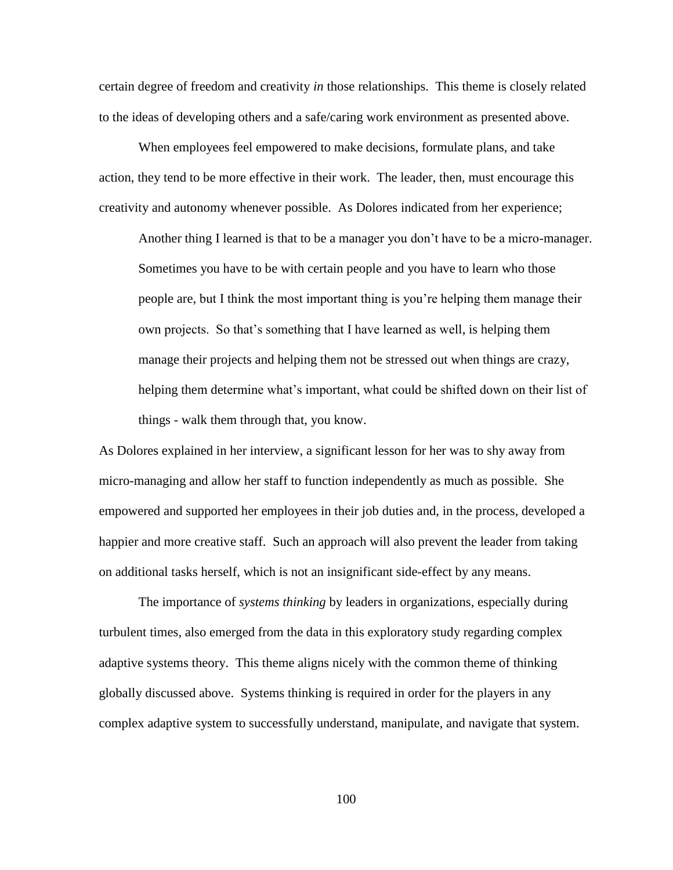certain degree of freedom and creativity *in* those relationships. This theme is closely related to the ideas of developing others and a safe/caring work environment as presented above.

When employees feel empowered to make decisions, formulate plans, and take action, they tend to be more effective in their work. The leader, then, must encourage this creativity and autonomy whenever possible. As Dolores indicated from her experience;

Another thing I learned is that to be a manager you don"t have to be a micro-manager. Sometimes you have to be with certain people and you have to learn who those people are, but I think the most important thing is you"re helping them manage their own projects. So that"s something that I have learned as well, is helping them manage their projects and helping them not be stressed out when things are crazy, helping them determine what's important, what could be shifted down on their list of things - walk them through that, you know.

As Dolores explained in her interview, a significant lesson for her was to shy away from micro-managing and allow her staff to function independently as much as possible. She empowered and supported her employees in their job duties and, in the process, developed a happier and more creative staff. Such an approach will also prevent the leader from taking on additional tasks herself, which is not an insignificant side-effect by any means.

The importance of *systems thinking* by leaders in organizations, especially during turbulent times, also emerged from the data in this exploratory study regarding complex adaptive systems theory. This theme aligns nicely with the common theme of thinking globally discussed above. Systems thinking is required in order for the players in any complex adaptive system to successfully understand, manipulate, and navigate that system.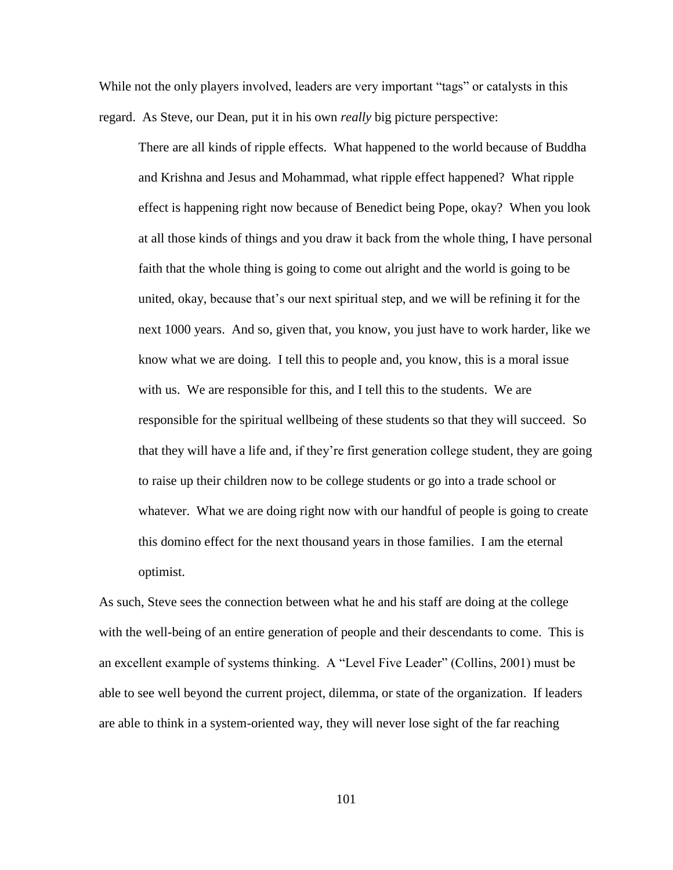While not the only players involved, leaders are very important "tags" or catalysts in this regard. As Steve, our Dean, put it in his own *really* big picture perspective:

There are all kinds of ripple effects. What happened to the world because of Buddha and Krishna and Jesus and Mohammad, what ripple effect happened? What ripple effect is happening right now because of Benedict being Pope, okay? When you look at all those kinds of things and you draw it back from the whole thing, I have personal faith that the whole thing is going to come out alright and the world is going to be united, okay, because that"s our next spiritual step, and we will be refining it for the next 1000 years. And so, given that, you know, you just have to work harder, like we know what we are doing. I tell this to people and, you know, this is a moral issue with us. We are responsible for this, and I tell this to the students. We are responsible for the spiritual wellbeing of these students so that they will succeed. So that they will have a life and, if they"re first generation college student, they are going to raise up their children now to be college students or go into a trade school or whatever. What we are doing right now with our handful of people is going to create this domino effect for the next thousand years in those families. I am the eternal optimist.

As such, Steve sees the connection between what he and his staff are doing at the college with the well-being of an entire generation of people and their descendants to come. This is an excellent example of systems thinking. A "Level Five Leader" (Collins, 2001) must be able to see well beyond the current project, dilemma, or state of the organization. If leaders are able to think in a system-oriented way, they will never lose sight of the far reaching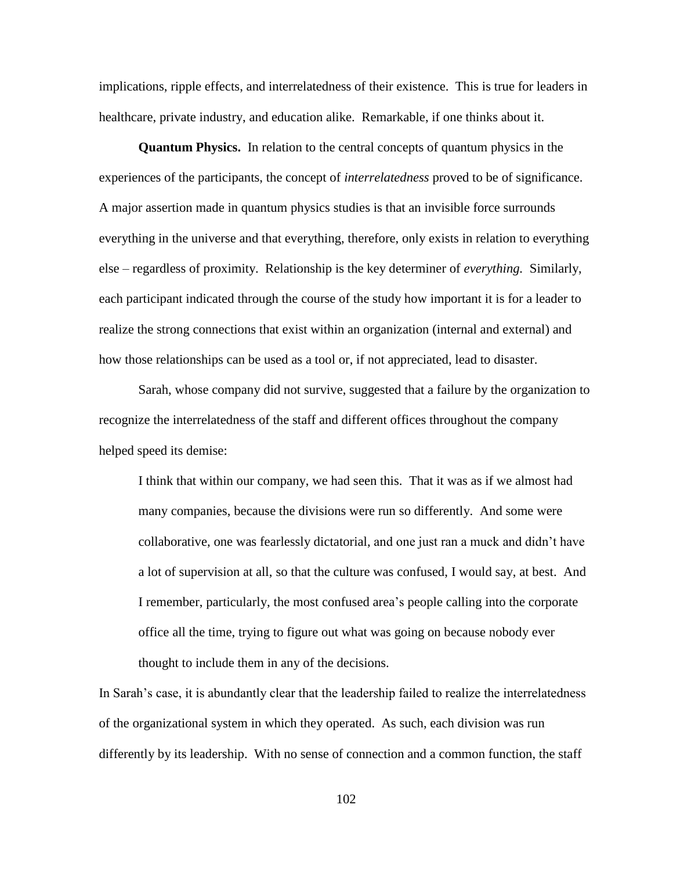implications, ripple effects, and interrelatedness of their existence. This is true for leaders in healthcare, private industry, and education alike. Remarkable, if one thinks about it.

**Quantum Physics.** In relation to the central concepts of quantum physics in the experiences of the participants, the concept of *interrelatedness* proved to be of significance. A major assertion made in quantum physics studies is that an invisible force surrounds everything in the universe and that everything, therefore, only exists in relation to everything else – regardless of proximity. Relationship is the key determiner of *everything.* Similarly, each participant indicated through the course of the study how important it is for a leader to realize the strong connections that exist within an organization (internal and external) and how those relationships can be used as a tool or, if not appreciated, lead to disaster.

Sarah, whose company did not survive, suggested that a failure by the organization to recognize the interrelatedness of the staff and different offices throughout the company helped speed its demise:

I think that within our company, we had seen this. That it was as if we almost had many companies, because the divisions were run so differently. And some were collaborative, one was fearlessly dictatorial, and one just ran a muck and didn"t have a lot of supervision at all, so that the culture was confused, I would say, at best. And I remember, particularly, the most confused area"s people calling into the corporate office all the time, trying to figure out what was going on because nobody ever thought to include them in any of the decisions.

In Sarah"s case, it is abundantly clear that the leadership failed to realize the interrelatedness of the organizational system in which they operated. As such, each division was run differently by its leadership. With no sense of connection and a common function, the staff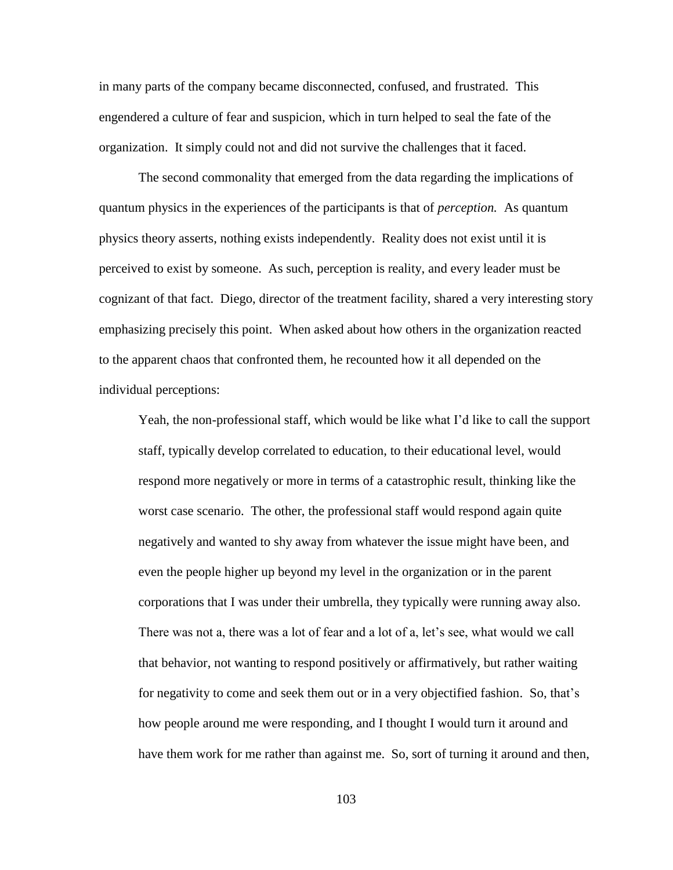in many parts of the company became disconnected, confused, and frustrated. This engendered a culture of fear and suspicion, which in turn helped to seal the fate of the organization. It simply could not and did not survive the challenges that it faced.

The second commonality that emerged from the data regarding the implications of quantum physics in the experiences of the participants is that of *perception.* As quantum physics theory asserts, nothing exists independently. Reality does not exist until it is perceived to exist by someone. As such, perception is reality, and every leader must be cognizant of that fact. Diego, director of the treatment facility, shared a very interesting story emphasizing precisely this point. When asked about how others in the organization reacted to the apparent chaos that confronted them, he recounted how it all depended on the individual perceptions:

Yeah, the non-professional staff, which would be like what I"d like to call the support staff, typically develop correlated to education, to their educational level, would respond more negatively or more in terms of a catastrophic result, thinking like the worst case scenario. The other, the professional staff would respond again quite negatively and wanted to shy away from whatever the issue might have been, and even the people higher up beyond my level in the organization or in the parent corporations that I was under their umbrella, they typically were running away also. There was not a, there was a lot of fear and a lot of a, let's see, what would we call that behavior, not wanting to respond positively or affirmatively, but rather waiting for negativity to come and seek them out or in a very objectified fashion. So, that"s how people around me were responding, and I thought I would turn it around and have them work for me rather than against me. So, sort of turning it around and then,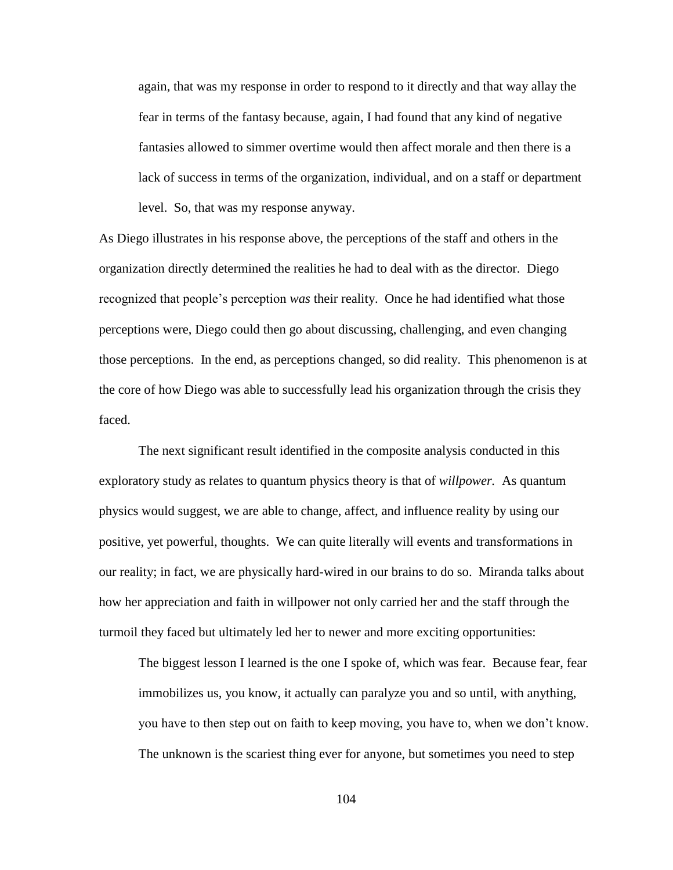again, that was my response in order to respond to it directly and that way allay the fear in terms of the fantasy because, again, I had found that any kind of negative fantasies allowed to simmer overtime would then affect morale and then there is a lack of success in terms of the organization, individual, and on a staff or department level. So, that was my response anyway.

As Diego illustrates in his response above, the perceptions of the staff and others in the organization directly determined the realities he had to deal with as the director. Diego recognized that people"s perception *was* their reality. Once he had identified what those perceptions were, Diego could then go about discussing, challenging, and even changing those perceptions. In the end, as perceptions changed, so did reality. This phenomenon is at the core of how Diego was able to successfully lead his organization through the crisis they faced.

The next significant result identified in the composite analysis conducted in this exploratory study as relates to quantum physics theory is that of *willpower.* As quantum physics would suggest, we are able to change, affect, and influence reality by using our positive, yet powerful, thoughts. We can quite literally will events and transformations in our reality; in fact, we are physically hard-wired in our brains to do so. Miranda talks about how her appreciation and faith in willpower not only carried her and the staff through the turmoil they faced but ultimately led her to newer and more exciting opportunities:

The biggest lesson I learned is the one I spoke of, which was fear. Because fear, fear immobilizes us, you know, it actually can paralyze you and so until, with anything, you have to then step out on faith to keep moving, you have to, when we don"t know. The unknown is the scariest thing ever for anyone, but sometimes you need to step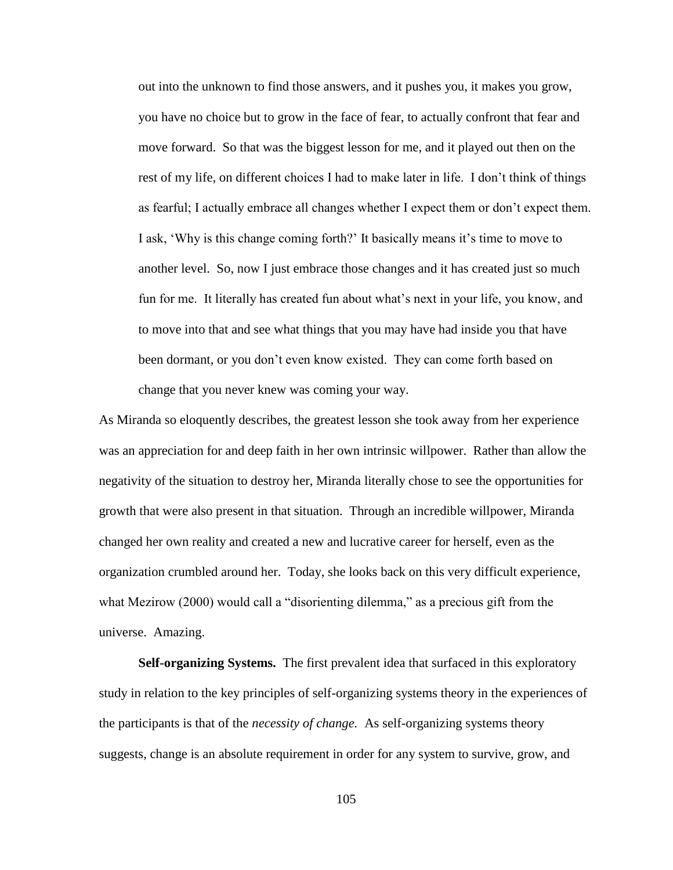out into the unknown to find those answers, and it pushes you, it makes you grow, you have no choice but to grow in the face of fear, to actually confront that fear and move forward. So that was the biggest lesson for me, and it played out then on the rest of my life, on different choices I had to make later in life. I don"t think of things as fearful; I actually embrace all changes whether I expect them or don't expect them. I ask, 'Why is this change coming forth?' It basically means it's time to move to another level. So, now I just embrace those changes and it has created just so much fun for me. It literally has created fun about what"s next in your life, you know, and to move into that and see what things that you may have had inside you that have been dormant, or you don"t even know existed. They can come forth based on change that you never knew was coming your way.

As Miranda so eloquently describes, the greatest lesson she took away from her experience was an appreciation for and deep faith in her own intrinsic willpower. Rather than allow the negativity of the situation to destroy her, Miranda literally chose to see the opportunities for growth that were also present in that situation. Through an incredible willpower, Miranda changed her own reality and created a new and lucrative career for herself, even as the organization crumbled around her. Today, she looks back on this very difficult experience, what Mezirow (2000) would call a "disorienting dilemma," as a precious gift from the universe. Amazing.

**Self-organizing Systems.** The first prevalent idea that surfaced in this exploratory study in relation to the key principles of self-organizing systems theory in the experiences of the participants is that of the *necessity of change.* As self-organizing systems theory suggests, change is an absolute requirement in order for any system to survive, grow, and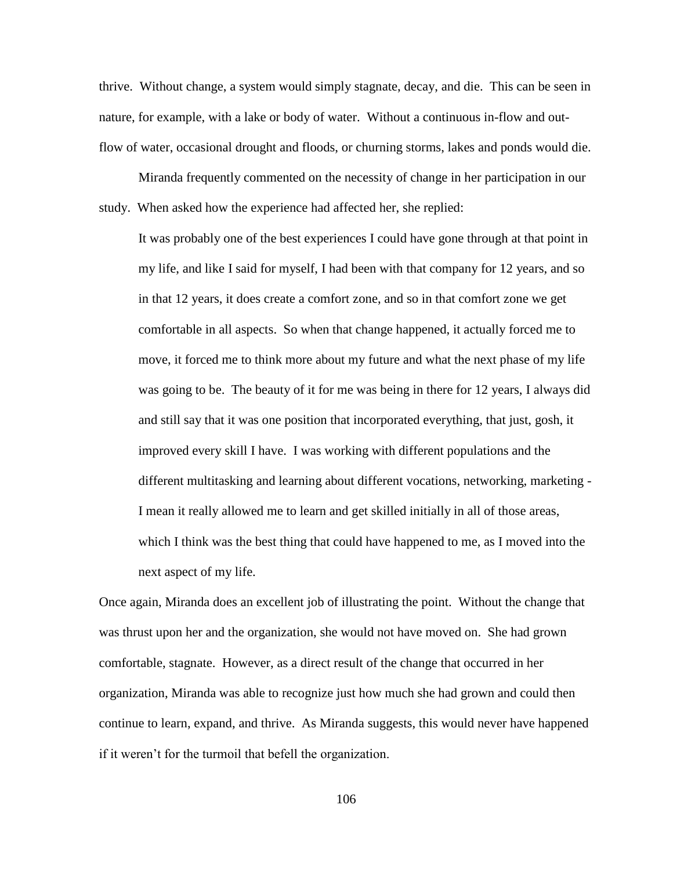thrive. Without change, a system would simply stagnate, decay, and die. This can be seen in nature, for example, with a lake or body of water. Without a continuous in-flow and outflow of water, occasional drought and floods, or churning storms, lakes and ponds would die.

Miranda frequently commented on the necessity of change in her participation in our study. When asked how the experience had affected her, she replied:

It was probably one of the best experiences I could have gone through at that point in my life, and like I said for myself, I had been with that company for 12 years, and so in that 12 years, it does create a comfort zone, and so in that comfort zone we get comfortable in all aspects. So when that change happened, it actually forced me to move, it forced me to think more about my future and what the next phase of my life was going to be. The beauty of it for me was being in there for 12 years, I always did and still say that it was one position that incorporated everything, that just, gosh, it improved every skill I have. I was working with different populations and the different multitasking and learning about different vocations, networking, marketing - I mean it really allowed me to learn and get skilled initially in all of those areas, which I think was the best thing that could have happened to me, as I moved into the next aspect of my life.

Once again, Miranda does an excellent job of illustrating the point. Without the change that was thrust upon her and the organization, she would not have moved on. She had grown comfortable, stagnate. However, as a direct result of the change that occurred in her organization, Miranda was able to recognize just how much she had grown and could then continue to learn, expand, and thrive. As Miranda suggests, this would never have happened if it weren"t for the turmoil that befell the organization.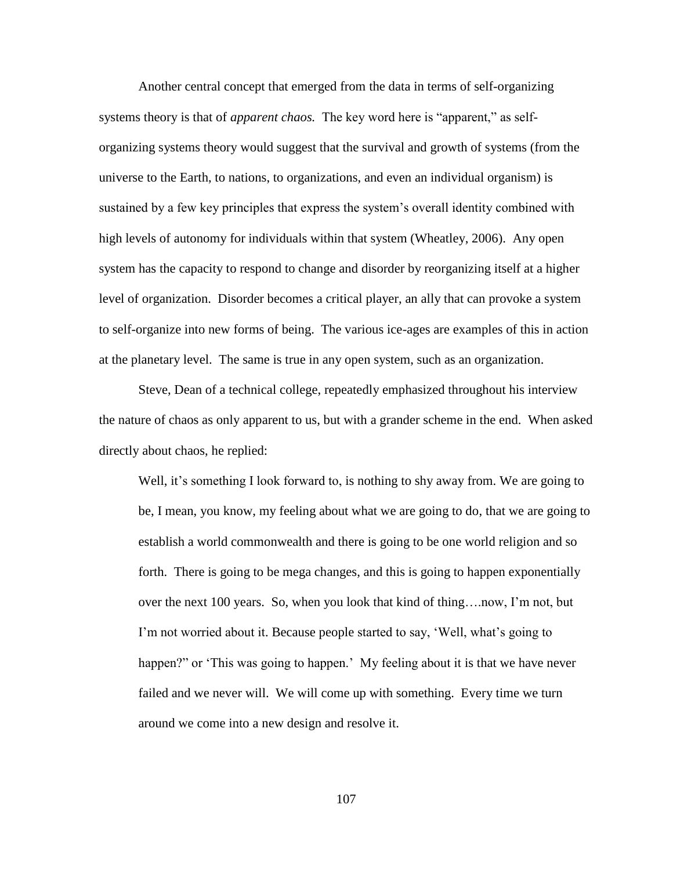Another central concept that emerged from the data in terms of self-organizing systems theory is that of *apparent chaos.* The key word here is "apparent," as selforganizing systems theory would suggest that the survival and growth of systems (from the universe to the Earth, to nations, to organizations, and even an individual organism) is sustained by a few key principles that express the system"s overall identity combined with high levels of autonomy for individuals within that system (Wheatley, 2006). Any open system has the capacity to respond to change and disorder by reorganizing itself at a higher level of organization. Disorder becomes a critical player, an ally that can provoke a system to self-organize into new forms of being. The various ice-ages are examples of this in action at the planetary level. The same is true in any open system, such as an organization.

Steve, Dean of a technical college, repeatedly emphasized throughout his interview the nature of chaos as only apparent to us, but with a grander scheme in the end. When asked directly about chaos, he replied:

Well, it's something I look forward to, is nothing to shy away from. We are going to be, I mean, you know, my feeling about what we are going to do, that we are going to establish a world commonwealth and there is going to be one world religion and so forth. There is going to be mega changes, and this is going to happen exponentially over the next 100 years. So, when you look that kind of thing….now, I"m not, but I"m not worried about it. Because people started to say, "Well, what"s going to happen?" or 'This was going to happen.' My feeling about it is that we have never failed and we never will. We will come up with something. Every time we turn around we come into a new design and resolve it.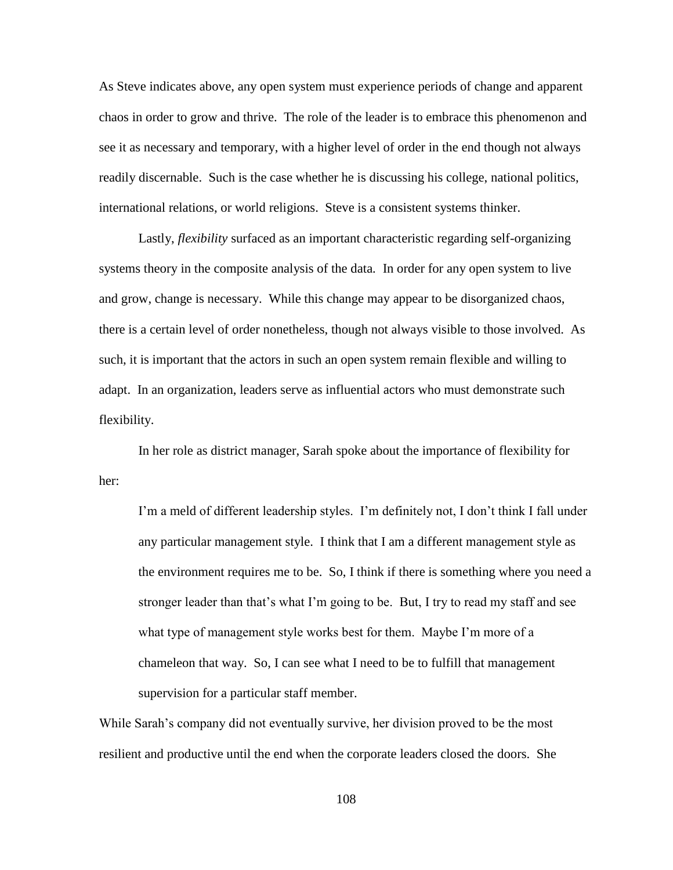As Steve indicates above, any open system must experience periods of change and apparent chaos in order to grow and thrive. The role of the leader is to embrace this phenomenon and see it as necessary and temporary, with a higher level of order in the end though not always readily discernable. Such is the case whether he is discussing his college, national politics, international relations, or world religions. Steve is a consistent systems thinker.

Lastly, *flexibility* surfaced as an important characteristic regarding self-organizing systems theory in the composite analysis of the data*.* In order for any open system to live and grow, change is necessary. While this change may appear to be disorganized chaos, there is a certain level of order nonetheless, though not always visible to those involved. As such, it is important that the actors in such an open system remain flexible and willing to adapt. In an organization, leaders serve as influential actors who must demonstrate such flexibility.

In her role as district manager, Sarah spoke about the importance of flexibility for her:

I'm a meld of different leadership styles. I'm definitely not, I don't think I fall under any particular management style. I think that I am a different management style as the environment requires me to be. So, I think if there is something where you need a stronger leader than that"s what I"m going to be. But, I try to read my staff and see what type of management style works best for them. Maybe I'm more of a chameleon that way. So, I can see what I need to be to fulfill that management supervision for a particular staff member.

While Sarah"s company did not eventually survive, her division proved to be the most resilient and productive until the end when the corporate leaders closed the doors. She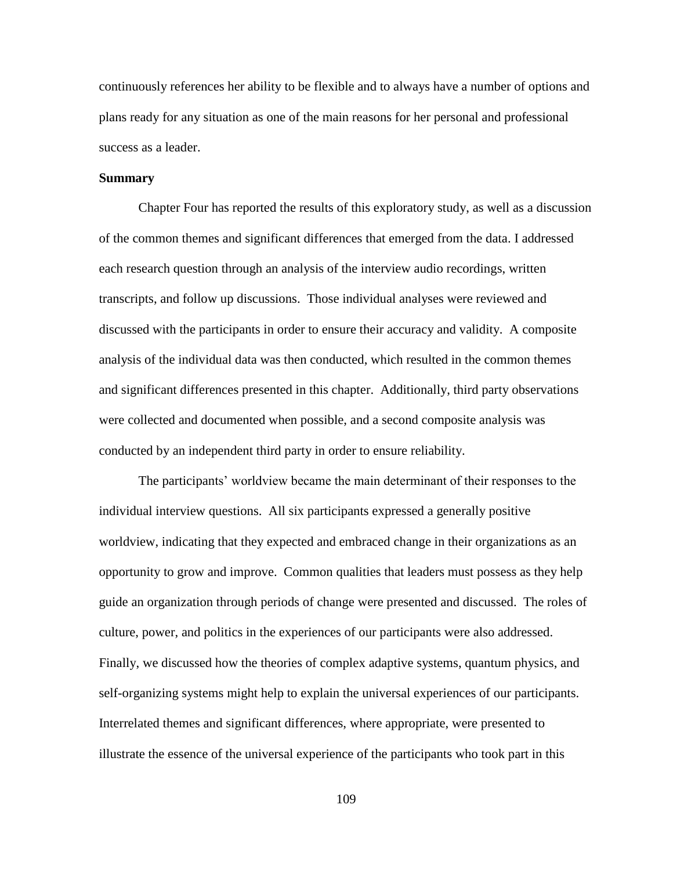continuously references her ability to be flexible and to always have a number of options and plans ready for any situation as one of the main reasons for her personal and professional success as a leader.

#### **Summary**

Chapter Four has reported the results of this exploratory study, as well as a discussion of the common themes and significant differences that emerged from the data. I addressed each research question through an analysis of the interview audio recordings, written transcripts, and follow up discussions. Those individual analyses were reviewed and discussed with the participants in order to ensure their accuracy and validity. A composite analysis of the individual data was then conducted, which resulted in the common themes and significant differences presented in this chapter. Additionally, third party observations were collected and documented when possible, and a second composite analysis was conducted by an independent third party in order to ensure reliability.

The participants" worldview became the main determinant of their responses to the individual interview questions. All six participants expressed a generally positive worldview, indicating that they expected and embraced change in their organizations as an opportunity to grow and improve. Common qualities that leaders must possess as they help guide an organization through periods of change were presented and discussed. The roles of culture, power, and politics in the experiences of our participants were also addressed. Finally, we discussed how the theories of complex adaptive systems, quantum physics, and self-organizing systems might help to explain the universal experiences of our participants. Interrelated themes and significant differences, where appropriate, were presented to illustrate the essence of the universal experience of the participants who took part in this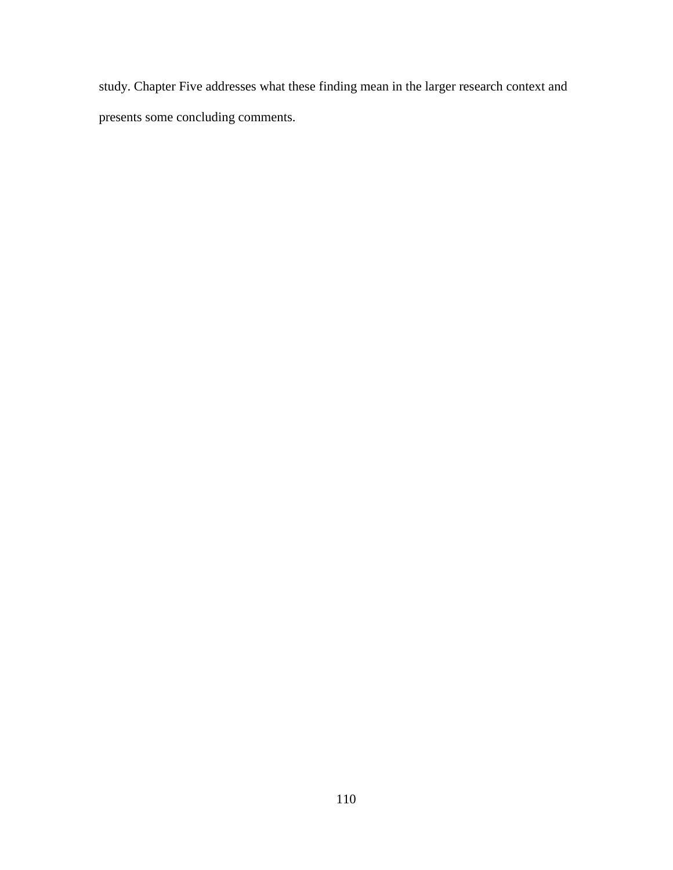study. Chapter Five addresses what these finding mean in the larger research context and presents some concluding comments.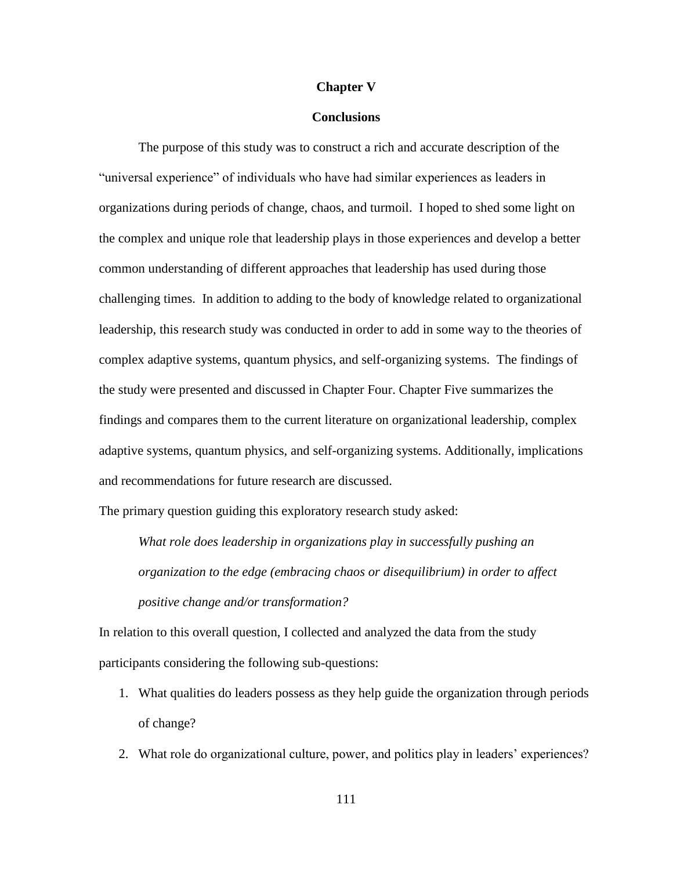### **Chapter V**

### **Conclusions**

The purpose of this study was to construct a rich and accurate description of the "universal experience" of individuals who have had similar experiences as leaders in organizations during periods of change, chaos, and turmoil. I hoped to shed some light on the complex and unique role that leadership plays in those experiences and develop a better common understanding of different approaches that leadership has used during those challenging times. In addition to adding to the body of knowledge related to organizational leadership, this research study was conducted in order to add in some way to the theories of complex adaptive systems, quantum physics, and self-organizing systems. The findings of the study were presented and discussed in Chapter Four. Chapter Five summarizes the findings and compares them to the current literature on organizational leadership, complex adaptive systems, quantum physics, and self-organizing systems. Additionally, implications and recommendations for future research are discussed.

The primary question guiding this exploratory research study asked:

*What role does leadership in organizations play in successfully pushing an organization to the edge (embracing chaos or disequilibrium) in order to affect positive change and/or transformation?* 

In relation to this overall question, I collected and analyzed the data from the study participants considering the following sub-questions:

- 1. What qualities do leaders possess as they help guide the organization through periods of change?
- 2. What role do organizational culture, power, and politics play in leaders' experiences?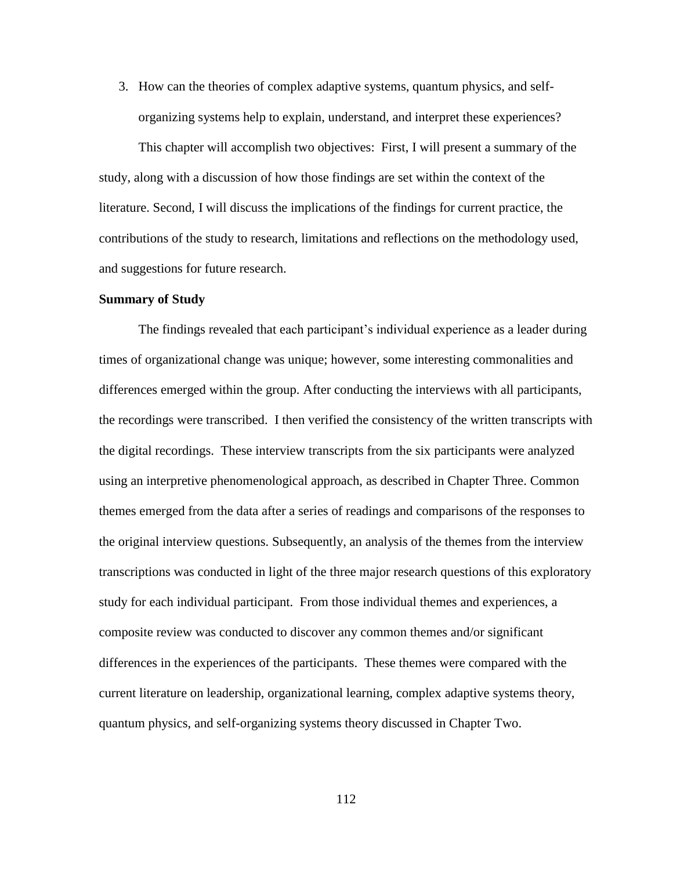3. How can the theories of complex adaptive systems, quantum physics, and selforganizing systems help to explain, understand, and interpret these experiences?

This chapter will accomplish two objectives: First, I will present a summary of the study, along with a discussion of how those findings are set within the context of the literature. Second, I will discuss the implications of the findings for current practice, the contributions of the study to research, limitations and reflections on the methodology used, and suggestions for future research.

#### **Summary of Study**

The findings revealed that each participant"s individual experience as a leader during times of organizational change was unique; however, some interesting commonalities and differences emerged within the group. After conducting the interviews with all participants, the recordings were transcribed. I then verified the consistency of the written transcripts with the digital recordings. These interview transcripts from the six participants were analyzed using an interpretive phenomenological approach, as described in Chapter Three. Common themes emerged from the data after a series of readings and comparisons of the responses to the original interview questions. Subsequently, an analysis of the themes from the interview transcriptions was conducted in light of the three major research questions of this exploratory study for each individual participant. From those individual themes and experiences, a composite review was conducted to discover any common themes and/or significant differences in the experiences of the participants. These themes were compared with the current literature on leadership, organizational learning, complex adaptive systems theory, quantum physics, and self-organizing systems theory discussed in Chapter Two.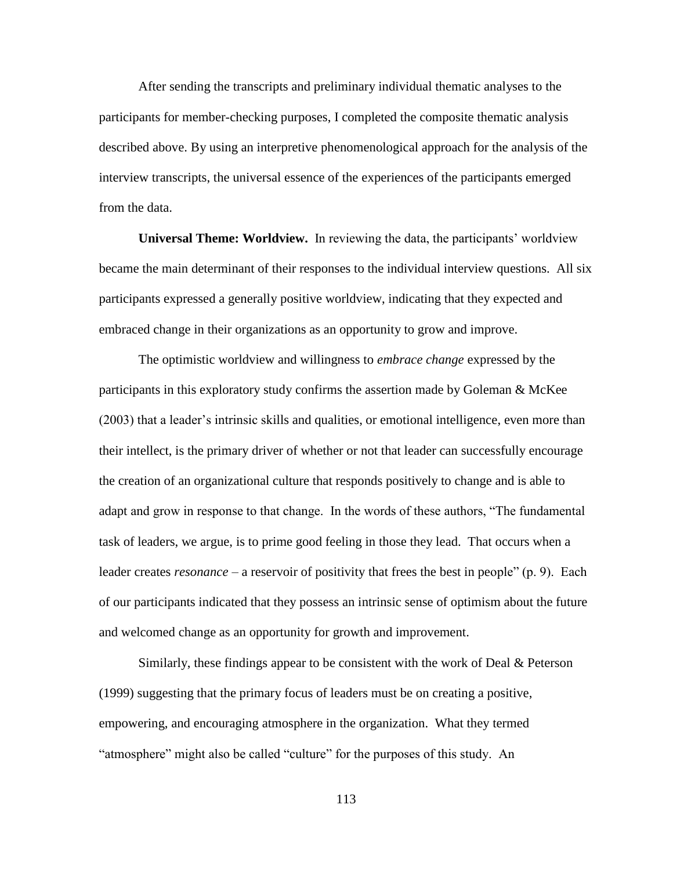After sending the transcripts and preliminary individual thematic analyses to the participants for member-checking purposes, I completed the composite thematic analysis described above. By using an interpretive phenomenological approach for the analysis of the interview transcripts, the universal essence of the experiences of the participants emerged from the data.

**Universal Theme: Worldview.** In reviewing the data, the participants' worldview became the main determinant of their responses to the individual interview questions. All six participants expressed a generally positive worldview, indicating that they expected and embraced change in their organizations as an opportunity to grow and improve.

The optimistic worldview and willingness to *embrace change* expressed by the participants in this exploratory study confirms the assertion made by Goleman & McKee (2003) that a leader"s intrinsic skills and qualities, or emotional intelligence, even more than their intellect, is the primary driver of whether or not that leader can successfully encourage the creation of an organizational culture that responds positively to change and is able to adapt and grow in response to that change. In the words of these authors, "The fundamental task of leaders, we argue, is to prime good feeling in those they lead. That occurs when a leader creates *resonance* – a reservoir of positivity that frees the best in people" (p. 9). Each of our participants indicated that they possess an intrinsic sense of optimism about the future and welcomed change as an opportunity for growth and improvement.

Similarly, these findings appear to be consistent with the work of Deal & Peterson (1999) suggesting that the primary focus of leaders must be on creating a positive, empowering, and encouraging atmosphere in the organization. What they termed "atmosphere" might also be called "culture" for the purposes of this study. An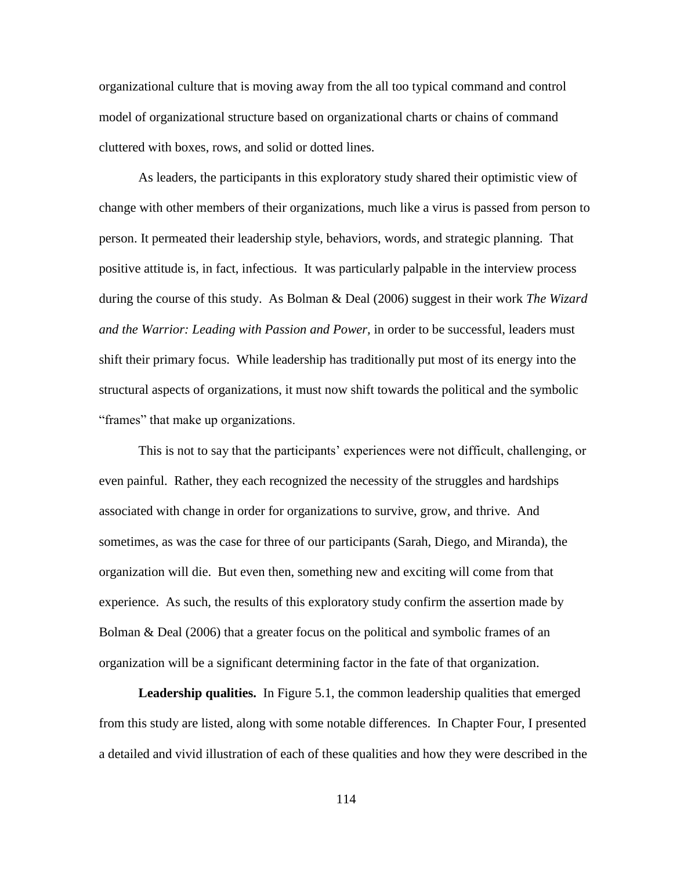organizational culture that is moving away from the all too typical command and control model of organizational structure based on organizational charts or chains of command cluttered with boxes, rows, and solid or dotted lines.

As leaders, the participants in this exploratory study shared their optimistic view of change with other members of their organizations, much like a virus is passed from person to person. It permeated their leadership style, behaviors, words, and strategic planning. That positive attitude is, in fact, infectious. It was particularly palpable in the interview process during the course of this study. As Bolman & Deal (2006) suggest in their work *The Wizard and the Warrior: Leading with Passion and Power,* in order to be successful, leaders must shift their primary focus. While leadership has traditionally put most of its energy into the structural aspects of organizations, it must now shift towards the political and the symbolic "frames" that make up organizations.

This is not to say that the participants' experiences were not difficult, challenging, or even painful. Rather, they each recognized the necessity of the struggles and hardships associated with change in order for organizations to survive, grow, and thrive. And sometimes, as was the case for three of our participants (Sarah, Diego, and Miranda), the organization will die. But even then, something new and exciting will come from that experience. As such, the results of this exploratory study confirm the assertion made by Bolman & Deal (2006) that a greater focus on the political and symbolic frames of an organization will be a significant determining factor in the fate of that organization.

**Leadership qualities.** In Figure 5.1, the common leadership qualities that emerged from this study are listed, along with some notable differences. In Chapter Four, I presented a detailed and vivid illustration of each of these qualities and how they were described in the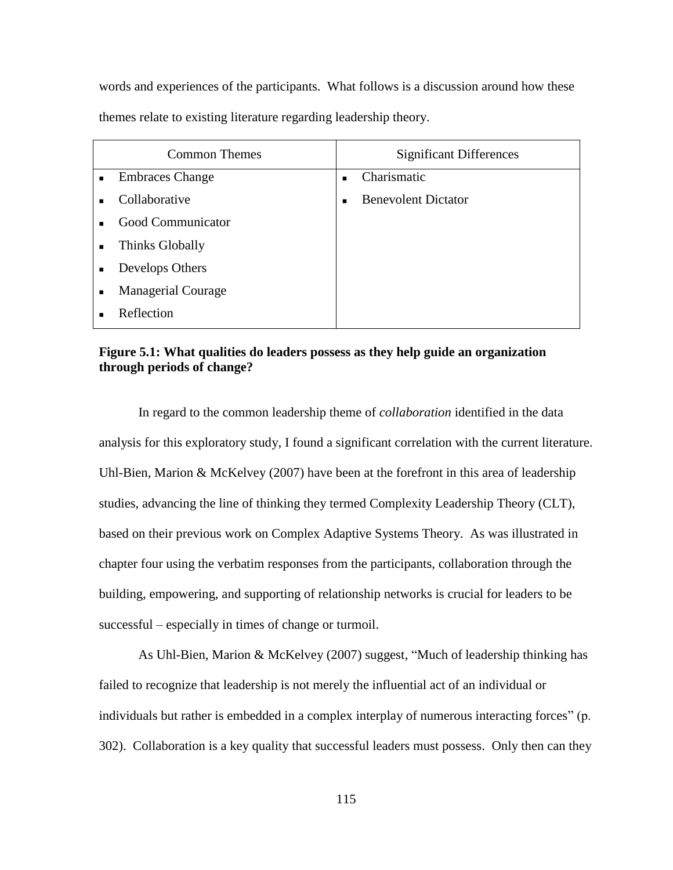words and experiences of the participants. What follows is a discussion around how these themes relate to existing literature regarding leadership theory.

| <b>Common Themes</b>                        | <b>Significant Differences</b>               |
|---------------------------------------------|----------------------------------------------|
| <b>Embraces Change</b><br>$\blacksquare$    | Charismatic<br>٠                             |
| Collaborative<br>$\blacksquare$             | <b>Benevolent Dictator</b><br>$\blacksquare$ |
| Good Communicator<br>$\blacksquare$         |                                              |
| Thinks Globally<br>$\blacksquare$           |                                              |
| Develops Others<br>$\blacksquare$           |                                              |
| <b>Managerial Courage</b><br>$\blacksquare$ |                                              |
| Reflection<br>٠                             |                                              |

## **Figure 5.1: What qualities do leaders possess as they help guide an organization through periods of change?**

In regard to the common leadership theme of *collaboration* identified in the data analysis for this exploratory study*,* I found a significant correlation with the current literature. Uhl-Bien, Marion & McKelvey (2007) have been at the forefront in this area of leadership studies, advancing the line of thinking they termed Complexity Leadership Theory (CLT), based on their previous work on Complex Adaptive Systems Theory. As was illustrated in chapter four using the verbatim responses from the participants, collaboration through the building, empowering, and supporting of relationship networks is crucial for leaders to be successful – especially in times of change or turmoil.

As Uhl-Bien, Marion & McKelvey (2007) suggest, "Much of leadership thinking has failed to recognize that leadership is not merely the influential act of an individual or individuals but rather is embedded in a complex interplay of numerous interacting forces" (p. 302). Collaboration is a key quality that successful leaders must possess. Only then can they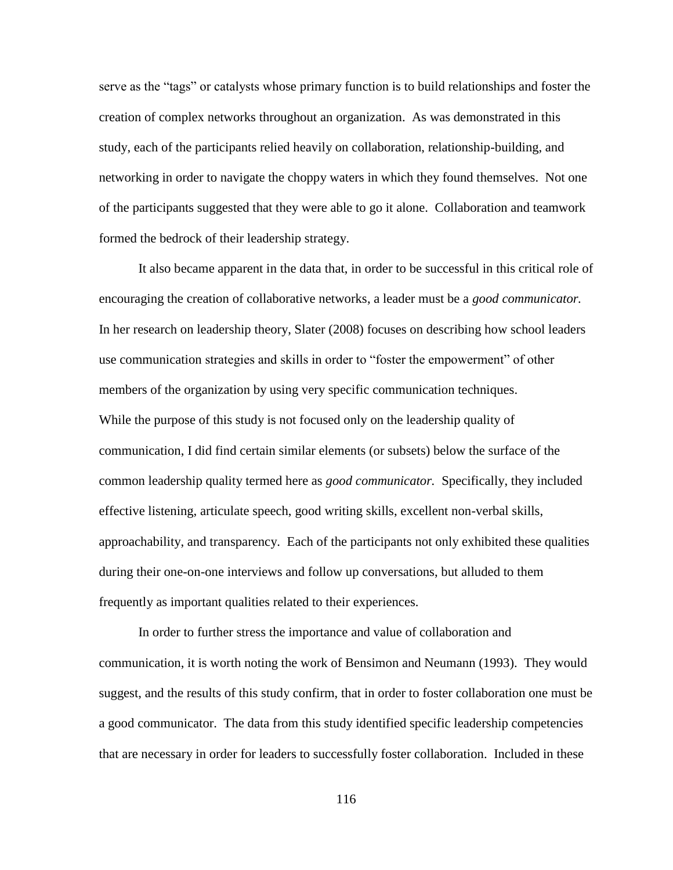serve as the "tags" or catalysts whose primary function is to build relationships and foster the creation of complex networks throughout an organization. As was demonstrated in this study, each of the participants relied heavily on collaboration, relationship-building, and networking in order to navigate the choppy waters in which they found themselves. Not one of the participants suggested that they were able to go it alone. Collaboration and teamwork formed the bedrock of their leadership strategy.

It also became apparent in the data that, in order to be successful in this critical role of encouraging the creation of collaborative networks, a leader must be a *good communicator.*  In her research on leadership theory, Slater (2008) focuses on describing how school leaders use communication strategies and skills in order to "foster the empowerment" of other members of the organization by using very specific communication techniques. While the purpose of this study is not focused only on the leadership quality of communication, I did find certain similar elements (or subsets) below the surface of the common leadership quality termed here as *good communicator.* Specifically, they included effective listening, articulate speech, good writing skills, excellent non-verbal skills, approachability, and transparency. Each of the participants not only exhibited these qualities during their one-on-one interviews and follow up conversations, but alluded to them frequently as important qualities related to their experiences.

In order to further stress the importance and value of collaboration and communication, it is worth noting the work of Bensimon and Neumann (1993). They would suggest, and the results of this study confirm, that in order to foster collaboration one must be a good communicator. The data from this study identified specific leadership competencies that are necessary in order for leaders to successfully foster collaboration. Included in these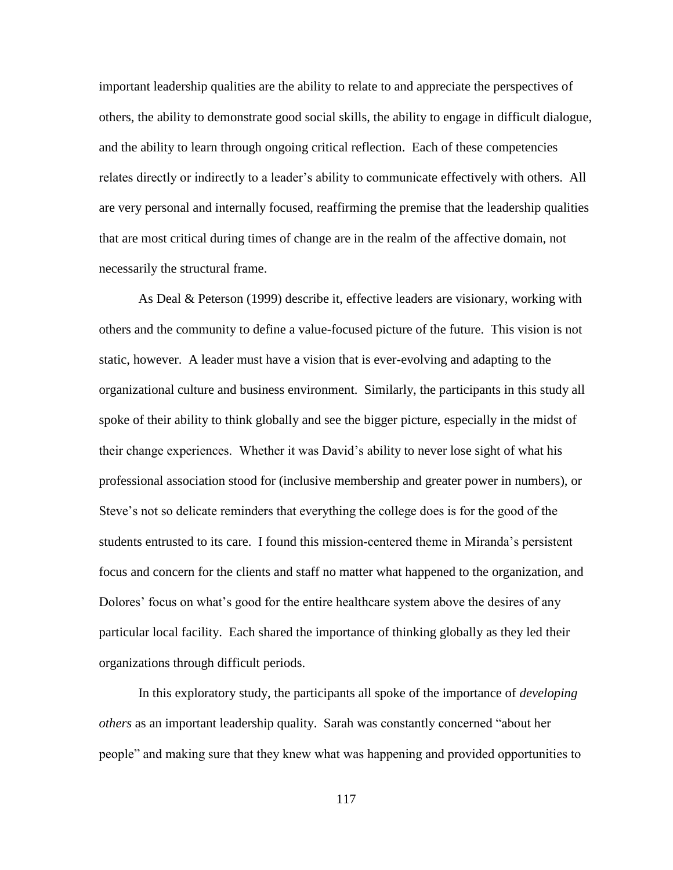important leadership qualities are the ability to relate to and appreciate the perspectives of others, the ability to demonstrate good social skills, the ability to engage in difficult dialogue, and the ability to learn through ongoing critical reflection. Each of these competencies relates directly or indirectly to a leader"s ability to communicate effectively with others. All are very personal and internally focused, reaffirming the premise that the leadership qualities that are most critical during times of change are in the realm of the affective domain, not necessarily the structural frame.

As Deal & Peterson (1999) describe it, effective leaders are visionary, working with others and the community to define a value-focused picture of the future. This vision is not static, however. A leader must have a vision that is ever-evolving and adapting to the organizational culture and business environment. Similarly, the participants in this study all spoke of their ability to think globally and see the bigger picture, especially in the midst of their change experiences. Whether it was David"s ability to never lose sight of what his professional association stood for (inclusive membership and greater power in numbers), or Steve"s not so delicate reminders that everything the college does is for the good of the students entrusted to its care. I found this mission-centered theme in Miranda"s persistent focus and concern for the clients and staff no matter what happened to the organization, and Dolores' focus on what's good for the entire healthcare system above the desires of any particular local facility. Each shared the importance of thinking globally as they led their organizations through difficult periods.

In this exploratory study, the participants all spoke of the importance of *developing others* as an important leadership quality. Sarah was constantly concerned "about her people" and making sure that they knew what was happening and provided opportunities to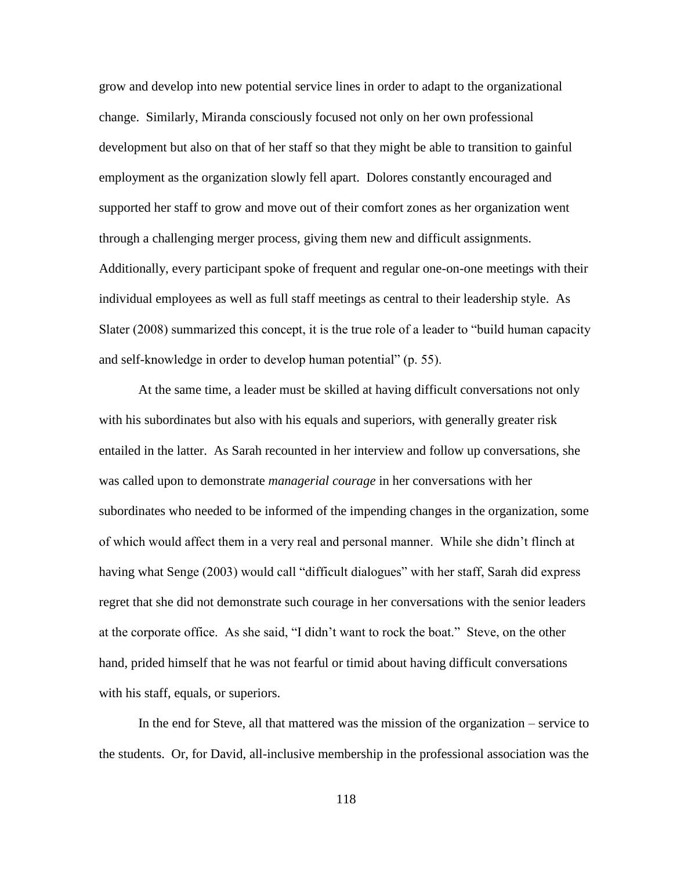grow and develop into new potential service lines in order to adapt to the organizational change. Similarly, Miranda consciously focused not only on her own professional development but also on that of her staff so that they might be able to transition to gainful employment as the organization slowly fell apart. Dolores constantly encouraged and supported her staff to grow and move out of their comfort zones as her organization went through a challenging merger process, giving them new and difficult assignments. Additionally, every participant spoke of frequent and regular one-on-one meetings with their individual employees as well as full staff meetings as central to their leadership style. As Slater (2008) summarized this concept, it is the true role of a leader to "build human capacity and self-knowledge in order to develop human potential" (p. 55).

At the same time, a leader must be skilled at having difficult conversations not only with his subordinates but also with his equals and superiors, with generally greater risk entailed in the latter. As Sarah recounted in her interview and follow up conversations, she was called upon to demonstrate *managerial courage* in her conversations with her subordinates who needed to be informed of the impending changes in the organization, some of which would affect them in a very real and personal manner. While she didn"t flinch at having what Senge (2003) would call "difficult dialogues" with her staff, Sarah did express regret that she did not demonstrate such courage in her conversations with the senior leaders at the corporate office. As she said, "I didn"t want to rock the boat." Steve, on the other hand, prided himself that he was not fearful or timid about having difficult conversations with his staff, equals, or superiors.

In the end for Steve, all that mattered was the mission of the organization – service to the students. Or, for David, all-inclusive membership in the professional association was the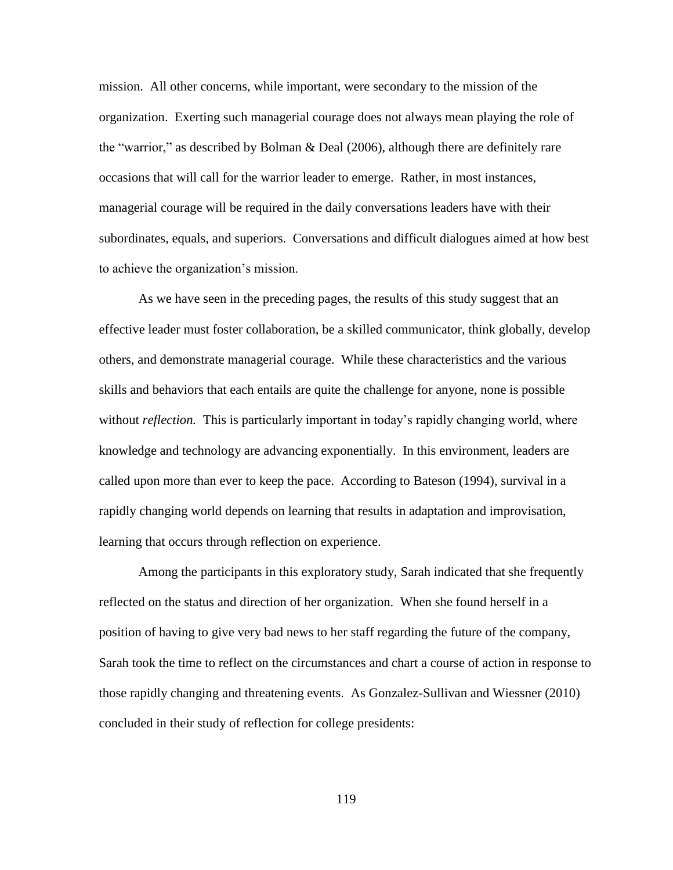mission. All other concerns, while important, were secondary to the mission of the organization. Exerting such managerial courage does not always mean playing the role of the "warrior," as described by Bolman & Deal (2006), although there are definitely rare occasions that will call for the warrior leader to emerge. Rather, in most instances, managerial courage will be required in the daily conversations leaders have with their subordinates, equals, and superiors. Conversations and difficult dialogues aimed at how best to achieve the organization"s mission.

As we have seen in the preceding pages, the results of this study suggest that an effective leader must foster collaboration, be a skilled communicator, think globally, develop others, and demonstrate managerial courage. While these characteristics and the various skills and behaviors that each entails are quite the challenge for anyone, none is possible without *reflection*. This is particularly important in today's rapidly changing world, where knowledge and technology are advancing exponentially. In this environment, leaders are called upon more than ever to keep the pace. According to Bateson (1994), survival in a rapidly changing world depends on learning that results in adaptation and improvisation, learning that occurs through reflection on experience.

Among the participants in this exploratory study, Sarah indicated that she frequently reflected on the status and direction of her organization. When she found herself in a position of having to give very bad news to her staff regarding the future of the company, Sarah took the time to reflect on the circumstances and chart a course of action in response to those rapidly changing and threatening events. As Gonzalez-Sullivan and Wiessner (2010) concluded in their study of reflection for college presidents: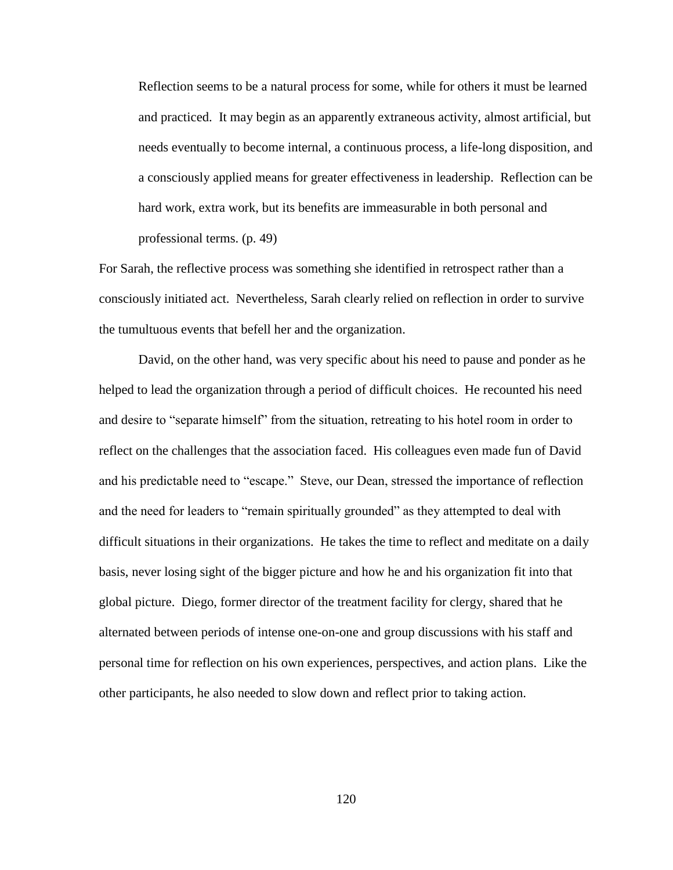Reflection seems to be a natural process for some, while for others it must be learned and practiced. It may begin as an apparently extraneous activity, almost artificial, but needs eventually to become internal, a continuous process, a life-long disposition, and a consciously applied means for greater effectiveness in leadership. Reflection can be hard work, extra work, but its benefits are immeasurable in both personal and professional terms. (p. 49)

For Sarah, the reflective process was something she identified in retrospect rather than a consciously initiated act. Nevertheless, Sarah clearly relied on reflection in order to survive the tumultuous events that befell her and the organization.

David, on the other hand, was very specific about his need to pause and ponder as he helped to lead the organization through a period of difficult choices. He recounted his need and desire to "separate himself" from the situation, retreating to his hotel room in order to reflect on the challenges that the association faced. His colleagues even made fun of David and his predictable need to "escape." Steve, our Dean, stressed the importance of reflection and the need for leaders to "remain spiritually grounded" as they attempted to deal with difficult situations in their organizations. He takes the time to reflect and meditate on a daily basis, never losing sight of the bigger picture and how he and his organization fit into that global picture. Diego, former director of the treatment facility for clergy, shared that he alternated between periods of intense one-on-one and group discussions with his staff and personal time for reflection on his own experiences, perspectives, and action plans. Like the other participants, he also needed to slow down and reflect prior to taking action.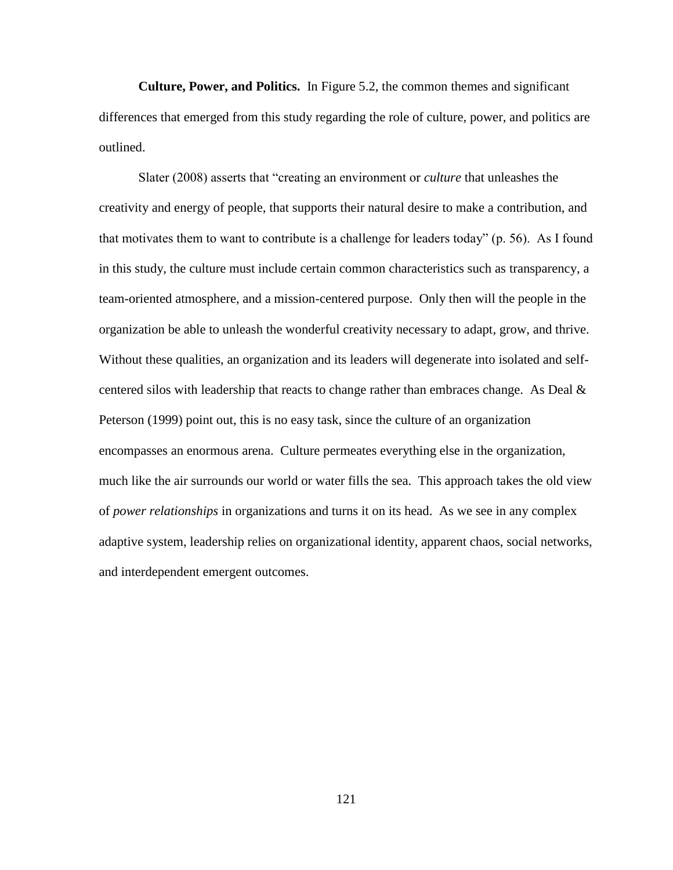**Culture, Power, and Politics.** In Figure 5.2, the common themes and significant differences that emerged from this study regarding the role of culture, power, and politics are outlined.

Slater (2008) asserts that "creating an environment or *culture* that unleashes the creativity and energy of people, that supports their natural desire to make a contribution, and that motivates them to want to contribute is a challenge for leaders today" (p. 56). As I found in this study, the culture must include certain common characteristics such as transparency, a team-oriented atmosphere, and a mission-centered purpose. Only then will the people in the organization be able to unleash the wonderful creativity necessary to adapt, grow, and thrive. Without these qualities, an organization and its leaders will degenerate into isolated and selfcentered silos with leadership that reacts to change rather than embraces change. As Deal & Peterson (1999) point out, this is no easy task, since the culture of an organization encompasses an enormous arena. Culture permeates everything else in the organization, much like the air surrounds our world or water fills the sea. This approach takes the old view of *power relationships* in organizations and turns it on its head. As we see in any complex adaptive system, leadership relies on organizational identity, apparent chaos, social networks, and interdependent emergent outcomes.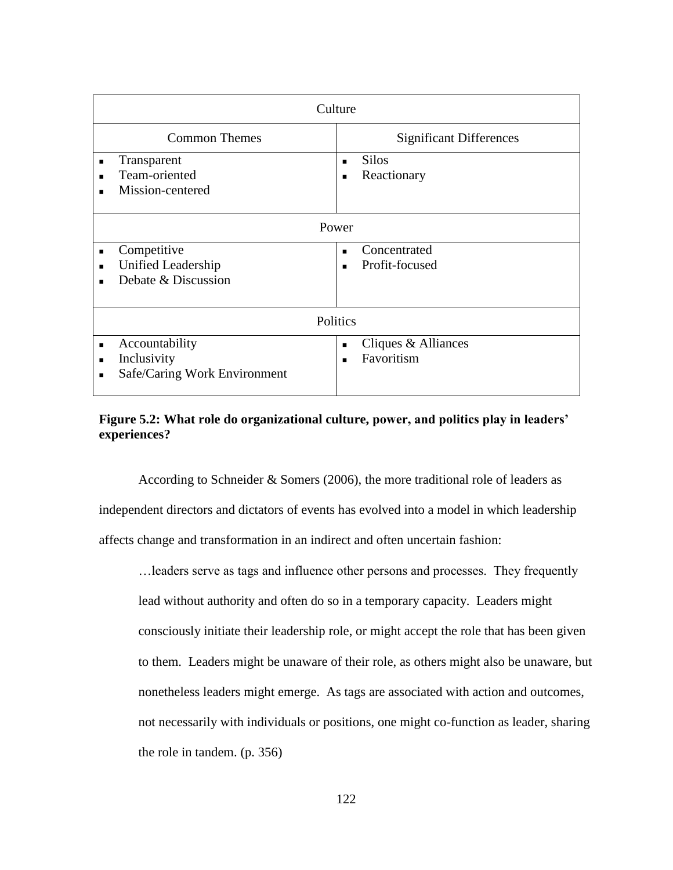| Culture                                                                         |                                                                       |  |  |
|---------------------------------------------------------------------------------|-----------------------------------------------------------------------|--|--|
| <b>Common Themes</b>                                                            | <b>Significant Differences</b>                                        |  |  |
| Transparent<br>$\blacksquare$<br>Team-oriented<br>٠<br>Mission-centered<br>٠    | <b>Silos</b><br>$\blacksquare$<br>Reactionary<br>$\blacksquare$       |  |  |
| Power                                                                           |                                                                       |  |  |
| Competitive<br>п<br>Unified Leadership<br>$\blacksquare$<br>Debate & Discussion | Concentrated<br>$\blacksquare$<br>Profit-focused<br>$\blacksquare$    |  |  |
| Politics                                                                        |                                                                       |  |  |
| Accountability<br>п<br>Inclusivity<br>п<br>Safe/Caring Work Environment<br>٠    | Cliques & Alliances<br>$\blacksquare$<br>Favoritism<br>$\blacksquare$ |  |  |

# **Figure 5.2: What role do organizational culture, power, and politics play in leaders' experiences?**

According to Schneider & Somers (2006), the more traditional role of leaders as independent directors and dictators of events has evolved into a model in which leadership affects change and transformation in an indirect and often uncertain fashion:

…leaders serve as tags and influence other persons and processes. They frequently lead without authority and often do so in a temporary capacity. Leaders might consciously initiate their leadership role, or might accept the role that has been given to them. Leaders might be unaware of their role, as others might also be unaware, but nonetheless leaders might emerge. As tags are associated with action and outcomes, not necessarily with individuals or positions, one might co-function as leader, sharing the role in tandem. (p. 356)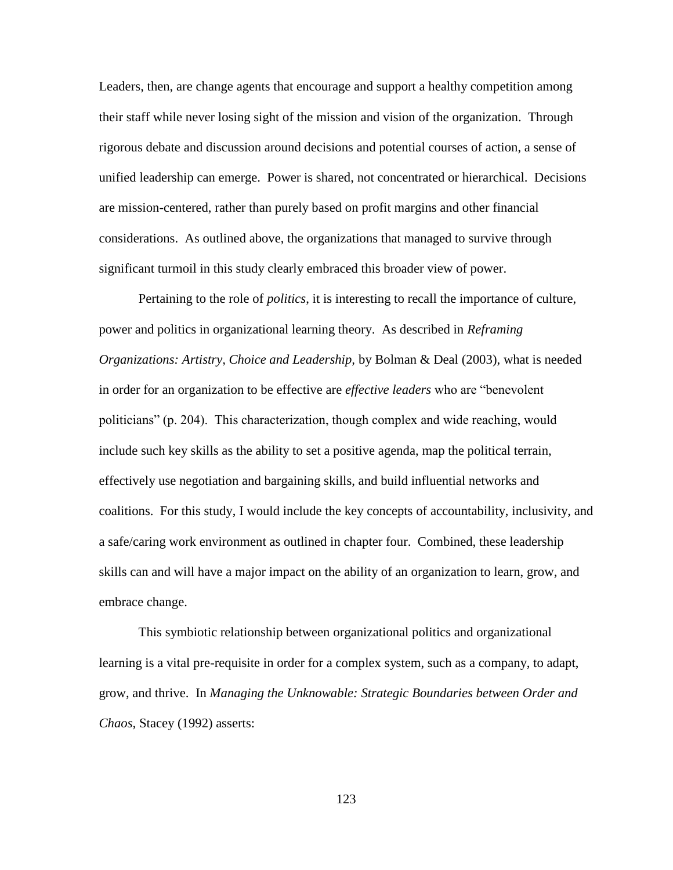Leaders, then, are change agents that encourage and support a healthy competition among their staff while never losing sight of the mission and vision of the organization. Through rigorous debate and discussion around decisions and potential courses of action, a sense of unified leadership can emerge. Power is shared, not concentrated or hierarchical. Decisions are mission-centered, rather than purely based on profit margins and other financial considerations. As outlined above, the organizations that managed to survive through significant turmoil in this study clearly embraced this broader view of power.

Pertaining to the role of *politics*, it is interesting to recall the importance of culture, power and politics in organizational learning theory. As described in *Reframing Organizations: Artistry, Choice and Leadership,* by Bolman & Deal (2003), what is needed in order for an organization to be effective are *effective leaders* who are "benevolent politicians" (p. 204). This characterization, though complex and wide reaching, would include such key skills as the ability to set a positive agenda, map the political terrain, effectively use negotiation and bargaining skills, and build influential networks and coalitions. For this study, I would include the key concepts of accountability, inclusivity, and a safe/caring work environment as outlined in chapter four. Combined, these leadership skills can and will have a major impact on the ability of an organization to learn, grow, and embrace change.

This symbiotic relationship between organizational politics and organizational learning is a vital pre-requisite in order for a complex system, such as a company, to adapt, grow, and thrive. In *Managing the Unknowable: Strategic Boundaries between Order and Chaos,* Stacey (1992) asserts: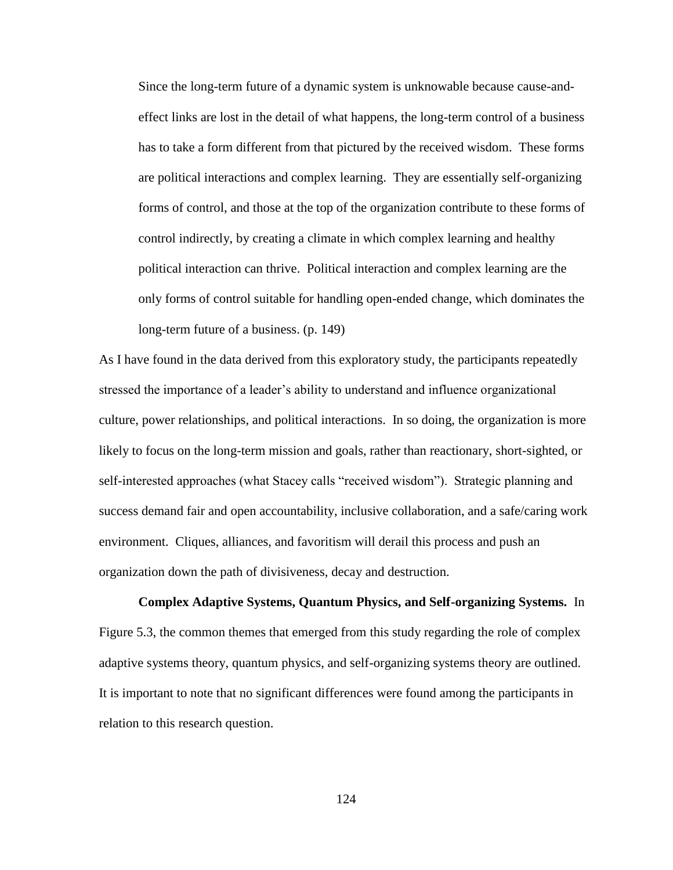Since the long-term future of a dynamic system is unknowable because cause-andeffect links are lost in the detail of what happens, the long-term control of a business has to take a form different from that pictured by the received wisdom. These forms are political interactions and complex learning. They are essentially self-organizing forms of control, and those at the top of the organization contribute to these forms of control indirectly, by creating a climate in which complex learning and healthy political interaction can thrive. Political interaction and complex learning are the only forms of control suitable for handling open-ended change, which dominates the long-term future of a business. (p. 149)

As I have found in the data derived from this exploratory study, the participants repeatedly stressed the importance of a leader"s ability to understand and influence organizational culture, power relationships, and political interactions. In so doing, the organization is more likely to focus on the long-term mission and goals, rather than reactionary, short-sighted, or self-interested approaches (what Stacey calls "received wisdom"). Strategic planning and success demand fair and open accountability, inclusive collaboration, and a safe/caring work environment. Cliques, alliances, and favoritism will derail this process and push an organization down the path of divisiveness, decay and destruction.

**Complex Adaptive Systems, Quantum Physics, and Self-organizing Systems.** In Figure 5.3, the common themes that emerged from this study regarding the role of complex adaptive systems theory, quantum physics, and self-organizing systems theory are outlined. It is important to note that no significant differences were found among the participants in relation to this research question.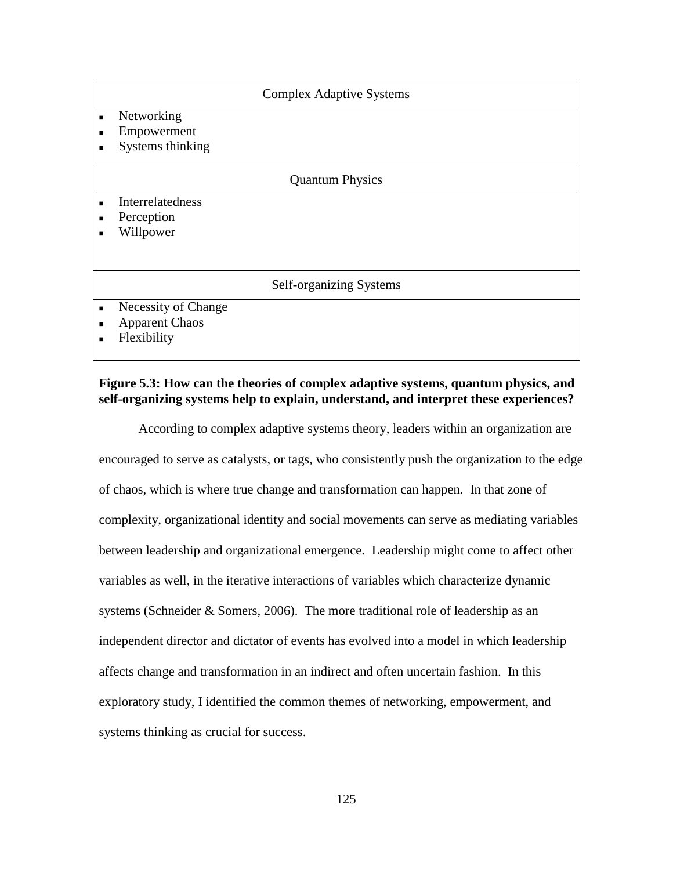| <b>Complex Adaptive Systems</b>                                                         |
|-----------------------------------------------------------------------------------------|
| Networking<br>$\blacksquare$<br>Empowerment<br>п<br>Systems thinking<br>п               |
| <b>Quantum Physics</b>                                                                  |
| Interrelatedness<br>$\blacksquare$<br>Perception<br>$\blacksquare$<br>Willpower<br>п    |
| Self-organizing Systems                                                                 |
| Necessity of Change<br>$\blacksquare$<br><b>Apparent Chaos</b><br>п<br>Flexibility<br>п |

## **Figure 5.3: How can the theories of complex adaptive systems, quantum physics, and self-organizing systems help to explain, understand, and interpret these experiences?**

According to complex adaptive systems theory, leaders within an organization are encouraged to serve as catalysts, or tags, who consistently push the organization to the edge of chaos, which is where true change and transformation can happen. In that zone of complexity, organizational identity and social movements can serve as mediating variables between leadership and organizational emergence. Leadership might come to affect other variables as well, in the iterative interactions of variables which characterize dynamic systems (Schneider & Somers, 2006). The more traditional role of leadership as an independent director and dictator of events has evolved into a model in which leadership affects change and transformation in an indirect and often uncertain fashion. In this exploratory study, I identified the common themes of networking, empowerment, and systems thinking as crucial for success.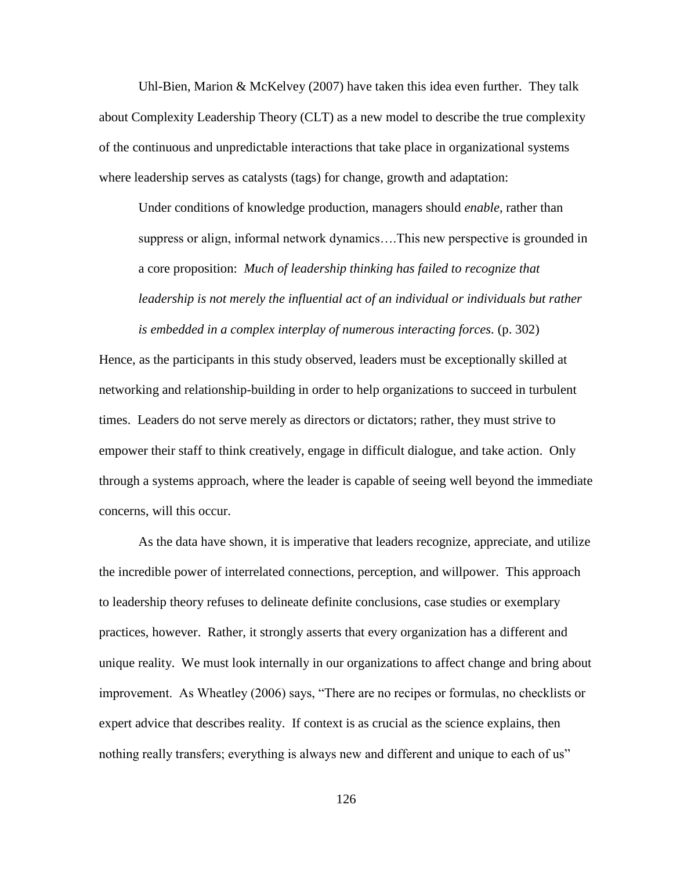Uhl-Bien, Marion & McKelvey (2007) have taken this idea even further. They talk about Complexity Leadership Theory (CLT) as a new model to describe the true complexity of the continuous and unpredictable interactions that take place in organizational systems where leadership serves as catalysts (tags) for change, growth and adaptation:

Under conditions of knowledge production, managers should *enable,* rather than suppress or align, informal network dynamics….This new perspective is grounded in a core proposition: *Much of leadership thinking has failed to recognize that*  leadership is not merely the influential act of an individual or individuals but rather *is embedded in a complex interplay of numerous interacting forces.* (p. 302)

Hence, as the participants in this study observed, leaders must be exceptionally skilled at networking and relationship-building in order to help organizations to succeed in turbulent times. Leaders do not serve merely as directors or dictators; rather, they must strive to empower their staff to think creatively, engage in difficult dialogue, and take action. Only through a systems approach, where the leader is capable of seeing well beyond the immediate concerns, will this occur.

As the data have shown, it is imperative that leaders recognize, appreciate, and utilize the incredible power of interrelated connections, perception, and willpower. This approach to leadership theory refuses to delineate definite conclusions, case studies or exemplary practices, however. Rather, it strongly asserts that every organization has a different and unique reality. We must look internally in our organizations to affect change and bring about improvement. As Wheatley (2006) says, "There are no recipes or formulas, no checklists or expert advice that describes reality. If context is as crucial as the science explains, then nothing really transfers; everything is always new and different and unique to each of us"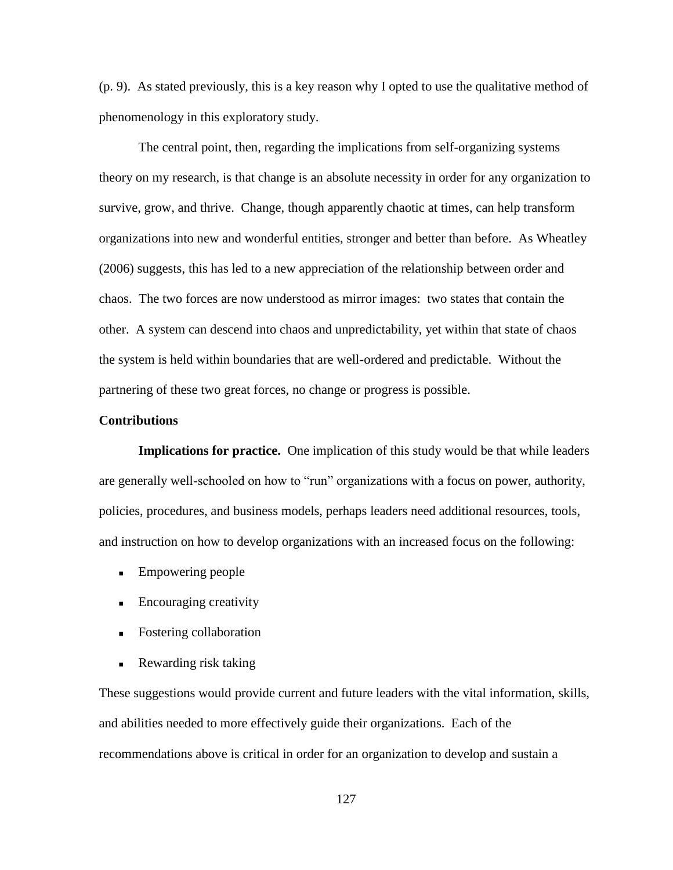(p. 9). As stated previously, this is a key reason why I opted to use the qualitative method of phenomenology in this exploratory study.

The central point, then, regarding the implications from self-organizing systems theory on my research, is that change is an absolute necessity in order for any organization to survive, grow, and thrive. Change, though apparently chaotic at times, can help transform organizations into new and wonderful entities, stronger and better than before. As Wheatley (2006) suggests, this has led to a new appreciation of the relationship between order and chaos. The two forces are now understood as mirror images: two states that contain the other. A system can descend into chaos and unpredictability, yet within that state of chaos the system is held within boundaries that are well-ordered and predictable. Without the partnering of these two great forces, no change or progress is possible.

### **Contributions**

**Implications for practice.** One implication of this study would be that while leaders are generally well-schooled on how to "run" organizations with a focus on power, authority, policies, procedures, and business models, perhaps leaders need additional resources, tools, and instruction on how to develop organizations with an increased focus on the following:

- **Empowering people**
- **Encouraging creativity**
- Fostering collaboration
- Rewarding risk taking

These suggestions would provide current and future leaders with the vital information, skills, and abilities needed to more effectively guide their organizations. Each of the recommendations above is critical in order for an organization to develop and sustain a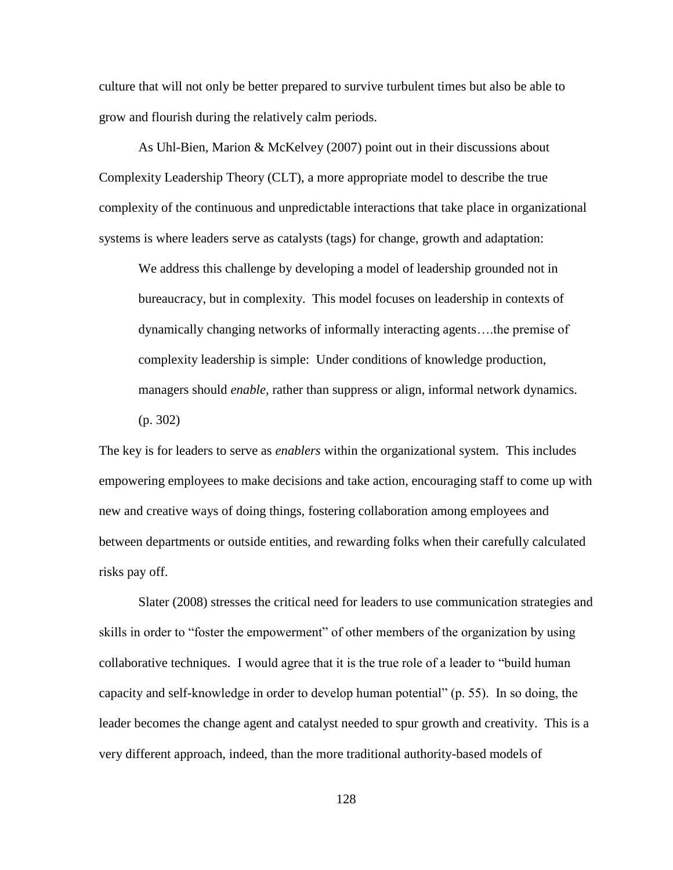culture that will not only be better prepared to survive turbulent times but also be able to grow and flourish during the relatively calm periods.

As Uhl-Bien, Marion & McKelvey (2007) point out in their discussions about Complexity Leadership Theory (CLT), a more appropriate model to describe the true complexity of the continuous and unpredictable interactions that take place in organizational systems is where leaders serve as catalysts (tags) for change, growth and adaptation:

We address this challenge by developing a model of leadership grounded not in bureaucracy, but in complexity. This model focuses on leadership in contexts of dynamically changing networks of informally interacting agents….the premise of complexity leadership is simple: Under conditions of knowledge production, managers should *enable,* rather than suppress or align, informal network dynamics. (p. 302)

The key is for leaders to serve as *enablers* within the organizational system. This includes empowering employees to make decisions and take action, encouraging staff to come up with new and creative ways of doing things, fostering collaboration among employees and between departments or outside entities, and rewarding folks when their carefully calculated risks pay off.

Slater (2008) stresses the critical need for leaders to use communication strategies and skills in order to "foster the empowerment" of other members of the organization by using collaborative techniques. I would agree that it is the true role of a leader to "build human capacity and self-knowledge in order to develop human potential" (p. 55). In so doing, the leader becomes the change agent and catalyst needed to spur growth and creativity. This is a very different approach, indeed, than the more traditional authority-based models of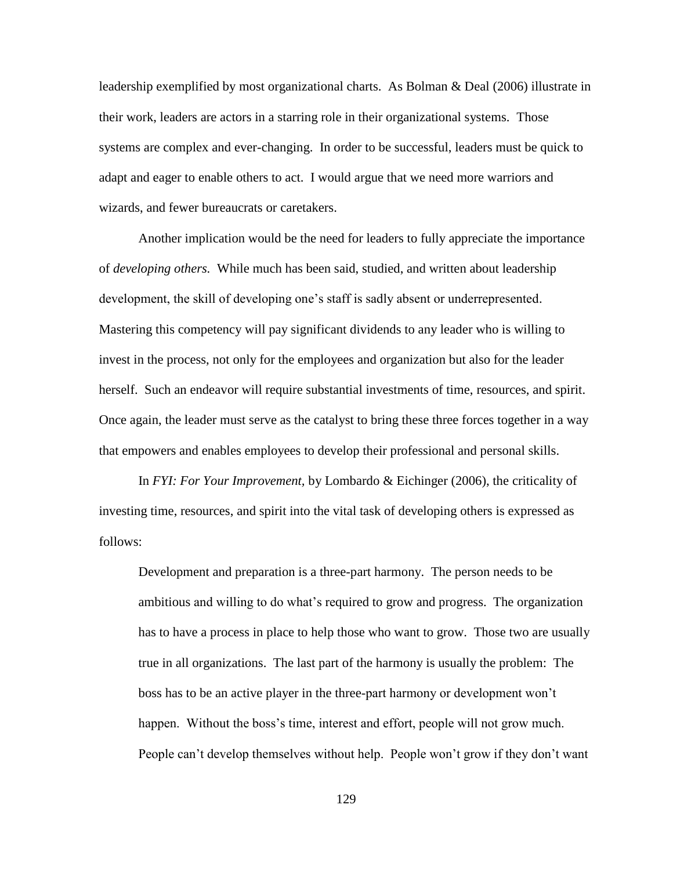leadership exemplified by most organizational charts. As Bolman & Deal (2006) illustrate in their work, leaders are actors in a starring role in their organizational systems. Those systems are complex and ever-changing. In order to be successful, leaders must be quick to adapt and eager to enable others to act. I would argue that we need more warriors and wizards, and fewer bureaucrats or caretakers.

Another implication would be the need for leaders to fully appreciate the importance of *developing others.* While much has been said, studied, and written about leadership development, the skill of developing one's staff is sadly absent or underrepresented. Mastering this competency will pay significant dividends to any leader who is willing to invest in the process, not only for the employees and organization but also for the leader herself. Such an endeavor will require substantial investments of time, resources, and spirit. Once again, the leader must serve as the catalyst to bring these three forces together in a way that empowers and enables employees to develop their professional and personal skills.

In *FYI: For Your Improvement,* by Lombardo & Eichinger (2006), the criticality of investing time, resources, and spirit into the vital task of developing others is expressed as follows:

Development and preparation is a three-part harmony. The person needs to be ambitious and willing to do what"s required to grow and progress. The organization has to have a process in place to help those who want to grow. Those two are usually true in all organizations. The last part of the harmony is usually the problem: The boss has to be an active player in the three-part harmony or development won"t happen. Without the boss's time, interest and effort, people will not grow much. People can"t develop themselves without help. People won"t grow if they don"t want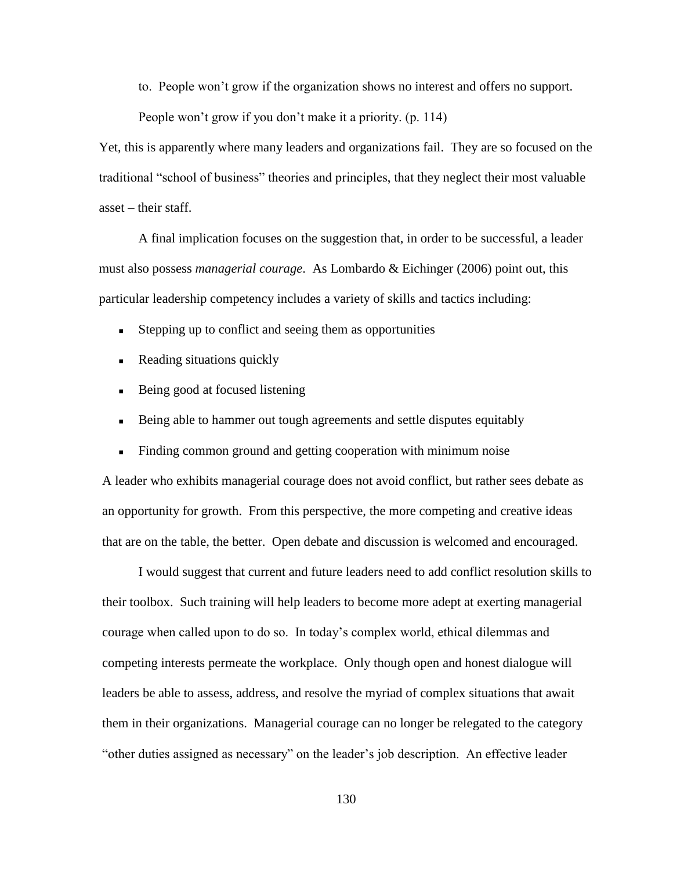to. People won"t grow if the organization shows no interest and offers no support.

People won't grow if you don't make it a priority. (p. 114)

Yet, this is apparently where many leaders and organizations fail. They are so focused on the traditional "school of business" theories and principles, that they neglect their most valuable asset – their staff.

A final implication focuses on the suggestion that, in order to be successful, a leader must also possess *managerial courage*. As Lombardo & Eichinger (2006) point out, this particular leadership competency includes a variety of skills and tactics including:

- Stepping up to conflict and seeing them as opportunities
- Reading situations quickly
- Being good at focused listening
- Being able to hammer out tough agreements and settle disputes equitably
- Finding common ground and getting cooperation with minimum noise

A leader who exhibits managerial courage does not avoid conflict, but rather sees debate as an opportunity for growth. From this perspective, the more competing and creative ideas that are on the table, the better. Open debate and discussion is welcomed and encouraged.

I would suggest that current and future leaders need to add conflict resolution skills to their toolbox. Such training will help leaders to become more adept at exerting managerial courage when called upon to do so. In today"s complex world, ethical dilemmas and competing interests permeate the workplace. Only though open and honest dialogue will leaders be able to assess, address, and resolve the myriad of complex situations that await them in their organizations. Managerial courage can no longer be relegated to the category "other duties assigned as necessary" on the leader"s job description. An effective leader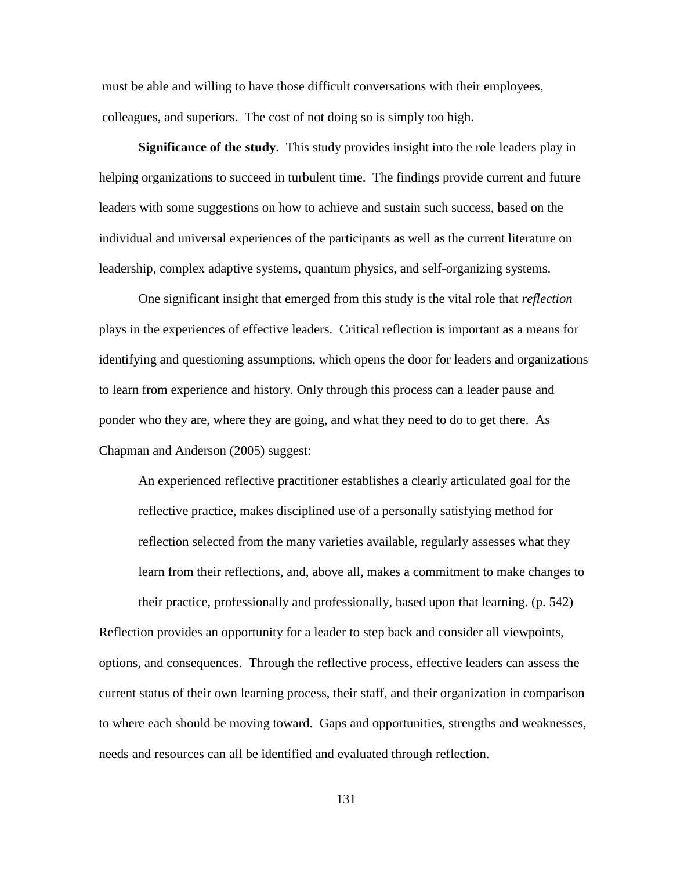must be able and willing to have those difficult conversations with their employees, colleagues, and superiors. The cost of not doing so is simply too high.

**Significance of the study.** This study provides insight into the role leaders play in helping organizations to succeed in turbulent time. The findings provide current and future leaders with some suggestions on how to achieve and sustain such success, based on the individual and universal experiences of the participants as well as the current literature on leadership, complex adaptive systems, quantum physics, and self-organizing systems.

One significant insight that emerged from this study is the vital role that *reflection*  plays in the experiences of effective leaders. Critical reflection is important as a means for identifying and questioning assumptions, which opens the door for leaders and organizations to learn from experience and history. Only through this process can a leader pause and ponder who they are, where they are going, and what they need to do to get there. As Chapman and Anderson (2005) suggest:

An experienced reflective practitioner establishes a clearly articulated goal for the reflective practice, makes disciplined use of a personally satisfying method for reflection selected from the many varieties available, regularly assesses what they learn from their reflections, and, above all, makes a commitment to make changes to their practice, professionally and professionally, based upon that learning. (p. 542)

Reflection provides an opportunity for a leader to step back and consider all viewpoints, options, and consequences. Through the reflective process, effective leaders can assess the current status of their own learning process, their staff, and their organization in comparison to where each should be moving toward. Gaps and opportunities, strengths and weaknesses, needs and resources can all be identified and evaluated through reflection.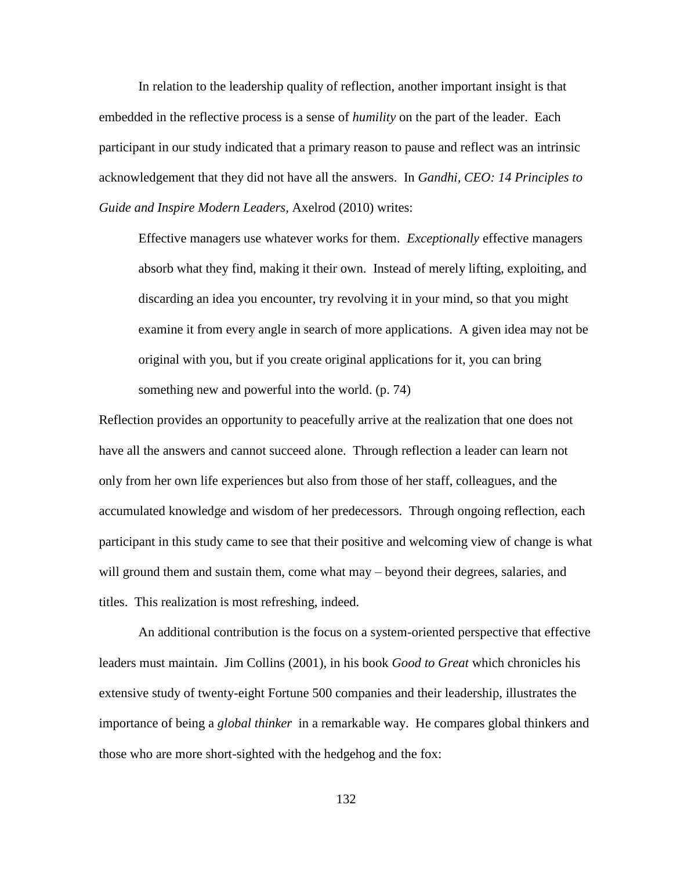In relation to the leadership quality of reflection, another important insight is that embedded in the reflective process is a sense of *humility* on the part of the leader. Each participant in our study indicated that a primary reason to pause and reflect was an intrinsic acknowledgement that they did not have all the answers. In *Gandhi, CEO: 14 Principles to Guide and Inspire Modern Leaders,* Axelrod (2010) writes:

Effective managers use whatever works for them. *Exceptionally* effective managers absorb what they find, making it their own. Instead of merely lifting, exploiting, and discarding an idea you encounter, try revolving it in your mind, so that you might examine it from every angle in search of more applications. A given idea may not be original with you, but if you create original applications for it, you can bring something new and powerful into the world. (p. 74)

Reflection provides an opportunity to peacefully arrive at the realization that one does not have all the answers and cannot succeed alone. Through reflection a leader can learn not only from her own life experiences but also from those of her staff, colleagues, and the accumulated knowledge and wisdom of her predecessors. Through ongoing reflection, each participant in this study came to see that their positive and welcoming view of change is what will ground them and sustain them, come what may – beyond their degrees, salaries, and titles. This realization is most refreshing, indeed.

An additional contribution is the focus on a system-oriented perspective that effective leaders must maintain. Jim Collins (2001), in his book *Good to Great* which chronicles his extensive study of twenty-eight Fortune 500 companies and their leadership, illustrates the importance of being a *global thinker* in a remarkable way. He compares global thinkers and those who are more short-sighted with the hedgehog and the fox: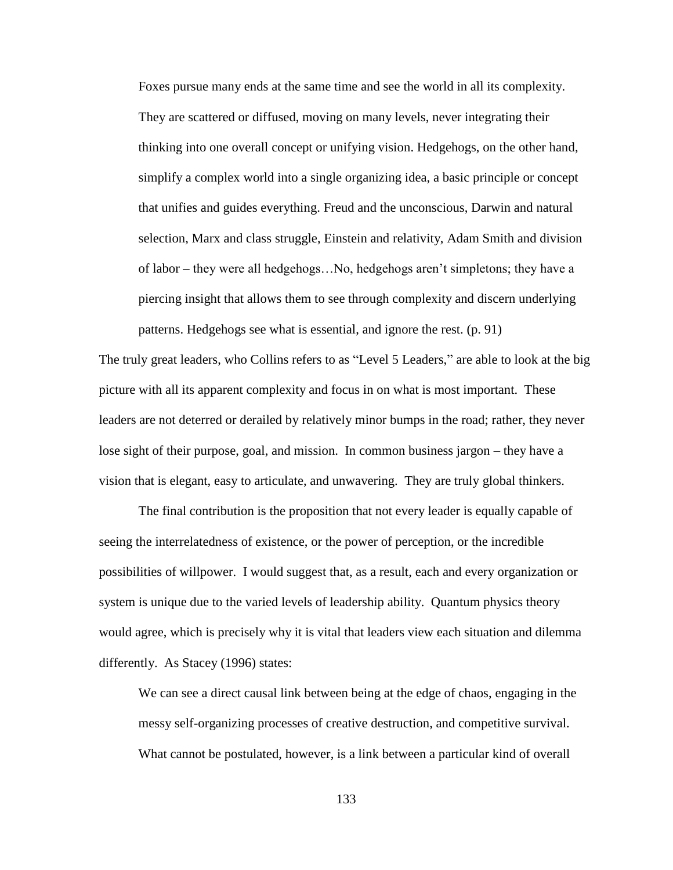Foxes pursue many ends at the same time and see the world in all its complexity. They are scattered or diffused, moving on many levels, never integrating their thinking into one overall concept or unifying vision. Hedgehogs, on the other hand, simplify a complex world into a single organizing idea, a basic principle or concept that unifies and guides everything. Freud and the unconscious, Darwin and natural selection, Marx and class struggle, Einstein and relativity, Adam Smith and division of labor – they were all hedgehogs…No, hedgehogs aren"t simpletons; they have a piercing insight that allows them to see through complexity and discern underlying

The truly great leaders, who Collins refers to as "Level 5 Leaders," are able to look at the big picture with all its apparent complexity and focus in on what is most important. These leaders are not deterred or derailed by relatively minor bumps in the road; rather, they never lose sight of their purpose, goal, and mission. In common business jargon – they have a vision that is elegant, easy to articulate, and unwavering. They are truly global thinkers.

patterns. Hedgehogs see what is essential, and ignore the rest. (p. 91)

The final contribution is the proposition that not every leader is equally capable of seeing the interrelatedness of existence, or the power of perception, or the incredible possibilities of willpower. I would suggest that, as a result, each and every organization or system is unique due to the varied levels of leadership ability. Quantum physics theory would agree, which is precisely why it is vital that leaders view each situation and dilemma differently. As Stacey (1996) states:

We can see a direct causal link between being at the edge of chaos, engaging in the messy self-organizing processes of creative destruction, and competitive survival. What cannot be postulated, however, is a link between a particular kind of overall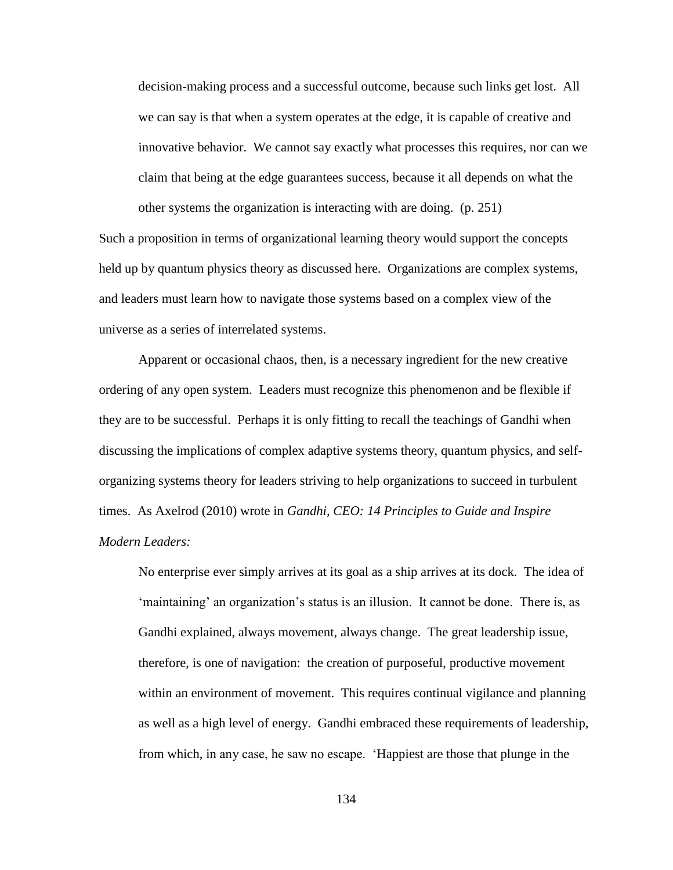decision-making process and a successful outcome, because such links get lost. All we can say is that when a system operates at the edge, it is capable of creative and innovative behavior. We cannot say exactly what processes this requires, nor can we claim that being at the edge guarantees success, because it all depends on what the other systems the organization is interacting with are doing. (p. 251)

Such a proposition in terms of organizational learning theory would support the concepts held up by quantum physics theory as discussed here. Organizations are complex systems, and leaders must learn how to navigate those systems based on a complex view of the universe as a series of interrelated systems.

Apparent or occasional chaos, then, is a necessary ingredient for the new creative ordering of any open system. Leaders must recognize this phenomenon and be flexible if they are to be successful. Perhaps it is only fitting to recall the teachings of Gandhi when discussing the implications of complex adaptive systems theory, quantum physics, and selforganizing systems theory for leaders striving to help organizations to succeed in turbulent times. As Axelrod (2010) wrote in *Gandhi, CEO: 14 Principles to Guide and Inspire Modern Leaders:*

No enterprise ever simply arrives at its goal as a ship arrives at its dock. The idea of "maintaining" an organization's status is an illusion. It cannot be done. There is, as Gandhi explained, always movement, always change. The great leadership issue, therefore, is one of navigation: the creation of purposeful, productive movement within an environment of movement. This requires continual vigilance and planning as well as a high level of energy. Gandhi embraced these requirements of leadership, from which, in any case, he saw no escape. "Happiest are those that plunge in the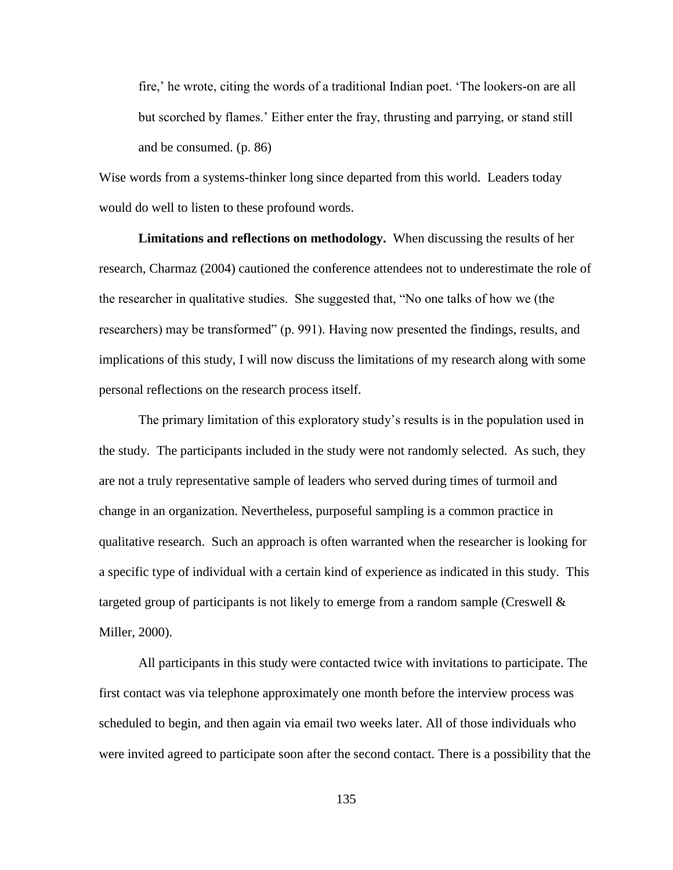fire,' he wrote, citing the words of a traditional Indian poet. 'The lookers-on are all but scorched by flames." Either enter the fray, thrusting and parrying, or stand still and be consumed. (p. 86)

Wise words from a systems-thinker long since departed from this world. Leaders today would do well to listen to these profound words.

**Limitations and reflections on methodology.** When discussing the results of her research, Charmaz (2004) cautioned the conference attendees not to underestimate the role of the researcher in qualitative studies. She suggested that, "No one talks of how we (the researchers) may be transformed" (p. 991). Having now presented the findings, results, and implications of this study, I will now discuss the limitations of my research along with some personal reflections on the research process itself.

The primary limitation of this exploratory study"s results is in the population used in the study. The participants included in the study were not randomly selected. As such, they are not a truly representative sample of leaders who served during times of turmoil and change in an organization. Nevertheless, purposeful sampling is a common practice in qualitative research. Such an approach is often warranted when the researcher is looking for a specific type of individual with a certain kind of experience as indicated in this study. This targeted group of participants is not likely to emerge from a random sample (Creswell  $\&$ Miller, 2000).

All participants in this study were contacted twice with invitations to participate. The first contact was via telephone approximately one month before the interview process was scheduled to begin, and then again via email two weeks later. All of those individuals who were invited agreed to participate soon after the second contact. There is a possibility that the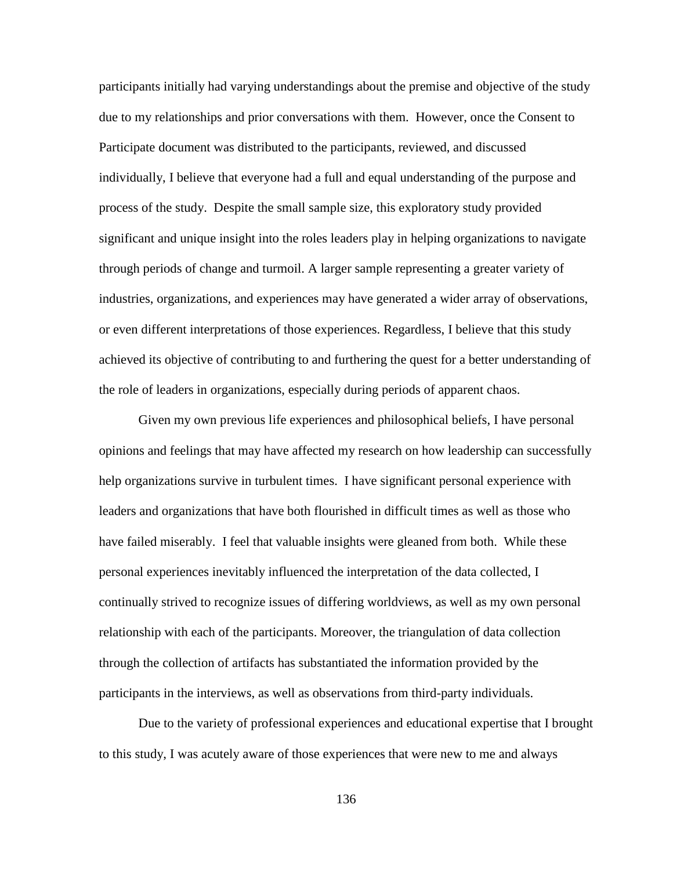participants initially had varying understandings about the premise and objective of the study due to my relationships and prior conversations with them. However, once the Consent to Participate document was distributed to the participants, reviewed, and discussed individually, I believe that everyone had a full and equal understanding of the purpose and process of the study. Despite the small sample size, this exploratory study provided significant and unique insight into the roles leaders play in helping organizations to navigate through periods of change and turmoil. A larger sample representing a greater variety of industries, organizations, and experiences may have generated a wider array of observations, or even different interpretations of those experiences. Regardless, I believe that this study achieved its objective of contributing to and furthering the quest for a better understanding of the role of leaders in organizations, especially during periods of apparent chaos.

Given my own previous life experiences and philosophical beliefs, I have personal opinions and feelings that may have affected my research on how leadership can successfully help organizations survive in turbulent times. I have significant personal experience with leaders and organizations that have both flourished in difficult times as well as those who have failed miserably. I feel that valuable insights were gleaned from both. While these personal experiences inevitably influenced the interpretation of the data collected, I continually strived to recognize issues of differing worldviews, as well as my own personal relationship with each of the participants. Moreover, the triangulation of data collection through the collection of artifacts has substantiated the information provided by the participants in the interviews, as well as observations from third-party individuals.

Due to the variety of professional experiences and educational expertise that I brought to this study, I was acutely aware of those experiences that were new to me and always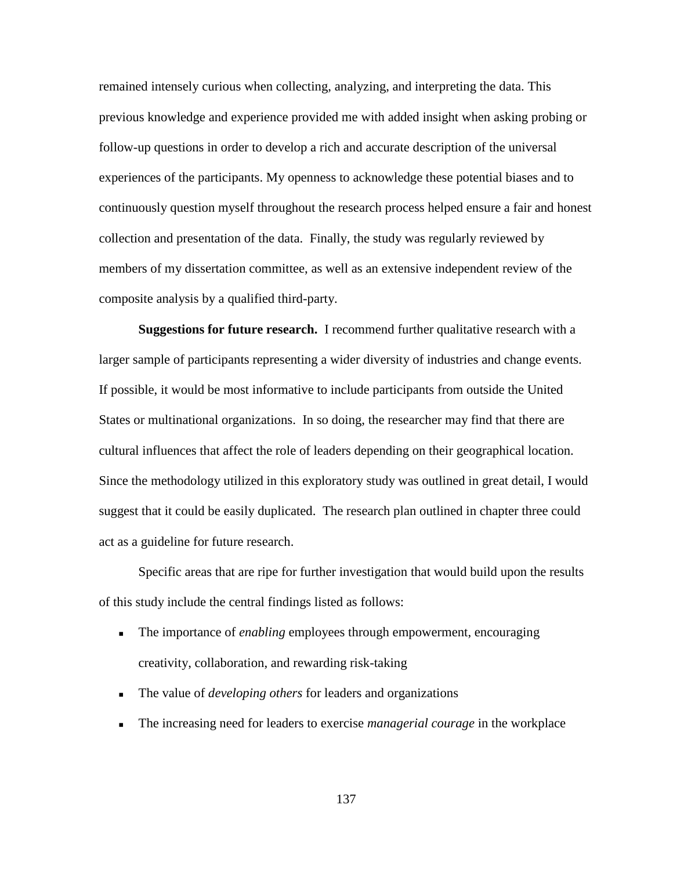remained intensely curious when collecting, analyzing, and interpreting the data. This previous knowledge and experience provided me with added insight when asking probing or follow-up questions in order to develop a rich and accurate description of the universal experiences of the participants. My openness to acknowledge these potential biases and to continuously question myself throughout the research process helped ensure a fair and honest collection and presentation of the data. Finally, the study was regularly reviewed by members of my dissertation committee, as well as an extensive independent review of the composite analysis by a qualified third-party.

**Suggestions for future research.** I recommend further qualitative research with a larger sample of participants representing a wider diversity of industries and change events. If possible, it would be most informative to include participants from outside the United States or multinational organizations. In so doing, the researcher may find that there are cultural influences that affect the role of leaders depending on their geographical location. Since the methodology utilized in this exploratory study was outlined in great detail, I would suggest that it could be easily duplicated. The research plan outlined in chapter three could act as a guideline for future research.

Specific areas that are ripe for further investigation that would build upon the results of this study include the central findings listed as follows:

- The importance of *enabling* employees through empowerment, encouraging creativity, collaboration, and rewarding risk-taking
- The value of *developing others* for leaders and organizations
- The increasing need for leaders to exercise *managerial courage* in the workplace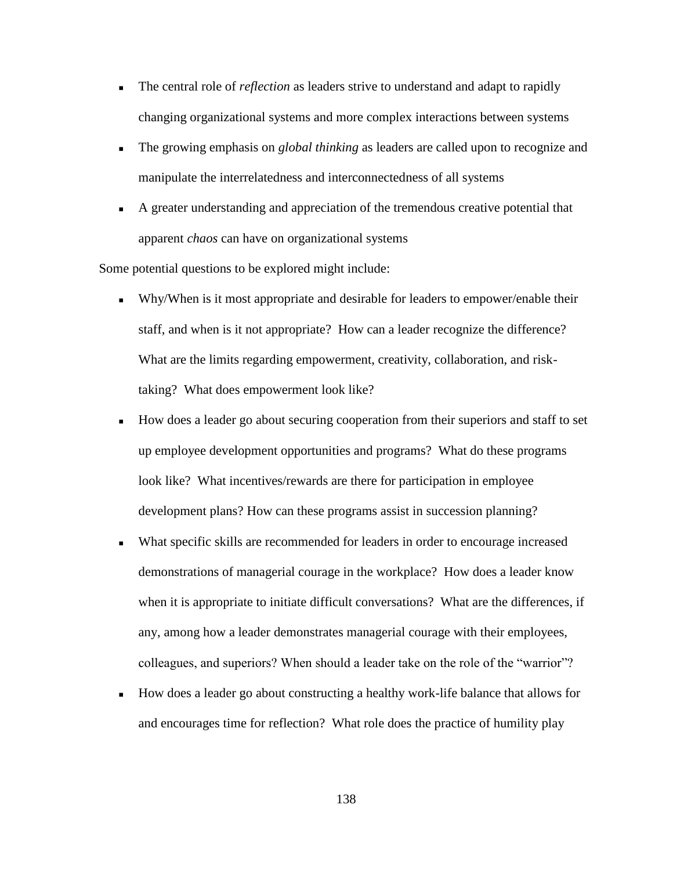- The central role of *reflection* as leaders strive to understand and adapt to rapidly changing organizational systems and more complex interactions between systems
- The growing emphasis on *global thinking* as leaders are called upon to recognize and manipulate the interrelatedness and interconnectedness of all systems
- A greater understanding and appreciation of the tremendous creative potential that apparent *chaos* can have on organizational systems

Some potential questions to be explored might include:

- Why/When is it most appropriate and desirable for leaders to empower/enable their staff, and when is it not appropriate? How can a leader recognize the difference? What are the limits regarding empowerment, creativity, collaboration, and risktaking? What does empowerment look like?
- How does a leader go about securing cooperation from their superiors and staff to set up employee development opportunities and programs? What do these programs look like? What incentives/rewards are there for participation in employee development plans? How can these programs assist in succession planning?
- What specific skills are recommended for leaders in order to encourage increased demonstrations of managerial courage in the workplace? How does a leader know when it is appropriate to initiate difficult conversations? What are the differences, if any, among how a leader demonstrates managerial courage with their employees, colleagues, and superiors? When should a leader take on the role of the "warrior"?
- How does a leader go about constructing a healthy work-life balance that allows for and encourages time for reflection? What role does the practice of humility play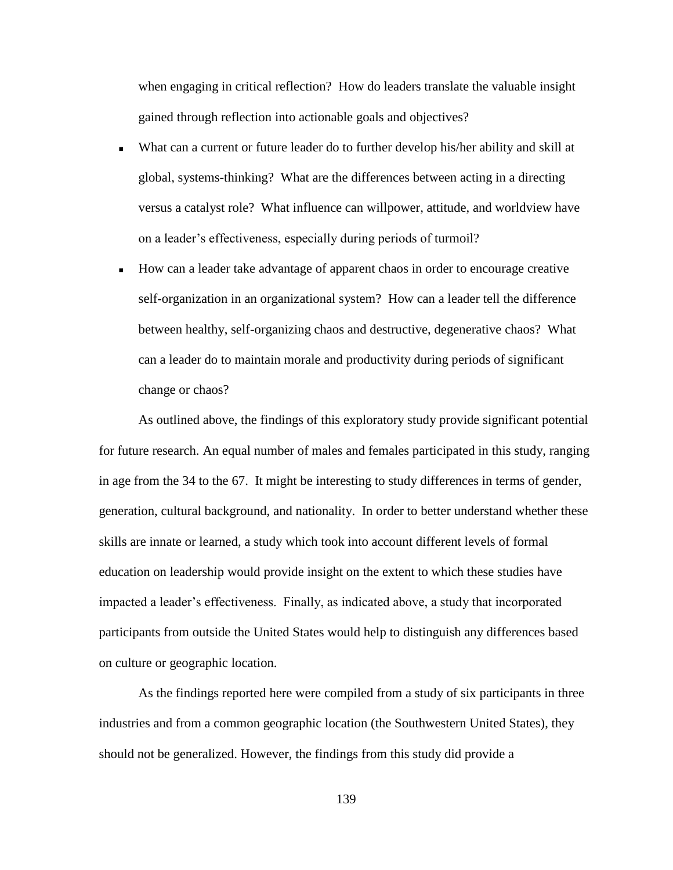when engaging in critical reflection? How do leaders translate the valuable insight gained through reflection into actionable goals and objectives?

- What can a current or future leader do to further develop his/her ability and skill at global, systems-thinking? What are the differences between acting in a directing versus a catalyst role? What influence can willpower, attitude, and worldview have on a leader"s effectiveness, especially during periods of turmoil?
- How can a leader take advantage of apparent chaos in order to encourage creative self-organization in an organizational system? How can a leader tell the difference between healthy, self-organizing chaos and destructive, degenerative chaos? What can a leader do to maintain morale and productivity during periods of significant change or chaos?

As outlined above, the findings of this exploratory study provide significant potential for future research. An equal number of males and females participated in this study, ranging in age from the 34 to the 67. It might be interesting to study differences in terms of gender, generation, cultural background, and nationality. In order to better understand whether these skills are innate or learned, a study which took into account different levels of formal education on leadership would provide insight on the extent to which these studies have impacted a leader"s effectiveness. Finally, as indicated above, a study that incorporated participants from outside the United States would help to distinguish any differences based on culture or geographic location.

As the findings reported here were compiled from a study of six participants in three industries and from a common geographic location (the Southwestern United States), they should not be generalized. However, the findings from this study did provide a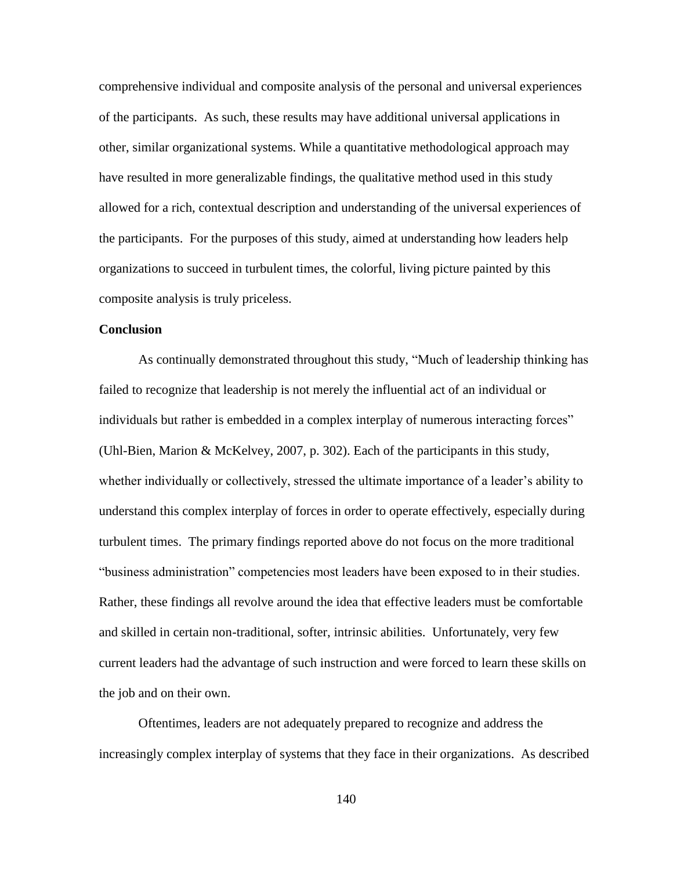comprehensive individual and composite analysis of the personal and universal experiences of the participants. As such, these results may have additional universal applications in other, similar organizational systems. While a quantitative methodological approach may have resulted in more generalizable findings, the qualitative method used in this study allowed for a rich, contextual description and understanding of the universal experiences of the participants. For the purposes of this study, aimed at understanding how leaders help organizations to succeed in turbulent times, the colorful, living picture painted by this composite analysis is truly priceless.

## **Conclusion**

As continually demonstrated throughout this study, "Much of leadership thinking has failed to recognize that leadership is not merely the influential act of an individual or individuals but rather is embedded in a complex interplay of numerous interacting forces" (Uhl-Bien, Marion & McKelvey, 2007, p. 302). Each of the participants in this study, whether individually or collectively, stressed the ultimate importance of a leader's ability to understand this complex interplay of forces in order to operate effectively, especially during turbulent times. The primary findings reported above do not focus on the more traditional "business administration" competencies most leaders have been exposed to in their studies. Rather, these findings all revolve around the idea that effective leaders must be comfortable and skilled in certain non-traditional, softer, intrinsic abilities. Unfortunately, very few current leaders had the advantage of such instruction and were forced to learn these skills on the job and on their own.

Oftentimes, leaders are not adequately prepared to recognize and address the increasingly complex interplay of systems that they face in their organizations. As described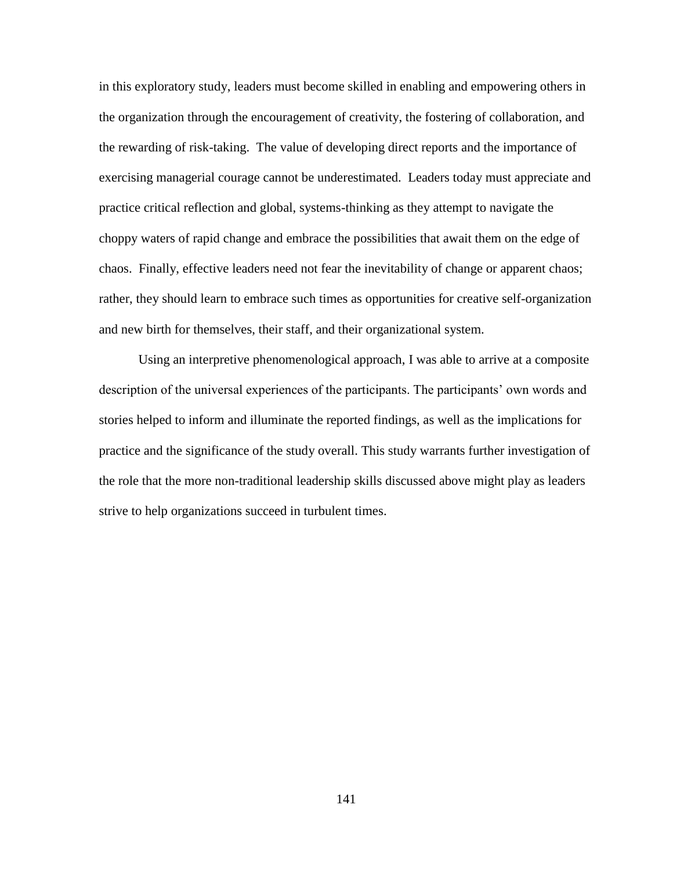in this exploratory study, leaders must become skilled in enabling and empowering others in the organization through the encouragement of creativity, the fostering of collaboration, and the rewarding of risk-taking. The value of developing direct reports and the importance of exercising managerial courage cannot be underestimated. Leaders today must appreciate and practice critical reflection and global, systems-thinking as they attempt to navigate the choppy waters of rapid change and embrace the possibilities that await them on the edge of chaos. Finally, effective leaders need not fear the inevitability of change or apparent chaos; rather, they should learn to embrace such times as opportunities for creative self-organization and new birth for themselves, their staff, and their organizational system.

Using an interpretive phenomenological approach, I was able to arrive at a composite description of the universal experiences of the participants. The participants' own words and stories helped to inform and illuminate the reported findings, as well as the implications for practice and the significance of the study overall. This study warrants further investigation of the role that the more non-traditional leadership skills discussed above might play as leaders strive to help organizations succeed in turbulent times.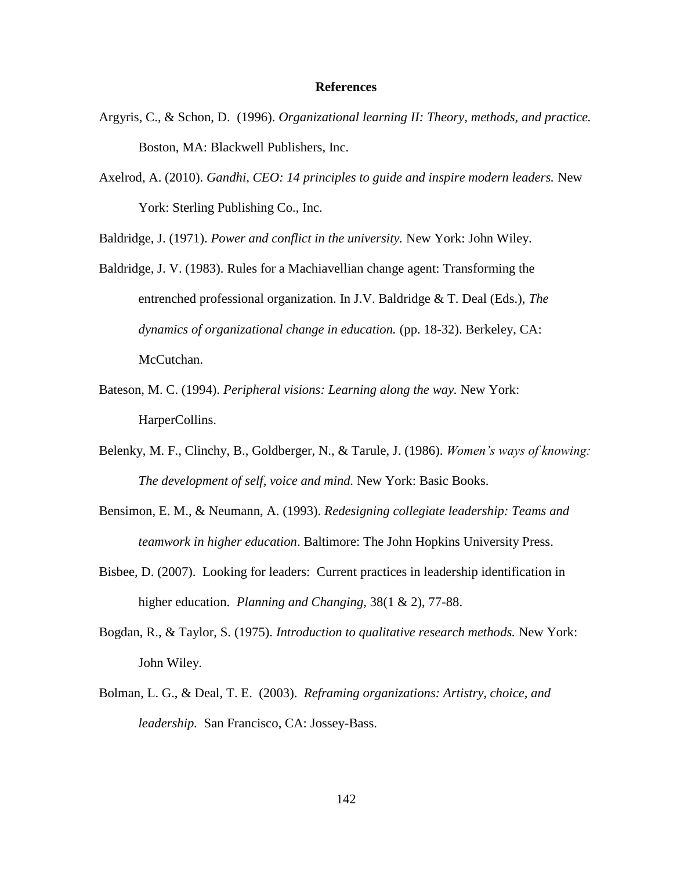## **References**

- Argyris, C., & Schon, D. (1996). *Organizational learning II: Theory, methods, and practice.*  Boston, MA: Blackwell Publishers, Inc.
- Axelrod, A. (2010). *Gandhi, CEO: 14 principles to guide and inspire modern leaders.* New York: Sterling Publishing Co., Inc.

Baldridge, J. (1971). *Power and conflict in the university.* New York: John Wiley.

- Baldridge, J. V. (1983). Rules for a Machiavellian change agent: Transforming the entrenched professional organization. In J.V. Baldridge & T. Deal (Eds.), *The dynamics of organizational change in education.* (pp. 18-32). Berkeley, CA: McCutchan.
- Bateson, M. C. (1994). *Peripheral visions: Learning along the way.* New York: HarperCollins.
- Belenky, M. F., Clinchy, B., Goldberger, N., & Tarule, J. (1986). *Women's ways of knowing: The development of self, voice and mind.* New York: Basic Books.
- Bensimon, E. M., & Neumann, A. (1993). *Redesigning collegiate leadership: Teams and teamwork in higher education*. Baltimore: The John Hopkins University Press.
- Bisbee, D. (2007). Looking for leaders: Current practices in leadership identification in higher education. *Planning and Changing,* 38(1 & 2), 77-88.
- Bogdan, R., & Taylor, S. (1975). *Introduction to qualitative research methods.* New York: John Wiley.
- Bolman, L. G., & Deal, T. E. (2003). *Reframing organizations: Artistry, choice, and leadership.* San Francisco, CA: Jossey-Bass.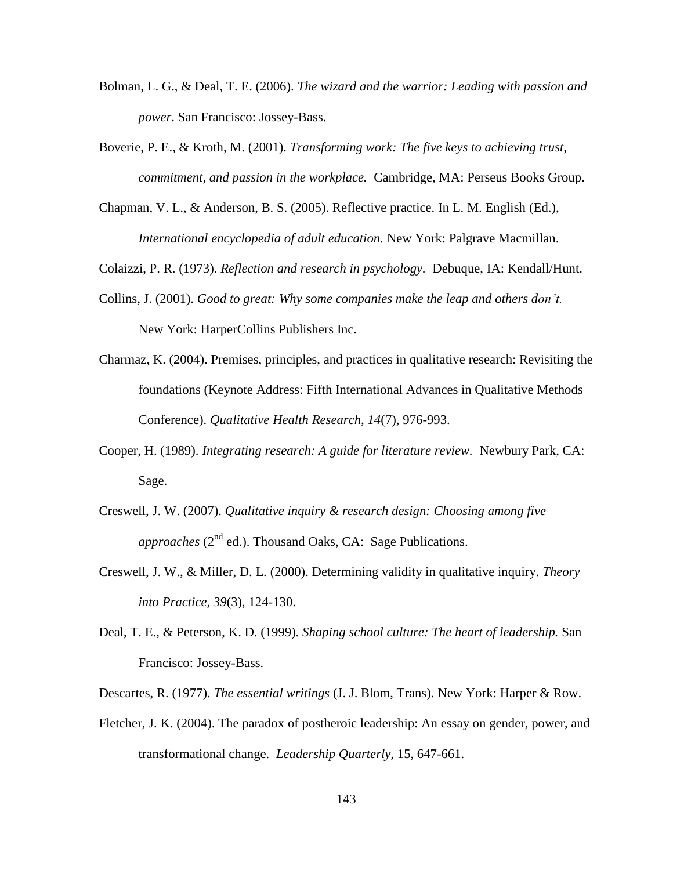- Bolman, L. G., & Deal, T. E. (2006). *The wizard and the warrior: Leading with passion and power*. San Francisco: Jossey-Bass.
- Boverie, P. E., & Kroth, M. (2001). *Transforming work: The five keys to achieving trust, commitment, and passion in the workplace.* Cambridge, MA: Perseus Books Group.
- Chapman, V. L., & Anderson, B. S. (2005). Reflective practice. In L. M. English (Ed.), *International encyclopedia of adult education.* New York: Palgrave Macmillan.

Colaizzi, P. R. (1973). *Reflection and research in psychology.* Debuque, IA: Kendall/Hunt.

- Collins, J. (2001). *Good to great: Why some companies make the leap and others don't.*  New York: HarperCollins Publishers Inc.
- Charmaz, K. (2004). Premises, principles, and practices in qualitative research: Revisiting the foundations (Keynote Address: Fifth International Advances in Qualitative Methods Conference). *Qualitative Health Research, 14*(7), 976-993.
- Cooper, H. (1989). *Integrating research: A guide for literature review.* Newbury Park, CA: Sage.
- Creswell, J. W. (2007). *Qualitative inquiry & research design: Choosing among five approaches*  $(2^{nd}$  ed.). Thousand Oaks, CA: Sage Publications.
- Creswell, J. W., & Miller, D. L. (2000). Determining validity in qualitative inquiry. *Theory into Practice, 39*(3), 124-130.
- Deal, T. E., & Peterson, K. D. (1999). *Shaping school culture: The heart of leadership.* San Francisco: Jossey-Bass.
- Descartes, R. (1977). *The essential writings* (J. J. Blom, Trans). New York: Harper & Row.
- Fletcher, J. K. (2004). The paradox of postheroic leadership: An essay on gender, power, and transformational change. *Leadership Quarterly,* 15, 647-661.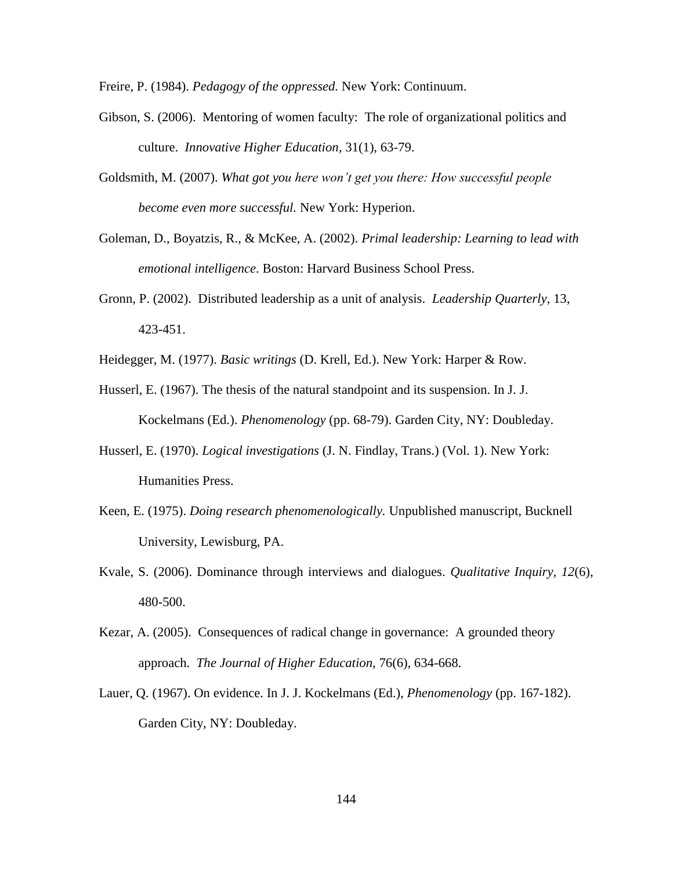Freire, P. (1984). *Pedagogy of the oppressed.* New York: Continuum.

- Gibson, S. (2006). Mentoring of women faculty: The role of organizational politics and culture. *Innovative Higher Education,* 31(1), 63-79.
- Goldsmith, M. (2007). *What got you here won't get you there: How successful people become even more successful.* New York: Hyperion.
- Goleman, D., Boyatzis, R., & McKee, A. (2002). *Primal leadership: Learning to lead with emotional intelligence*. Boston: Harvard Business School Press.
- Gronn, P. (2002). Distributed leadership as a unit of analysis. *Leadership Quarterly,* 13, 423-451.
- Heidegger, M. (1977). *Basic writings* (D. Krell, Ed.). New York: Harper & Row.
- Husserl, E. (1967). The thesis of the natural standpoint and its suspension. In J. J. Kockelmans (Ed.). *Phenomenology* (pp. 68-79). Garden City, NY: Doubleday.
- Husserl, E. (1970). *Logical investigations* (J. N. Findlay, Trans.) (Vol. 1). New York: Humanities Press.
- Keen, E. (1975). *Doing research phenomenologically.* Unpublished manuscript, Bucknell University, Lewisburg, PA.
- Kvale, S. (2006). Dominance through interviews and dialogues. *Qualitative Inquiry, 12*(6), 480-500.
- Kezar, A. (2005). Consequences of radical change in governance: A grounded theory approach. *The Journal of Higher Education,* 76(6), 634-668.
- Lauer, Q. (1967). On evidence. In J. J. Kockelmans (Ed.), *Phenomenology* (pp. 167-182). Garden City, NY: Doubleday.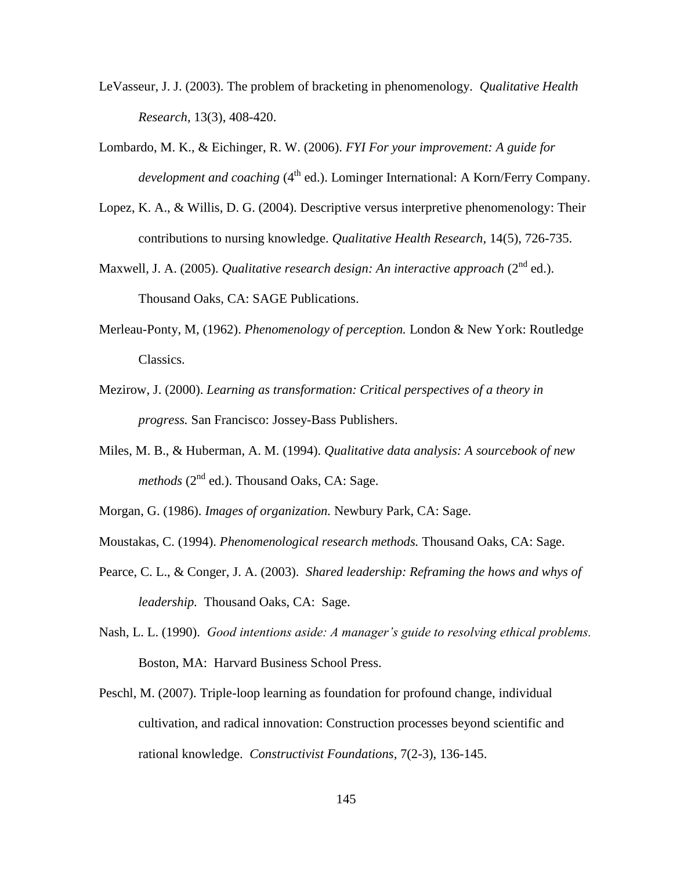- LeVasseur, J. J. (2003). The problem of bracketing in phenomenology. *Qualitative Health Research,* 13(3), 408-420.
- Lombardo, M. K., & Eichinger, R. W. (2006). *FYI For your improvement: A guide for development and coaching* (4<sup>th</sup> ed.). Lominger International: A Korn/Ferry Company.
- Lopez, K. A., & Willis, D. G. (2004). Descriptive versus interpretive phenomenology: Their contributions to nursing knowledge. *Qualitative Health Research,* 14(5), 726-735.
- Maxwell, J. A. (2005). *Qualitative research design: An interactive approach* (2<sup>nd</sup> ed.). Thousand Oaks, CA: SAGE Publications.
- Merleau-Ponty, M, (1962). *Phenomenology of perception.* London & New York: Routledge Classics.
- Mezirow, J. (2000). *Learning as transformation: Critical perspectives of a theory in progress.* San Francisco: Jossey-Bass Publishers.
- Miles, M. B., & Huberman, A. M. (1994). *Qualitative data analysis: A sourcebook of new methods* (2<sup>nd</sup> ed.). Thousand Oaks, CA: Sage.
- Morgan, G. (1986). *Images of organization.* Newbury Park, CA: Sage.
- Moustakas, C. (1994). *Phenomenological research methods.* Thousand Oaks, CA: Sage.
- Pearce, C. L., & Conger, J. A. (2003). *Shared leadership: Reframing the hows and whys of leadership.* Thousand Oaks, CA: Sage.
- Nash, L. L. (1990). *Good intentions aside: A manager's guide to resolving ethical problems.*  Boston, MA: Harvard Business School Press.
- Peschl, M. (2007). Triple-loop learning as foundation for profound change, individual cultivation, and radical innovation: Construction processes beyond scientific and rational knowledge. *Constructivist Foundations,* 7(2-3), 136-145.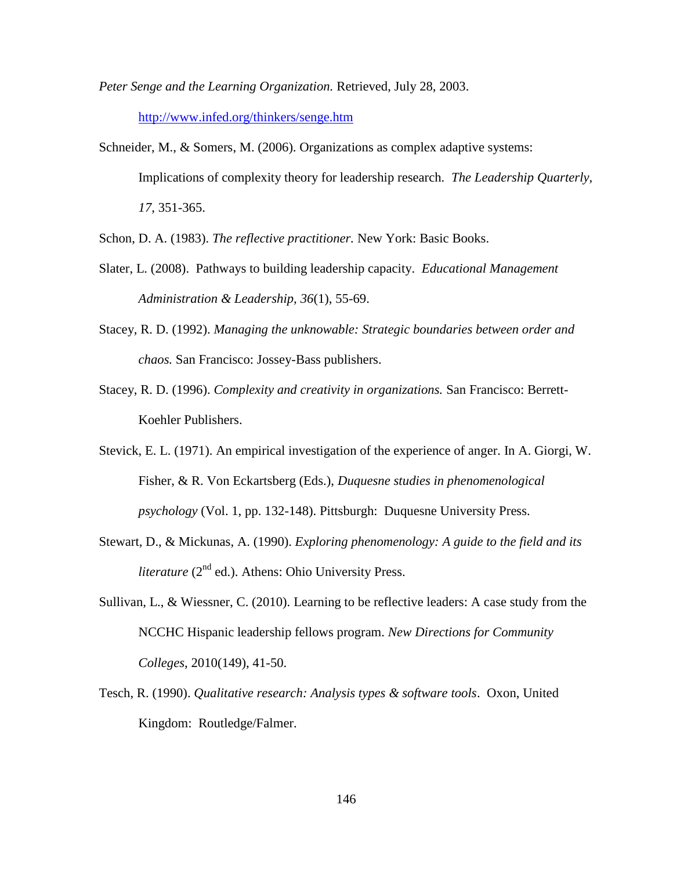*Peter Senge and the Learning Organization.* Retrieved, July 28, 2003.

<http://www.infed.org/thinkers/senge.htm>

Schneider, M., & Somers, M. (2006). Organizations as complex adaptive systems: Implications of complexity theory for leadership research. *The Leadership Quarterly, 17*, 351-365.

Schon, D. A. (1983). *The reflective practitioner.* New York: Basic Books.

- Slater, L. (2008). Pathways to building leadership capacity. *Educational Management Administration & Leadership, 36*(1), 55-69.
- Stacey, R. D. (1992). *Managing the unknowable: Strategic boundaries between order and chaos.* San Francisco: Jossey-Bass publishers.
- Stacey, R. D. (1996). *Complexity and creativity in organizations.* San Francisco: Berrett-Koehler Publishers.
- Stevick, E. L. (1971). An empirical investigation of the experience of anger. In A. Giorgi, W. Fisher, & R. Von Eckartsberg (Eds.), *Duquesne studies in phenomenological psychology* (Vol. 1, pp. 132-148). Pittsburgh: Duquesne University Press.
- Stewart, D., & Mickunas, A. (1990). *Exploring phenomenology: A guide to the field and its literature*  $(2^{nd}$  ed.). Athens: Ohio University Press.
- Sullivan, L., & Wiessner, C. (2010). Learning to be reflective leaders: A case study from the NCCHC Hispanic leadership fellows program. *New Directions for Community Colleges*, 2010(149), 41-50.
- Tesch, R. (1990). *Qualitative research: Analysis types & software tools*. Oxon, United Kingdom: Routledge/Falmer.